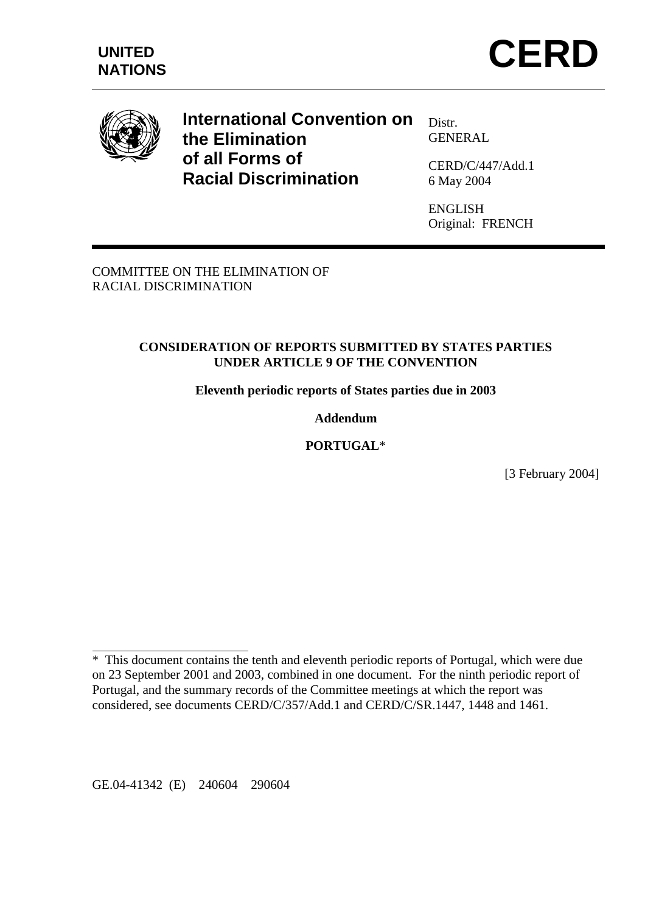





**International Convention on the Elimination of all Forms of Racial Discrimination** 

Distr. **GENERAL** 

CERD/C/447/Add.1 6 May 2004

ENGLISH Original: FRENCH

COMMITTEE ON THE ELIMINATION OF RACIAL DISCRIMINATION

#### **CONSIDERATION OF REPORTS SUBMITTED BY STATES PARTIES UNDER ARTICLE 9 OF THE CONVENTION**

**Eleventh periodic reports of States parties due in 2003** 

#### **Addendum**

#### **PORTUGAL**\*

[3 February 2004]

 $\overline{a}$ 

<sup>\*</sup> This document contains the tenth and eleventh periodic reports of Portugal, which were due on 23 September 2001 and 2003, combined in one document. For the ninth periodic report of Portugal, and the summary records of the Committee meetings at which the report was considered, see documents CERD/C/357/Add.1 and CERD/C/SR.1447, 1448 and 1461.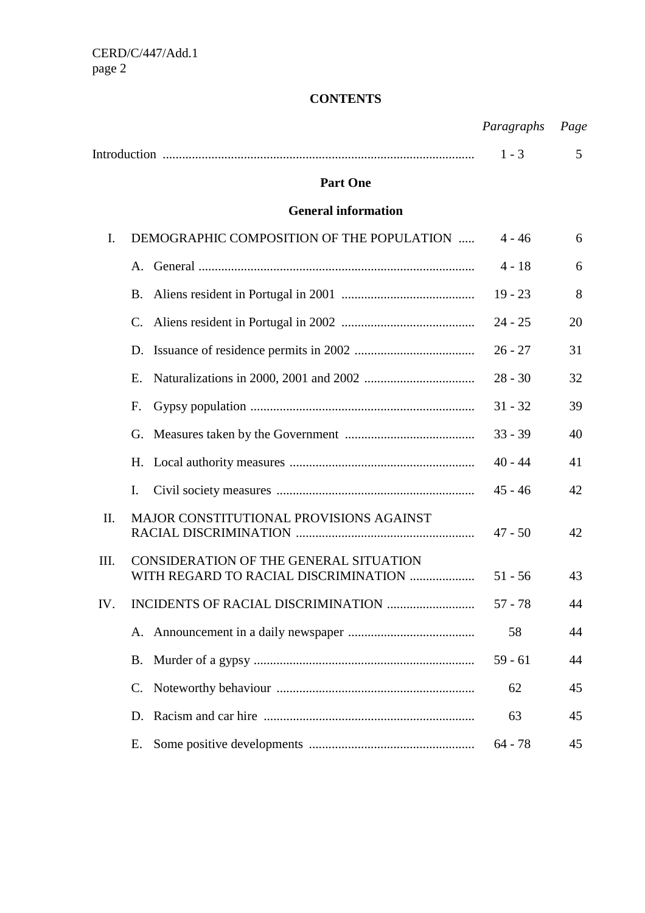## **CONTENTS**

|                |                                                                                | Paragraphs | Page |
|----------------|--------------------------------------------------------------------------------|------------|------|
|                |                                                                                | $1 - 3$    | 5    |
|                | <b>Part One</b>                                                                |            |      |
|                | <b>General information</b>                                                     |            |      |
| $\mathbf{I}$ . | DEMOGRAPHIC COMPOSITION OF THE POPULATION                                      | $4 - 46$   | 6    |
|                |                                                                                | $4 - 18$   | 6    |
|                | <b>B.</b>                                                                      | $19 - 23$  | 8    |
|                | C.                                                                             | $24 - 25$  | 20   |
|                | D.                                                                             | $26 - 27$  | 31   |
|                | Е.                                                                             | $28 - 30$  | 32   |
|                | F.                                                                             | $31 - 32$  | 39   |
|                | G.                                                                             | $33 - 39$  | 40   |
|                | Η.                                                                             | $40 - 44$  | 41   |
|                | I.                                                                             | $45 - 46$  | 42   |
| П.             | MAJOR CONSTITUTIONAL PROVISIONS AGAINST                                        | $47 - 50$  | 42   |
| III.           | CONSIDERATION OF THE GENERAL SITUATION<br>WITH REGARD TO RACIAL DISCRIMINATION | $51 - 56$  | 43   |
| IV.            | INCIDENTS OF RACIAL DISCRIMINATION                                             | $57 - 78$  | 44   |
|                |                                                                                | 58         | 44   |
|                | <b>B.</b>                                                                      | $59 - 61$  | 44   |
|                | C.                                                                             | 62         | 45   |
|                | D.                                                                             | 63         | 45   |
|                | Ε.                                                                             | $64 - 78$  | 45   |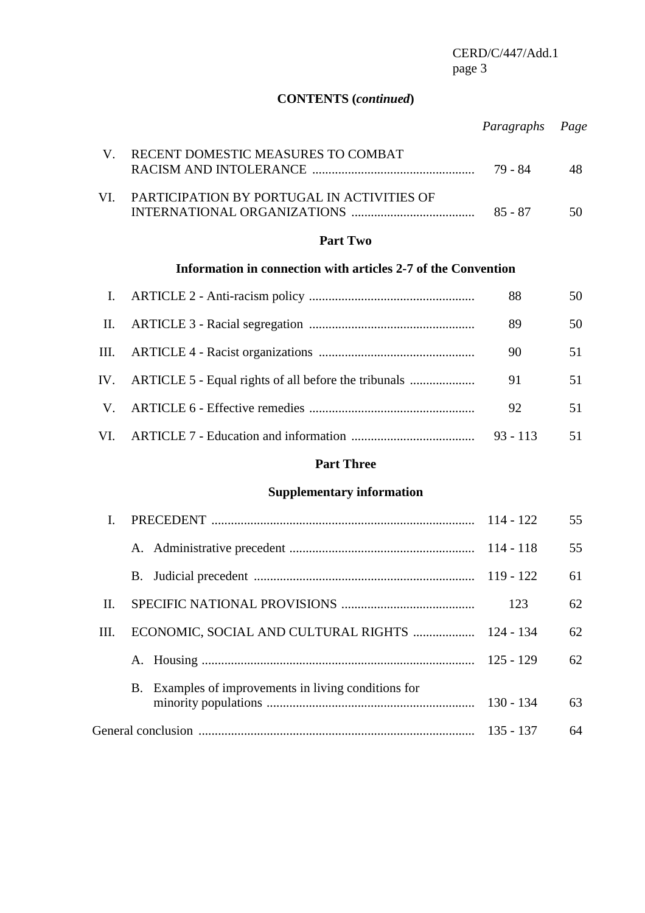# **CONTENTS (***continued***)**

|                                                                               | Paragraphs Page |    |
|-------------------------------------------------------------------------------|-----------------|----|
| RECENT DOMESTIC MEASURES TO COMBAT                                            | 79 - 84         |    |
| VI. PARTICIPATION BY PORTUGAL IN ACTIVITIES OF<br>INTERNATIONAL ORGANIZATIONS | 85 - 87         | 50 |

#### **Part Two**

# **Information in connection with articles 2-7 of the Convention**

|    |                                                          | 88 | 50 |
|----|----------------------------------------------------------|----|----|
|    |                                                          | 89 | 50 |
|    |                                                          | 90 | 51 |
|    | IV. ARTICLE 5 - Equal rights of all before the tribunals | 91 | 51 |
| V. |                                                          | 92 | 51 |
|    |                                                          |    | 51 |

# **Part Three**

## **Supplementary information**

|     |                                                      |             | 55 |
|-----|------------------------------------------------------|-------------|----|
|     |                                                      |             | 55 |
|     |                                                      |             | 61 |
| II. |                                                      | 123         | 62 |
| Ш.  | ECONOMIC, SOCIAL AND CULTURAL RIGHTS  124 - 134      |             | 62 |
|     |                                                      | $125 - 129$ | 62 |
|     | B. Examples of improvements in living conditions for | $130 - 134$ | 63 |
|     |                                                      |             | 64 |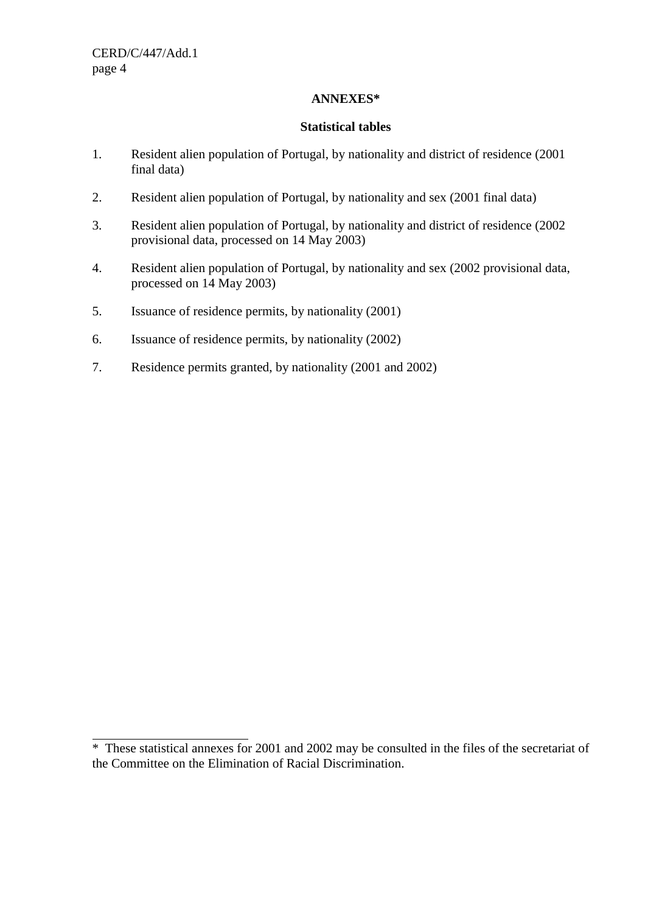$\overline{a}$ 

#### **ANNEXES\***

#### **Statistical tables**

- 1. Resident alien population of Portugal, by nationality and district of residence (2001 final data)
- 2. Resident alien population of Portugal, by nationality and sex (2001 final data)
- 3. Resident alien population of Portugal, by nationality and district of residence (2002 provisional data, processed on 14 May 2003)
- 4. Resident alien population of Portugal, by nationality and sex (2002 provisional data, processed on 14 May 2003)
- 5. Issuance of residence permits, by nationality (2001)
- 6. Issuance of residence permits, by nationality (2002)
- 7. Residence permits granted, by nationality (2001 and 2002)

<sup>\*</sup> These statistical annexes for 2001 and 2002 may be consulted in the files of the secretariat of the Committee on the Elimination of Racial Discrimination.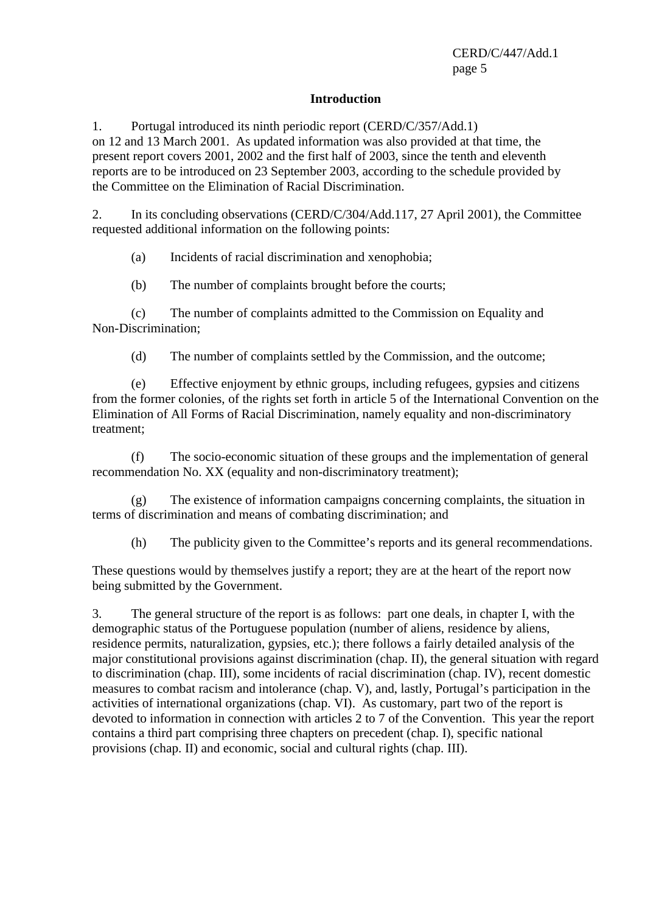#### **Introduction**

1. Portugal introduced its ninth periodic report (CERD/C/357/Add.1) on 12 and 13 March 2001. As updated information was also provided at that time, the present report covers 2001, 2002 and the first half of 2003, since the tenth and eleventh reports are to be introduced on 23 September 2003, according to the schedule provided by the Committee on the Elimination of Racial Discrimination.

2. In its concluding observations (CERD/C/304/Add.117, 27 April 2001), the Committee requested additional information on the following points:

(a) Incidents of racial discrimination and xenophobia;

(b) The number of complaints brought before the courts;

 (c) The number of complaints admitted to the Commission on Equality and Non-Discrimination;

(d) The number of complaints settled by the Commission, and the outcome;

 (e) Effective enjoyment by ethnic groups, including refugees, gypsies and citizens from the former colonies, of the rights set forth in article 5 of the International Convention on the Elimination of All Forms of Racial Discrimination, namely equality and non-discriminatory treatment;

 (f) The socio-economic situation of these groups and the implementation of general recommendation No. XX (equality and non-discriminatory treatment);

 (g) The existence of information campaigns concerning complaints, the situation in terms of discrimination and means of combating discrimination; and

(h) The publicity given to the Committee's reports and its general recommendations.

These questions would by themselves justify a report; they are at the heart of the report now being submitted by the Government.

3. The general structure of the report is as follows: part one deals, in chapter I, with the demographic status of the Portuguese population (number of aliens, residence by aliens, residence permits, naturalization, gypsies, etc.); there follows a fairly detailed analysis of the major constitutional provisions against discrimination (chap. II), the general situation with regard to discrimination (chap. III), some incidents of racial discrimination (chap. IV), recent domestic measures to combat racism and intolerance (chap. V), and, lastly, Portugal's participation in the activities of international organizations (chap. VI). As customary, part two of the report is devoted to information in connection with articles 2 to 7 of the Convention. This year the report contains a third part comprising three chapters on precedent (chap. I), specific national provisions (chap. II) and economic, social and cultural rights (chap. III).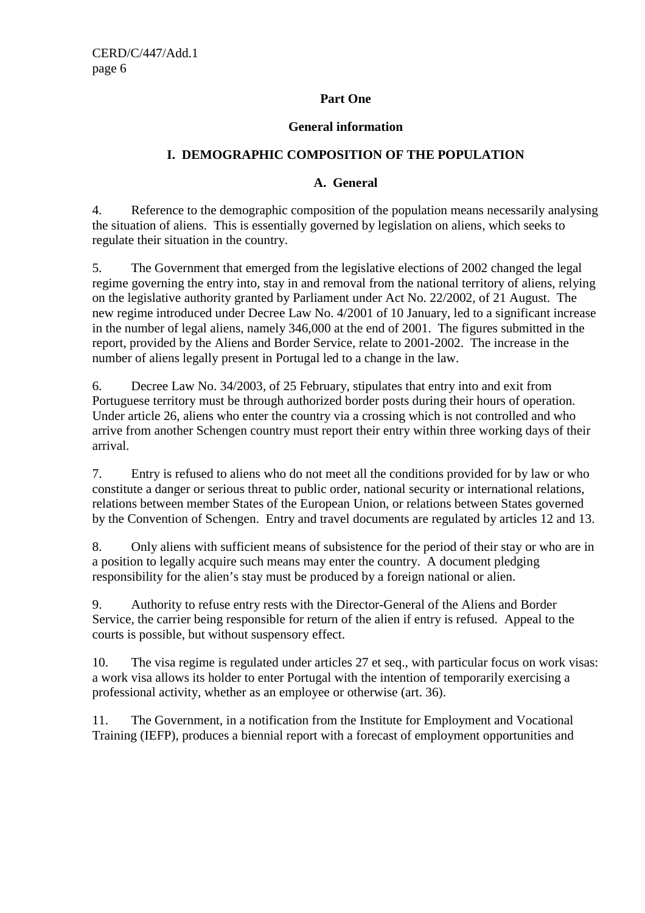## **Part One**

#### **General information**

## **I. DEMOGRAPHIC COMPOSITION OF THE POPULATION**

#### **A. General**

4. Reference to the demographic composition of the population means necessarily analysing the situation of aliens. This is essentially governed by legislation on aliens, which seeks to regulate their situation in the country.

5. The Government that emerged from the legislative elections of 2002 changed the legal regime governing the entry into, stay in and removal from the national territory of aliens, relying on the legislative authority granted by Parliament under Act No. 22/2002, of 21 August. The new regime introduced under Decree Law No. 4/2001 of 10 January, led to a significant increase in the number of legal aliens, namely 346,000 at the end of 2001. The figures submitted in the report, provided by the Aliens and Border Service, relate to 2001-2002. The increase in the number of aliens legally present in Portugal led to a change in the law.

6. Decree Law No. 34/2003, of 25 February, stipulates that entry into and exit from Portuguese territory must be through authorized border posts during their hours of operation. Under article 26, aliens who enter the country via a crossing which is not controlled and who arrive from another Schengen country must report their entry within three working days of their arrival.

7. Entry is refused to aliens who do not meet all the conditions provided for by law or who constitute a danger or serious threat to public order, national security or international relations, relations between member States of the European Union, or relations between States governed by the Convention of Schengen. Entry and travel documents are regulated by articles 12 and 13.

8. Only aliens with sufficient means of subsistence for the period of their stay or who are in a position to legally acquire such means may enter the country. A document pledging responsibility for the alien's stay must be produced by a foreign national or alien.

9. Authority to refuse entry rests with the Director-General of the Aliens and Border Service, the carrier being responsible for return of the alien if entry is refused. Appeal to the courts is possible, but without suspensory effect.

10. The visa regime is regulated under articles 27 et seq., with particular focus on work visas: a work visa allows its holder to enter Portugal with the intention of temporarily exercising a professional activity, whether as an employee or otherwise (art. 36).

11. The Government, in a notification from the Institute for Employment and Vocational Training (IEFP), produces a biennial report with a forecast of employment opportunities and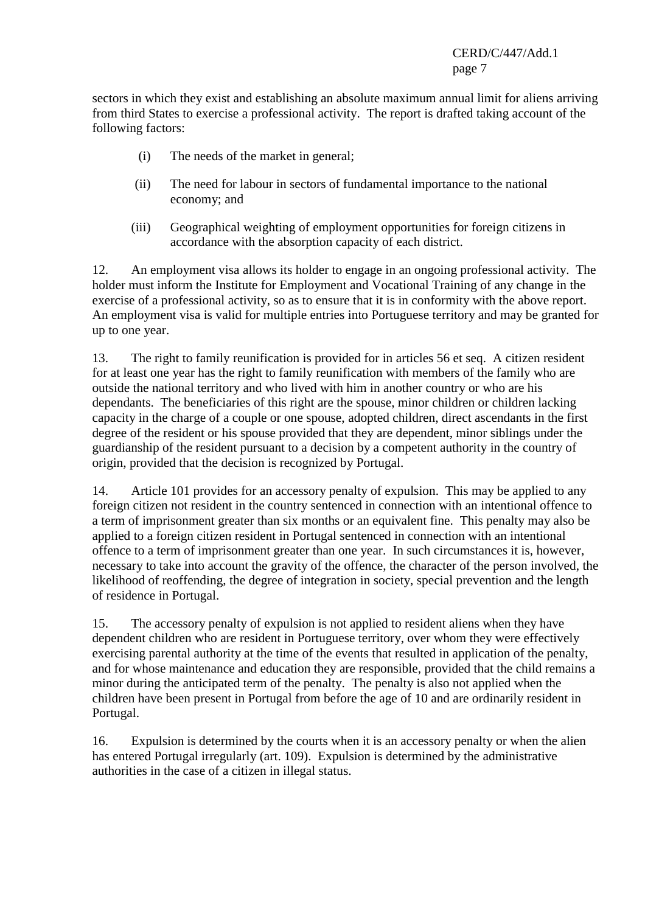sectors in which they exist and establishing an absolute maximum annual limit for aliens arriving from third States to exercise a professional activity. The report is drafted taking account of the following factors:

- (i) The needs of the market in general;
- (ii) The need for labour in sectors of fundamental importance to the national economy; and
- (iii) Geographical weighting of employment opportunities for foreign citizens in accordance with the absorption capacity of each district.

12. An employment visa allows its holder to engage in an ongoing professional activity. The holder must inform the Institute for Employment and Vocational Training of any change in the exercise of a professional activity, so as to ensure that it is in conformity with the above report. An employment visa is valid for multiple entries into Portuguese territory and may be granted for up to one year.

13. The right to family reunification is provided for in articles 56 et seq. A citizen resident for at least one year has the right to family reunification with members of the family who are outside the national territory and who lived with him in another country or who are his dependants. The beneficiaries of this right are the spouse, minor children or children lacking capacity in the charge of a couple or one spouse, adopted children, direct ascendants in the first degree of the resident or his spouse provided that they are dependent, minor siblings under the guardianship of the resident pursuant to a decision by a competent authority in the country of origin, provided that the decision is recognized by Portugal.

14. Article 101 provides for an accessory penalty of expulsion. This may be applied to any foreign citizen not resident in the country sentenced in connection with an intentional offence to a term of imprisonment greater than six months or an equivalent fine. This penalty may also be applied to a foreign citizen resident in Portugal sentenced in connection with an intentional offence to a term of imprisonment greater than one year. In such circumstances it is, however, necessary to take into account the gravity of the offence, the character of the person involved, the likelihood of reoffending, the degree of integration in society, special prevention and the length of residence in Portugal.

15. The accessory penalty of expulsion is not applied to resident aliens when they have dependent children who are resident in Portuguese territory, over whom they were effectively exercising parental authority at the time of the events that resulted in application of the penalty, and for whose maintenance and education they are responsible, provided that the child remains a minor during the anticipated term of the penalty. The penalty is also not applied when the children have been present in Portugal from before the age of 10 and are ordinarily resident in Portugal.

16. Expulsion is determined by the courts when it is an accessory penalty or when the alien has entered Portugal irregularly (art. 109). Expulsion is determined by the administrative authorities in the case of a citizen in illegal status.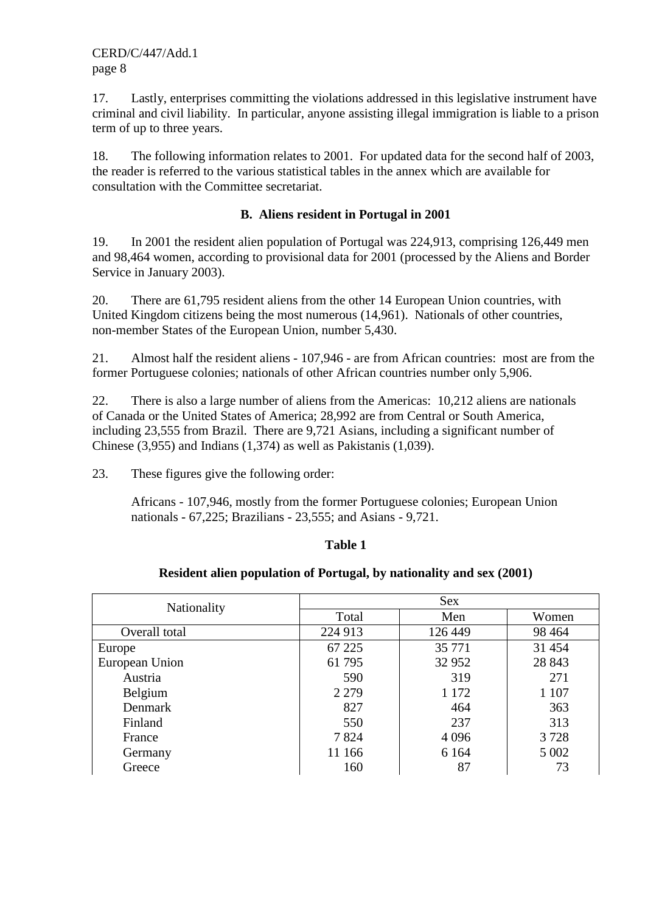17. Lastly, enterprises committing the violations addressed in this legislative instrument have criminal and civil liability. In particular, anyone assisting illegal immigration is liable to a prison term of up to three years.

18. The following information relates to 2001. For updated data for the second half of 2003, the reader is referred to the various statistical tables in the annex which are available for consultation with the Committee secretariat.

#### **B. Aliens resident in Portugal in 2001**

19. In 2001 the resident alien population of Portugal was 224,913, comprising 126,449 men and 98,464 women, according to provisional data for 2001 (processed by the Aliens and Border Service in January 2003).

20. There are 61,795 resident aliens from the other 14 European Union countries, with United Kingdom citizens being the most numerous (14,961). Nationals of other countries, non-member States of the European Union, number 5,430.

21. Almost half the resident aliens - 107,946 - are from African countries: most are from the former Portuguese colonies; nationals of other African countries number only 5,906.

22. There is also a large number of aliens from the Americas: 10,212 aliens are nationals of Canada or the United States of America; 28,992 are from Central or South America, including 23,555 from Brazil. There are 9,721 Asians, including a significant number of Chinese (3,955) and Indians (1,374) as well as Pakistanis (1,039).

23. These figures give the following order:

 Africans - 107,946, mostly from the former Portuguese colonies; European Union nationals - 67,225; Brazilians - 23,555; and Asians - 9,721.

#### **Table 1**

#### **Resident alien population of Portugal, by nationality and sex (2001)**

| Nationality    | <b>Sex</b> |         |         |  |
|----------------|------------|---------|---------|--|
|                | Total      | Men     | Women   |  |
| Overall total  | 224 913    | 126 449 | 98 4 64 |  |
| Europe         | 67 225     | 35 771  | 31 454  |  |
| European Union | 61 795     | 32 952  | 28 843  |  |
| Austria        | 590        | 319     | 271     |  |
| Belgium        | 2 2 7 9    | 1 1 7 2 | 1 107   |  |
| Denmark        | 827        | 464     | 363     |  |
| Finland        | 550        | 237     | 313     |  |
| France         | 7824       | 4 0 9 6 | 3728    |  |
| Germany        | 11 166     | 6 1 6 4 | 5 0 0 2 |  |
| Greece         | 160        | 87      | 73      |  |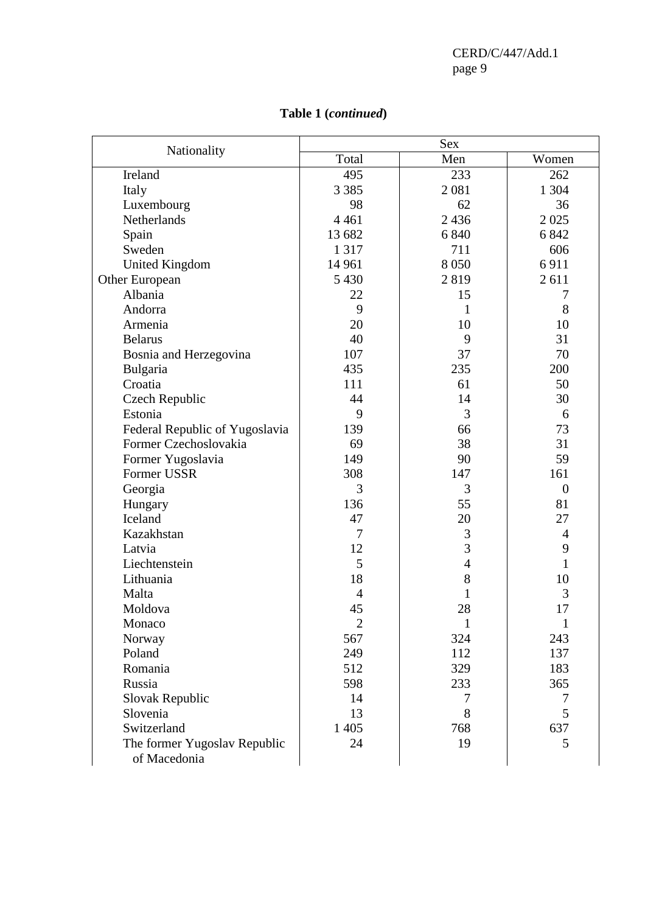| Nationality                    | Sex            |                |                |
|--------------------------------|----------------|----------------|----------------|
|                                | Total          | Men            | Women          |
| Ireland                        | 495            | 233            | 262            |
| Italy                          | 3 3 8 5        | 2081           | 1 3 0 4        |
| Luxembourg                     | 98             | 62             | 36             |
| Netherlands                    | 4 4 6 1        | 2436           | 2025           |
| Spain                          | 13 682         | 6 8 4 0        | 6 8 4 2        |
| Sweden                         | 1 3 1 7        | 711            | 606            |
| <b>United Kingdom</b>          | 14 9 61        | 8 0 5 0        | 6911           |
| Other European                 | 5 4 3 0        | 2819           | 2611           |
| Albania                        | 22             | 15             | 7              |
| Andorra                        | 9              | 1              | 8              |
| Armenia                        | 20             | 10             | 10             |
| <b>Belarus</b>                 | 40             | 9              | 31             |
| Bosnia and Herzegovina         | 107            | 37             | 70             |
| Bulgaria                       | 435            | 235            | 200            |
| Croatia                        | 111            | 61             | 50             |
| <b>Czech Republic</b>          | 44             | 14             | 30             |
| Estonia                        | 9              | 3              | 6              |
| Federal Republic of Yugoslavia | 139            | 66             | 73             |
| Former Czechoslovakia          | 69             | 38             | 31             |
| Former Yugoslavia              | 149            | 90             | 59             |
| Former USSR                    | 308            | 147            | 161            |
| Georgia                        | 3              | 3              | $\overline{0}$ |
| Hungary                        | 136            | 55             | 81             |
| Iceland                        | 47             | 20             | 27             |
| Kazakhstan                     | $\tau$         | 3              | 4              |
| Latvia                         | 12             | 3              | 9              |
| Liechtenstein                  | 5              | $\overline{4}$ | 1              |
| Lithuania                      | 18             | 8              | 10             |
| Malta                          | $\overline{4}$ | 1              | 3              |
| Moldova                        | 45             | 28             | 17             |
| Monaco                         | $\overline{2}$ | $\mathbf{1}$   | $\mathbf{1}$   |
| Norway                         | 567            | 324            | 243            |
| Poland                         | 249            | 112            | 137            |
| Romania                        | 512            | 329            | 183            |
| Russia                         | 598            | 233            | 365            |
| Slovak Republic                | 14             | 7              | 7              |
| Slovenia                       | 13             | 8              | 5              |
| Switzerland                    | 1 4 0 5        | 768            | 637            |
| The former Yugoslav Republic   | 24             | 19             | 5              |
| of Macedonia                   |                |                |                |

# **Table 1 (***continued***)**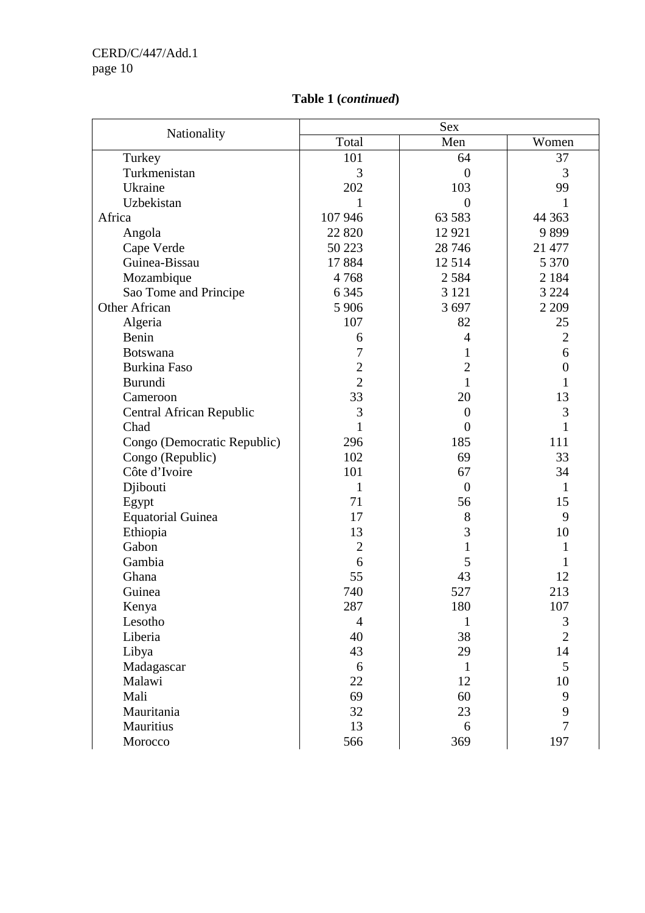| Nationality                 |                | Sex            |                |
|-----------------------------|----------------|----------------|----------------|
|                             | Total          | Men            | Women          |
| Turkey                      | 101            | 64             | 37             |
| Turkmenistan                | 3              | $\overline{0}$ | 3              |
| Ukraine                     | 202            | 103            | 99             |
| Uzbekistan                  | 1              | $\overline{0}$ | 1              |
| Africa                      | 107 946        | 63 583         | 44 3 63        |
| Angola                      | 22 8 20        | 12 9 21        | 9899           |
| Cape Verde                  | 50 223         | 28 74 6        | 21 477         |
| Guinea-Bissau               | 17884          | 12514          | 5 3 7 0        |
| Mozambique                  | 4768           | 2 5 8 4        | 2 1 8 4        |
| Sao Tome and Principe       | 6 3 4 5        | 3 1 2 1        | 3 2 2 4        |
| Other African               | 5 9 0 6        | 3 6 9 7        | 2 2 0 9        |
| Algeria                     | 107            | 82             | 25             |
| Benin                       | 6              | $\overline{4}$ | $\overline{2}$ |
| <b>Botswana</b>             | 7              | 1              | 6              |
| <b>Burkina Faso</b>         | $\overline{2}$ | $\overline{2}$ | $\overline{0}$ |
| Burundi                     | $\overline{2}$ | 1              | 1              |
| Cameroon                    | 33             | 20             | 13             |
| Central African Republic    | 3              | $\overline{0}$ | 3              |
| Chad                        | $\mathbf{1}$   | $\theta$       | 1              |
| Congo (Democratic Republic) | 296            | 185            | 111            |
| Congo (Republic)            | 102            | 69             | 33             |
| Côte d'Ivoire               | 101            | 67             | 34             |
| Djibouti                    | 1              | $\theta$       | 1              |
| Egypt                       | 71             | 56             | 15             |
| <b>Equatorial Guinea</b>    | 17             | 8              | 9              |
| Ethiopia                    | 13             | 3              | 10             |
| Gabon                       | $\overline{2}$ | $\mathbf{1}$   | 1              |
| Gambia                      | 6              | 5              | 1              |
| Ghana                       | 55             | 43             | 12             |
| Guinea                      | 740            | 527            | 213            |
| Kenya                       | 287            | 180            | 107            |
| Lesotho                     | $\overline{4}$ | $\mathbf{1}$   | 3              |
| Liberia                     | 40             | 38             | $\overline{2}$ |
| Libya                       | 43             | 29             | 14             |
| Madagascar                  | 6              | $\mathbf{1}$   | 5              |
| Malawi                      | 22             | 12             | 10             |
| Mali                        | 69             | 60             | 9              |
| Mauritania                  | 32             | 23             | $\mathbf{9}$   |
| Mauritius                   | 13             | 6              | $\overline{7}$ |
| Morocco                     | 566            | 369            | 197            |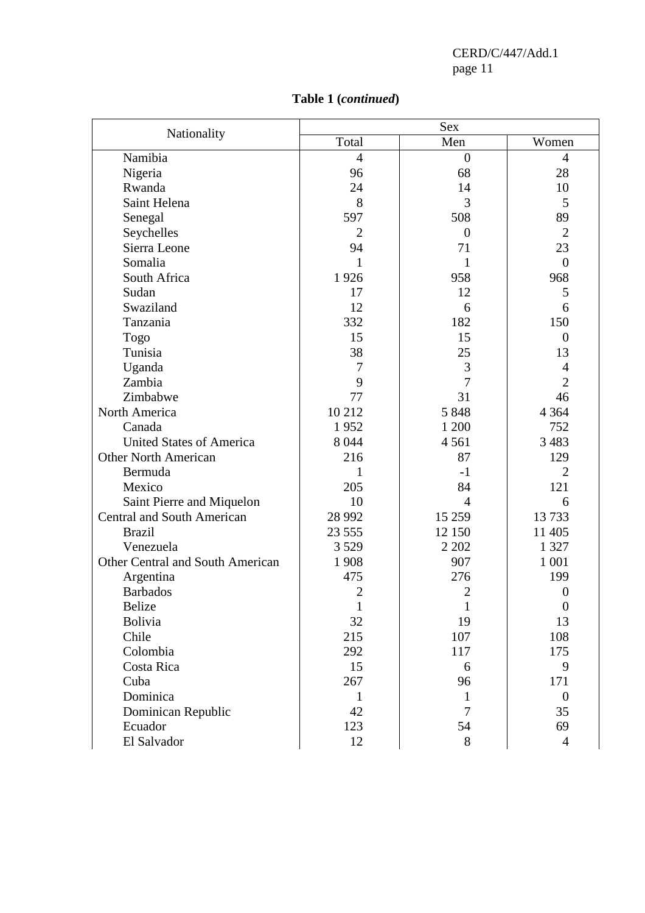|                                   |                | <b>Sex</b>     |                |  |  |
|-----------------------------------|----------------|----------------|----------------|--|--|
| Nationality                       | Total          | Men            | Women          |  |  |
| Namibia                           | $\overline{4}$ | $\overline{0}$ | $\overline{4}$ |  |  |
| Nigeria                           | 96             | 68             | 28             |  |  |
| Rwanda                            | 24             | 14             | 10             |  |  |
| Saint Helena                      | 8              | 3              | 5              |  |  |
| Senegal                           | 597            | 508            | 89             |  |  |
| Seychelles                        | $\overline{2}$ | $\overline{0}$ | $\overline{2}$ |  |  |
| Sierra Leone                      | 94             | 71             | 23             |  |  |
| Somalia                           | 1              | $\mathbf{1}$   | $\overline{0}$ |  |  |
| South Africa                      | 1926           | 958            | 968            |  |  |
| Sudan                             | 17             | 12             | 5              |  |  |
| Swaziland                         | 12             | 6              | 6              |  |  |
| Tanzania                          | 332            | 182            | 150            |  |  |
| Togo                              | 15             | 15             | $\overline{0}$ |  |  |
| Tunisia                           | 38             | 25             | 13             |  |  |
| Uganda                            | 7              | 3              | $\overline{4}$ |  |  |
| Zambia                            | 9              | $\overline{7}$ | $\overline{2}$ |  |  |
| Zimbabwe                          | 77             | 31             | 46             |  |  |
| North America                     | 10 212         | 5 8 4 8        | 4 3 6 4        |  |  |
| Canada                            | 1952           | 1 200          | 752            |  |  |
| <b>United States of America</b>   | 8 0 4 4        | 4 5 6 1        | 3 4 8 3        |  |  |
| <b>Other North American</b>       | 216            | 87             | 129            |  |  |
| Bermuda                           |                | $-1$           | 2              |  |  |
| Mexico                            | 205            | 84             | 121            |  |  |
| Saint Pierre and Miquelon         | 10             | $\overline{4}$ | 6              |  |  |
| <b>Central and South American</b> | 28 9 92        | 15 25 9        | 13733          |  |  |
| <b>Brazil</b>                     | 23 5 5 5       | 12 150         | 11 405         |  |  |
| Venezuela                         | 3 5 2 9        | 2 2 0 2        | 1 3 2 7        |  |  |
| Other Central and South American  | 1 9 0 8        | 907            | 1 0 0 1        |  |  |
| Argentina                         | 475            | 276            | 199            |  |  |
| <b>Barbados</b>                   | $\overline{2}$ | $\overline{2}$ | $\overline{0}$ |  |  |
| Belize                            | $\mathbf{1}$   | $\mathbf{1}$   | $\mathbf{0}$   |  |  |
| <b>Bolivia</b>                    | 32             | 19             | 13             |  |  |
| Chile                             | 215            | 107            | 108            |  |  |
| Colombia                          | 292            | 117            | 175            |  |  |
| Costa Rica                        | 15             | 6              | 9              |  |  |
| Cuba                              | 267            | 96             | 171            |  |  |
| Dominica                          | 1              | 1              | $\overline{0}$ |  |  |
| Dominican Republic                | 42             | 7              | 35             |  |  |
| Ecuador                           | 123            | 54             | 69             |  |  |
| El Salvador                       | 12             | 8              | $\overline{4}$ |  |  |

# **Table 1 (***continued***)**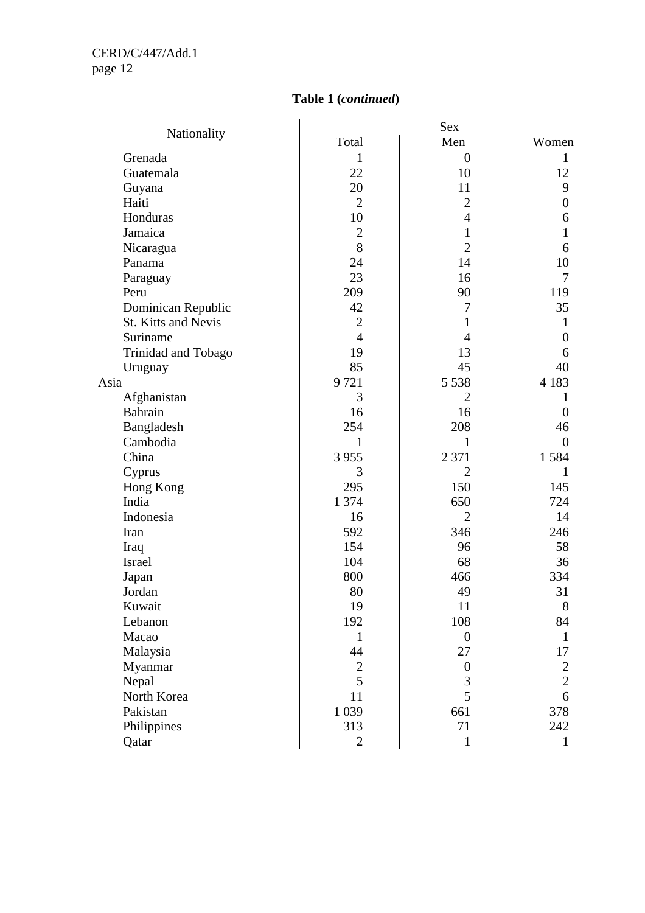|                            |                | <b>Sex</b>       |                  |  |
|----------------------------|----------------|------------------|------------------|--|
| Nationality                | Total          | Men              | Women            |  |
| Grenada                    | $\mathbf{1}$   | $\boldsymbol{0}$ | $\mathbf{1}$     |  |
| Guatemala                  | 22             | 10               | 12               |  |
| Guyana                     | 20             | 11               | 9                |  |
| Haiti                      | $\overline{2}$ | $\overline{2}$   | $\boldsymbol{0}$ |  |
| Honduras                   | 10             | $\overline{4}$   | 6                |  |
| Jamaica                    | $\overline{2}$ | $\mathbf{1}$     | $\mathbf{1}$     |  |
| Nicaragua                  | 8              | $\overline{2}$   | 6                |  |
| Panama                     | 24             | 14               | 10               |  |
| Paraguay                   | 23             | 16               | $\overline{7}$   |  |
| Peru                       | 209            | 90               | 119              |  |
| Dominican Republic         | 42             | 7                | 35               |  |
| <b>St. Kitts and Nevis</b> | $\overline{c}$ | 1                | 1                |  |
| Suriname                   | $\overline{4}$ | 4                | $\overline{0}$   |  |
| Trinidad and Tobago        | 19             | 13               | 6                |  |
| Uruguay                    | 85             | 45               | 40               |  |
| Asia                       | 9721           | 5 5 3 8          | 4 1 8 3          |  |
| Afghanistan                | 3              | 2                | 1                |  |
| Bahrain                    | 16             | 16               | $\overline{0}$   |  |
| Bangladesh                 | 254            | 208              | 46               |  |
| Cambodia                   | 1              | 1                | $\theta$         |  |
| China                      | 3 9 5 5        | 2 3 7 1          | 1584             |  |
| Cyprus                     | 3              | $\overline{2}$   | 1                |  |
| Hong Kong                  | 295            | 150              | 145              |  |
| India                      | 1 3 7 4        | 650              | 724              |  |
| Indonesia                  | 16             | $\overline{2}$   | 14               |  |
| Iran                       | 592            | 346              | 246              |  |
| Iraq                       | 154            | 96               | 58               |  |
| <b>Israel</b>              | 104            | 68               | 36               |  |
| Japan                      | 800            | 466              | 334              |  |
| Jordan                     | 80             | 49               | 31               |  |
| Kuwait                     | 19             | 11               | $8\,$            |  |
| Lebanon                    | 192            | 108              | 84               |  |
| Macao                      | $\mathbf{1}$   | $\boldsymbol{0}$ | $\mathbf{1}$     |  |
| Malaysia                   | 44             | 27               | 17               |  |
| Myanmar                    | $\mathbf{2}$   | $\boldsymbol{0}$ | $\frac{2}{2}$    |  |
| Nepal                      | 5              | 3                |                  |  |
| North Korea                | 11             | 5                | 6                |  |
| Pakistan                   | 1 0 3 9        | 661              | 378              |  |
| Philippines                | 313            | 71               | 242              |  |
| Qatar                      | $\overline{2}$ | $\mathbf{1}$     | $\mathbf{1}$     |  |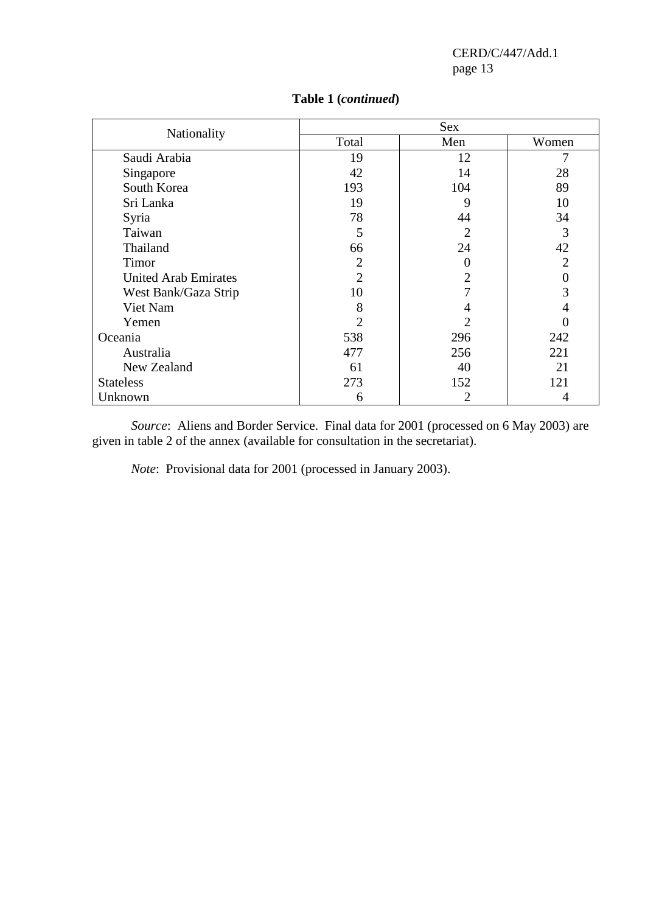| Nationality                 | Sex            |     |                |  |
|-----------------------------|----------------|-----|----------------|--|
|                             | Total          | Men | Women          |  |
| Saudi Arabia                | 19             | 12  |                |  |
| Singapore                   | 42             | 14  | 28             |  |
| South Korea                 | 193            | 104 | 89             |  |
| Sri Lanka                   | 19             | 9   | 10             |  |
| Syria                       | 78             | 44  | 34             |  |
| Taiwan                      | 5              | 2   | 3              |  |
| Thailand                    | 66             | 24  | 42             |  |
| Timor                       | $\overline{2}$ | 0   | $\overline{2}$ |  |
| <b>United Arab Emirates</b> | $\overline{2}$ | 2   |                |  |
| West Bank/Gaza Strip        | 10             |     | 3              |  |
| Viet Nam                    | 8              | 4   |                |  |
| Yemen                       | $\overline{2}$ | 2   |                |  |
| Oceania                     | 538            | 296 | 242            |  |
| Australia                   | 477            | 256 | 221            |  |
| New Zealand                 | 61             | 40  | 21             |  |
| <b>Stateless</b>            | 273            | 152 | 121            |  |
| Unknown                     | 6              | 2   | 4              |  |

## **Table 1 (***continued***)**

*Source*: Aliens and Border Service. Final data for 2001 (processed on 6 May 2003) are given in table 2 of the annex (available for consultation in the secretariat).

*Note*: Provisional data for 2001 (processed in January 2003).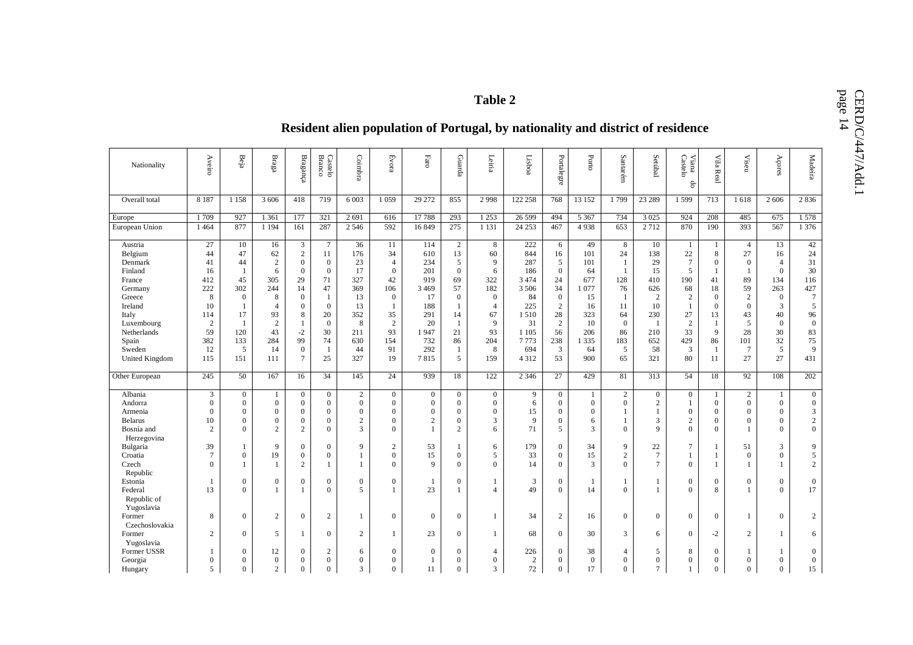# Table 2<br>**Resident alien population of Portugal, by nationality and district of residence**

| Nationality    | Aveiro           | Beja             | $_{\rm Bragg}$   | Braganga         | <b>Branco</b><br>Castelo | Coimbra          | Evora          | $_{\rm Fare}$    | Guarda         | Leiria           | Lisboa         | Portalegre     | $_{\mbox{\small{Porto}}}$ | Santarém       | Setúbal          | $\rm{Vian}a$<br>$\rm{Caste}b$<br>$\theta$ | Vila Real      | Viseu            | Açores           | Madeira          |
|----------------|------------------|------------------|------------------|------------------|--------------------------|------------------|----------------|------------------|----------------|------------------|----------------|----------------|---------------------------|----------------|------------------|-------------------------------------------|----------------|------------------|------------------|------------------|
| Overall total  | 8 1 8 7          | 1 1 5 8          | 3 60 6           | 418              | 719                      | 6 0 0 3          | 1 0 5 9        | 29 27 2          | 855            | 2 9 9 8          | 122 258        | 768            | 13 15 2                   | 1799           | 23 28 9          | 1599                                      | 713            | 1618             | 2 6 0 6          | 2836             |
| Europe         | 1709             | 927              | 1 3 6 1          | 177              | 321                      | 2691             | 616            | 17788            | 293            | 1 2 5 3          | 26 5 9 9       | 494            | 5 3 6 7                   | 734            | 3 0 25           | 924                                       | 208            | 485              | 675              | 1578             |
| European Union | 1464             | 877              | 1 1 9 4          | 161              | 287                      | 2 5 4 6          | 592            | 16849            | 275            | 1 1 3 1          | 24 25 3        | 467            | 4938                      | 653            | 2 7 1 2          | 870                                       | 190            | 393              | 567              | 1 3 7 6          |
| Austria        | 27               | 10               | 16               | 3                | $\tau$                   | 36               | 11             | 114              | $\sqrt{2}$     | 8                | 222            | 6              | 49                        | 8              | 10               | - 1                                       | -1             | $\overline{4}$   | 13               | 42               |
| Belgium        | 44               | 47               | 62               | $\sqrt{2}$       | 11                       | 176              | 34             | 610              | 13             | 60               | 844            | 16             | 101                       | 24             | 138              | 22                                        | 8              | 27               | 16               | 24               |
| Denmark        | 41               | 44               | $\overline{c}$   | $\boldsymbol{0}$ | $\boldsymbol{0}$         | 23               | $\overline{4}$ | 234              | 5              | 9                | 287            | 5              | 101                       | 1              | 29               | $7\phantom{.0}$                           | $\overline{0}$ | $\mathbf{0}$     | 4                | 31               |
| Finland        | 16               | $\mathbf{1}$     | 6                | $\boldsymbol{0}$ | $\boldsymbol{0}$         | 17               | $\mathbf{0}$   | 201              | $\mathbf{0}$   | 6                | 186            | $\mathbf{0}$   | 64                        | $\mathbf{1}$   | 15               | 5                                         | -1             | 1                | $\mathbf{0}$     | 30               |
| France         | 412              | 45               | 305              | 29               | 71                       | 327              | 42             | 919              | 69             | 322              | 3 4 7 4        | 24             | 677                       | 128            | 410              | 190                                       | 41             | 89               | 134              | 116              |
| Germany        | 222              | 302              | 244              | 14               | 47                       | 369              | 106            | 3 4 6 9          | 57             | 182              | 3 5 0 6        | 34             | 1077                      | 76             | 626              | 68                                        | 18             | 59               | 263              | 427              |
| Greece         | 8                | $\mathbf{0}$     | 8                | $\overline{0}$   | $\mathbf{1}$             | 13               | $\overline{0}$ | 17               | $\overline{0}$ | $\boldsymbol{0}$ | 84             | $\overline{0}$ | 15                        | -1             | $\mathbf{2}$     | $\overline{c}$                            | $\mathbf{0}$   | $\overline{2}$   | $\boldsymbol{0}$ | $7\phantom{.0}$  |
| Ireland        | 10               | $\mathbf{1}$     | $\overline{4}$   | $\overline{0}$   | $\mathbf{0}$             | 13               | -1             | 188              | $\mathbf{1}$   | $\overline{4}$   | 225            | $\overline{2}$ | 16                        | 11             | 10               | $\mathbf{1}$                              | $\overline{0}$ | $\mathbf{0}$     | 3                | 5                |
| Italy          | 114              | 17               | 93               | 8                | 20                       | 352              | 35             | 291              | 14             | 67               | 1 5 1 0        | 28             | 323                       | 64             | 230              | 27                                        | 13             | 43               | 40               | 96               |
| Luxembourg     | $\boldsymbol{2}$ | -1               | $\overline{2}$   | -1               | $\mathbf{0}$             | 8                | $\overline{2}$ | 20               | -1             | 9                | 31             | $\overline{2}$ | 10                        | $\overline{0}$ | $\mathbf{1}$     | $\overline{c}$                            | $\mathbf{1}$   | 5                | $\mathbf{0}$     | $\boldsymbol{0}$ |
| Netherlands    | 59               | 120              | 43               | $-2$             | 30                       | 211              | 93             | 1947             | 21             | 93               | 1 1 0 5        | 56             | 206                       | 86             | 210              | 33                                        | 9              | 28               | 30               | 83               |
| Spain          | 382              | 133              | 284              | 99               | 74                       | 630              | 154            | 732              | 86             | 204              | 7773           | 238            | 1 3 3 5                   | 183            | 652              | 429                                       | 86             | 101              | 32               | 75               |
| Sweden         | 12               | 5                | 14               | $\boldsymbol{0}$ | 1                        | 44               | 91             | 292              | -1             | 8                | 694            | 3              | 64                        | 5              | 58               | 3                                         | 1              | $\overline{7}$   | 5                | 9                |
| United Kingdom | 115              | 151              | 111              | $\tau$           | 25                       | 327              | 19             | 7815             | 5              | 159              | 4 3 1 2        | 53             | 900                       | 65             | 321              | 80                                        | 11             | 27               | 27               | 431              |
|                |                  |                  |                  |                  |                          |                  |                |                  |                |                  |                |                |                           |                |                  |                                           |                |                  |                  |                  |
| Other European | 245              | 50               | 167              | 16               | 34                       | 145              | 24             | 939              | 18             | 122              | 2 3 4 6        | 27             | 429                       | 81             | 313              | 54                                        | 18             | 92               | 108              | 202              |
| Albania        | 3                | $\boldsymbol{0}$ | $\mathbf{1}$     | $\overline{0}$   | $\overline{0}$           | $\overline{2}$   | $\overline{0}$ | $\boldsymbol{0}$ | $\overline{0}$ | $\boldsymbol{0}$ | 9              | $\overline{0}$ | $\mathbf{1}$              | $\overline{c}$ | $\boldsymbol{0}$ | $\mathbf{0}$                              | 1              | $\overline{c}$   | $\mathbf{1}$     | $\mathbf{0}$     |
| Andorra        | $\overline{0}$   | $\mathbf{0}$     | $\mathbf{0}$     | $\overline{0}$   | $\overline{0}$           | $\boldsymbol{0}$ | $\overline{0}$ | $\boldsymbol{0}$ | $\mathbf{0}$   | $\boldsymbol{0}$ | 6              | $\overline{0}$ | $\mathbf{0}$              | $\overline{0}$ | $\mathbf{2}$     | $\mathbf{1}$                              | $\overline{0}$ | $\mathbf{0}$     | $\overline{0}$   | $\boldsymbol{0}$ |
| Armenia        | $\mathbf{0}$     | $\overline{0}$   | $\mathbf{0}$     | $\overline{0}$   | $\mathbf{0}$             | $\boldsymbol{0}$ | $\overline{0}$ | $\overline{0}$   | $\mathbf{0}$   | $\boldsymbol{0}$ | 15             | $\Omega$       | $\mathbf{0}$              | 1              | 1                | $\mathbf{0}$                              | $\overline{0}$ | $\mathbf{0}$     | $\mathbf{0}$     | 3                |
| <b>Belarus</b> | 10               | $\theta$         | $\mathbf{0}$     | $\overline{0}$   | $\mathbf{0}$             | $\sqrt{2}$       | $\mathbf{0}$   | $\sqrt{2}$       | $\mathbf{0}$   | 3                | 9              | $\Omega$       | 6                         | $\mathbf{1}$   | 3                | $\sqrt{2}$                                | $\Omega$       | $\mathbf{0}$     | $\mathbf{0}$     | $\sqrt{2}$       |
| Bosnia and     | $\overline{2}$   | $\Omega$         | $\overline{2}$   | $\overline{2}$   | $\mathbf{0}$             | 3                | $\Omega$       |                  | $\mathbf{2}$   | 6                | 71             | $\overline{5}$ | 3                         | $\Omega$       | $\mathbf Q$      | $\Omega$                                  | $\Omega$       |                  | $\Omega$         | $\mathbf{0}$     |
| Herzegovina    |                  |                  |                  |                  |                          |                  |                |                  |                |                  |                |                |                           |                |                  |                                           |                |                  |                  |                  |
| Bulgaria       | 39               |                  | 9                | $\boldsymbol{0}$ | $\boldsymbol{0}$         | 9                | $\overline{c}$ | 53               |                | 6                | 179            | $\mathbf{0}$   | 34                        | 9              | 22               | $\overline{7}$                            | -1             | 51               | 3                | 9                |
| Croatia        | $\tau$           | $\mathbf{0}$     | 19               | $\boldsymbol{0}$ | $\boldsymbol{0}$         | 1                | $\overline{0}$ | 15               | $\mathbf{0}$   | 5                | 33             | $\overline{0}$ | 15                        | $\overline{c}$ | $7\phantom{.0}$  | 1                                         | -1             | $\boldsymbol{0}$ | $\mathbf{0}$     | $\mathfrak{S}$   |
| Czech          | $\Omega$         | 1                |                  | $\overline{c}$   | -1                       | 1                | $\overline{0}$ | $\mathbf{Q}$     | $\mathbf{0}$   | $\Omega$         | 14             | $\Omega$       | 3                         | $\theta$       | $\tau$           | $\mathbf{0}$                              | 1              | -1               | $\mathbf{1}$     | 2                |
| Republic       |                  |                  |                  |                  |                          |                  |                |                  |                |                  |                |                |                           |                |                  |                                           |                |                  |                  |                  |
| Estonia        | 1                | $\overline{0}$   | $\mathbf{0}$     | $\overline{0}$   | $\boldsymbol{0}$         | $\boldsymbol{0}$ | $\overline{0}$ | -1               | $\mathbf{0}$   | 1                | 3              | $\overline{0}$ | 1                         | 1              | 1                | $\mathbf{0}$                              | $\overline{0}$ | $\mathbf{0}$     | $\mathbf{0}$     | $\boldsymbol{0}$ |
| Federal        | 13               | $\Omega$         |                  | $\mathbf{1}$     | $\mathbf{0}$             | 5                | $\mathbf{1}$   | 23               | -1             | $\overline{4}$   | 49             | $\Omega$       | 14                        | $\theta$       | 1                | $\Omega$                                  | 8              | 1                | $\Omega$         | 17               |
| Republic of    |                  |                  |                  |                  |                          |                  |                |                  |                |                  |                |                |                           |                |                  |                                           |                |                  |                  |                  |
| Yugoslavia     |                  |                  |                  |                  |                          |                  |                |                  |                |                  |                |                |                           |                |                  |                                           |                |                  |                  |                  |
| Former         | 8                | $\mathbf{0}$     | $\boldsymbol{2}$ | $\mathbf{0}$     | $\boldsymbol{2}$         | 1                | $\overline{0}$ | $\boldsymbol{0}$ | $\mathbf{0}$   | 1                | 34             | 2              | 16                        | $\overline{0}$ | $\mathbf{0}$     | $\overline{0}$                            | $\overline{0}$ | 1                | $\overline{0}$   | $\overline{c}$   |
| Czechoslovakia |                  |                  |                  |                  |                          |                  |                |                  |                |                  |                |                |                           |                |                  |                                           |                |                  |                  |                  |
| Former         | $\overline{c}$   | $\boldsymbol{0}$ | 5                | $\mathbf{1}$     | $\boldsymbol{0}$         | $\overline{2}$   | 1              | 23               | $\mathbf{0}$   | $\mathbf{1}$     | 68             | $\overline{0}$ | 30                        | 3              | 6                | $\boldsymbol{0}$                          | $-2$           | $\boldsymbol{2}$ | $\mathbf{1}$     | 6                |
| Yugoslavia     |                  |                  |                  |                  |                          |                  |                |                  |                |                  |                |                |                           |                |                  |                                           |                |                  |                  |                  |
| Former USSR    |                  | $\overline{0}$   | 12               | $\overline{0}$   | $\overline{2}$           | 6                | $\mathbf{0}$   | $\overline{0}$   | $\mathbf{0}$   | $\overline{4}$   | 226            | $\theta$       | 38                        | $\overline{4}$ | 5                | 8                                         | $\overline{0}$ |                  | $\mathbf{1}$     | $\mathbf{0}$     |
| Georgia        | $\overline{0}$   | $\theta$         | $\boldsymbol{0}$ | $\Omega$         | $\mathbf{0}$             | $\theta$         | $\overline{0}$ |                  | $\theta$       | $\Omega$         | $\overline{c}$ | $\mathbf{0}$   | $\overline{0}$            | $\theta$       | $\theta$         | $\overline{0}$                            | $\Omega$       | $\theta$         | $\mathbf{0}$     | $\mathbf{0}$     |
| Hungary        | 5                | $\Omega$         | $\overline{c}$   | $\Omega$         | $\Omega$                 | 3                | $\Omega$       | 11               | $\Omega$       | 3                | 72             | $\theta$       | 17                        | $\Omega$       | $\tau$           | 1                                         | $\Omega$       | $\Omega$         | $\Omega$         | 15               |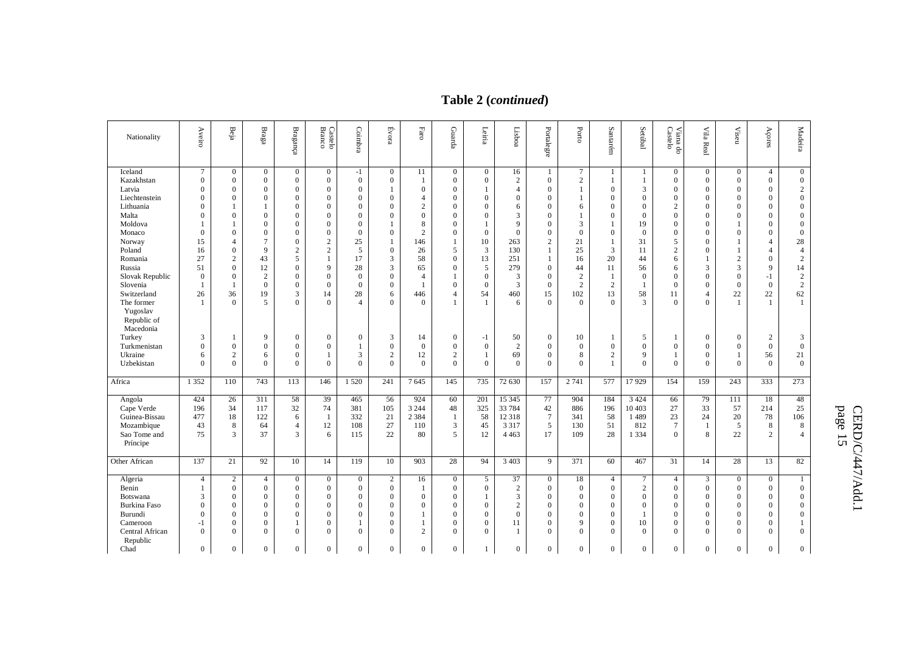# **Table 2 (***continued***)**

| Nationality                          | Aveiro                           | Beja                 | $_{\rm Braga}$                   | $\ensuremath{\mathbf{B}}$ ragança    | Castelo<br>Branco    | Coimbra                          | Évora            | $_{\rm Faro}$                  | Guarda                           | Leiria           | Lisboa                             | Portalegre                       | Porto             | Santarém                         | Setúbal             | Viana do<br>Castelo              | Vila Real                        | <b>Viseu</b>                   | Açores                       | Madeira                              |
|--------------------------------------|----------------------------------|----------------------|----------------------------------|--------------------------------------|----------------------|----------------------------------|------------------|--------------------------------|----------------------------------|------------------|------------------------------------|----------------------------------|-------------------|----------------------------------|---------------------|----------------------------------|----------------------------------|--------------------------------|------------------------------|--------------------------------------|
| Iceland                              | 7                                | $\mathbf{0}$         | $\mathbf{0}$                     | $\boldsymbol{0}$                     | $\overline{0}$       | $-1$                             | $\boldsymbol{0}$ | 11                             | $\overline{0}$                   | $\boldsymbol{0}$ | 16                                 | 1                                | $\tau$            | 1                                | 1                   | $\overline{0}$                   | $\mathbf{0}$                     | $\boldsymbol{0}$               | $\overline{4}$               | $\boldsymbol{0}$                     |
| Kazakhstan                           | $\boldsymbol{0}$                 | $\mathbf{0}$         | $\mathbf{0}$                     | $\boldsymbol{0}$                     | $\overline{0}$       | $\boldsymbol{0}$                 | $\mathbf{0}$     | -1                             | $\boldsymbol{0}$                 | $\mathbf{0}$     | $\boldsymbol{2}$                   | $\mathbf{0}$                     | $\sqrt{2}$        | 1                                |                     | $\overline{0}$                   | $\boldsymbol{0}$                 | $\overline{0}$                 | $\overline{0}$               | $\boldsymbol{0}$                     |
| Latvia<br>Liechtenstein              | $\mathbf{0}$<br>$\boldsymbol{0}$ | $\Omega$<br>$\Omega$ | $\mathbf{0}$<br>$\boldsymbol{0}$ | $\boldsymbol{0}$<br>$\boldsymbol{0}$ | $\Omega$<br>$\Omega$ | $\mathbf{0}$<br>$\boldsymbol{0}$ | $\overline{0}$   | $\mathbf{0}$<br>$\overline{4}$ | $\mathbf{0}$<br>$\boldsymbol{0}$ | $\boldsymbol{0}$ | $\overline{4}$<br>$\boldsymbol{0}$ | $\boldsymbol{0}$<br>$\mathbf{0}$ | 1<br>$\mathbf{1}$ | $\mathbf{0}$<br>$\boldsymbol{0}$ | 3<br>$\overline{0}$ | $\mathbf{0}$<br>$\boldsymbol{0}$ | $\mathbf{0}$<br>$\boldsymbol{0}$ | $\mathbf{0}$<br>$\overline{0}$ | $\mathbf{0}$<br>$\mathbf{0}$ | $\sqrt{2}$<br>$\boldsymbol{0}$       |
| Lithuania                            | $\mathbf{0}$                     |                      | $\mathbf{1}$                     | $\mathbf{0}$                         | $\Omega$             | $\mathbf{0}$                     | $\theta$         | $\overline{2}$                 | $\mathbf{0}$                     | $\theta$         | 6                                  | $\mathbf{0}$                     |                   | $\mathbf{0}$                     | $\Omega$            | $\overline{2}$                   | $\boldsymbol{0}$                 | $\theta$                       | $\mathbf{0}$                 |                                      |
| Malta                                | $\mathbf{0}$                     | $\Omega$             | $\mathbf{0}$                     | $\mathbf{0}$                         | $\Omega$             | $\mathbf{0}$                     | $\Omega$         | $\mathbf{0}$                   | $\mathbf{0}$                     | $\theta$         | 3                                  | $\Omega$                         | 6                 | $\mathbf{0}$                     | $\theta$            | $\mathbf{0}$                     | $\mathbf{0}$                     | $\theta$                       | $\mathbf{0}$                 | $\boldsymbol{0}$<br>$\boldsymbol{0}$ |
| Moldova                              |                                  |                      | $\mathbf{0}$                     | $\mathbf{0}$                         | $\Omega$             | $\mathbf{0}$                     |                  | 8                              | $\mathbf{0}$                     | 1                | 9                                  | $\overline{0}$                   | 3                 | 1                                | 19                  | $\mathbf{0}$                     | $\mathbf{0}$                     | 1                              | $\Omega$                     | $\boldsymbol{0}$                     |
| Monaco                               | $\boldsymbol{0}$                 | $\theta$             | $\mathbf{0}$                     | $\mathbf{0}$                         | $\theta$             | $\mathbf{0}$                     | $\overline{0}$   | $\boldsymbol{2}$               | $\mathbf{0}$                     | $\mathbf{0}$     | $\mathbf{0}$                       | $\boldsymbol{0}$                 | $\overline{0}$    | $\mathbf{0}$                     | $\overline{0}$      | $\mathbf{0}$                     | $\mathbf{0}$                     | $\theta$                       | $\mathbf{0}$                 | $\boldsymbol{0}$                     |
| Norway                               | 15                               | 4                    | $\tau$                           | $\mathbf{0}$                         | $\overline{2}$       | 25                               | $\mathbf{1}$     | 146                            |                                  | 10               | 263                                | $\overline{c}$                   | 21                | 1                                | 31                  | 5                                | $\mathbf{0}$                     | 1                              | $\overline{4}$               | 28                                   |
| Poland                               | 16                               | $\theta$             | 9                                | $\overline{2}$                       | $\overline{c}$       | 5                                | $\overline{0}$   | 26                             | 5                                | $\overline{3}$   | 130                                | 1                                | 25                | 3                                | 11                  | $\overline{2}$                   | $\mathbf{0}$                     | 1                              | $\overline{4}$               | $\overline{4}$                       |
| Romania                              | 27                               | $\overline{c}$       | 43                               | 5                                    |                      | 17                               | 3                | 58                             | $\mathbf{0}$                     | 13               | 251                                | $\mathbf{1}$                     | 16                | 20                               | 44                  | 6                                |                                  | $\sqrt{2}$                     | $\mathbf{0}$                 | $\mathbf{2}$                         |
| Russia                               | 51                               | $\theta$             | 12                               | $\mathbf{0}$                         | 9                    | 28                               | 3                | 65                             | $\mathbf{0}$                     | $\sqrt{5}$       | 279                                | $\boldsymbol{0}$                 | 44                | 11                               | 56                  | 6                                | 3                                | 3                              | 9                            | 14                                   |
| Slovak Republic                      | $\boldsymbol{0}$                 | $\theta$             | $\sqrt{2}$                       | $\mathbf{0}$                         | $\Omega$             | $\mathbf{0}$                     | $\boldsymbol{0}$ | $\overline{4}$                 |                                  | $\mathbf{0}$     | 3                                  | $\overline{0}$                   | $\overline{2}$    | 1                                | $\overline{0}$      | $\mathbf{0}$                     | $\mathbf{0}$                     | $\theta$                       | $-1$                         | $\sqrt{2}$                           |
| Slovenia                             |                                  |                      | $\mathbf{0}$                     | $\overline{0}$                       | $\theta$             | $\Omega$                         | $\overline{0}$   |                                | $\mathbf{0}$                     | $\theta$         | 3                                  | $\overline{0}$                   | $\overline{2}$    | $\overline{2}$                   |                     | $\mathbf{0}$                     | $\mathbf{0}$                     | $\Omega$                       | $\mathbf{0}$                 | $\sqrt{2}$                           |
| Switzerland                          | 26                               | 36                   | 19                               | 3                                    | 14                   | 28                               | 6                | 446                            | $\overline{4}$                   | 54               | 460                                | 15                               | 102               | 13                               | 58                  | 11                               | $\overline{4}$                   | 22                             | $22\,$                       | 62                                   |
| The former                           |                                  | $\theta$             | 5                                | $\Omega$                             | $\Omega$             | $\overline{4}$                   | $\Omega$         | $\Omega$                       |                                  | $\mathbf{1}$     | 6                                  | $\Omega$                         | $\Omega$          | $\theta$                         | 3                   | $\mathbf{0}$                     | $\Omega$                         | $\mathbf{1}$                   | $\mathbf{1}$                 | 1                                    |
| Yugoslav<br>Republic of<br>Macedonia |                                  |                      |                                  |                                      |                      |                                  |                  |                                |                                  |                  |                                    |                                  |                   |                                  |                     |                                  |                                  |                                |                              |                                      |
| Turkey                               | 3                                |                      | 9                                | $\mathbf{0}$                         | $\overline{0}$       | $\boldsymbol{0}$                 | 3                | 14                             | $\boldsymbol{0}$                 | $-1$             | 50                                 | $\boldsymbol{0}$                 | 10                | -1                               | 5                   |                                  | $\mathbf{0}$                     | $\theta$                       | $\boldsymbol{2}$             | 3                                    |
| Turkmenistan                         | $\mathbf{0}$                     | $\Omega$             | $\mathbf{0}$                     | $\boldsymbol{0}$                     | $\Omega$             | 1                                | $\boldsymbol{0}$ | $\mathbf{0}$                   | $\mathbf{0}$                     | $\mathbf{0}$     | $\overline{c}$                     | $\boldsymbol{0}$                 | $\mathbf{0}$      | $\mathbf{0}$                     | $\mathbf{0}$        | $\mathbf{0}$                     | $\mathbf{0}$                     | $\mathbf{0}$                   | $\mathbf{0}$                 | $\boldsymbol{0}$                     |
| Ukraine                              | 6                                | $\overline{2}$       | 6                                | $\mathbf{0}$                         |                      | 3                                | $\overline{2}$   | 12                             | $\overline{c}$                   | 1                | 69                                 | $\overline{0}$                   | 8                 | $\overline{2}$                   | 9                   | 1                                | $\mathbf{0}$                     | 1                              | 56                           | 21                                   |
| Uzbekistan                           | $\mathbf{0}$                     | $\mathbf{0}$         | $\mathbf{0}$                     | $\mathbf{0}$                         | $\Omega$             | $\mathbf{0}$                     | $\overline{0}$   | $\mathbf{0}$                   | $\Omega$                         | $\mathbf{0}$     | $\mathbf{0}$                       | $\mathbf{0}$                     | $\overline{0}$    | 1                                | $\theta$            | $\mathbf{0}$                     | $\Omega$                         | $\mathbf{0}$                   | $\overline{0}$               | $\mathbf{0}$                         |
| Africa                               | 1 3 5 2                          | 110                  | 743                              | 113                                  | 146                  | 1520                             | 241              | 7645                           | 145                              | 735              | 72 630                             | 157                              | 2 741             | 577                              | 17929               | 154                              | 159                              | 243                            | 333                          | 273                                  |
|                                      |                                  |                      |                                  |                                      |                      |                                  |                  |                                |                                  |                  |                                    |                                  |                   |                                  |                     |                                  |                                  |                                |                              |                                      |
| Angola                               | 424                              | 26                   | 311                              | 58                                   | 39                   | 465                              | 56               | 924                            | 60                               | 201              | 15 3 45                            | 77                               | 904               | 184                              | 3 4 2 4             | 66                               | 79                               | 111                            | 18                           | 48                                   |
| Cape Verde                           | 196                              | 34                   | 117                              | 32                                   | 74                   | 381                              | 105              | 3 2 4 4                        | 48                               | 325              | 33 784                             | 42                               | 886               | 196                              | 10 403              | 27                               | 33                               | 57                             | 214                          | 25                                   |
| Guinea-Bissau                        | 477                              | 18                   | 122                              | 6                                    | -1                   | 332                              | 21               | 2 3 8 4                        | 1                                | 58               | 12 3 18                            | $\overline{7}$                   | 341               | 58                               | 1489                | 23                               | 24                               | 20                             | 78                           | 106                                  |
| Mozambique                           | 43                               | 8                    | 64                               | $\overline{4}$                       | 12                   | 108                              | 27               | 110                            | 3                                | 45               | 3 3 1 7                            | 5                                | 130               | 51                               | 812                 | $\overline{7}$                   |                                  | 5                              | $\,8\,$                      | $\,$ 8 $\,$                          |
| Sao Tome and                         | 75                               | 3                    | 37                               | 3                                    | 6                    | 115                              | 22               | 80                             | 5                                | 12               | 4 4 6 3                            | 17                               | 109               | 28                               | 1 3 3 4             | $\mathbf{0}$                     | 8                                | 22                             | 2                            | $\overline{4}$                       |
| Príncipe                             |                                  |                      |                                  |                                      |                      |                                  |                  |                                |                                  |                  |                                    |                                  |                   |                                  |                     |                                  |                                  |                                |                              |                                      |
| Other African                        | 137                              | 21                   | 92                               | 10                                   | 14                   | 119                              | 10               | 903                            | 28                               | 94               | 3 4 0 3                            | 9                                | 371               | 60                               | 467                 | 31                               | 14                               | 28                             | 13                           | 82                                   |
|                                      |                                  |                      |                                  |                                      |                      |                                  |                  |                                |                                  |                  |                                    |                                  |                   |                                  |                     |                                  |                                  |                                |                              |                                      |
| Algeria                              | $\overline{4}$                   | $\overline{2}$       | $\overline{4}$                   | $\boldsymbol{0}$                     | $\mathbf{0}$         | $\mathbf{0}$                     | $\overline{c}$   | 16                             | $\boldsymbol{0}$                 | 5                | 37                                 | $\boldsymbol{0}$                 | 18                | $\overline{4}$                   | $\overline{7}$      | $\overline{4}$                   | 3                                | $\boldsymbol{0}$               | $\mathbf{0}$                 | $\mathbf{1}$                         |
| Benin                                | 1                                | $\mathbf{0}$         | $\boldsymbol{0}$                 | $\boldsymbol{0}$                     | $\overline{0}$       | $\mathbf{0}$                     | $\mathbf{0}$     | -1                             | $\mathbf{0}$                     | $\mathbf{0}$     | $\boldsymbol{2}$                   | $\boldsymbol{0}$                 | $\boldsymbol{0}$  | $\mathbf{0}$                     | $\overline{2}$      | $\overline{0}$                   | $\boldsymbol{0}$                 | $\boldsymbol{0}$               | $\overline{0}$               | $\boldsymbol{0}$                     |
| Botswana                             | 3                                | $\Omega$             | $\mathbf{0}$                     | $\boldsymbol{0}$                     | $\overline{0}$       | $\mathbf{0}$                     | $\overline{0}$   | $\mathbf{0}$                   | $\overline{0}$                   | -1               | 3                                  | $\mathbf{0}$                     | $\overline{0}$    | $\mathbf{0}$                     | $\overline{0}$      | $\mathbf{0}$                     | $\mathbf{0}$                     | $\mathbf{0}$                   | $\mathbf{0}$                 | $\boldsymbol{0}$                     |
| <b>Burkina Faso</b>                  | $\boldsymbol{0}$                 | $\theta$             | $\boldsymbol{0}$                 | $\boldsymbol{0}$                     | $\Omega$             | $\mathbf{0}$                     | $\overline{0}$   | $\mathbf{0}$                   | $\boldsymbol{0}$                 | $\boldsymbol{0}$ | $\boldsymbol{2}$                   | $\mathbf{0}$                     | $\boldsymbol{0}$  | $\mathbf{0}$                     | $\mathbf{0}$        | $\mathbf{0}$                     | $\boldsymbol{0}$                 | $\overline{0}$                 | $\mathbf{0}$                 | $\boldsymbol{0}$                     |
| Burundi                              | $\boldsymbol{0}$                 | $\theta$             | $\mathbf{0}$                     | $\mathbf{0}$                         | $\Omega$             | $\mathbf{0}$                     | $\theta$         |                                | $\mathbf{0}$                     | $\boldsymbol{0}$ | $\mathbf{0}$                       | 0                                | $\mathbf{0}$      | $\overline{0}$                   |                     | $\mathbf{0}$                     | $\boldsymbol{0}$                 | $\theta$                       | $\mathbf{0}$                 | $\boldsymbol{0}$                     |
| Cameroon                             | $-1$                             | $\overline{0}$       | $\mathbf{0}$                     | 1                                    | $\mathbf{0}$         | 1                                | $\theta$         |                                | $\mathbf{0}$                     | $\boldsymbol{0}$ | 11                                 | $\mathbf{0}$                     | 9                 | $\mathbf{0}$                     | 10                  | $\mathbf{0}$                     | $\boldsymbol{0}$                 | $\overline{0}$                 | $\mathbf{0}$                 | 1                                    |
| Central African                      | $\Omega$                         | $\Omega$             | $\Omega$                         | $\Omega$                             | $\Omega$             | $\Omega$                         | $\Omega$         | $\overline{2}$                 | $\Omega$                         | $\Omega$         | -1                                 | $\Omega$                         | $\Omega$          | $\Omega$                         | $\Omega$            | $\Omega$                         | $\Omega$                         | $\Omega$                       | $\Omega$                     | $\mathbf{0}$                         |
| Republic                             |                                  | $\theta$             |                                  |                                      |                      |                                  |                  |                                |                                  |                  |                                    |                                  |                   |                                  |                     |                                  |                                  |                                |                              |                                      |
| Chad                                 | $\mathbf{0}$                     |                      | $\Omega$                         | $\mathbf{0}$                         | $\overline{0}$       | $\Omega$                         | $\mathbf{0}$     | $\mathbf{0}$                   | $\overline{0}$                   | 1                | $\overline{0}$                     | $\overline{0}$                   | $\Omega$          | $\Omega$                         | $\mathbf{0}$        | $\Omega$                         | $\overline{0}$                   | $\overline{0}$                 | $\Omega$                     | $\mathbf{0}$                         |

# p age 15 CERD/C/447/Add.1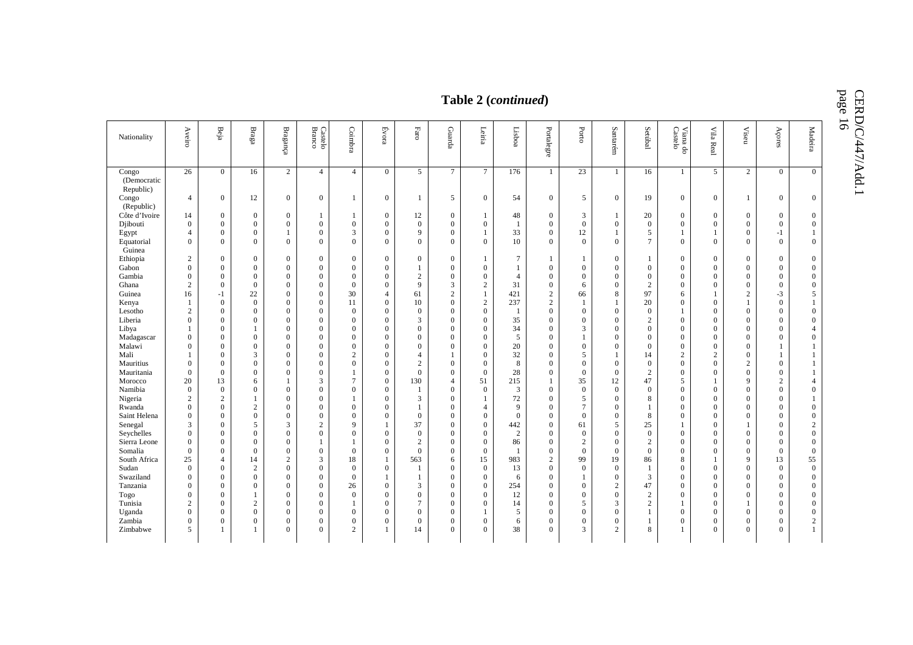page 16

#### $\begin{array}{c|c|c|c|c|c|c} \hline \text{Nationality} & \begin{array}{c|c|c|c|c|c|c} \hline \text{X} & \text{B} & \text{B} & \text{B} & \text{B} & \text{B} & \text{B} \\ \hline \text{Aationality} & \hat{\text{B}} & \hat{\text{B}} & \text{B} & \text{B} & \text{B} & \text{B} \\ \hline \text{Bationality} & \hat{\text{B}} & \hat{\text{B}} & \text{B} & \text{B} & \text{B} & \text{B} \\ \hline \text{Bationality} & \hat{\text{B}} & \hat{\text{$ Aveiro Beja Braga Bragança Branco Castelo Coimbra Évora Faro Guarda Leiria Lisboa Portalegre Porto Santarém Setúbal Castelo Viana do Vila Real Viseu Açores Madeira Congo (Democratic Republic) 26 | 0 | 16 | 2 | 4 | 4 | 0 | 5 | 7 | 7 | 176 | 1 | 23 | 1 | 16 | 1 | 5 | 2 | 0 | 0  $\overline{0}$  Congo (Republic)<br>Côte d'Ivoire 4 1 0 12 0 0 1 0 1 0 1 5 0 54 0 5 0 19 0 0 1 0 1 0 0 Côte d'Ivoire | 14 | 0 | 0 | 0 | 1 | 1 | 0 | 12 | 0 | 1 | 48 | 0 | 3 | 1 | 20 | 0 | 0 | 0 | 0 | 0 Djibouti 0 0 0 0 0 0 0 0 0 0 1 0 0 0 0 0 0 0 0 0 Egypt | 4 | 0 | 0 | 1 | 0 | 3 | 0 | 9 | 0 | 1 | 33 | 0 | 12 | 1 | 5 | 1 | 1 | 0 | -1 | 1 Equatorial Guinea 0 0 0 0 0 0 0 0 0 0 10 0 0 0 7 0 0 0 0 0 Ethiopia 2 0 0 0 0 0 0 0 0 1 7 1 1 0 1 0 0 0 0 0 Gabon 0 0 0 0 0 0 0 1 0 0 1 0 0 0 0 0 0 0 0 0  $\overline{0}$  Gambia 0 0 0 0 0 0 0 2 0 0 4 0 0 0 0 0 0 0 0 0  $\overline{0}$  Ghana 2 0 0 0 0 0 0 9 3 2 31 0 6 0 2 0 0 0 0 0  $\overline{0}$ Guinea | 16 | -1 | 22 | 0 | 0 | 30 | 4 | 61 | 2 | 1 | 421 | 2 | 66 | 8 | 97 | 6 | 1 | 2 | -3 | 5 5 Kenya 1 0 0 0 0 11 0 10 0 2 237 2 1 1 20 0 0 1 0 1 Lesotho 2 0 0 0 0 0 0 0 0 0 1 0 0 0 0 1 0 0 0 0  $\overline{0}$  Liberia 0 0 0 0 0 0 0 3 0 0 35 0 0 0 2 0 0 0 0 0  $\overline{0}$  Libya 1 0 1 0 0 0 0 0 0 0 34 0 3 0 0 0 0 0 0 4 Madagascar 0 0 0 0 0 0 0 0 0 0 5 0 1 0 0 0 0 0 0 0 Malawi 0 0 0 0 0 0 0 0 0 0 20 0 0 0 0 0 0 0 1 1  $\overline{1}$  Mali 1 0 3 0 0 2 0 4 1 0 32 0 5 1 14 2 2 0 1 1 Mauritius 0 0 0 0 0 0 0 2 0 0 8 0 0 0 0 0 0 2 0 1 Mauritania 0 0 0 0 0 1 0 0 0 0 28 0 0 0 2 0 0 0 0 1  $\overline{1}$ - Morocco | 20 | 13 | 6 | 1 | 3 | 7 | 0 | 130 | 4 | 51 | 215 | 1 | 35 | 12 | 47 | 5 | 1 | 9 | 2 | 4  $\overline{4}$  Namibia 0 0 0 0 0 0 0 1 0 0 3 0 0 0 0 0 0 0 0 0  $\overline{0}$ Nigeria | 2 | 2 | 1 | 0 | 0 | 1 | 0 | 3 | 0 | 1 | 72 | 0 | 5 | 0 | 8 | 0 | 0 | 0 | 0 | 0 | 1 Rwanda | 0 | 0 | 2 | 0 | 0 | 0 | 0 | 1 | 0 | 4 | 9 | 0 | 7 | 0 | 1 | 0 | 0 | 0 | 0 | 0 | 0  $\overline{0}$  Saint Helena 0 0 0 0 0 0 0 0 0 0 0 0 0 0 8 0 0 0 0 0  $\overline{0}$ Senegal | 3 | 0 | 5 | 3 | 2 | 9 | 1 | 37 | 0 | 0 | 442 | 0 | 61 | 5 | 25 | 1 | 0 | 1 | 0 | 2 Seychelles 0 0 0 0 0 0 0 0 0 0 2 0 0 0 0 0 0 0 0 0 Sierra Leone 0 0 0 0 1 1 0 2 0 0 86 0 2 0 2 0 0 0 0 0  $\overline{0}$  Somalia 0 0 0 0 0 0 0 0 0 0 1 0 0 0 0 0 0 0 0 0  $\overline{0}$ South Africa | 25 | 4 | 14 | 2 | 3 | 18 | 1 | 563 | 6 | 15 | 983 | 2 | 99 | 19 | 86 | 8 | 1 | 9 | 13 | 55 55 Sudan 0 0 2 0 0 0 0 1 0 0 13 0 0 0 1 0 0 0 0 0 Swaziland 0 0 0 0 0 0 1 1 0 0 6 0 1 0 3 0 0 0 0 0 - Tanzania | 0 | 0 | 0 | 0 | 26 | 0 | 3 | 0 | 0 | 254 | 0 | 0 | 2 | 47 | 0 | 0 | 0 | 0 | 0 |  $\overline{0}$  Togo 0 0 1 0 0 0 0 0 0 0 12 0 0 0 2 0 0 0 0 0 Tunisia 2 0 2 0 0 1 0 7 0 0 14 0 5 3 2 1 0 1 0 0  $\theta$  Uganda 0 0 0 0 0 0 0 0 0 1 5 0 0 0 1 0 0 0 0 0 Zambia 0 0 0 0 0 0 0 0 0 0 6 0 0 0 1 0 0 0 0 2 2 Zimbabwe | 5 | 1 | 1 | 0 | 0 || 2 | 1 || 14 || 0 || 0 || 38 || 0 || 3 || 2 || 8 || 1 || 0 || 0 || 0 || 0 || 1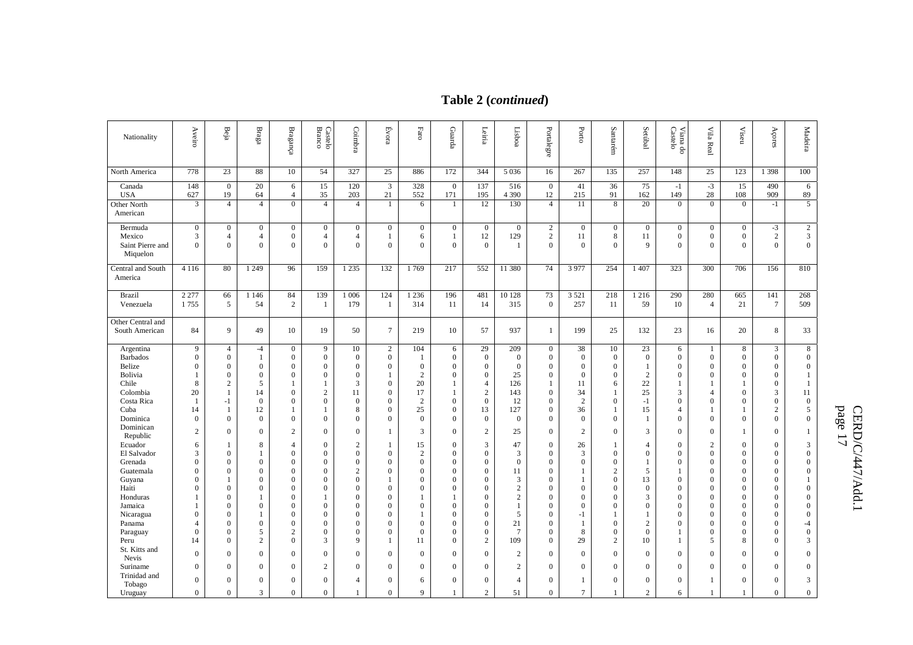# **Table 2 (***continued***)**

| Nationality                                       | Aveiro                            | Beja                                               | $_{\rm Bragg}$                             | Bragange                                   | Castelo<br>Branco                          | Coimbra                                    | Evora                             | $_{\rm Faro}$                         | Guarda                                  | Leiria                                 | Lisboa $\hfill$                     | Portalegre                                         | Porto                                  | Santarém                          | Setúbal                 | Castelo<br>Viana do                                    | Vila Real                                  | Viseu                                    | Açores                             | Madeira                                    |
|---------------------------------------------------|-----------------------------------|----------------------------------------------------|--------------------------------------------|--------------------------------------------|--------------------------------------------|--------------------------------------------|-----------------------------------|---------------------------------------|-----------------------------------------|----------------------------------------|-------------------------------------|----------------------------------------------------|----------------------------------------|-----------------------------------|-------------------------|--------------------------------------------------------|--------------------------------------------|------------------------------------------|------------------------------------|--------------------------------------------|
| North America                                     | 778                               | 23                                                 | 88                                         | 10                                         | 54                                         | 327                                        | 25                                | 886                                   | 172                                     | 344                                    | 5 0 3 6                             | 16                                                 | 267                                    | 135                               | 257                     | 148                                                    | 25                                         | 123                                      | 1 3 9 8                            | 100                                        |
| Canada<br><b>USA</b>                              | 148<br>627                        | $\mathbf{0}$<br>19                                 | 20<br>64                                   | 6<br>$\overline{4}$                        | 15<br>35                                   | 120<br>203                                 | 3<br>21                           | 328<br>552                            | $\mathbf{0}$<br>171                     | 137<br>195                             | 516<br>4 3 9 0                      | $\boldsymbol{0}$<br>12                             | 41<br>215                              | 36<br>91                          | 75<br>162               | $-1$<br>149                                            | $-3$<br>28                                 | 15<br>108                                | 490<br>909                         | 6<br>89                                    |
| <b>Other North</b><br>American                    | 3                                 | $\overline{4}$                                     | $\overline{4}$                             | $\overline{0}$                             | $\overline{4}$                             | $\overline{4}$                             | -1                                | 6                                     | 1                                       | 12                                     | 130                                 | $\overline{4}$                                     | 11                                     | 8                                 | 20                      | $\mathbf{0}$                                           | $\overline{0}$                             | $\overline{0}$                           | $-1$                               | $\overline{5}$                             |
| Bermuda<br>Mexico<br>Saint Pierre and<br>Miquelon | $\mathbf{0}$<br>3<br>$\mathbf{0}$ | $\boldsymbol{0}$<br>$\overline{4}$<br>$\mathbf{0}$ | $\mathbf{0}$<br>$\overline{4}$<br>$\Omega$ | $\mathbf{0}$<br>$\overline{0}$<br>$\Omega$ | $\bf{0}$<br>$\overline{4}$<br>$\mathbf{0}$ | $\mathbf{0}$<br>$\overline{4}$<br>$\Omega$ | $\boldsymbol{0}$<br>1<br>$\Omega$ | $\boldsymbol{0}$<br>6<br>$\mathbf{0}$ | $\boldsymbol{0}$<br>1<br>$\overline{0}$ | $\boldsymbol{0}$<br>12<br>$\mathbf{0}$ | $\mathbf{0}$<br>129<br>$\mathbf{1}$ | $\overline{2}$<br>$\overline{c}$<br>$\overline{0}$ | $\overline{0}$<br>11<br>$\overline{0}$ | $\boldsymbol{0}$<br>8<br>$\Omega$ | $\mathbf{0}$<br>11<br>9 | $\boldsymbol{0}$<br>$\boldsymbol{0}$<br>$\overline{0}$ | $\mathbf{0}$<br>$\overline{0}$<br>$\Omega$ | $\mathbf{0}$<br>$\mathbf{0}$<br>$\Omega$ | $-3$<br>$\overline{c}$<br>$\theta$ | $\sqrt{2}$<br>$\mathbf{3}$<br>$\mathbf{0}$ |
| Central and South<br>America                      | 4 1 1 6                           | 80                                                 | 1 2 4 9                                    | 96                                         | 159                                        | 1 2 3 5                                    | 132                               | 1769                                  | 217                                     | 552                                    | 11 380                              | 74                                                 | 3 9 7 7                                | 254                               | 1 407                   | 323                                                    | 300                                        | 706                                      | 156                                | 810                                        |
| <b>Brazil</b><br>Venezuela                        | 2 2 7 7<br>1755                   | 66<br>5                                            | 1 1 4 6<br>54                              | 84<br>$\overline{2}$                       | 139<br>-1                                  | 1 0 0 6<br>179                             | 124<br>-1                         | 1 2 3 6<br>314                        | 196<br>11                               | 481<br>14                              | 10 128<br>315                       | 73<br>$\mathbf{0}$                                 | 3 5 21<br>257                          | 218<br>11                         | 1 2 1 6<br>59           | 290<br>10                                              | 280<br>$\overline{4}$                      | 665<br>21                                | 141<br>$\tau$                      | 268<br>509                                 |
| Other Central and<br>South American               | 84                                | 9                                                  | 49                                         | 10                                         | 19                                         | 50                                         | $\tau$                            | 219                                   | 10                                      | 57                                     | 937                                 | 1                                                  | 199                                    | 25                                | 132                     | 23                                                     | 16                                         | 20                                       | 8                                  | 33                                         |
| Argentina                                         | 9                                 | $\overline{4}$                                     | $-4$                                       | $\mathbf{0}$                               | 9                                          | 10                                         | 2                                 | 104                                   | 6                                       | 29                                     | 209                                 | $\mathbf{0}$                                       | 38                                     | 10                                | 23                      | 6                                                      | -1                                         | 8                                        | 3                                  | 8                                          |
| <b>Barbados</b><br>Belize                         | $\mathbf{0}$<br>$\mathbf{0}$      | $\mathbf{0}$<br>$\mathbf{0}$                       | $\mathbf{1}$<br>$\mathbf{0}$               | $\mathbf{0}$<br>$\mathbf{0}$               | $\mathbf{0}$<br>$\boldsymbol{0}$           | $\mathbf{0}$<br>$\boldsymbol{0}$           | $\boldsymbol{0}$<br>$\mathbf{0}$  | $\mathbf{1}$<br>$\mathbf{0}$          | $\mathbf{0}$<br>$\overline{0}$          | $\boldsymbol{0}$<br>$\boldsymbol{0}$   | $\overline{0}$<br>$\overline{0}$    | $\boldsymbol{0}$<br>$\boldsymbol{0}$               | $\mathbf{0}$<br>$\mathbf{0}$           | $\mathbf{0}$<br>$\mathbf{0}$      | $\mathbf{0}$<br>1       | $\boldsymbol{0}$<br>$\mathbf{0}$                       | $\mathbf{0}$<br>$\Omega$                   | $\boldsymbol{0}$<br>$\mathbf{0}$         | $\mathbf{0}$<br>$\overline{0}$     | $\boldsymbol{0}$<br>$\mathbf{0}$           |
| Bolivia                                           |                                   | $\mathbf{0}$                                       | $\mathbf{0}$                               | $\mathbf{0}$                               | $\mathbf{0}$                               | $\mathbf{0}$                               | $\mathbf{1}$                      | $\overline{c}$                        | $\overline{0}$                          | $\mathbf{0}$                           | 25                                  | $\mathbf{0}$                                       | $\overline{0}$                         | $\overline{0}$                    | 2                       | $\overline{0}$                                         | $\mathbf{0}$                               | $\mathbf{0}$                             | $\mathbf{0}$                       | $\mathbf{1}$                               |
| Chile                                             | 8                                 | $\sqrt{2}$                                         | 5                                          | $\mathbf{1}$                               |                                            | 3                                          | $\mathbf{0}$                      | 20                                    | 1                                       | 4                                      | 126                                 | 1                                                  | 11                                     | 6                                 | 22                      | 1                                                      |                                            |                                          | $\boldsymbol{0}$                   | 1                                          |
| Colombia                                          | 20                                | 1                                                  | 14                                         | $\mathbf{0}$                               | $\overline{2}$                             | 11                                         | $\overline{0}$                    | 17                                    | $\mathbf{1}$                            | $\sqrt{2}$                             | 143                                 | $\mathbf{0}$                                       | 34                                     | 1                                 | 25                      | 3                                                      | 4                                          | $\Omega$                                 | 3                                  | 11                                         |
| Costa Rica                                        | -1                                | $-1$                                               | $\mathbf{0}$                               | $\Omega$                                   | $\boldsymbol{0}$                           | $\mathbf{0}$                               | $\mathbf{0}$                      | $\sqrt{2}$                            | $\mathbf{0}$                            | $\mathbf{0}$                           | 12                                  | $\boldsymbol{0}$                                   | $\overline{c}$                         | $\mathbf{0}$                      | $-1$                    | $\boldsymbol{0}$                                       | $\theta$                                   | $\Omega$                                 | $\overline{0}$                     | $\mathbf{0}$                               |
| Cuba                                              | 14                                | -1                                                 | 12                                         | $\mathbf{1}$                               |                                            | 8                                          | $\theta$                          | 25                                    | $\overline{0}$                          | 13                                     | 127                                 | $\mathbf{0}$                                       | 36                                     |                                   | 15                      | $\overline{4}$                                         |                                            |                                          | 2                                  | 5                                          |
| Dominica                                          | $\mathbf{0}$                      | $\mathbf{0}$                                       | $\mathbf{0}$                               | $\mathbf{0}$                               | $\boldsymbol{0}$                           | $\mathbf{0}$                               | $\overline{0}$                    | $\mathbf{0}$                          | $\overline{0}$                          | $\bf{0}$                               | $\overline{0}$                      | $\boldsymbol{0}$                                   | $\mathbf{0}$                           | $\mathbf{0}$                      | 1                       | $\boldsymbol{0}$                                       | $\mathbf{0}$                               | $\overline{0}$                           | $\mathbf{0}$                       | $\mathbf{0}$                               |
| Dominican<br>Republic                             | 2                                 | $\mathbf{0}$                                       | $\mathbf{0}$                               | $\overline{c}$                             | $\boldsymbol{0}$                           | $\overline{0}$                             | -1                                | 3                                     | $\boldsymbol{0}$                        | $\mathbf{2}$                           | 25                                  | $\mathbf{0}$                                       | 2                                      | $\overline{0}$                    | 3                       | $\mathbf{0}$                                           | $\mathbf{0}$                               |                                          | $\overline{0}$                     | 1                                          |
| Ecuador                                           | 6                                 | 1                                                  | 8                                          | 4                                          | $\overline{0}$                             | 2                                          | -1                                | 15                                    | $\overline{0}$                          | 3                                      | 47                                  | $\mathbf{0}$                                       | 26                                     | 1                                 | $\overline{4}$          | $\mathbf{0}$                                           | 2                                          | $\overline{0}$                           | $\mathbf{0}$                       | 3                                          |
| El Salvador                                       | 3                                 | $\mathbf{0}$                                       |                                            | $\boldsymbol{0}$                           | $\boldsymbol{0}$                           | $\mathbf{0}$                               | $\mathbf{0}$                      | 2                                     | $\overline{0}$                          | $\boldsymbol{0}$                       | $\mathfrak{Z}$                      | $\boldsymbol{0}$                                   | $\mathfrak{Z}$                         | $\overline{0}$                    | $\boldsymbol{0}$        | $\boldsymbol{0}$                                       | $\mathbf{0}$                               | $\boldsymbol{0}$                         | $\overline{0}$                     | $\mathbf{0}$                               |
| Grenada                                           | $\Omega$                          | $\overline{0}$                                     | $\Omega$                                   | $\Omega$                                   | $\overline{0}$                             | $\Omega$                                   | $\theta$                          | $\Omega$                              | $\mathbf{0}$                            | $\mathbf{0}$                           | $\Omega$                            | $\mathbf{0}$                                       | $\overline{0}$                         | $\Omega$                          | 1                       | $\mathbf{0}$                                           | $\Omega$                                   | $\Omega$                                 | $\Omega$                           | $\mathbf{0}$                               |
| Guatemala                                         | $\Omega$                          | $\overline{0}$<br>$\mathbf{1}$                     | $\Omega$                                   | $\mathbf{0}$                               | $\overline{0}$                             | $\mathfrak{2}$                             | $\theta$                          | $\Omega$                              | $\overline{0}$                          | $\mathbf{0}$                           | 11                                  | $\theta$                                           | 1<br>1                                 | 2<br>$\overline{0}$               | 5                       | 1                                                      | $\mathbf{0}$                               | $\overline{0}$                           | $\theta$<br>$\overline{0}$         | $\mathbf{0}$<br>$\mathbf{1}$               |
| Guyana<br>Haiti                                   | $\mathbf{0}$<br>$\Omega$          | $\overline{0}$                                     | $\mathbf{0}$<br>$\Omega$                   | 0<br>$\Omega$                              | $\boldsymbol{0}$<br>$\overline{0}$         | $\boldsymbol{0}$<br>$\Omega$               | $\overline{0}$                    | $\mathbf{0}$<br>$\theta$              | 0<br>$\overline{0}$                     | $\boldsymbol{0}$<br>$\mathbf{0}$       | 3<br>$\overline{c}$                 | $\mathbf{0}$<br>$\mathbf{0}$                       | $\boldsymbol{0}$                       | $\Omega$                          | 13<br>$\boldsymbol{0}$  | $\mathbf{0}$<br>$\boldsymbol{0}$                       | $\mathbf{0}$<br>$\mathbf{0}$               | $\mathbf{0}$<br>$\Omega$                 | $\Omega$                           | $\mathbf{0}$                               |
| Honduras                                          |                                   | $\boldsymbol{0}$                                   |                                            | $\mathbf{0}$                               |                                            | $\mathbf{0}$                               | $\mathbf{0}$                      |                                       | 1                                       | $\boldsymbol{0}$                       | $\overline{c}$                      | $\mathbf{0}$                                       | $\boldsymbol{0}$                       | $\mathbf{0}$                      | 3                       | $\mathbf{0}$                                           | $\mathbf{0}$                               | $\theta$                                 | $\mathbf{0}$                       | $\mathbf{0}$                               |
| Jamaica                                           |                                   | $\mathbf{0}$                                       | $\Omega$                                   | $\Omega$                                   | $\overline{0}$                             | $\Omega$                                   | $\theta$                          | $\Omega$                              | $\mathbf{0}$                            | $\mathbf{0}$                           | $\mathbf{1}$                        | $\mathbf{0}$                                       | $\overline{0}$                         | $\Omega$                          | $\overline{0}$          | $\mathbf{0}$                                           | $\mathbf{0}$                               | $\Omega$                                 | $\Omega$                           | $\mathbf{0}$                               |
| Nicaragua                                         | $\mathbf{0}$                      | $\mathbf{0}$                                       |                                            | $\overline{0}$                             | $\boldsymbol{0}$                           | $\mathbf{0}$                               | $\overline{0}$                    | $\mathbf{1}$                          | $\overline{0}$                          | $\boldsymbol{0}$                       | 5                                   | $\mathbf{0}$                                       | $-1$                                   |                                   | 1                       | $\mathbf{0}$                                           | $\mathbf{0}$                               | $\mathbf{0}$                             | $\mathbf{0}$                       | $\boldsymbol{0}$                           |
| Panama                                            | 4                                 | $\overline{0}$                                     | $\mathbf{0}$                               | $\mathbf{0}$                               | $\mathbf{0}$                               | $\Omega$                                   | $\overline{0}$                    | $\mathbf{0}$                          | $\mathbf{0}$                            | $\mathbf{0}$                           | 21                                  | $\boldsymbol{0}$                                   | -1                                     | $\mathbf{0}$                      | 2                       | $\mathbf{0}$                                           | $\mathbf{0}$                               | $\Omega$                                 | $\theta$                           | $-4$                                       |
| Paraguay                                          | $\Omega$                          | $\boldsymbol{0}$                                   | 5                                          | $\overline{c}$                             | $\overline{0}$                             | $\mathbf{0}$                               | $\overline{0}$                    | $\mathbf{0}$                          | $\theta$                                | $\mathbf{0}$                           | $\overline{7}$                      | $\mathbf{0}$                                       | 8                                      | $\Omega$                          | $\overline{0}$          | 1                                                      | $\mathbf{0}$                               | $\Omega$                                 | $\theta$                           | $\boldsymbol{0}$                           |
| Peru                                              | 14                                | $\overline{0}$                                     | $\overline{2}$                             | $\Omega$                                   | 3                                          | 9                                          | -1                                | 11                                    | $\overline{0}$                          | $\mathbf{2}$                           | 109                                 | $\mathbf{0}$                                       | 29                                     | 2                                 | 10                      | 1                                                      | 5                                          | 8                                        | $\Omega$                           | 3                                          |
| St. Kitts and                                     | $\mathbf{0}$                      | $\boldsymbol{0}$                                   | $\mathbf{0}$                               | $\mathbf{0}$                               | $\mathbf{0}$                               | $\mathbf{0}$                               | $\theta$                          | $\theta$                              | $\mathbf{0}$                            | $\mathbf{0}$                           | $\overline{2}$                      | $\mathbf{0}$                                       | $\overline{0}$                         | $\mathbf{0}$                      | $\boldsymbol{0}$        | $\mathbf{0}$                                           | $\mathbf{0}$                               | $\Omega$                                 | $\overline{0}$                     | $\boldsymbol{0}$                           |
| Nevis                                             | $\mathbf{0}$                      |                                                    |                                            | $\Omega$                                   |                                            |                                            |                                   |                                       |                                         |                                        |                                     |                                                    |                                        |                                   |                         |                                                        |                                            | $\Omega$                                 |                                    |                                            |
| Suriname<br>Trinidad and                          |                                   | $\boldsymbol{0}$                                   | $\mathbf{0}$                               |                                            | $\mathfrak{2}$                             | $\mathbf{0}$                               | $\overline{0}$                    | $\mathbf{0}$                          | $\mathbf{0}$                            | $\mathbf{0}$                           | $\overline{2}$                      | $\mathbf{0}$                                       | $\overline{0}$                         | $\overline{0}$                    | $\overline{0}$          | $\boldsymbol{0}$                                       | $\mathbf{0}$                               |                                          | $\overline{0}$                     | $\mathbf{0}$                               |
| Tobago                                            | $\mathbf{0}$                      | $\overline{0}$                                     | $\mathbf{0}$                               | $\mathbf{0}$                               | $\overline{0}$                             | 4                                          | $\overline{0}$                    | 6                                     | $\boldsymbol{0}$                        | $\mathbf{0}$                           | $\overline{4}$                      | $\mathbf{0}$                                       | 1                                      | $\mathbf{0}$                      | $\overline{0}$          | $\boldsymbol{0}$                                       | 1                                          | $\overline{0}$                           | $\overline{0}$                     | 3                                          |
| Uruguay                                           | $\mathbf{0}$                      | $\overline{0}$                                     | 3                                          | $\overline{0}$                             | $\mathbf{0}$                               | $\mathbf{1}$                               | $\theta$                          | 9                                     | 1                                       | $\overline{c}$                         | 51                                  | $\overline{0}$                                     | $\tau$                                 | 1                                 | $\overline{2}$          | 6                                                      | $\mathbf{1}$                               | $\mathbf{1}$                             | $\theta$                           | $\overline{0}$                             |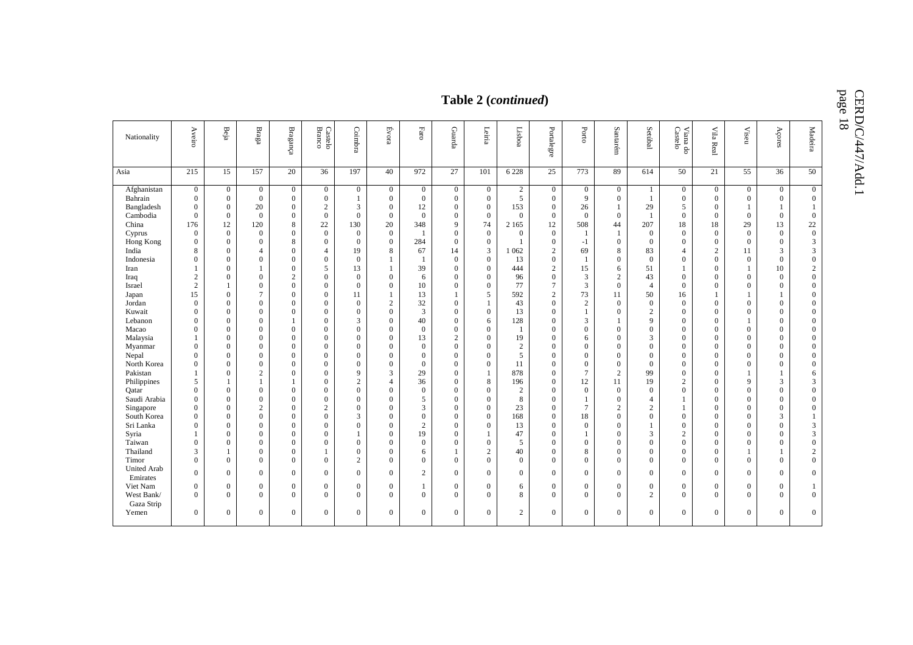CERD/C/447/Add.1<br>page 18

| page<br>Table 2 (continued)<br>$\overline{8}$                                                                                                                                                                                                                                                                                                                |                                                                                                                                                                                                                                                                                                                                                                                                                                           |                                                                                                                                                                                                                                                                                                                                                                                                                                                                     |                                                                                                                                                                                                                                                                                                                                                                                                                                                                                |                                                                                                                                                                                                                                                                                                                                                                                                                                                 |                                                                                                                                                                                                                                                                                                                                                                                      |                                                                                                                                                                                                                                                                                                                                                                                                                                                        |                                                                                                                                                                                                                                                                                                                                                                                                                                                     |                                                                                                                                                                                                                                                                                     |                                                                                                                                                                                                                                                                                                                                                                                                                                                                    |                                                                                                                                                                                                                                                                                                                                                                                                                                             |                                                                                                                                                                                                                                                         |                                                                                                                                                                                                                                                                                                                                                                                                                                                                                |                                                                                                                                                                                                                                                                                                                                                |                                                                                                                                                                                                                                                                                                                                                                                                                                          |                                                                                                                                                                                                                                                                                                                                                                                        |                                                                                                                                                                                                                                                                                                                                                                                                                                                                                     |                                                                                                                                                                                                                                                                                                                                                                                                                                                                                                                                |                                                                                                                                                                                                                                                                                                                                                           |                                                                                                                                                                                                                                                                                                                                                                                                                                                                     |                                                                                                                                                                                                                                                                                                                                                                                          |
|--------------------------------------------------------------------------------------------------------------------------------------------------------------------------------------------------------------------------------------------------------------------------------------------------------------------------------------------------------------|-------------------------------------------------------------------------------------------------------------------------------------------------------------------------------------------------------------------------------------------------------------------------------------------------------------------------------------------------------------------------------------------------------------------------------------------|---------------------------------------------------------------------------------------------------------------------------------------------------------------------------------------------------------------------------------------------------------------------------------------------------------------------------------------------------------------------------------------------------------------------------------------------------------------------|--------------------------------------------------------------------------------------------------------------------------------------------------------------------------------------------------------------------------------------------------------------------------------------------------------------------------------------------------------------------------------------------------------------------------------------------------------------------------------|-------------------------------------------------------------------------------------------------------------------------------------------------------------------------------------------------------------------------------------------------------------------------------------------------------------------------------------------------------------------------------------------------------------------------------------------------|--------------------------------------------------------------------------------------------------------------------------------------------------------------------------------------------------------------------------------------------------------------------------------------------------------------------------------------------------------------------------------------|--------------------------------------------------------------------------------------------------------------------------------------------------------------------------------------------------------------------------------------------------------------------------------------------------------------------------------------------------------------------------------------------------------------------------------------------------------|-----------------------------------------------------------------------------------------------------------------------------------------------------------------------------------------------------------------------------------------------------------------------------------------------------------------------------------------------------------------------------------------------------------------------------------------------------|-------------------------------------------------------------------------------------------------------------------------------------------------------------------------------------------------------------------------------------------------------------------------------------|--------------------------------------------------------------------------------------------------------------------------------------------------------------------------------------------------------------------------------------------------------------------------------------------------------------------------------------------------------------------------------------------------------------------------------------------------------------------|---------------------------------------------------------------------------------------------------------------------------------------------------------------------------------------------------------------------------------------------------------------------------------------------------------------------------------------------------------------------------------------------------------------------------------------------|---------------------------------------------------------------------------------------------------------------------------------------------------------------------------------------------------------------------------------------------------------|--------------------------------------------------------------------------------------------------------------------------------------------------------------------------------------------------------------------------------------------------------------------------------------------------------------------------------------------------------------------------------------------------------------------------------------------------------------------------------|------------------------------------------------------------------------------------------------------------------------------------------------------------------------------------------------------------------------------------------------------------------------------------------------------------------------------------------------|------------------------------------------------------------------------------------------------------------------------------------------------------------------------------------------------------------------------------------------------------------------------------------------------------------------------------------------------------------------------------------------------------------------------------------------|----------------------------------------------------------------------------------------------------------------------------------------------------------------------------------------------------------------------------------------------------------------------------------------------------------------------------------------------------------------------------------------|-------------------------------------------------------------------------------------------------------------------------------------------------------------------------------------------------------------------------------------------------------------------------------------------------------------------------------------------------------------------------------------------------------------------------------------------------------------------------------------|--------------------------------------------------------------------------------------------------------------------------------------------------------------------------------------------------------------------------------------------------------------------------------------------------------------------------------------------------------------------------------------------------------------------------------------------------------------------------------------------------------------------------------|-----------------------------------------------------------------------------------------------------------------------------------------------------------------------------------------------------------------------------------------------------------------------------------------------------------------------------------------------------------|---------------------------------------------------------------------------------------------------------------------------------------------------------------------------------------------------------------------------------------------------------------------------------------------------------------------------------------------------------------------------------------------------------------------------------------------------------------------|------------------------------------------------------------------------------------------------------------------------------------------------------------------------------------------------------------------------------------------------------------------------------------------------------------------------------------------------------------------------------------------|
| Nationality                                                                                                                                                                                                                                                                                                                                                  | Aveiro                                                                                                                                                                                                                                                                                                                                                                                                                                    | $\mathrm{Beja}$                                                                                                                                                                                                                                                                                                                                                                                                                                                     | $_{\rm Braga}$                                                                                                                                                                                                                                                                                                                                                                                                                                                                 | $\ensuremath{\mathbf B} \ensuremath{\mathbf{r}}$ aganga                                                                                                                                                                                                                                                                                                                                                                                         | Branco<br>Castelo                                                                                                                                                                                                                                                                                                                                                                    | Coimbra                                                                                                                                                                                                                                                                                                                                                                                                                                                | Evora                                                                                                                                                                                                                                                                                                                                                                                                                                               | $_{\rm Faro}$                                                                                                                                                                                                                                                                       | Guarda                                                                                                                                                                                                                                                                                                                                                                                                                                                             | Leiria                                                                                                                                                                                                                                                                                                                                                                                                                                      | Lisboa                                                                                                                                                                                                                                                  | <b>Portale</b> gre                                                                                                                                                                                                                                                                                                                                                                                                                                                             | Porto                                                                                                                                                                                                                                                                                                                                          | Santarém                                                                                                                                                                                                                                                                                                                                                                                                                                 | Setúbal                                                                                                                                                                                                                                                                                                                                                                                | Viana do<br>Castelo                                                                                                                                                                                                                                                                                                                                                                                                                                                                 | Vila Real                                                                                                                                                                                                                                                                                                                                                                                                                                                                                                                      | <b>Viseu</b>                                                                                                                                                                                                                                                                                                                                              | Açores                                                                                                                                                                                                                                                                                                                                                                                                                                                              | Madeira                                                                                                                                                                                                                                                                                                                                                                                  |
| Asia                                                                                                                                                                                                                                                                                                                                                         | 215                                                                                                                                                                                                                                                                                                                                                                                                                                       | 15                                                                                                                                                                                                                                                                                                                                                                                                                                                                  | 157                                                                                                                                                                                                                                                                                                                                                                                                                                                                            | 20                                                                                                                                                                                                                                                                                                                                                                                                                                              | 36                                                                                                                                                                                                                                                                                                                                                                                   | 197                                                                                                                                                                                                                                                                                                                                                                                                                                                    | 40                                                                                                                                                                                                                                                                                                                                                                                                                                                  | 972                                                                                                                                                                                                                                                                                 | 27                                                                                                                                                                                                                                                                                                                                                                                                                                                                 | 101                                                                                                                                                                                                                                                                                                                                                                                                                                         | 6 2 2 8                                                                                                                                                                                                                                                 | 25                                                                                                                                                                                                                                                                                                                                                                                                                                                                             | 773                                                                                                                                                                                                                                                                                                                                            | 89                                                                                                                                                                                                                                                                                                                                                                                                                                       | 614                                                                                                                                                                                                                                                                                                                                                                                    | 50                                                                                                                                                                                                                                                                                                                                                                                                                                                                                  | 21                                                                                                                                                                                                                                                                                                                                                                                                                                                                                                                             | 55                                                                                                                                                                                                                                                                                                                                                        | 36                                                                                                                                                                                                                                                                                                                                                                                                                                                                  | 50                                                                                                                                                                                                                                                                                                                                                                                       |
| Afghanistan<br>Bahrain<br>Bangladesh<br>Cambodia<br>China<br>Cyprus<br>Hong Kong<br>India<br>Indonesia<br>Iran<br>Iraq<br>Israel<br>Japan<br>Jordan<br>Kuwait<br>Lebanon<br>Macao<br>Malaysia<br>Myanmar<br>Nepal<br>North Korea<br>Pakistan<br>Philippines<br>Oatar<br>Saudi Arabia<br>Singapore<br>South Korea<br>Sri Lanka<br>Syria<br>Taiwan<br>Thailand | $\mathbf{0}$<br>$\mathbf{0}$<br>$\boldsymbol{0}$<br>$\mathbf{0}$<br>176<br>$\boldsymbol{0}$<br>$\overline{0}$<br>8<br>$\overline{0}$<br>-1<br>2<br>$\mathbf{2}$<br>15<br>$\mathbf{0}$<br>$\mathbf{0}$<br>$\overline{0}$<br>$\Omega$<br>$\mathbf{1}$<br>$\mathbf{0}$<br>$\overline{0}$<br>$\mathbf{0}$<br>$\mathbf{1}$<br>5<br>$\mathbf{0}$<br>$\mathbf{0}$<br>$\overline{0}$<br>$\overline{0}$<br>$\mathbf{0}$<br>-1<br>$\mathbf{0}$<br>3 | $\overline{0}$<br>$\overline{0}$<br>$\boldsymbol{0}$<br>$\mathbf{0}$<br>12<br>$\overline{0}$<br>$\mathbf{0}$<br>$\overline{0}$<br>$\overline{0}$<br>$\mathbf{0}$<br>$\mathbf{0}$<br>1<br>$\overline{0}$<br>$\mathbf{0}$<br>$\mathbf{0}$<br>$\mathbf{0}$<br>$\Omega$<br>$\mathbf{0}$<br>$\mathbf{0}$<br>$\overline{0}$<br>$\Omega$<br>$\mathbf{0}$<br>$\mathbf{0}$<br>$\mathbf{0}$<br>$\mathbf{0}$<br>$\mathbf{0}$<br>$\mathbf{0}$<br>$\overline{0}$<br>$\mathbf{0}$ | $\mathbf{0}$<br>$\overline{0}$<br>20<br>$\overline{0}$<br>120<br>$\mathbf{0}$<br>$\overline{0}$<br>$\overline{4}$<br>$\boldsymbol{0}$<br>-1<br>$\overline{0}$<br>$\boldsymbol{0}$<br>$\tau$<br>$\mathbf{0}$<br>$\mathbf{0}$<br>$\mathbf{0}$<br>$\mathbf{0}$<br>$\mathbf{0}$<br>$\overline{0}$<br>$\mathbf{0}$<br>$\mathbf{0}$<br>$\sqrt{2}$<br>1<br>$\mathbf{0}$<br>$\mathbf{0}$<br>$\sqrt{2}$<br>$\mathbf{0}$<br>$\mathbf{0}$<br>$\mathbf{0}$<br>$\mathbf{0}$<br>$\mathbf{0}$ | $\overline{0}$<br>$\overline{0}$<br>$\boldsymbol{0}$<br>$\mathbf{0}$<br>8<br>$\mathbf{0}$<br>8<br>$\overline{0}$<br>$\overline{0}$<br>$\overline{0}$<br>$\overline{c}$<br>$\overline{0}$<br>$\overline{0}$<br>$\Omega$<br>$\overline{0}$<br>1<br>$\Omega$<br>$\Omega$<br>$\overline{0}$<br>$\Omega$<br>$\theta$<br>$\Omega$<br>$\overline{0}$<br>$\Omega$<br>$\theta$<br>$\theta$<br>$\mathbf{0}$<br>$\Omega$<br>$\overline{0}$<br>$\mathbf{0}$ | $\overline{0}$<br>$\theta$<br>2<br>$\mathbf{0}$<br>$22\,$<br>$\mathbf{0}$<br>$\overline{0}$<br>$\overline{4}$<br>$\theta$<br>5<br>$\Omega$<br>$\Omega$<br>$\Omega$<br>$\Omega$<br>$\Omega$<br>$\Omega$<br>$\Omega$<br>$\Omega$<br>$\Omega$<br>$\Omega$<br>$\theta$<br>$\Omega$<br>$\Omega$<br>$\Omega$<br>$\Omega$<br>$\overline{2}$<br>$\theta$<br>$\Omega$<br>$\Omega$<br>$\Omega$ | $\mathbf{0}$<br>$\mathbf{1}$<br>3<br>$\overline{0}$<br>130<br>$\boldsymbol{0}$<br>$\overline{0}$<br>19<br>$\boldsymbol{0}$<br>13<br>$\overline{0}$<br>$\overline{0}$<br>11<br>$\overline{0}$<br>$\overline{0}$<br>3<br>$\overline{0}$<br>$\overline{0}$<br>0<br>$\overline{0}$<br>$\overline{0}$<br>9<br>$\overline{2}$<br>$\overline{0}$<br>$\overline{0}$<br>$\overline{0}$<br>3<br>$\overline{0}$<br>$\mathbf{1}$<br>$\mathbf{0}$<br>$\overline{0}$ | $\overline{0}$<br>$\mathbf{0}$<br>$\mathbf{0}$<br>$\overline{0}$<br>20<br>$\mathbf{0}$<br>$\overline{0}$<br>8<br>1<br>$\overline{0}$<br>$\mathbf{0}$<br>$\overline{2}$<br>$\overline{0}$<br>$\mathbf{0}$<br>$\theta$<br>$\theta$<br>$\overline{0}$<br>$\overline{0}$<br>$\overline{0}$<br>3<br>$\overline{A}$<br>$\overline{0}$<br>$\overline{0}$<br>$\mathbf{0}$<br>$\overline{0}$<br>$\mathbf{0}$<br>$\overline{0}$<br>$\theta$<br>$\overline{0}$ | $\mathbf{0}$<br>$\mathbf{0}$<br>12<br>$\mathbf{0}$<br>348<br>-1<br>284<br>67<br>39<br>6<br>10<br>13<br>32<br>3<br>40<br>$\theta$<br>13<br>$\mathbf{0}$<br>$\overline{0}$<br>$\Omega$<br>29<br>36<br>$\mathbf{0}$<br>5<br>3<br>$\mathbf{0}$<br>$\overline{2}$<br>19<br>$\theta$<br>6 | $\overline{0}$<br>$\mathbf{0}$<br>$\boldsymbol{0}$<br>$\mathbf{0}$<br>9<br>$\mathbf{0}$<br>$\mathbf{0}$<br>14<br>$\boldsymbol{0}$<br>$\mathbf{0}$<br>$\mathbf{0}$<br>$\mathbf{0}$<br>1<br>$\theta$<br>$\overline{0}$<br>$\mathbf{0}$<br>$\theta$<br>$\overline{2}$<br>$\boldsymbol{0}$<br>$\theta$<br>$\theta$<br>$\mathbf{0}$<br>$\theta$<br>$\theta$<br>$\mathbf{0}$<br>$\mathbf{0}$<br>$\theta$<br>$\mathbf{0}$<br>$\theta$<br>$\boldsymbol{0}$<br>$\mathbf{1}$ | $\overline{0}$<br>$\mathbf{0}$<br>$\boldsymbol{0}$<br>$\mathbf{0}$<br>74<br>$\mathbf{0}$<br>$\boldsymbol{0}$<br>3<br>$\boldsymbol{0}$<br>$\boldsymbol{0}$<br>$\mathbf{0}$<br>$\boldsymbol{0}$<br>5<br>$\mathbf{1}$<br>$\mathbf{0}$<br>6<br>$\mathbf{0}$<br>$\mathbf{0}$<br>$\Omega$<br>$\Omega$<br>$\theta$<br>$\mathbf{1}$<br>8<br>$\mathbf{0}$<br>$\Omega$<br>$\mathbf{0}$<br>$\theta$<br>$\mathbf{0}$<br>1<br>$\mathbf{0}$<br>$\sqrt{2}$ | $\overline{c}$<br>5<br>153<br>$\overline{0}$<br>2 1 6 5<br>$\mathbf{0}$<br>1 0 6 2<br>13<br>444<br>96<br>77<br>592<br>43<br>13<br>128<br>-1<br>19<br>$\overline{2}$<br>5<br>11<br>878<br>196<br>$\overline{c}$<br>8<br>23<br>168<br>13<br>47<br>5<br>40 | $\mathbf{0}$<br>$\mathbf{0}$<br>$\boldsymbol{0}$<br>$\overline{0}$<br>12<br>$\boldsymbol{0}$<br>$\mathbf{0}$<br>2<br>$\boldsymbol{0}$<br>2<br>$\mathbf{0}$<br>$\tau$<br>$\sqrt{2}$<br>$\mathbf{0}$<br>$\mathbf{0}$<br>$\mathbf{0}$<br>$\mathbf{0}$<br>$\mathbf{0}$<br>$\mathbf{0}$<br>$\mathbf{0}$<br>$\Omega$<br>$\mathbf{0}$<br>$\mathbf{0}$<br>$\mathbf{0}$<br>$\mathbf{0}$<br>$\mathbf{0}$<br>$\mathbf{0}$<br>$\mathbf{0}$<br>$\mathbf{0}$<br>$\mathbf{0}$<br>$\mathbf{0}$ | $\boldsymbol{0}$<br>9<br>26<br>$\mathbf{0}$<br>508<br>1<br>$-1$<br>69<br>$\mathbf{1}$<br>15<br>3<br>3<br>73<br>$\mathbf{2}$<br>$\mathbf{1}$<br>3<br>$\mathbf{0}$<br>6<br>$\mathbf{0}$<br>$\mathbf{0}$<br>$\mathbf{0}$<br>$\tau$<br>12<br>$\mathbf{0}$<br>$\mathbf{1}$<br>$\tau$<br>18<br>$\boldsymbol{0}$<br>$\mathbf{1}$<br>$\mathbf{0}$<br>8 | $\overline{0}$<br>$\overline{0}$<br>$\mathbf{1}$<br>$\boldsymbol{0}$<br>44<br>$\mathbf{1}$<br>$\mathbf{0}$<br>8<br>$\mathbf{0}$<br>6<br>2<br>$\boldsymbol{0}$<br>11<br>$\overline{0}$<br>$\mathbf{0}$<br>1<br>$\Omega$<br>$\mathbf{0}$<br>$\mathbf{0}$<br>$\mathbf{0}$<br>$\Omega$<br>$\overline{c}$<br>11<br>$\mathbf{0}$<br>$\overline{0}$<br>$\mathbf{2}$<br>$\mathbf{0}$<br>$\mathbf{0}$<br>$\Omega$<br>$\mathbf{0}$<br>$\mathbf{0}$ | -1<br>$\overline{1}$<br>29<br>$\overline{1}$<br>207<br>$\mathbf{0}$<br>$\overline{0}$<br>83<br>$\overline{0}$<br>51<br>43<br>$\overline{4}$<br>50<br>$\mathbf{0}$<br>$\overline{c}$<br>9<br>$\mathbf{0}$<br>3<br>$\mathbf{0}$<br>$\mathbf{0}$<br>$\Omega$<br>99<br>19<br>$\theta$<br>$\overline{4}$<br>$\mathbf{2}$<br>$\mathbf{0}$<br>$\mathbf{1}$<br>3<br>$\overline{0}$<br>$\Omega$ | $\mathbf{0}$<br>$\overline{0}$<br>5<br>$\mathbf{0}$<br>18<br>$\mathbf{0}$<br>$\mathbf{0}$<br>$\overline{4}$<br>$\mathbf{0}$<br>$\mathbf{1}$<br>$\mathbf{0}$<br>$\mathbf{0}$<br>16<br>$\mathbf{0}$<br>$\mathbf{0}$<br>$\mathbf{0}$<br>$\mathbf{0}$<br>$\mathbf{0}$<br>$\mathbf{0}$<br>$\mathbf{0}$<br>$\mathbf{0}$<br>$\overline{0}$<br>$\sqrt{2}$<br>$\overline{0}$<br>$\mathbf{1}$<br>$\mathbf{1}$<br>$\mathbf{0}$<br>$\mathbf{0}$<br>$\sqrt{2}$<br>$\overline{0}$<br>$\mathbf{0}$ | $\overline{0}$<br>$\overline{0}$<br>$\overline{0}$<br>$\overline{0}$<br>18<br>$\overline{0}$<br>$\overline{0}$<br>$\overline{c}$<br>$\overline{0}$<br>$\mathbf{0}$<br>$\overline{0}$<br>$\overline{0}$<br>-1<br>$\overline{0}$<br>$\mathbf{0}$<br>$\mathbf{0}$<br>$\mathbf{0}$<br>$\mathbf{0}$<br>$\overline{0}$<br>$\boldsymbol{0}$<br>$\mathbf{0}$<br>$\mathbf{0}$<br>$\mathbf{0}$<br>$\mathbf{0}$<br>$\mathbf{0}$<br>$\boldsymbol{0}$<br>$\mathbf{0}$<br>$\boldsymbol{0}$<br>$\mathbf{0}$<br>$\overline{0}$<br>$\mathbf{0}$ | $\overline{0}$<br>$\overline{0}$<br>1<br>$\overline{0}$<br>29<br>$\mathbf{0}$<br>$\overline{0}$<br>11<br>$\overline{0}$<br>1<br>$\Omega$<br>$\overline{0}$<br>$\Omega$<br>$\Omega$<br>$\Omega$<br>$\overline{0}$<br>$\Omega$<br>$\Omega$<br>$\Omega$<br>9<br>$\Omega$<br>$\Omega$<br>$\Omega$<br>$\overline{0}$<br>$\overline{0}$<br>$\Omega$<br>$\Omega$ | $\overline{0}$<br>$\mathbf{0}$<br>1<br>$\mathbf{0}$<br>13<br>$\mathbf{0}$<br>$\mathbf{0}$<br>3<br>$\mathbf{0}$<br>10<br>$\overline{0}$<br>$\mathbf{0}$<br>1<br>$\overline{0}$<br>$\overline{0}$<br>$\overline{0}$<br>$\overline{0}$<br>$\overline{0}$<br>$\overline{0}$<br>$\overline{0}$<br>$\overline{0}$<br>$\mathbf{1}$<br>3<br>$\overline{0}$<br>$\overline{0}$<br>$\overline{0}$<br>$\overline{3}$<br>$\overline{0}$<br>$\overline{0}$<br>$\overline{0}$<br>1 | $\mathbf{0}$<br>$\overline{0}$<br>$\overline{1}$<br>$\Omega$<br>22<br>$\overline{0}$<br>3<br>3<br>$\mathbf{0}$<br>$\overline{c}$<br>$\overline{0}$<br>$\Omega$<br>$\Omega$<br>$\Omega$<br>$\theta$<br>$\Omega$<br>$\overline{0}$<br>$\Omega$<br>$\overline{0}$<br>$\Omega$<br>$\theta$<br>6<br>3<br>$\overline{0}$<br>$\Omega$<br>$\theta$<br>-1<br>3<br>3<br>$\theta$<br>$\overline{c}$ |
| Timor<br><b>United Arab</b>                                                                                                                                                                                                                                                                                                                                  | $\Omega$<br>$\Omega$                                                                                                                                                                                                                                                                                                                                                                                                                      | $\mathbf{0}$<br>$\mathbf{0}$                                                                                                                                                                                                                                                                                                                                                                                                                                        | $\overline{0}$<br>$\overline{0}$                                                                                                                                                                                                                                                                                                                                                                                                                                               | $\overline{0}$<br>$\overline{0}$                                                                                                                                                                                                                                                                                                                                                                                                                | $\Omega$<br>$\Omega$                                                                                                                                                                                                                                                                                                                                                                 | $\overline{2}$<br>$\overline{0}$                                                                                                                                                                                                                                                                                                                                                                                                                       | $\Omega$<br>$\overline{0}$                                                                                                                                                                                                                                                                                                                                                                                                                          | $\Omega$<br>$\overline{2}$                                                                                                                                                                                                                                                          | $\mathbf{0}$<br>$\mathbf{0}$                                                                                                                                                                                                                                                                                                                                                                                                                                       | $\theta$<br>$\overline{0}$                                                                                                                                                                                                                                                                                                                                                                                                                  | $\mathbf{0}$<br>$\mathbf{0}$                                                                                                                                                                                                                            | $\Omega$<br>$\Omega$                                                                                                                                                                                                                                                                                                                                                                                                                                                           | $\Omega$<br>$\mathbf{0}$                                                                                                                                                                                                                                                                                                                       | $\Omega$<br>$\theta$                                                                                                                                                                                                                                                                                                                                                                                                                     | $\Omega$<br>$\overline{0}$                                                                                                                                                                                                                                                                                                                                                             | $\Omega$<br>$\Omega$                                                                                                                                                                                                                                                                                                                                                                                                                                                                | $\overline{0}$<br>$\overline{0}$                                                                                                                                                                                                                                                                                                                                                                                                                                                                                               | $\Omega$<br>$\Omega$                                                                                                                                                                                                                                                                                                                                      | $\overline{0}$<br>$\mathbf{0}$                                                                                                                                                                                                                                                                                                                                                                                                                                      | $\overline{0}$<br>$\overline{0}$                                                                                                                                                                                                                                                                                                                                                         |
| Emirates<br>Viet Nam<br>West Bank/                                                                                                                                                                                                                                                                                                                           | $\overline{0}$<br>$\Omega$                                                                                                                                                                                                                                                                                                                                                                                                                | $\overline{0}$<br>$\Omega$                                                                                                                                                                                                                                                                                                                                                                                                                                          | $\boldsymbol{0}$<br>$\overline{0}$                                                                                                                                                                                                                                                                                                                                                                                                                                             | $\mathbf{0}$<br>$\overline{0}$                                                                                                                                                                                                                                                                                                                                                                                                                  | $\Omega$<br>$\Omega$                                                                                                                                                                                                                                                                                                                                                                 | $\boldsymbol{0}$<br>$\overline{0}$                                                                                                                                                                                                                                                                                                                                                                                                                     | $\overline{0}$<br>$\overline{0}$                                                                                                                                                                                                                                                                                                                                                                                                                    | $\overline{0}$                                                                                                                                                                                                                                                                      | $\mathbf{0}$<br>$\theta$                                                                                                                                                                                                                                                                                                                                                                                                                                           | $\theta$<br>$\theta$                                                                                                                                                                                                                                                                                                                                                                                                                        | 6<br>8                                                                                                                                                                                                                                                  | $\mathbf{0}$<br>$\Omega$                                                                                                                                                                                                                                                                                                                                                                                                                                                       | $\mathbf{0}$<br>$\theta$                                                                                                                                                                                                                                                                                                                       | $\mathbf{0}$<br>$\Omega$                                                                                                                                                                                                                                                                                                                                                                                                                 | $\mathbf{0}$<br>$\overline{c}$                                                                                                                                                                                                                                                                                                                                                         | $\mathbf{0}$<br>$\Omega$                                                                                                                                                                                                                                                                                                                                                                                                                                                            | $\mathbf{0}$<br>$\overline{0}$                                                                                                                                                                                                                                                                                                                                                                                                                                                                                                 | $\overline{0}$<br>$\Omega$                                                                                                                                                                                                                                                                                                                                | $\mathbf{0}$<br>$\overline{0}$                                                                                                                                                                                                                                                                                                                                                                                                                                      | $\overline{0}$                                                                                                                                                                                                                                                                                                                                                                           |
| Gaza Strip<br>Yemen                                                                                                                                                                                                                                                                                                                                          | $\overline{0}$                                                                                                                                                                                                                                                                                                                                                                                                                            | $\mathbf{0}$                                                                                                                                                                                                                                                                                                                                                                                                                                                        | $\overline{0}$                                                                                                                                                                                                                                                                                                                                                                                                                                                                 | $\overline{0}$                                                                                                                                                                                                                                                                                                                                                                                                                                  | $\Omega$                                                                                                                                                                                                                                                                                                                                                                             | $\overline{0}$                                                                                                                                                                                                                                                                                                                                                                                                                                         | $\overline{0}$                                                                                                                                                                                                                                                                                                                                                                                                                                      | $\Omega$                                                                                                                                                                                                                                                                            | $\mathbf{0}$                                                                                                                                                                                                                                                                                                                                                                                                                                                       | $\theta$                                                                                                                                                                                                                                                                                                                                                                                                                                    | $\overline{c}$                                                                                                                                                                                                                                          | $\mathbf{0}$                                                                                                                                                                                                                                                                                                                                                                                                                                                                   | $\mathbf{0}$                                                                                                                                                                                                                                                                                                                                   | $\mathbf{0}$                                                                                                                                                                                                                                                                                                                                                                                                                             | $\overline{0}$                                                                                                                                                                                                                                                                                                                                                                         | $\Omega$                                                                                                                                                                                                                                                                                                                                                                                                                                                                            | $\overline{0}$                                                                                                                                                                                                                                                                                                                                                                                                                                                                                                                 | $\overline{0}$                                                                                                                                                                                                                                                                                                                                            | $\overline{0}$                                                                                                                                                                                                                                                                                                                                                                                                                                                      | $\overline{0}$                                                                                                                                                                                                                                                                                                                                                                           |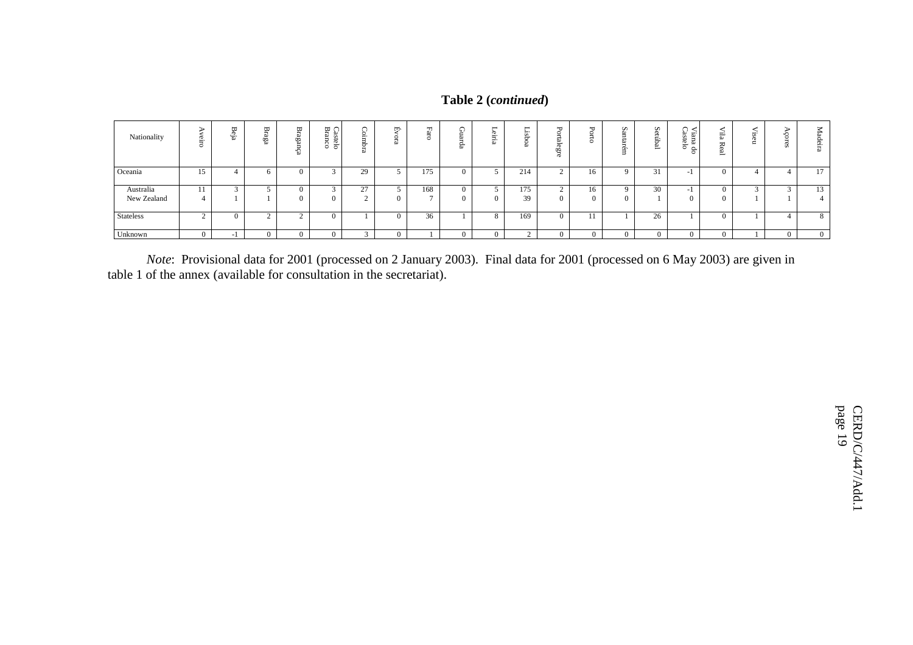|  | Table 2 (continued) |
|--|---------------------|
|--|---------------------|

| Nationality              | 은. | ₩<br>음. | ₩<br>ega | ω<br>CÙ.<br>ف¤<br>∾ | ₩<br>$\rightarrow$<br>æ<br>Ë,<br>ielo<br>ົ<br>٥ | 을.<br>ರ<br>∾             | ば<br>C. | H<br>$\sim$ | ₩<br>m<br>읍 | -<br>൹<br>$- \cdot$<br>⋍<br><u>은</u> . | ⊶.        | ᠊ᡆ<br>◡<br>÷<br>∾<br>$\overline{5}$<br>œ | ≖<br>ö         | n<br>Ċ.<br><br>$\sim$<br>ö | n<br>ĝ<br>ھ<br>$\overline{\phantom{0}}$ | ∾<br>$\sim$<br>ò.<br>ma d<br>telo<br>$\circ$ | $\overline{\phantom{a}}$<br>$\overline{a}$<br>₩<br>$\sigma$<br>உ | w<br>ö. | Madeira  |
|--------------------------|----|---------|----------|---------------------|-------------------------------------------------|--------------------------|---------|-------------|-------------|----------------------------------------|-----------|------------------------------------------|----------------|----------------------------|-----------------------------------------|----------------------------------------------|------------------------------------------------------------------|---------|----------|
| Oceania                  |    |         |          | $\mathbf{0}$        |                                                 | 29                       |         | 175         |             |                                        | 214       |                                          | 16             | $\Omega$                   | $^{\circ}$ 1                            | $\overline{\phantom{a}}$                     |                                                                  |         | 17       |
| Australia<br>New Zealand |    |         |          | 0<br>$\Omega$       |                                                 | 27<br>"<br>$\sim$        |         | 168         |             |                                        | 175<br>39 |                                          | 16<br>$\Omega$ | $\Omega$<br>$\Omega$       | 30                                      | $\overline{\phantom{a}}$                     |                                                                  |         | 13<br>4  |
| <b>Stateless</b>         |    |         | <u>.</u> |                     | 0                                               |                          |         | 36          |             |                                        | 169       |                                          |                |                            | 26                                      |                                              |                                                                  |         | 8        |
| Unknown                  |    |         |          |                     |                                                 | $\overline{\phantom{a}}$ |         |             |             |                                        |           |                                          | $\Omega$       | 0                          |                                         |                                              |                                                                  |         | $\theta$ |

*Note*: Provisional data for 2001 (processed on 2 January 2003). Final data for 2001 (processed on 6 May 2003) are given in table 1 of the annex (available for consultation in the secretariat).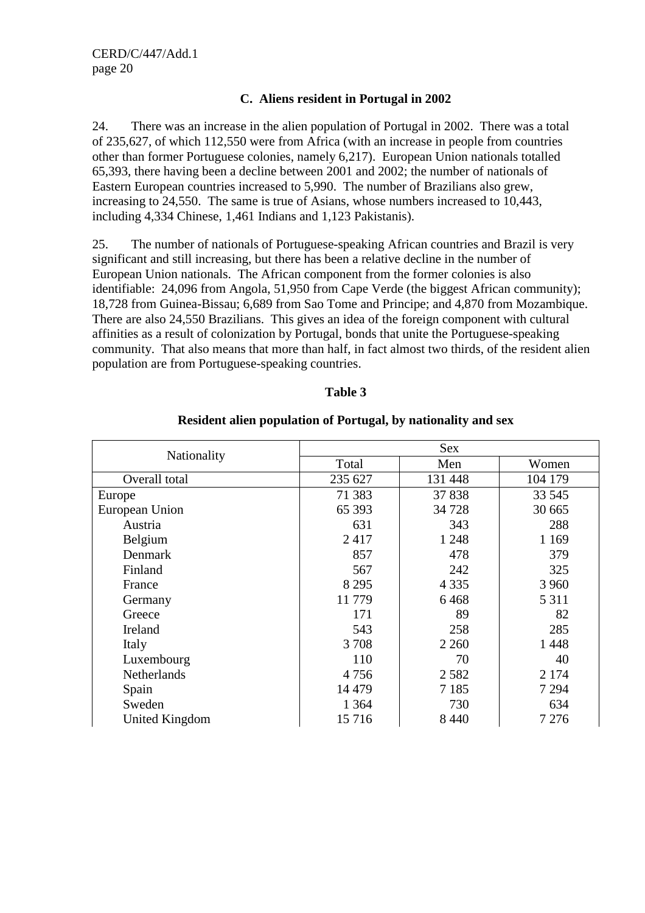## **C. Aliens resident in Portugal in 2002**

24. There was an increase in the alien population of Portugal in 2002. There was a total of 235,627, of which 112,550 were from Africa (with an increase in people from countries other than former Portuguese colonies, namely 6,217). European Union nationals totalled 65,393, there having been a decline between 2001 and 2002; the number of nationals of Eastern European countries increased to 5,990. The number of Brazilians also grew, increasing to 24,550. The same is true of Asians, whose numbers increased to 10,443, including 4,334 Chinese, 1,461 Indians and 1,123 Pakistanis).

25. The number of nationals of Portuguese-speaking African countries and Brazil is very significant and still increasing, but there has been a relative decline in the number of European Union nationals. The African component from the former colonies is also identifiable: 24,096 from Angola, 51,950 from Cape Verde (the biggest African community); 18,728 from Guinea-Bissau; 6,689 from Sao Tome and Principe; and 4,870 from Mozambique. There are also 24,550 Brazilians. This gives an idea of the foreign component with cultural affinities as a result of colonization by Portugal, bonds that unite the Portuguese-speaking community. That also means that more than half, in fact almost two thirds, of the resident alien population are from Portuguese-speaking countries.

#### **Table 3**

|                       |         | <b>Sex</b> |         |
|-----------------------|---------|------------|---------|
| Nationality           | Total   | Men        | Women   |
| Overall total         | 235 627 | 131 448    | 104 179 |
| Europe                | 71 383  | 37838      | 33 545  |
| European Union        | 65 393  | 34 7 28    | 30 665  |
| Austria               | 631     | 343        | 288     |
| Belgium               | 2417    | 1 2 4 8    | 1 1 6 9 |
| Denmark               | 857     | 478        | 379     |
| Finland               | 567     | 242        | 325     |
| France                | 8 2 9 5 | 4 3 3 5    | 3 9 6 0 |
| Germany               | 11779   | 6468       | 5 3 1 1 |
| Greece                | 171     | 89         | 82      |
| Ireland               | 543     | 258        | 285     |
| Italy                 | 3708    | 2 2 6 0    | 1448    |
| Luxembourg            | 110     | 70         | 40      |
| <b>Netherlands</b>    | 4756    | 2 5 8 2    | 2 1 7 4 |
| Spain                 | 14 4 79 | 7 1 8 5    | 7 2 9 4 |
| Sweden                | 1 3 6 4 | 730        | 634     |
| <b>United Kingdom</b> | 15716   | 8 4 4 0    | 7 2 7 6 |

#### **Resident alien population of Portugal, by nationality and sex**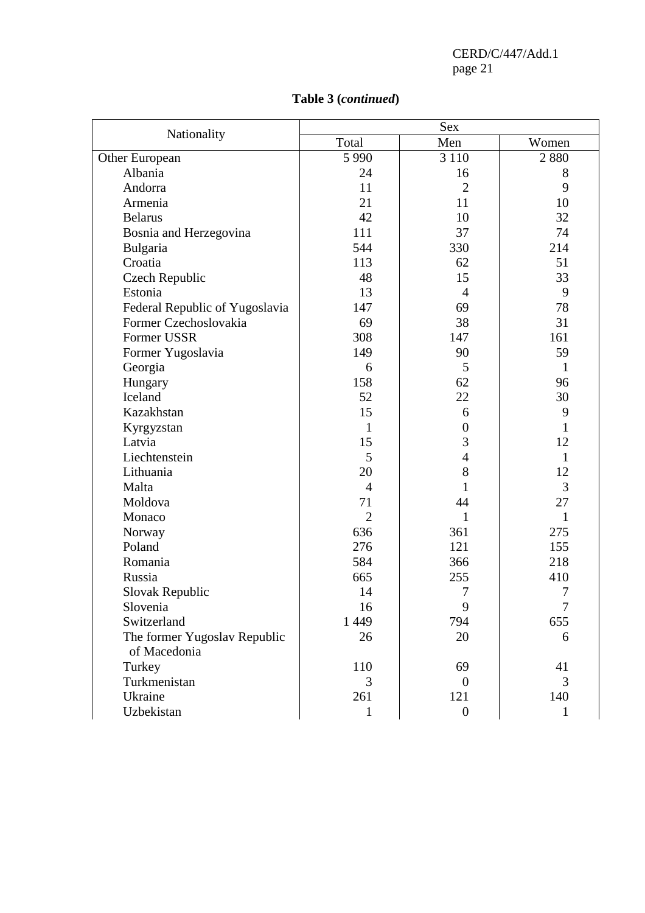|                                              | <b>Sex</b>     |                  |              |  |  |  |  |  |  |
|----------------------------------------------|----------------|------------------|--------------|--|--|--|--|--|--|
| Nationality                                  | Total          | Men              | Women        |  |  |  |  |  |  |
| Other European                               | 5 9 9 0        | 3 1 1 0          | 2880         |  |  |  |  |  |  |
| Albania                                      | 24             | 16               | 8            |  |  |  |  |  |  |
| Andorra                                      | 11             | $\overline{2}$   | 9            |  |  |  |  |  |  |
| Armenia                                      | 21             | 11               | 10           |  |  |  |  |  |  |
| <b>Belarus</b>                               | 42             | 10               | 32           |  |  |  |  |  |  |
| Bosnia and Herzegovina                       | 111            | 37               | 74           |  |  |  |  |  |  |
| Bulgaria                                     | 544            | 330              | 214          |  |  |  |  |  |  |
| Croatia                                      | 113            | 62               | 51           |  |  |  |  |  |  |
| Czech Republic                               | 48             | 15               | 33           |  |  |  |  |  |  |
| Estonia                                      | 13             | $\overline{4}$   | 9            |  |  |  |  |  |  |
| Federal Republic of Yugoslavia               | 147            | 69               | 78           |  |  |  |  |  |  |
| Former Czechoslovakia                        | 69             | 38               | 31           |  |  |  |  |  |  |
| Former USSR                                  | 308            | 147              | 161          |  |  |  |  |  |  |
| Former Yugoslavia                            | 149            | 90               | 59           |  |  |  |  |  |  |
| Georgia                                      | 6              | 5                | $\mathbf{1}$ |  |  |  |  |  |  |
| Hungary                                      | 158            | 62               | 96           |  |  |  |  |  |  |
| Iceland                                      | 52             | 22               | 30           |  |  |  |  |  |  |
| Kazakhstan                                   | 15             | 6                | 9            |  |  |  |  |  |  |
| Kyrgyzstan                                   | 1              | $\overline{0}$   | $\mathbf{1}$ |  |  |  |  |  |  |
| Latvia                                       | 15             | 3                | 12           |  |  |  |  |  |  |
| Liechtenstein                                | 5              | $\overline{4}$   | $\mathbf{1}$ |  |  |  |  |  |  |
| Lithuania                                    | 20             | 8                | 12           |  |  |  |  |  |  |
| Malta                                        | $\overline{4}$ | 1                | 3            |  |  |  |  |  |  |
| Moldova                                      | 71             | 44               | 27           |  |  |  |  |  |  |
| Monaco                                       | $\overline{2}$ | 1                | 1            |  |  |  |  |  |  |
| Norway                                       | 636            | 361              | 275          |  |  |  |  |  |  |
| Poland                                       | 276            | 121              | 155          |  |  |  |  |  |  |
| Romania                                      | 584            | 366              | 218          |  |  |  |  |  |  |
| Russia                                       | 665            | 255              | 410          |  |  |  |  |  |  |
| Slovak Republic                              | 14             | $\tau$           | 7            |  |  |  |  |  |  |
| Slovenia                                     | 16             | 9                | 7            |  |  |  |  |  |  |
| Switzerland                                  | 1 4 4 9        | 794              | 655          |  |  |  |  |  |  |
| The former Yugoslav Republic<br>of Macedonia | 26             | 20               | 6            |  |  |  |  |  |  |
| Turkey                                       | 110            | 69               | 41           |  |  |  |  |  |  |
| Turkmenistan                                 | 3              | $\theta$         | 3            |  |  |  |  |  |  |
| Ukraine                                      | 261            | 121              | 140          |  |  |  |  |  |  |
| Uzbekistan                                   | 1              | $\boldsymbol{0}$ | $\mathbf{1}$ |  |  |  |  |  |  |

# **Table 3 (***continued***)**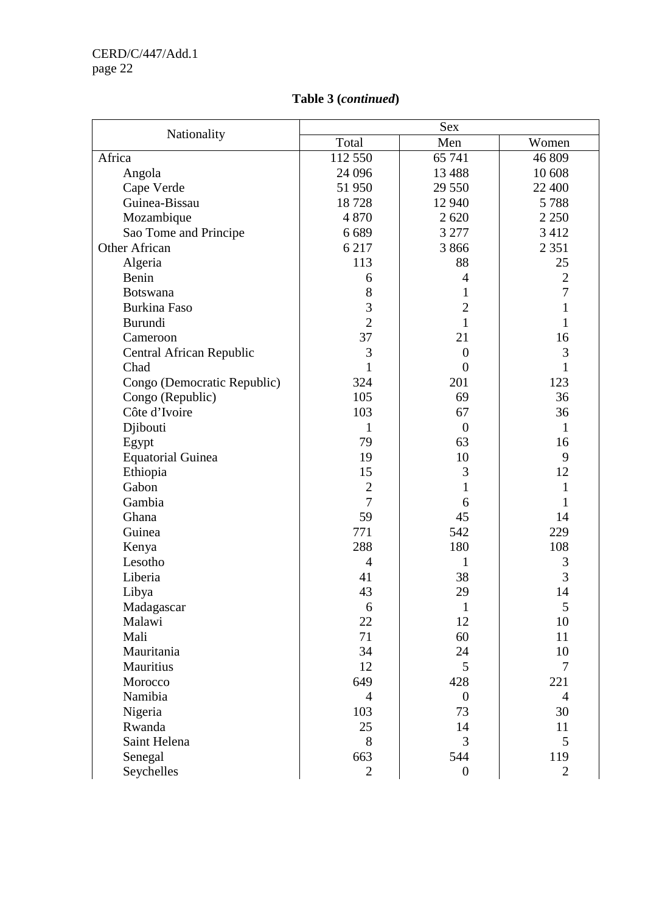# **Table 3 (***continued***)**

|                             |                | <b>Sex</b>       |                |
|-----------------------------|----------------|------------------|----------------|
| Nationality                 | Total          | Men              | Women          |
| Africa                      | 112 550        | 65 741           | 46 809         |
| Angola                      | 24 09 6        | 13 4 88          | 10 608         |
| Cape Verde                  | 51 950         | 29 550           | 22 400         |
| Guinea-Bissau               | 18728          | 12 940           | 5788           |
| Mozambique                  | 4870           | 2620             | 2 2 5 0        |
| Sao Tome and Principe       | 6689           | 3 277            | 3 4 1 2        |
| <b>Other African</b>        | 6 2 1 7        | 3866             | 2 3 5 1        |
| Algeria                     | 113            | 88               | 25             |
| Benin                       | 6              | 4                | $\sqrt{2}$     |
| <b>Botswana</b>             | 8              | 1                | $\overline{7}$ |
| <b>Burkina Faso</b>         | 3              | $\overline{2}$   | $\mathbf{1}$   |
| Burundi                     | $\overline{2}$ | $\mathbf{1}$     | 1              |
| Cameroon                    | 37             | 21               | 16             |
| Central African Republic    | 3              | $\overline{0}$   | 3              |
| Chad                        | $\mathbf{1}$   | $\overline{0}$   | 1              |
| Congo (Democratic Republic) | 324            | 201              | 123            |
| Congo (Republic)            | 105            | 69               | 36             |
| Côte d'Ivoire               | 103            | 67               | 36             |
| Djibouti                    | 1              | $\overline{0}$   | 1              |
| Egypt                       | 79             | 63               | 16             |
| <b>Equatorial Guinea</b>    | 19             | 10               | 9              |
| Ethiopia                    | 15             | 3                | 12             |
| Gabon                       | $\overline{2}$ | 1                | 1              |
| Gambia                      | $\overline{7}$ | 6                | 1              |
| Ghana                       | 59             | 45               | 14             |
| Guinea                      | 771            | 542              | 229            |
| Kenya                       | 288            | 180              | 108            |
| Lesotho                     | $\overline{4}$ | 1                | 3              |
| Liberia                     | 41             | 38               | 3              |
| Libya                       | 43             | 29               | 14             |
| Madagascar                  | 6              | 1                | 5              |
| Malawi                      | 22             | 12               | 10             |
| Mali                        | 71             | 60               | 11             |
| Mauritania                  | 34             | 24               | 10             |
| Mauritius                   | 12             | 5                | $\overline{7}$ |
| Morocco                     | 649            | 428              | 221            |
| Namibia                     | $\overline{4}$ | $\theta$         | $\overline{4}$ |
| Nigeria                     | 103            | 73               | 30             |
| Rwanda                      | 25             | 14               | 11             |
| Saint Helena                | 8              | 3                | 5              |
| Senegal                     | 663            | 544              | 119            |
| Seychelles                  | $\overline{2}$ | $\boldsymbol{0}$ | $\overline{2}$ |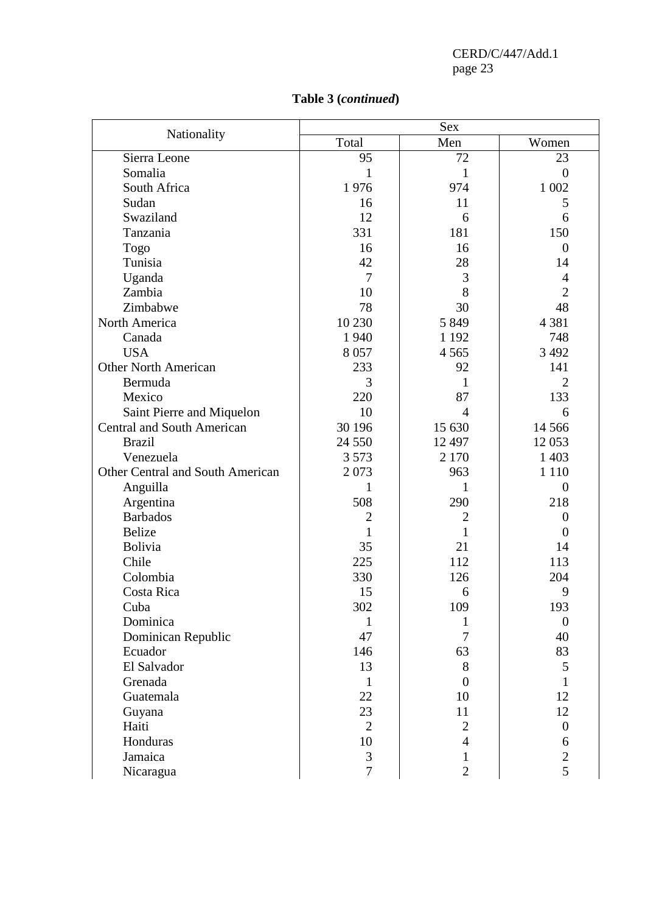| Nationality                             |                | Sex            |                  |
|-----------------------------------------|----------------|----------------|------------------|
|                                         | Total          | Men            | Women            |
| Sierra Leone                            | 95             | 72             | 23               |
| Somalia                                 | 1              | $\mathbf{1}$   | $\overline{0}$   |
| South Africa                            | 1976           | 974            | 1 0 0 2          |
| Sudan                                   | 16             | 11             | 5                |
| Swaziland                               | 12             | 6              | 6                |
| Tanzania                                | 331            | 181            | 150              |
| <b>Togo</b>                             | 16             | 16             | $\overline{0}$   |
| Tunisia                                 | 42             | 28             | 14               |
| Uganda                                  | $\overline{7}$ | 3              | $\overline{4}$   |
| Zambia                                  | 10             | 8              | $\overline{2}$   |
| Zimbabwe                                | 78             | 30             | 48               |
| North America                           | 10 230         | 5 8 4 9        | 4 3 8 1          |
| Canada                                  | 1 9 4 0        | 1 1 9 2        | 748              |
| <b>USA</b>                              | 8057           | 4 5 6 5        | 3 4 9 2          |
| <b>Other North American</b>             | 233            | 92             | 141              |
| Bermuda                                 | 3              | 1              | $\overline{2}$   |
| Mexico                                  | 220            | 87             | 133              |
| Saint Pierre and Miquelon               | 10             | $\overline{4}$ | 6                |
| <b>Central and South American</b>       | 30 196         | 15 630         | 14 5 6 6         |
| <b>Brazil</b>                           | 24 5 5 0       | 12 497         | 12 053           |
| Venezuela                               | 3 5 7 3        | 2 1 7 0        | 1 4 0 3          |
| <b>Other Central and South American</b> | 2073           | 963            | 1 1 1 0          |
| Anguilla                                | 1              | 1              | $\theta$         |
| Argentina                               | 508            | 290            | 218              |
| <b>Barbados</b>                         | $\overline{2}$ | $\mathbf{2}$   | $\boldsymbol{0}$ |
| Belize                                  | $\mathbf{1}$   | $\mathbf{1}$   | $\theta$         |
| Bolivia                                 | 35             | 21             | 14               |
| Chile                                   | 225            | 112            | 113              |
| Colombia                                | 330            | 126            | 204              |
| Costa Rica                              | 15             | 6              | 9                |
| Cuba                                    | 302            | 109            | 193              |
| Dominica                                | 1              | 1              | $\mathbf{0}$     |
| Dominican Republic                      | 47             | $\tau$         | 40               |
| Ecuador                                 | 146            | 63             | 83               |
| El Salvador                             | 13             | 8              | 5                |
| Grenada                                 | $\mathbf{1}$   | $\overline{0}$ | 1                |
| Guatemala                               | 22             | 10             | 12               |

Guyana 12 23 11 12 Haiti  $\begin{array}{|c|c|c|c|c|c|c|c|} \hline \end{array}$   $\begin{array}{|c|c|c|c|c|} \hline 2 & 2 & 0 \end{array}$ Honduras  $10 \t 4 \t 6$ Jamaica  $\begin{array}{|c|c|c|c|c|c|c|c|c|} \hline 3 & 1 & 2 \end{array}$ Maiti<br>
Haiti 2 2 0<br>
Honduras 10 4 6<br>
Jamaica 3 1 2<br>
Nicaragua 7 2 5

# **Table 3 (***continued***)**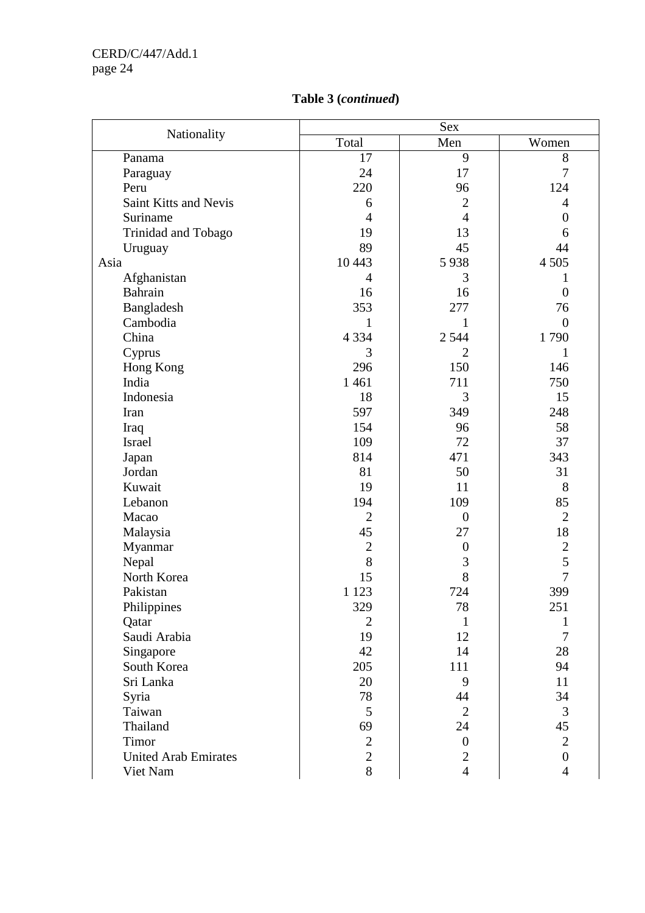| Nationality                 | Total          | Men              | Women            |
|-----------------------------|----------------|------------------|------------------|
| Panama                      | 17             | 9                | 8                |
| Paraguay                    | 24             | 17               | $\overline{7}$   |
| Peru                        | 220            | 96               | 124              |
| Saint Kitts and Nevis       | 6              | $\overline{2}$   | $\overline{4}$   |
| Suriname                    | $\overline{4}$ | $\overline{4}$   | $\boldsymbol{0}$ |
| Trinidad and Tobago         | 19             | 13               | 6                |
| Uruguay                     | 89             | 45               | 44               |
| Asia                        | 10 4 43        | 5938             | 4 5 0 5          |
| Afghanistan                 | $\overline{4}$ | 3                | 1                |
| <b>Bahrain</b>              | 16             | 16               | $\overline{0}$   |
| Bangladesh                  | 353            | 277              | 76               |
| Cambodia                    | 1              | 1                | $\overline{0}$   |
| China                       | 4 3 3 4        | 2 5 4 4          | 1790             |
| Cyprus                      | 3              | $\overline{2}$   | $\mathbf{1}$     |
| Hong Kong                   | 296            | 150              | 146              |
| India                       | 1 4 6 1        | 711              | 750              |
| Indonesia                   | 18             | 3                | 15               |
| Iran                        | 597            | 349              | 248              |
| Iraq                        | 154            | 96               | 58               |
| Israel                      | 109            | 72               | 37               |
| Japan                       | 814            | 471              | 343              |
| Jordan                      | 81             | 50               | 31               |
| Kuwait                      | 19             | 11               | 8                |
| Lebanon                     | 194            | 109              | 85               |
| Macao                       | $\overline{2}$ | $\overline{0}$   | $\mathbf{2}$     |
| Malaysia                    | 45             | 27               | 18               |
| Myanmar                     | $\overline{2}$ | $\boldsymbol{0}$ | $\overline{c}$   |
| Nepal                       | 8              | $\mathfrak{Z}$   | 5                |
| North Korea                 | 15             | 8                | $\overline{7}$   |
| Pakistan                    | 1 1 2 3        | 724              | 399              |
| Philippines                 | 329            | 78               | 251              |
| Qatar                       | $\overline{2}$ | $\mathbf{1}$     | 1                |
| Saudi Arabia                | 19             | 12               | $\overline{7}$   |
| Singapore                   | 42             | 14               | 28               |
| South Korea                 | 205            | 111              | 94               |
| Sri Lanka                   | 20             | 9                | 11               |
| Syria                       | 78             | 44               | 34               |
| Taiwan                      | 5              | $\overline{2}$   | $\mathfrak{Z}$   |
| Thailand                    | 69             | 24               | 45               |
| Timor                       | $\mathbf{2}$   | $\overline{0}$   | $\overline{2}$   |
| <b>United Arab Emirates</b> | $\overline{2}$ | $\mathbf{2}$     | $\overline{0}$   |
| Viet Nam                    | 8              | $\overline{4}$   | $\overline{4}$   |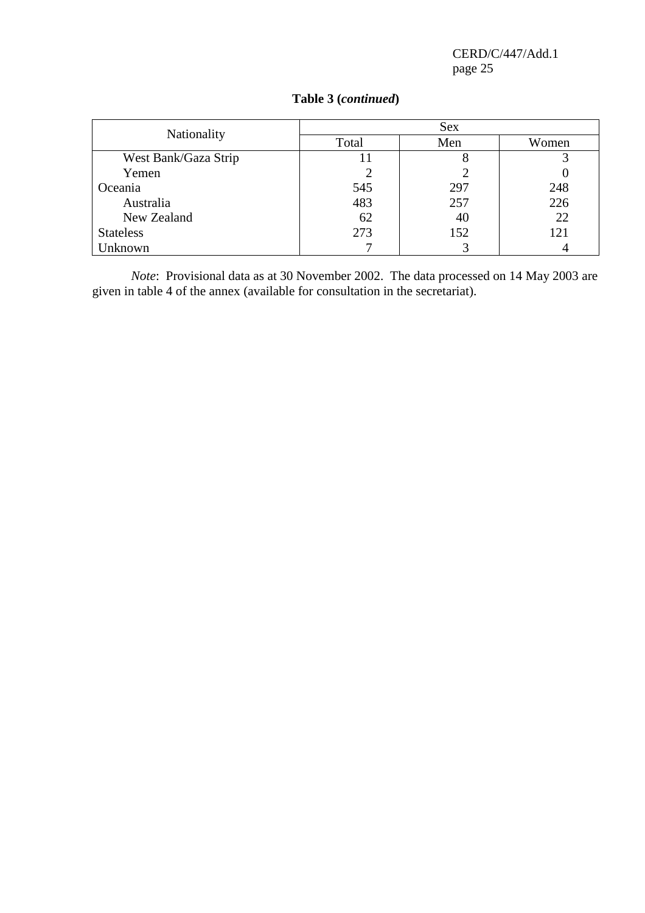| Nationality          |       | Sex |       |
|----------------------|-------|-----|-------|
|                      | Total | Men | Women |
| West Bank/Gaza Strip | 11    |     |       |
| Yemen                |       |     |       |
| Oceania              | 545   | 297 | 248   |
| Australia            | 483   | 257 | 226   |
| New Zealand          | 62    | 40  | 22    |
| <b>Stateless</b>     | 273   | 152 | 121   |
| Jnknown              |       |     |       |

# **Table 3 (***continued***)**

*Note*: Provisional data as at 30 November 2002. The data processed on 14 May 2003 are given in table 4 of the annex (available for consultation in the secretariat).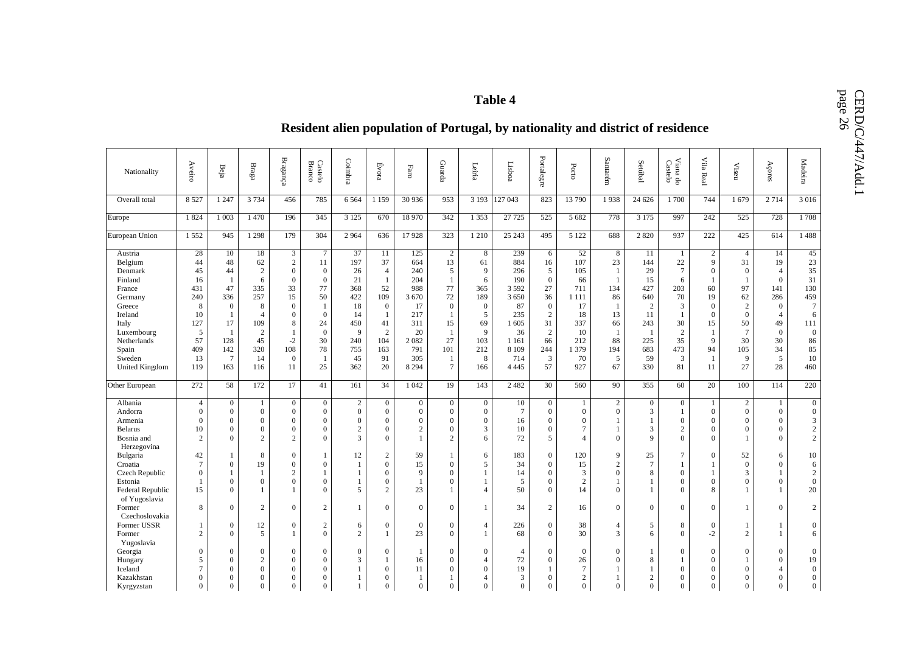# Table 4<br>**Table 4** Resident alien population of Portugal, by nationality and district of residence

| Nationality                                                                                                                                                   | Aveiro                                                                              | Beja                                                                                                   | $_{\rm Bragg}$                                                                                                          | ${\bf Braganca}$                                                                                                                          | Castelo<br>Branco                                                                                                                    | Coimbra                                                                                | Evora                                                                                                                               | $_{\rm Faro}$                                                                                         | Guarda                                                                                                                                    | Leiria                                                                                      | Lisboa                                                                                                         | Portalegre                                                                                                                 | Porto                                                                                          | Santarém                                                                                                       | Setúbal                                                                                                     | Viana do<br>Castelo                                                                                              | $\rm{Vila}$<br>Real                                                                                                                     | $\ensuremath{\mathsf{Viseu}}$                                                                                                                           | Açores                                                                                                                      | Madeira                                                                                                    |
|---------------------------------------------------------------------------------------------------------------------------------------------------------------|-------------------------------------------------------------------------------------|--------------------------------------------------------------------------------------------------------|-------------------------------------------------------------------------------------------------------------------------|-------------------------------------------------------------------------------------------------------------------------------------------|--------------------------------------------------------------------------------------------------------------------------------------|----------------------------------------------------------------------------------------|-------------------------------------------------------------------------------------------------------------------------------------|-------------------------------------------------------------------------------------------------------|-------------------------------------------------------------------------------------------------------------------------------------------|---------------------------------------------------------------------------------------------|----------------------------------------------------------------------------------------------------------------|----------------------------------------------------------------------------------------------------------------------------|------------------------------------------------------------------------------------------------|----------------------------------------------------------------------------------------------------------------|-------------------------------------------------------------------------------------------------------------|------------------------------------------------------------------------------------------------------------------|-----------------------------------------------------------------------------------------------------------------------------------------|---------------------------------------------------------------------------------------------------------------------------------------------------------|-----------------------------------------------------------------------------------------------------------------------------|------------------------------------------------------------------------------------------------------------|
| Overall total                                                                                                                                                 | 8 5 27                                                                              | 1 2 4 7                                                                                                | 3 7 3 4                                                                                                                 | 456                                                                                                                                       | 785                                                                                                                                  | 6 5 6 4                                                                                | 1 1 5 9                                                                                                                             | 30 936                                                                                                | 953                                                                                                                                       | 3 1 9 3                                                                                     | 127 043                                                                                                        | 823                                                                                                                        | 13790                                                                                          | 1938                                                                                                           | 24 6 26                                                                                                     | 1700                                                                                                             | 744                                                                                                                                     | 1679                                                                                                                                                    | 2 7 1 4                                                                                                                     | 3 0 16                                                                                                     |
| Europe                                                                                                                                                        | 1824                                                                                | 1 0 0 3                                                                                                | 1470                                                                                                                    | 196                                                                                                                                       | 345                                                                                                                                  | 3 1 2 5                                                                                | 670                                                                                                                                 | 18 970                                                                                                | 342                                                                                                                                       | 1 3 5 3                                                                                     | 27 7 25                                                                                                        | 525                                                                                                                        | 5 6 8 2                                                                                        | 778                                                                                                            | 3 1 7 5                                                                                                     | 997                                                                                                              | 242                                                                                                                                     | 525                                                                                                                                                     | 728                                                                                                                         | 1708                                                                                                       |
| European Union                                                                                                                                                | 1552                                                                                | 945                                                                                                    | 1 2 9 8                                                                                                                 | 179                                                                                                                                       | 304                                                                                                                                  | 2 9 6 4                                                                                | 636                                                                                                                                 | 17928                                                                                                 | 323                                                                                                                                       | 1 2 1 0                                                                                     | 25 24 3                                                                                                        | 495                                                                                                                        | 5 1 2 2                                                                                        | 688                                                                                                            | 2 8 2 0                                                                                                     | 937                                                                                                              | 222                                                                                                                                     | 425                                                                                                                                                     | 614                                                                                                                         | 1488                                                                                                       |
| Austria<br>Belgium<br>Denmark<br>Finland<br>France<br>Germany<br>Greece<br>Ireland<br>Italy<br>Luxembourg<br>Netherlands<br>Spain<br>Sweden<br>United Kingdom | 28<br>44<br>45<br>16<br>431<br>240<br>8<br>10<br>127<br>5<br>57<br>409<br>13<br>119 | 10<br>48<br>44<br>-1<br>47<br>336<br>$\theta$<br>-1<br>17<br>-1<br>128<br>142<br>$\overline{7}$<br>163 | 18<br>62<br>$\overline{c}$<br>6<br>335<br>257<br>8<br>$\overline{4}$<br>109<br>$\overline{c}$<br>45<br>320<br>14<br>116 | 3<br>$\overline{2}$<br>$\mathbf{0}$<br>$\mathbf{0}$<br>33<br>15<br>$\overline{0}$<br>$\theta$<br>8<br>$-2$<br>108<br>$\overline{0}$<br>11 | $\tau$<br>11<br>$\mathbf{0}$<br>$\mathbf{0}$<br>77<br>50<br>-1<br>$\overline{0}$<br>24<br>$\theta$<br>30<br>78<br>$\mathbf{1}$<br>25 | 37<br>197<br>26<br>21<br>368<br>422<br>18<br>14<br>450<br>9<br>240<br>755<br>45<br>362 | 11<br>37<br>$\overline{4}$<br>$\overline{1}$<br>52<br>109<br>$\overline{0}$<br>-1<br>41<br>$\overline{2}$<br>104<br>163<br>91<br>20 | 125<br>664<br>240<br>204<br>988<br>3 6 7 0<br>17<br>217<br>311<br>20<br>2082<br>791<br>305<br>8 2 9 4 | $\overline{2}$<br>13<br>5<br>$\mathbf{1}$<br>77<br>72<br>$\overline{0}$<br>-1<br>15<br>-1<br>27<br>101<br>$\mathbf{1}$<br>$7\phantom{.0}$ | 8<br>61<br>9<br>6<br>365<br>189<br>$\overline{0}$<br>5<br>69<br>9<br>103<br>212<br>8<br>166 | 239<br>884<br>296<br>190<br>3592<br>3 6 5 0<br>87<br>235<br>1605<br>36<br>1 1 6 1<br>8 1 0 9<br>714<br>4 4 4 5 | 6<br>16<br>5<br>$\mathbf{0}$<br>27<br>36<br>$\overline{0}$<br>2<br>31<br>$\overline{c}$<br>66<br>244<br>$\mathbf{3}$<br>57 | 52<br>107<br>105<br>66<br>711<br>1 1 1 1<br>17<br>18<br>337<br>10<br>212<br>1 379<br>70<br>927 | 8<br>23<br>$\mathbf{1}$<br>$\mathbf{1}$<br>134<br>86<br>-1<br>13<br>66<br>$\mathbf{1}$<br>88<br>194<br>5<br>67 | 11<br>144<br>29<br>15<br>427<br>640<br>$\mathbf{2}$<br>11<br>243<br>$\mathbf{1}$<br>225<br>683<br>59<br>330 | -1<br>22<br>$7\phantom{.0}$<br>6<br>203<br>70<br>3<br>$\mathbf{1}$<br>30<br>$\mathbf{2}$<br>35<br>473<br>3<br>81 | $\overline{c}$<br>9<br>$\mathbf{0}$<br>$\mathbf{1}$<br>60<br>19<br>$\mathbf{0}$<br>$\Omega$<br>15<br>1<br>9<br>94<br>$\mathbf{1}$<br>11 | $\overline{4}$<br>31<br>$\boldsymbol{0}$<br>$\mathbf{1}$<br>97<br>62<br>$\overline{c}$<br>$\mathbf{0}$<br>50<br>$7\phantom{.0}$<br>30<br>105<br>9<br>27 | 14<br>19<br>$\overline{4}$<br>$\theta$<br>141<br>286<br>$\theta$<br>$\overline{4}$<br>49<br>$\theta$<br>30<br>34<br>5<br>28 | 45<br>23<br>35<br>31<br>130<br>459<br>$7\phantom{.0}$<br>6<br>111<br>$\mathbf{0}$<br>86<br>85<br>10<br>460 |
| Other European                                                                                                                                                | 272                                                                                 | 58                                                                                                     | 172                                                                                                                     | 17                                                                                                                                        | 41                                                                                                                                   | 161                                                                                    | 34                                                                                                                                  | 1 0 4 2                                                                                               | 19                                                                                                                                        | 143                                                                                         | 2 4 8 2                                                                                                        | 30                                                                                                                         | 560                                                                                            | 90                                                                                                             | 355                                                                                                         | 60                                                                                                               | 20                                                                                                                                      | 100                                                                                                                                                     | 114                                                                                                                         | 220                                                                                                        |
| Albania<br>Andorra<br>Armenia<br><b>Belarus</b><br>Bosnia and<br>Herzegovina                                                                                  | $\overline{4}$<br>$\theta$<br>$\boldsymbol{0}$<br>10<br>2                           | $\boldsymbol{0}$<br>$\theta$<br>$\overline{0}$<br>$\Omega$<br>$\Omega$                                 | $\mathbf{1}$<br>$\mathbf{0}$<br>$\mathbf{0}$<br>$\mathbf{0}$<br>2                                                       | $\mathbf{0}$<br>$\theta$<br>$\boldsymbol{0}$<br>$\overline{0}$<br>$\overline{2}$                                                          | $\boldsymbol{0}$<br>$\boldsymbol{0}$<br>$\boldsymbol{0}$<br>$\mathbf{0}$<br>$\Omega$                                                 | $\sqrt{2}$<br>$\boldsymbol{0}$<br>$\boldsymbol{0}$<br>$\sqrt{2}$<br>3                  | $\theta$<br>$\mathbf{0}$<br>$\mathbf{0}$<br>$\mathbf{0}$<br>$\theta$                                                                | $\mathbf{0}$<br>$\mathbf{0}$<br>$\mathbf{0}$<br>$\overline{c}$<br>$\mathbf{1}$                        | $\mathbf{0}$<br>$\mathbf{0}$<br>$\boldsymbol{0}$<br>$\overline{0}$<br>$\overline{2}$                                                      | $\overline{0}$<br>$\overline{0}$<br>$\boldsymbol{0}$<br>3<br>6                              | 10<br>$7\phantom{.0}$<br>16<br>10<br>72                                                                        | $\mathbf{0}$<br>$\mathbf{0}$<br>$\boldsymbol{0}$<br>$\mathbf{0}$<br>5                                                      | 1<br>$\boldsymbol{0}$<br>$\boldsymbol{0}$<br>$\tau$<br>$\overline{4}$                          | $\mathbf{2}$<br>$\theta$<br>$\mathbf{1}$<br>$\mathbf{1}$<br>$\Omega$                                           | $\boldsymbol{0}$<br>3<br>3<br>$\overline{Q}$                                                                | $\mathbf{0}$<br>$\mathbf{1}$<br>$\mathbf{0}$<br>$\overline{c}$<br>$\Omega$                                       | -1<br>$\mathbf{0}$<br>$\mathbf{0}$<br>$\mathbf{0}$<br>$\Omega$                                                                          | $\sqrt{2}$<br>$\mathbf{0}$<br>$\theta$<br>$\theta$<br>$\mathbf{1}$                                                                                      | $\mathbf{1}$<br>$\mathbf{0}$<br>$\mathbf{0}$<br>$\mathbf{0}$<br>$\Omega$                                                    | $\boldsymbol{0}$<br>$\boldsymbol{0}$<br>$\overline{3}$<br>$\sqrt{2}$<br>$\overline{c}$                     |
| Bulgaria<br>Croatia<br>Czech Republic<br>Estonia<br>Federal Republic<br>of Yugoslavia                                                                         | 42<br>$\tau$<br>$\mathbf{0}$<br>1<br>15                                             | $\overline{0}$<br>$\Omega$<br>$\Omega$                                                                 | 8<br>19<br>$\mathbf{1}$<br>$\mathbf{0}$<br>1                                                                            | $\overline{0}$<br>$\theta$<br>$\overline{2}$<br>$\theta$                                                                                  | 1<br>$\mathbf{0}$<br>$\mathbf{0}$<br>$\theta$                                                                                        | 12<br>1<br>$\mathbf{1}$<br>$\mathbf{1}$<br>5                                           | $\overline{c}$<br>$\mathbf{0}$<br>$\theta$<br>$\overline{0}$<br>$\overline{c}$                                                      | 59<br>15<br>9<br>-1<br>23                                                                             | $\overline{1}$<br>$\Omega$<br>$\Omega$<br>$\overline{0}$<br>1                                                                             | 6<br>5<br>$\mathbf{1}$<br>1<br>$\overline{4}$                                               | 183<br>34<br>14<br>5<br>50                                                                                     | $\mathbf{0}$<br>$\overline{0}$<br>$\overline{0}$<br>$\mathbf{0}$<br>$\overline{0}$                                         | 120<br>15<br>3<br>$\overline{c}$<br>14                                                         | 9<br>$\overline{2}$<br>$\theta$<br>-1<br>$\Omega$                                                              | 25<br>$7\phantom{.0}$<br>8                                                                                  | $\tau$<br>$\theta$<br>$\Omega$<br>$\Omega$                                                                       | $\mathbf{0}$<br>$\mathbf{1}$<br>1<br>$\mathbf{0}$<br>8                                                                                  | 52<br>$\mathbf{0}$<br>3<br>$\mathbf{0}$<br>$\mathbf{1}$                                                                                                 | 6<br>$\mathbf{0}$<br>$\mathbf{0}$<br>-1                                                                                     | 10<br>6<br>$\sqrt{2}$<br>$\mathbf{0}$<br>20                                                                |
| Former<br>Czechoslovakia<br>Former USSR<br>Former<br>Yugoslavia                                                                                               | 8<br>1<br>$\overline{2}$                                                            | $\Omega$<br>$\theta$<br>$\Omega$                                                                       | 2<br>12<br>5                                                                                                            | $\Omega$<br>$\mathbf{0}$                                                                                                                  | 2<br>$\overline{c}$<br>$\Omega$                                                                                                      | 1<br>6<br>$\mathfrak{2}$                                                               | $\theta$<br>$\boldsymbol{0}$<br>1                                                                                                   | $\overline{0}$<br>$\mathbf{0}$<br>23                                                                  | $\theta$<br>$\mathbf{0}$<br>$\overline{0}$                                                                                                | -1<br>$\overline{4}$<br>$\mathbf{1}$                                                        | 34<br>226<br>68                                                                                                | 2<br>$\mathbf{0}$<br>$\overline{0}$                                                                                        | 16<br>38<br>30                                                                                 | $\Omega$<br>$\overline{4}$<br>3                                                                                | $\Omega$<br>5<br>6                                                                                          | $\Omega$<br>8<br>$\Omega$                                                                                        | $\Omega$<br>$\boldsymbol{0}$<br>$-2$                                                                                                    | -1<br>-1<br>$\overline{c}$                                                                                                                              | $\Omega$<br>-1                                                                                                              | $\mathbf{2}$<br>$\boldsymbol{0}$<br>6                                                                      |
| Georgia<br>Hungary<br>Iceland<br>Kazakhstan<br>Kyrgyzstan                                                                                                     | $\overline{0}$<br>5<br>$\overline{7}$<br>$\theta$<br>$\overline{0}$                 | $\overline{0}$<br>$\overline{0}$<br>$\Omega$<br>$\Omega$<br>$\Omega$                                   | $\boldsymbol{0}$<br>$\overline{c}$<br>$\mathbf{0}$<br>$\Omega$<br>$\overline{0}$                                        | $\mathbf{0}$<br>$\theta$<br>$\theta$<br>$\Omega$<br>$\theta$                                                                              | $\overline{0}$<br>$\overline{0}$<br>$\theta$<br>$\theta$<br>$\overline{0}$                                                           | $\boldsymbol{0}$<br>3<br>1<br>$\mathbf{1}$                                             | $\mathbf{0}$<br>1<br>$\theta$<br>$\theta$<br>$\Omega$                                                                               | $\mathbf{1}$<br>16<br>11<br>1<br>$\overline{0}$                                                       | $\boldsymbol{0}$<br>$\theta$<br>$\Omega$<br>$\Omega$                                                                                      | $\overline{0}$<br>$\overline{4}$<br>$\overline{0}$<br>4<br>$\overline{0}$                   | $\overline{4}$<br>72<br>19<br>3<br>$\mathbf{0}$                                                                | $\mathbf{0}$<br>$\mathbf{0}$<br>1<br>$\overline{0}$<br>$\overline{0}$                                                      | $\boldsymbol{0}$<br>26<br>7<br>$\mathbf{2}$<br>$\mathbf{0}$                                    | $\Omega$<br>$\Omega$<br>$\mathbf{0}$                                                                           | 8<br>$\sqrt{2}$<br>$\Omega$                                                                                 | $\theta$<br>$\Omega$<br>$\Omega$                                                                                 | $\mathbf{0}$<br>$\mathbf{0}$<br>$\theta$<br>$\theta$<br>$\Omega$                                                                        | $\theta$<br>$\mathbf{1}$<br>$\theta$<br>$\theta$<br>$\Omega$                                                                                            | $\mathbf{0}$<br>$\mathbf{0}$<br>$\overline{4}$<br>$\Omega$<br>$\Omega$                                                      | $\boldsymbol{0}$<br>19<br>$\mathbf{0}$<br>$\boldsymbol{0}$<br>$\mathbf{0}$                                 |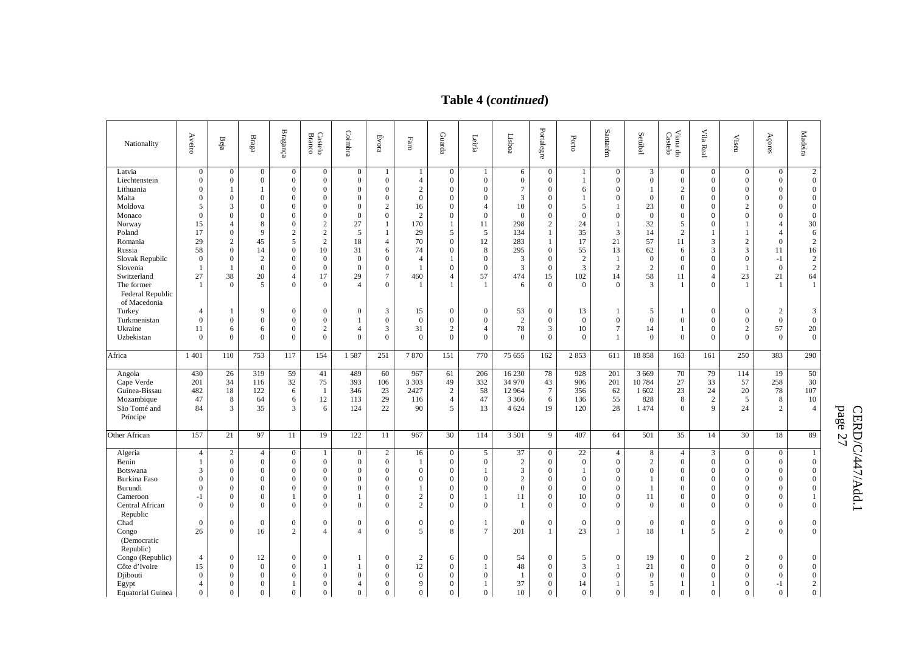# **Table 4 (***continued***)**

| Nationality                                                                                                                                                                                                 | Aveiro                                                                                                                              | Beja                                                                                                                                                                                                                            | $_{\rm Bragg}$                                                                                                                                                  | $\mathbf{Bragang}$                                                                                                                                                                                | Castelo<br><b>Branco</b>                                                                                                                                                                                           | Coimbra                                                                                                                                                                 | Évora                                                                                                                                                           | Faro                                                                                                                                                                   | Guarda                                                                                                                                                                                                           | Leiria                                                                                                                                                                   | Lisboa                                                                                               | Portalegre                                                                                                                                                                                                                        | Porto                                                                                                 | Santarém                                                                                                                                  | Setúbal                                                                                                                                  | Viana do<br>Castelo                                                                                                                                                         | Vila Real                                                                                                                                                                        | $\ensuremath{\mathsf{Visen}}$                                                                                                                                                                                   | Açores                                                                                                                                                                                                       | Madeira                                                                                                                                                                                          |
|-------------------------------------------------------------------------------------------------------------------------------------------------------------------------------------------------------------|-------------------------------------------------------------------------------------------------------------------------------------|---------------------------------------------------------------------------------------------------------------------------------------------------------------------------------------------------------------------------------|-----------------------------------------------------------------------------------------------------------------------------------------------------------------|---------------------------------------------------------------------------------------------------------------------------------------------------------------------------------------------------|--------------------------------------------------------------------------------------------------------------------------------------------------------------------------------------------------------------------|-------------------------------------------------------------------------------------------------------------------------------------------------------------------------|-----------------------------------------------------------------------------------------------------------------------------------------------------------------|------------------------------------------------------------------------------------------------------------------------------------------------------------------------|------------------------------------------------------------------------------------------------------------------------------------------------------------------------------------------------------------------|--------------------------------------------------------------------------------------------------------------------------------------------------------------------------|------------------------------------------------------------------------------------------------------|-----------------------------------------------------------------------------------------------------------------------------------------------------------------------------------------------------------------------------------|-------------------------------------------------------------------------------------------------------|-------------------------------------------------------------------------------------------------------------------------------------------|------------------------------------------------------------------------------------------------------------------------------------------|-----------------------------------------------------------------------------------------------------------------------------------------------------------------------------|----------------------------------------------------------------------------------------------------------------------------------------------------------------------------------|-----------------------------------------------------------------------------------------------------------------------------------------------------------------------------------------------------------------|--------------------------------------------------------------------------------------------------------------------------------------------------------------------------------------------------------------|--------------------------------------------------------------------------------------------------------------------------------------------------------------------------------------------------|
| Latvia<br>Liechtenstein<br>Lithuania<br>Malta<br>Moldova<br>Monaco<br>Norway<br>Poland<br>Romania<br>Russia<br>Slovak Republic<br>Slovenia<br>Switzerland<br>The former<br>Federal Republic<br>of Macedonia | $\overline{0}$<br>$\mathbf{0}$<br>$\Omega$<br>$\Omega$<br>5<br>$\Omega$<br>15<br>17<br>29<br>58<br>$\overline{0}$<br>-1<br>27<br>-1 | $\mathbf{0}$<br>$\boldsymbol{0}$<br>$\mathbf{1}$<br>$\boldsymbol{0}$<br>3<br>$\boldsymbol{0}$<br>$\overline{4}$<br>$\boldsymbol{0}$<br>$\mathbf{2}$<br>$\overline{0}$<br>$\boldsymbol{0}$<br>$\mathbf{1}$<br>38<br>$\mathbf{0}$ | $\mathbf{0}$<br>$\boldsymbol{0}$<br>$\mathbf{1}$<br>$\overline{0}$<br>$\theta$<br>$\theta$<br>8<br>9<br>45<br>14<br>$\overline{2}$<br>$\overline{0}$<br>20<br>5 | $\mathbf{0}$<br>$\boldsymbol{0}$<br>$\theta$<br>$\mathbf{0}$<br>$\theta$<br>$\Omega$<br>$\mathbf{0}$<br>$\overline{2}$<br>5<br>$\mathbf{0}$<br>$\theta$<br>$\theta$<br>$\overline{4}$<br>$\Omega$ | $\mathbf{0}$<br>$\mathbf{0}$<br>$\boldsymbol{0}$<br>$\mathbf{0}$<br>$\Omega$<br>$\mathbf{0}$<br>$\overline{c}$<br>$\overline{c}$<br>$\overline{c}$<br>10<br>$\mathbf{0}$<br>$\overline{0}$<br>17<br>$\overline{0}$ | $\overline{0}$<br>$\boldsymbol{0}$<br>$\Omega$<br>$\mathbf{0}$<br>$\Omega$<br>$\Omega$<br>27<br>5<br>18<br>31<br>$\overline{0}$<br>$\mathbf{0}$<br>29<br>$\overline{4}$ | -1<br>$\boldsymbol{0}$<br>$\Omega$<br>$\theta$<br>$\overline{2}$<br>$\Omega$<br>$\overline{4}$<br>6<br>$\theta$<br>$\overline{0}$<br>$\overline{7}$<br>$\Omega$ | -1<br>$\overline{4}$<br>$\overline{c}$<br>$\overline{0}$<br>16<br>$\overline{c}$<br>170<br>29<br>70<br>74<br>$\overline{4}$<br>$\overline{1}$<br>460<br>$\overline{1}$ | $\mathbf{0}$<br>$\mathbf{0}$<br>$\boldsymbol{0}$<br>$\boldsymbol{0}$<br>$\boldsymbol{0}$<br>$\mathbf{0}$<br>$\mathbf{1}$<br>5<br>$\mathbf{0}$<br>$\mathbf{0}$<br>$\mathbf{1}$<br>$\theta$<br>$\overline{4}$<br>1 | $\mathbf{1}$<br>$\boldsymbol{0}$<br>$\mathbf{0}$<br>$\Omega$<br>$\overline{4}$<br>$\Omega$<br>11<br>5<br>12<br>8<br>$\overline{0}$<br>$\mathbf{0}$<br>57<br>$\mathbf{1}$ | 6<br>$\mathbf{0}$<br>$\tau$<br>3<br>10<br>$\Omega$<br>298<br>134<br>283<br>295<br>3<br>3<br>474<br>6 | $\mathbf{0}$<br>$\boldsymbol{0}$<br>$\mathbf{0}$<br>$\boldsymbol{0}$<br>$\boldsymbol{0}$<br>$\boldsymbol{0}$<br>$\sqrt{2}$<br>1<br>$\mathbf{1}$<br>$\boldsymbol{0}$<br>$\boldsymbol{0}$<br>$\boldsymbol{0}$<br>15<br>$\mathbf{0}$ | -1<br>1<br>6<br>-1<br>5<br>$\Omega$<br>24<br>35<br>17<br>55<br>$\overline{2}$<br>3<br>102<br>$\Omega$ | $\overline{0}$<br>$\mathbf{0}$<br>$\Omega$<br>$\Omega$<br>$\Omega$<br>3<br>21<br>13<br>$\overline{1}$<br>$\overline{2}$<br>14<br>$\Omega$ | 3<br>$\overline{0}$<br>-1<br>$\mathbf{0}$<br>23<br>$\overline{0}$<br>32<br>14<br>57<br>62<br>$\overline{0}$<br>$\overline{2}$<br>58<br>3 | $\mathbf{0}$<br>$\boldsymbol{0}$<br>$\overline{2}$<br>$\mathbf{0}$<br>$\mathbf{0}$<br>$\mathbf{0}$<br>5<br>$\overline{2}$<br>11<br>6<br>$\mathbf{0}$<br>$\theta$<br>11<br>1 | $\mathbf{0}$<br>$\boldsymbol{0}$<br>$\Omega$<br>$\mathbf{0}$<br>$\mathbf{0}$<br>$\Omega$<br>$\mathbf{0}$<br>3<br>3<br>$\mathbf{0}$<br>$\mathbf{0}$<br>$\overline{4}$<br>$\Omega$ | $\mathbf{0}$<br>$\boldsymbol{0}$<br>$\boldsymbol{0}$<br>$\mathbf{0}$<br>$\overline{2}$<br>$\overline{0}$<br>$\overline{1}$<br>$\overline{2}$<br>3<br>$\boldsymbol{0}$<br>$\overline{1}$<br>23<br>$\overline{1}$ | $\boldsymbol{0}$<br>$\boldsymbol{0}$<br>$\mathbf{0}$<br>$\mathbf{0}$<br>$\overline{0}$<br>$\overline{0}$<br>$\overline{4}$<br>$\overline{4}$<br>$\boldsymbol{0}$<br>11<br>$-1$<br>$\overline{0}$<br>21<br>-1 | $\overline{2}$<br>$\boldsymbol{0}$<br>$\boldsymbol{0}$<br>$\mathbf{0}$<br>$\boldsymbol{0}$<br>$\boldsymbol{0}$<br>$30\,$<br>6<br>$\overline{c}$<br>16<br>$\sqrt{2}$<br>$\overline{2}$<br>64<br>1 |
| Turkey<br>Turkmenistan<br>Ukraine<br>Uzbekistan                                                                                                                                                             | 4<br>$\mathbf{0}$<br>11<br>$\Omega$                                                                                                 | 1<br>$\boldsymbol{0}$<br>6<br>$\overline{0}$                                                                                                                                                                                    | 9<br>$\overline{0}$<br>6<br>$\Omega$                                                                                                                            | $\mathbf{0}$<br>$\boldsymbol{0}$<br>$\Omega$<br>$\Omega$                                                                                                                                          | $\overline{0}$<br>$\boldsymbol{0}$<br>$\overline{2}$<br>$\theta$                                                                                                                                                   | $\mathbf{0}$<br>1<br>$\overline{4}$<br>$\Omega$                                                                                                                         | 3<br>$\boldsymbol{0}$<br>3<br>$\Omega$                                                                                                                          | 15<br>$\boldsymbol{0}$<br>31<br>$\Omega$                                                                                                                               | $\mathbf{0}$<br>$\boldsymbol{0}$<br>$\overline{c}$<br>$\Omega$                                                                                                                                                   | $\mathbf{0}$<br>$\boldsymbol{0}$<br>4<br>$\Omega$                                                                                                                        | 53<br>2<br>78<br>$\theta$                                                                            | $\boldsymbol{0}$<br>$\boldsymbol{0}$<br>3<br>$\mathbf{0}$                                                                                                                                                                         | 13<br>$\mathbf{0}$<br>10<br>$\Omega$                                                                  | $\mathbf{1}$<br>$\Omega$<br>$\overline{7}$                                                                                                | 5<br>$\overline{0}$<br>14<br>$\Omega$                                                                                                    | 1<br>$\boldsymbol{0}$<br>1<br>$\mathbf{0}$                                                                                                                                  | $\mathbf{0}$<br>$\mathbf{0}$<br>$\mathbf{0}$<br>$\Omega$                                                                                                                         | $\overline{0}$<br>$\boldsymbol{0}$<br>$\overline{2}$<br>$\Omega$                                                                                                                                                | 2<br>$\boldsymbol{0}$<br>57<br>$\theta$                                                                                                                                                                      | 3<br>$\mathbf{0}$<br>$20\,$<br>$\mathbf{0}$                                                                                                                                                      |
| Africa                                                                                                                                                                                                      | 1 4 0 1                                                                                                                             | 110                                                                                                                                                                                                                             | 753                                                                                                                                                             | 117                                                                                                                                                                                               | 154                                                                                                                                                                                                                | 1587                                                                                                                                                                    | 251                                                                                                                                                             | 7870                                                                                                                                                                   | 151                                                                                                                                                                                                              | 770                                                                                                                                                                      | 75 655                                                                                               | 162                                                                                                                                                                                                                               | 2853                                                                                                  | 611                                                                                                                                       | 18858                                                                                                                                    | 163                                                                                                                                                                         | 161                                                                                                                                                                              | 250                                                                                                                                                                                                             | 383                                                                                                                                                                                                          | 290                                                                                                                                                                                              |
| Angola<br>Cape Verde<br>Guinea-Bissau<br>Mozambique<br>São Tomé and<br>Príncipe                                                                                                                             | 430<br>201<br>482<br>47<br>84                                                                                                       | 26<br>34<br>18<br>$\,8\,$<br>3                                                                                                                                                                                                  | 319<br>116<br>122<br>64<br>35                                                                                                                                   | 59<br>32<br>6<br>6<br>3                                                                                                                                                                           | 41<br>75<br>-1<br>12<br>6                                                                                                                                                                                          | 489<br>393<br>346<br>113<br>124                                                                                                                                         | 60<br>106<br>23<br>29<br>22                                                                                                                                     | 967<br>3 3 0 3<br>2427<br>116<br>90                                                                                                                                    | 61<br>49<br>$\overline{c}$<br>$\overline{4}$<br>5                                                                                                                                                                | 206<br>332<br>58<br>47<br>13                                                                                                                                             | 16 230<br>34 970<br>12 9 64<br>3 3 6 6<br>4 6 24                                                     | 78<br>43<br>$\overline{7}$<br>6<br>19                                                                                                                                                                                             | 928<br>906<br>356<br>136<br>120                                                                       | 201<br>201<br>62<br>55<br>28                                                                                                              | 3 6 6 9<br>10784<br>1 602<br>828<br>1474                                                                                                 | 70<br>27<br>23<br>8<br>$\theta$                                                                                                                                             | 79<br>33<br>24<br>$\sqrt{2}$<br>$\mathbf{Q}$                                                                                                                                     | 114<br>57<br>20<br>5<br>24                                                                                                                                                                                      | 19<br>258<br>78<br>8<br>$\overline{2}$                                                                                                                                                                       | 50<br>30<br>107<br>$10\,$<br>$\overline{4}$                                                                                                                                                      |
| Other African                                                                                                                                                                                               | 157                                                                                                                                 | 21                                                                                                                                                                                                                              | 97                                                                                                                                                              | 11                                                                                                                                                                                                | 19                                                                                                                                                                                                                 | 122                                                                                                                                                                     | 11                                                                                                                                                              | 967                                                                                                                                                                    | 30                                                                                                                                                                                                               | 114                                                                                                                                                                      | 3 5 0 1                                                                                              | 9                                                                                                                                                                                                                                 | 407                                                                                                   | 64                                                                                                                                        | 501                                                                                                                                      | 35                                                                                                                                                                          | 14                                                                                                                                                                               | 30                                                                                                                                                                                                              | 18                                                                                                                                                                                                           | 89                                                                                                                                                                                               |
| Algeria<br>Benin<br>Botswana<br><b>Burkina Faso</b><br>Burundi<br>Cameroon<br>Central African<br>Republic<br>Chad<br>Congo<br>(Democratic                                                                   | $\overline{4}$<br>-1<br>3<br>$\mathbf{0}$<br>$\Omega$<br>$-1$<br>$\Omega$<br>$\overline{0}$<br>26                                   | $\overline{c}$<br>$\boldsymbol{0}$<br>$\boldsymbol{0}$<br>$\boldsymbol{0}$<br>$\boldsymbol{0}$<br>$\boldsymbol{0}$<br>$\overline{0}$<br>$\boldsymbol{0}$<br>$\overline{0}$                                                      | $\overline{4}$<br>$\mathbf{0}$<br>$\overline{0}$<br>$\theta$<br>$\theta$<br>$\overline{0}$<br>$\Omega$<br>$\boldsymbol{0}$<br>16                                | $\mathbf{0}$<br>$\mathbf{0}$<br>$\mathbf{0}$<br>$\theta$<br>$\Omega$<br>1<br>$\Omega$<br>$\boldsymbol{0}$<br>$\overline{2}$                                                                       | $\mathbf{1}$<br>$\boldsymbol{0}$<br>$\overline{0}$<br>$\Omega$<br>$\Omega$<br>$\mathbf{0}$<br>$\Omega$<br>$\boldsymbol{0}$<br>$\overline{4}$                                                                       | $\mathbf{0}$<br>$\mathbf{0}$<br>$\Omega$<br>$\Omega$<br>$\Omega$<br>1<br>$\Omega$<br>$\mathbf{0}$<br>$\overline{4}$                                                     | $\overline{c}$<br>$\mathbf{0}$<br>$\Omega$<br>$\overline{0}$<br>$\Omega$<br>$\theta$<br>$\Omega$<br>$\overline{0}$<br>$\Omega$                                  | 16<br>-1<br>$\overline{0}$<br>$\boldsymbol{0}$<br>$\overline{1}$<br>$\overline{c}$<br>$\overline{c}$<br>$\boldsymbol{0}$<br>5                                          | $\mathbf{0}$<br>$\mathbf{0}$<br>$\overline{0}$<br>$\boldsymbol{0}$<br>$\mathbf{0}$<br>$\mathbf{0}$<br>$\overline{0}$<br>$\boldsymbol{0}$<br>8                                                                    | 5<br>$\mathbf{0}$<br>1<br>$\mathbf{0}$<br>$\theta$<br>1<br>$\Omega$<br>1<br>$\tau$                                                                                       | 37<br>$\overline{2}$<br>3<br>$\sqrt{2}$<br>$\mathbf{0}$<br>11<br>$\mathbf{1}$<br>$\mathbf{0}$<br>201 | $\mathbf{0}$<br>$\mathbf{0}$<br>$\mathbf{0}$<br>$\boldsymbol{0}$<br>$\boldsymbol{0}$<br>$\boldsymbol{0}$<br>$\Omega$<br>$\boldsymbol{0}$<br>$\mathbf{1}$                                                                          | 22<br>$\boldsymbol{0}$<br>-1<br>$\overline{0}$<br>$\Omega$<br>10<br>$\Omega$<br>$\mathbf{0}$<br>23    | $\overline{4}$<br>$\Omega$<br>$\Omega$<br>$\Omega$<br>$\Omega$<br>$\Omega$<br>$\Omega$<br>$\Omega$<br>-1                                  | 8<br>$\overline{2}$<br>$\overline{0}$<br>-1<br>11<br>$\Omega$<br>$\mathbf{0}$<br>18                                                      | $\overline{4}$<br>$\mathbf{0}$<br>$\overline{0}$<br>$\boldsymbol{0}$<br>$\boldsymbol{0}$<br>$\boldsymbol{0}$<br>$\mathbf{0}$<br>$\boldsymbol{0}$<br>$\mathbf{1}$            | 3<br>$\mathbf{0}$<br>$\mathbf{0}$<br>$\mathbf{0}$<br>$\Omega$<br>$\mathbf{0}$<br>$\Omega$<br>$\boldsymbol{0}$<br>$\overline{5}$                                                  | $\mathbf{0}$<br>$\boldsymbol{0}$<br>$\overline{0}$<br>$\boldsymbol{0}$<br>$\overline{0}$<br>$\mathbf{0}$<br>$\Omega$<br>$\boldsymbol{0}$<br>$\overline{2}$                                                      | $\overline{0}$<br>$\mathbf{0}$<br>$\overline{0}$<br>$\boldsymbol{0}$<br>$\overline{0}$<br>$\mathbf{0}$<br>$\Omega$<br>$\mathbf{0}$<br>$\theta$                                                               | 1<br>$\boldsymbol{0}$<br>$\mathbf{0}$<br>$\boldsymbol{0}$<br>$\boldsymbol{0}$<br>$\mathbf{1}$<br>$\theta$<br>$\boldsymbol{0}$<br>$\theta$                                                        |
| Republic)<br>Congo (Republic)<br>Côte d'Ivoire<br>Djibouti<br>Egypt<br><b>Equatorial Guinea</b>                                                                                                             | $\overline{4}$<br>15<br>$\Omega$<br>4<br>$\overline{0}$                                                                             | $\boldsymbol{0}$<br>$\overline{0}$<br>$\boldsymbol{0}$<br>$\overline{0}$<br>$\overline{0}$                                                                                                                                      | 12<br>$\overline{0}$<br>$\theta$<br>$\theta$<br>$\Omega$                                                                                                        | $\boldsymbol{0}$<br>$\Omega$<br>$\Omega$<br>1<br>$\overline{0}$                                                                                                                                   | $\mathbf{0}$<br>$\mathbf{1}$<br>$\Omega$<br>$\Omega$<br>$\Omega$                                                                                                                                                   | 1<br>$\Omega$<br>$\overline{\mathcal{A}}$<br>$\Omega$                                                                                                                   | $\theta$<br>$\Omega$<br>$\Omega$<br>$\theta$<br>$\Omega$                                                                                                        | $\overline{2}$<br>12<br>$\overline{0}$<br>9<br>$\Omega$                                                                                                                | 6<br>$\mathbf{0}$<br>$\theta$<br>$\mathbf{0}$<br>$\overline{0}$                                                                                                                                                  | $\boldsymbol{0}$<br>1<br>$\theta$<br>1<br>$\overline{0}$                                                                                                                 | 54<br>48<br>-1<br>37<br>10                                                                           | $\boldsymbol{0}$<br>$\mathbf{0}$<br>$\boldsymbol{0}$<br>$\mathbf{0}$<br>$\mathbf{0}$                                                                                                                                              | 5<br>3<br>$\overline{0}$<br>14<br>$\Omega$                                                            | $\Omega$<br>O<br>$\Omega$                                                                                                                 | 19<br>21<br>$\Omega$<br>5<br>$\mathbf Q$                                                                                                 | $\mathbf{0}$<br>$\overline{0}$<br>$\mathbf{0}$<br>1<br>$\overline{0}$                                                                                                       | $\mathbf{0}$<br>$\mathbf{0}$<br>$\Omega$<br>$\Omega$                                                                                                                             | $\overline{2}$<br>$\overline{0}$<br>$\theta$<br>$\theta$<br>$\Omega$                                                                                                                                            | $\boldsymbol{0}$<br>$\overline{0}$<br>$\overline{0}$<br>$-1$<br>$\theta$                                                                                                                                     | $\mathbf{0}$<br>$\mathbf{0}$<br>$\boldsymbol{0}$<br>$\overline{2}$<br>$\overline{0}$                                                                                                             |

p age 27

CERD/C/447/Add.1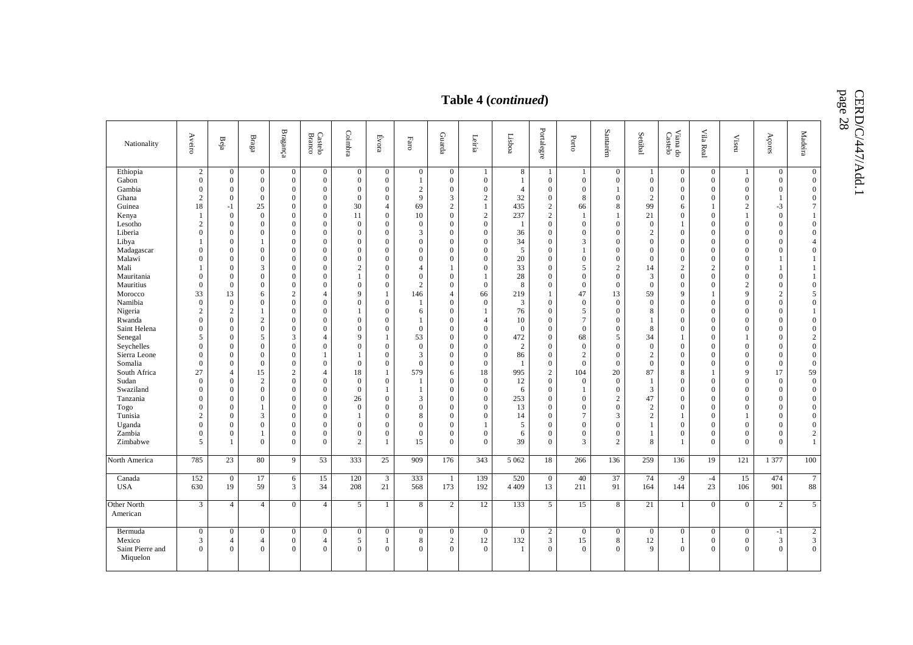CERD/C/447/Add.1<br>page 28

|                                                                                                                                                                                                                                                                                                                                                                       |                                                                                                                                                                                                                                                                                                                                                                                                                   |                                                                                                                                                                                                                                                                                                                                                                                                 |                                                                                                                                                                                                                                                                                                                                                                                                                                                          |                                                                                                                                                                                                                                                                                                                                                                                                                                               |                                                                                                                                                                                                                                                                                                                                                                                                                                                                        |                                                                                                                                                                                                                                                                                                                                                                                                                  |                                                                                                                                                                                                                                                                                                                                                                                                                                                                                                                                                       |                                                                                                                                                                                                                                                                                                                                                                        |                                                                                                                                                                                                                                                                                                                                                                                                                                                                                                      |                                                                                                                                                                                                                                                                                                                                                                                                                                          | Table 4 (continued)                                                                                                                                                                                                |                                                                                                                                                                                                                                                                                                                                                                                                                                                                                                   |                                                                                                                                                                                                                                                                                                                                                                                                                                  |                                                                                                                                                                                                                                                                                                                                                                                                                                                    |                                                                                                                                                                                                                                                                                                                                                                      |                                                                                                                                                                                                                                                                                                                                                                                                                                                                                                                                 |                                                                                                                                                                                                                                                                                                                                                                                                                                           |                                                                                                                                                                                                                                                                                                                                                                                                                     |                                                                                                                                                                                                                                                                                                                                                                                                                                           |                                                                                                                                                                                                                                                                                                                                                                                                                                                                                                                               |
|-----------------------------------------------------------------------------------------------------------------------------------------------------------------------------------------------------------------------------------------------------------------------------------------------------------------------------------------------------------------------|-------------------------------------------------------------------------------------------------------------------------------------------------------------------------------------------------------------------------------------------------------------------------------------------------------------------------------------------------------------------------------------------------------------------|-------------------------------------------------------------------------------------------------------------------------------------------------------------------------------------------------------------------------------------------------------------------------------------------------------------------------------------------------------------------------------------------------|----------------------------------------------------------------------------------------------------------------------------------------------------------------------------------------------------------------------------------------------------------------------------------------------------------------------------------------------------------------------------------------------------------------------------------------------------------|-----------------------------------------------------------------------------------------------------------------------------------------------------------------------------------------------------------------------------------------------------------------------------------------------------------------------------------------------------------------------------------------------------------------------------------------------|------------------------------------------------------------------------------------------------------------------------------------------------------------------------------------------------------------------------------------------------------------------------------------------------------------------------------------------------------------------------------------------------------------------------------------------------------------------------|------------------------------------------------------------------------------------------------------------------------------------------------------------------------------------------------------------------------------------------------------------------------------------------------------------------------------------------------------------------------------------------------------------------|-------------------------------------------------------------------------------------------------------------------------------------------------------------------------------------------------------------------------------------------------------------------------------------------------------------------------------------------------------------------------------------------------------------------------------------------------------------------------------------------------------------------------------------------------------|------------------------------------------------------------------------------------------------------------------------------------------------------------------------------------------------------------------------------------------------------------------------------------------------------------------------------------------------------------------------|------------------------------------------------------------------------------------------------------------------------------------------------------------------------------------------------------------------------------------------------------------------------------------------------------------------------------------------------------------------------------------------------------------------------------------------------------------------------------------------------------|------------------------------------------------------------------------------------------------------------------------------------------------------------------------------------------------------------------------------------------------------------------------------------------------------------------------------------------------------------------------------------------------------------------------------------------|--------------------------------------------------------------------------------------------------------------------------------------------------------------------------------------------------------------------|---------------------------------------------------------------------------------------------------------------------------------------------------------------------------------------------------------------------------------------------------------------------------------------------------------------------------------------------------------------------------------------------------------------------------------------------------------------------------------------------------|----------------------------------------------------------------------------------------------------------------------------------------------------------------------------------------------------------------------------------------------------------------------------------------------------------------------------------------------------------------------------------------------------------------------------------|----------------------------------------------------------------------------------------------------------------------------------------------------------------------------------------------------------------------------------------------------------------------------------------------------------------------------------------------------------------------------------------------------------------------------------------------------|----------------------------------------------------------------------------------------------------------------------------------------------------------------------------------------------------------------------------------------------------------------------------------------------------------------------------------------------------------------------|---------------------------------------------------------------------------------------------------------------------------------------------------------------------------------------------------------------------------------------------------------------------------------------------------------------------------------------------------------------------------------------------------------------------------------------------------------------------------------------------------------------------------------|-------------------------------------------------------------------------------------------------------------------------------------------------------------------------------------------------------------------------------------------------------------------------------------------------------------------------------------------------------------------------------------------------------------------------------------------|---------------------------------------------------------------------------------------------------------------------------------------------------------------------------------------------------------------------------------------------------------------------------------------------------------------------------------------------------------------------------------------------------------------------|-------------------------------------------------------------------------------------------------------------------------------------------------------------------------------------------------------------------------------------------------------------------------------------------------------------------------------------------------------------------------------------------------------------------------------------------|-------------------------------------------------------------------------------------------------------------------------------------------------------------------------------------------------------------------------------------------------------------------------------------------------------------------------------------------------------------------------------------------------------------------------------------------------------------------------------------------------------------------------------|
| Nationality                                                                                                                                                                                                                                                                                                                                                           | Aveiro                                                                                                                                                                                                                                                                                                                                                                                                            | $\mathrm{Beja}$                                                                                                                                                                                                                                                                                                                                                                                 | $_{\rm Braga}$                                                                                                                                                                                                                                                                                                                                                                                                                                           | $\mathbf{Bragang}$                                                                                                                                                                                                                                                                                                                                                                                                                            | $\rm Case to$ $\rm Baraco$                                                                                                                                                                                                                                                                                                                                                                                                                                             | Coimbra                                                                                                                                                                                                                                                                                                                                                                                                          | Évora                                                                                                                                                                                                                                                                                                                                                                                                                                                                                                                                                 | $_{\rm Faro}$                                                                                                                                                                                                                                                                                                                                                          | Guarda                                                                                                                                                                                                                                                                                                                                                                                                                                                                                               | Leiria                                                                                                                                                                                                                                                                                                                                                                                                                                   | Lisboa                                                                                                                                                                                                             | Portalegre                                                                                                                                                                                                                                                                                                                                                                                                                                                                                        | Porto                                                                                                                                                                                                                                                                                                                                                                                                                            | $\operatorname{Santar\'e m}$                                                                                                                                                                                                                                                                                                                                                                                                                       | Setúbal                                                                                                                                                                                                                                                                                                                                                              | Viana do<br>Castelo                                                                                                                                                                                                                                                                                                                                                                                                                                                                                                             | Vila Real                                                                                                                                                                                                                                                                                                                                                                                                                                 | Viseu                                                                                                                                                                                                                                                                                                                                                                                                               | Açores                                                                                                                                                                                                                                                                                                                                                                                                                                    | Madeira                                                                                                                                                                                                                                                                                                                                                                                                                                                                                                                       |
| Ethiopia<br>Gabon<br>Gambia<br>Ghana<br>Guinea<br>Kenya<br>Lesotho<br>Liberia<br>Libya<br>Madagascar<br>Malawi<br>Mali<br>Mauritania<br>Mauritius<br>Morocco<br>Namibia<br>Nigeria<br>Rwanda<br>Saint Helena<br>Senegal<br>Seychelles<br>Sierra Leone<br>Somalia<br>South Africa<br>Sudan<br>Swaziland<br>Tanzania<br>Togo<br>Tunisia<br>Uganda<br>Zambia<br>Zimbabwe | $\overline{2}$<br>$\mathbf{0}$<br>$\overline{0}$<br>$\overline{c}$<br>18<br>$\mathbf{1}$<br>2<br>$\overline{0}$<br>$\theta$<br>$\overline{0}$<br>$\theta$<br>$\boldsymbol{0}$<br>33<br>$\mathbf{0}$<br>$\overline{2}$<br>$\overline{0}$<br>$\theta$<br>5<br>$\theta$<br>$\overline{0}$<br>$\bf{0}$<br>27<br>$\mathbf{0}$<br>$\Omega$<br>$\theta$<br>$\theta$<br>$\overline{c}$<br>$\overline{0}$<br>$\theta$<br>5 | $\overline{0}$<br>$\overline{0}$<br>$\Omega$<br>$\theta$<br>$-1$<br>$\theta$<br>$\Omega$<br>$\theta$<br>$\Omega$<br>$\Omega$<br>$\Omega$<br>$\theta$<br>$\Omega$<br>$\Omega$<br>13<br>$\mathbf{0}$<br>2<br>$\Omega$<br>$\mathbf{0}$<br>$\Omega$<br>$\Omega$<br>$\theta$<br>$\Omega$<br>$\overline{4}$<br>$\Omega$<br>$\theta$<br>$\theta$<br>$\Omega$<br>$\Omega$<br>$\Omega$<br>$\Omega$<br>-1 | $\overline{0}$<br>$\overline{0}$<br>$\mathbf{0}$<br>$\mathbf{0}$<br>25<br>$\mathbf{0}$<br>$\mathbf{0}$<br>$\overline{0}$<br>1<br>$\Omega$<br>$\Omega$<br>3<br>$\overline{0}$<br>$\mathbf{0}$<br>6<br>$\overline{0}$<br>$\mathbf{1}$<br>2<br>$\overline{0}$<br>5<br>$\overline{0}$<br>$\overline{0}$<br>$\mathbf{0}$<br>15<br>$\overline{c}$<br>$\overline{0}$<br>$\overline{0}$<br>$\mathbf{1}$<br>3<br>$\overline{0}$<br>$\mathbf{1}$<br>$\overline{0}$ | $\overline{0}$<br>$\overline{0}$<br>$\mathbf{0}$<br>$\mathbf{0}$<br>$\mathbf{0}$<br>$\theta$<br>$\Omega$<br>$\mathbf{0}$<br>$\Omega$<br>$\Omega$<br>$\mathbf{0}$<br>$\Omega$<br>$\mathbf{0}$<br>$\boldsymbol{0}$<br>2<br>$\theta$<br>$\overline{0}$<br>$\Omega$<br>$\overline{0}$<br>3<br>$\Omega$<br>$\theta$<br>$\Omega$<br>2<br>$\mathbf{0}$<br>$\Omega$<br>$\Omega$<br>$\overline{0}$<br>$\Omega$<br>$\theta$<br>$\Omega$<br>$\mathbf{0}$ | $\overline{0}$<br>$\mathbf{0}$<br>$\theta$<br>$\mathbf{0}$<br>$\mathbf{0}$<br>$\theta$<br>$\mathbf{0}$<br>$\mathbf{0}$<br>$\theta$<br>$\mathbf{0}$<br>$\mathbf{0}$<br>$\theta$<br>$\Omega$<br>$\overline{0}$<br>4<br>$\Omega$<br>$\theta$<br>$\overline{0}$<br>$\theta$<br>$\overline{4}$<br>$\mathbf{0}$<br>$\mathbf{1}$<br>$\theta$<br>4<br>$\boldsymbol{0}$<br>$\theta$<br>$\mathbf{0}$<br>$\mathbf{0}$<br>$\theta$<br>$\mathbf{0}$<br>$\mathbf{0}$<br>$\mathbf{0}$ | $\mathbf{0}$<br>$\mathbf{0}$<br>$\mathbf{0}$<br>$\theta$<br>30<br>11<br>$\overline{0}$<br>$\mathbf{0}$<br>$\mathbf{0}$<br>$\mathbf{0}$<br>$\mathbf{0}$<br>$\overline{c}$<br>$\mathbf{1}$<br>$\mathbf{0}$<br>9<br>$\mathbf{0}$<br>$\mathbf{0}$<br>$\mathbf{0}$<br>9<br>$\mathbf{0}$<br>$\mathbf{0}$<br>18<br>$\mathbf{0}$<br>$\mathbf{0}$<br>26<br>$\mathbf{0}$<br>$\mathbf{0}$<br>$\mathbf{0}$<br>$\overline{c}$ | $\mathbf{0}$<br>$\boldsymbol{0}$<br>$\theta$<br>$\boldsymbol{0}$<br>$\overline{4}$<br>$\mathbf{0}$<br>$\boldsymbol{0}$<br>$\boldsymbol{0}$<br>$\mathbf{0}$<br>$\overline{0}$<br>$\boldsymbol{0}$<br>$\theta$<br>$\boldsymbol{0}$<br>$\boldsymbol{0}$<br>-1<br>$\mathbf{0}$<br>$\boldsymbol{0}$<br>$\boldsymbol{0}$<br>$\overline{0}$<br>$\mathbf{1}$<br>$\boldsymbol{0}$<br>$\boldsymbol{0}$<br>$\mathbf{0}$<br>1<br>$\boldsymbol{0}$<br>$\mathbf{1}$<br>$\overline{0}$<br>$\boldsymbol{0}$<br>$\theta$<br>$\boldsymbol{0}$<br>$\boldsymbol{0}$<br>-1 | $\overline{0}$<br>$\mathbf{1}$<br>$\overline{2}$<br>9<br>69<br>10<br>$\mathbf{0}$<br>$\mathfrak{Z}$<br>$\mathbf{0}$<br>$\overline{0}$<br>$\overline{0}$<br>$\overline{4}$<br>$\mathbf{0}$<br>2<br>146<br>1<br>6<br>1<br>$\overline{0}$<br>53<br>$\mathbf{0}$<br>3<br>$\mathbf{0}$<br>579<br>1<br>1<br>3<br>$\boldsymbol{0}$<br>8<br>$\mathbf{0}$<br>$\mathbf{0}$<br>15 | $\bf{0}$<br>$\mathbf{0}$<br>$\mathbf{0}$<br>3<br>$\sqrt{2}$<br>$\boldsymbol{0}$<br>$\overline{0}$<br>$\mathbf{0}$<br>$\theta$<br>$\mathbf{0}$<br>$\mathbf{0}$<br>$\mathbf{1}$<br>$\overline{0}$<br>$\mathbf{0}$<br>$\overline{4}$<br>$\boldsymbol{0}$<br>$\mathbf{0}$<br>$\boldsymbol{0}$<br>$\overline{0}$<br>$\theta$<br>$\mathbf{0}$<br>$\mathbf{0}$<br>$\mathbf{0}$<br>6<br>$\boldsymbol{0}$<br>$\overline{0}$<br>$\theta$<br>$\mathbf{0}$<br>$\theta$<br>$\overline{0}$<br>$\theta$<br>$\Omega$ | $\mathbf{1}$<br>$\overline{0}$<br>$\overline{0}$<br>2<br>$\mathbf{1}$<br>$\sqrt{2}$<br>$\mathbf{0}$<br>$\overline{0}$<br>$\Omega$<br>$\Omega$<br>$\Omega$<br>$\Omega$<br>-1<br>$\overline{0}$<br>66<br>$\overline{0}$<br>-1<br>4<br>$\overline{0}$<br>$\Omega$<br>$\overline{0}$<br>$\mathbf{0}$<br>$\overline{0}$<br>18<br>$\mathbf{0}$<br>$\overline{0}$<br>$\overline{0}$<br>$\overline{0}$<br>$\Omega$<br>$\overline{0}$<br>$\Omega$ | 8<br>-1<br>$\overline{4}$<br>32<br>435<br>237<br>-1<br>36<br>34<br>5<br>20<br>33<br>28<br>8<br>219<br>3<br>76<br>10<br>$\overline{0}$<br>472<br>2<br>86<br>-1<br>995<br>12<br>6<br>253<br>13<br>14<br>5<br>6<br>39 | -1<br>$\overline{0}$<br>$\mathbf{0}$<br>$\bf{0}$<br>$\overline{2}$<br>$\overline{c}$<br>$\mathbf{0}$<br>$\overline{0}$<br>$\mathbf{0}$<br>$\overline{0}$<br>$\mathbf{0}$<br>$\mathbf{0}$<br>$\mathbf{0}$<br>$\mathbf{0}$<br>$\overline{0}$<br>$\mathbf{0}$<br>$\mathbf{0}$<br>$\mathbf{0}$<br>$\mathbf{0}$<br>$\theta$<br>$\mathbf{0}$<br>$\mathbf{0}$<br>2<br>$\mathbf{0}$<br>$\mathbf{0}$<br>$\mathbf{0}$<br>$\mathbf{0}$<br>$\overline{0}$<br>$\overline{0}$<br>$\mathbf{0}$<br>$\overline{0}$ | -1<br>$\mathbf{0}$<br>$\overline{0}$<br>8<br>66<br>$\overline{1}$<br>$\mathbf{0}$<br>$\overline{0}$<br>3<br>$\mathbf{1}$<br>$\mathbf{0}$<br>5<br>$\mathbf{0}$<br>$\boldsymbol{0}$<br>47<br>$\mathbf{0}$<br>5<br>$\tau$<br>$\overline{0}$<br>68<br>$\boldsymbol{0}$<br>$\overline{c}$<br>$\mathbf{0}$<br>104<br>$\mathbf{0}$<br>$\mathbf{1}$<br>$\mathbf{0}$<br>$\boldsymbol{0}$<br>$\tau$<br>$\overline{0}$<br>$\mathbf{0}$<br>3 | $\mathbf{0}$<br>$\overline{0}$<br>-1<br>$\boldsymbol{0}$<br>$\,8\,$<br>-1<br>$\boldsymbol{0}$<br>$\mathbf{0}$<br>$\theta$<br>$\mathbf{0}$<br>$\theta$<br>$\mathbf{2}$<br>$\mathbf{0}$<br>$\boldsymbol{0}$<br>13<br>$\boldsymbol{0}$<br>$\mathbf{0}$<br>$\mathbf{0}$<br>$\overline{0}$<br>5<br>$\Omega$<br>$\mathbf{0}$<br>$\mathbf{0}$<br>20<br>$\mathbf{0}$<br>$\mathbf{0}$<br>$\mathbf{2}$<br>$\mathbf{0}$<br>3<br>$\mathbf{0}$<br>$\theta$<br>2 | -1<br>$\overline{0}$<br>$\Omega$<br>$\overline{2}$<br>99<br>21<br>$\overline{0}$<br>2<br>$\theta$<br>$\Omega$<br>$\Omega$<br>14<br>$\mathfrak{Z}$<br>$\overline{0}$<br>59<br>$\overline{0}$<br>8<br>- 1<br>8<br>34<br>$\overline{0}$<br>$\overline{c}$<br>$\theta$<br>87<br>-1<br>3<br>47<br>$\overline{c}$<br>$\overline{2}$<br>$\overline{1}$<br>$\mathbf{1}$<br>8 | $\overline{0}$<br>$\overline{0}$<br>$\overline{0}$<br>$\boldsymbol{0}$<br>6<br>$\overline{0}$<br>$\mathbf{1}$<br>$\overline{0}$<br>$\mathbf{0}$<br>$\overline{0}$<br>$\mathbf{0}$<br>$\mathbf{2}$<br>$\boldsymbol{0}$<br>$\boldsymbol{0}$<br>$\mathbf Q$<br>$\boldsymbol{0}$<br>$\overline{0}$<br>$\overline{0}$<br>$\overline{0}$<br>$\mathbf{1}$<br>$\overline{0}$<br>$\overline{0}$<br>$\overline{0}$<br>8<br>$\overline{0}$<br>$\overline{0}$<br>$\overline{0}$<br>$\boldsymbol{0}$<br>1<br>$\overline{0}$<br>$\Omega$<br>1 | $\overline{0}$<br>$\overline{0}$<br>$\mathbf{0}$<br>$\mathbf{0}$<br>-1<br>$\Omega$<br>$\mathbf{0}$<br>$\mathbf{0}$<br>$\Omega$<br>$\Omega$<br>$\Omega$<br>2<br>$\Omega$<br>$\mathbf{0}$<br>$\Omega$<br>$\mathbf{0}$<br>$\Omega$<br>$\overline{0}$<br>$\Omega$<br>$\Omega$<br>$\mathbf{0}$<br>$\Omega$<br>$\mathbf{1}$<br>$\Omega$<br>$\mathbf{0}$<br>$\mathbf{0}$<br>$\mathbf{0}$<br>$\Omega$<br>$\Omega$<br>$\mathbf{0}$<br>$\mathbf{0}$ | 1<br>$\boldsymbol{0}$<br>$\mathbf{0}$<br>$\mathbf{0}$<br>$\overline{c}$<br>$\mathbf{0}$<br>$\mathbf{0}$<br>$\Omega$<br>$\Omega$<br>$\mathbf{0}$<br>$\Omega$<br>$\mathbf{0}$<br>$\overline{c}$<br>9<br>$\mathbf{0}$<br>$\mathbf{0}$<br>$\Omega$<br>$\mathbf{0}$<br>$\mathbf{0}$<br>$\mathbf{0}$<br>$\Omega$<br>9<br>$\mathbf{0}$<br>$\Omega$<br>$\Omega$<br>$\mathbf{0}$<br>$\Omega$<br>$\mathbf{0}$<br>$\mathbf{0}$ | $\mathbf{0}$<br>$\mathbf{0}$<br>$\mathbf{0}$<br>1<br>$-3$<br>$\theta$<br>$\mathbf{0}$<br>$\Omega$<br>$\overline{0}$<br>$\Omega$<br>1<br>1<br>$\overline{0}$<br>$\mathbf{0}$<br>$\overline{c}$<br>$\overline{0}$<br>$\theta$<br>$\mathbf{0}$<br>$\mathbf{0}$<br>$\theta$<br>$\mathbf{0}$<br>$\boldsymbol{0}$<br>$\theta$<br>17<br>$\mathbf{0}$<br>$\Omega$<br>$\Omega$<br>$\mathbf{0}$<br>$\Omega$<br>$\theta$<br>$\mathbf{0}$<br>$\theta$ | $\overline{0}$<br>$\overline{0}$<br>$\mathbf{0}$<br>$\mathbf{0}$<br>$\overline{7}$<br>$\mathbf{1}$<br>$\mathbf{0}$<br>$\overline{0}$<br>$\overline{4}$<br>$\Omega$<br>$\mathbf{1}$<br>$\mathbf{1}$<br>$\mathbf{1}$<br>$\mathbf{0}$<br>5<br>$\boldsymbol{0}$<br>$\mathbf{1}$<br>$\mathbf{0}$<br>$\overline{0}$<br>$\overline{c}$<br>$\overline{0}$<br>$\overline{0}$<br>$\mathbf{0}$<br>59<br>$\mathbf{0}$<br>$\overline{0}$<br>$\overline{0}$<br>$\mathbf{0}$<br>$\Omega$<br>$\overline{0}$<br>$\overline{2}$<br>$\mathbf{1}$ |
| North America                                                                                                                                                                                                                                                                                                                                                         | 785                                                                                                                                                                                                                                                                                                                                                                                                               | 23                                                                                                                                                                                                                                                                                                                                                                                              | 80                                                                                                                                                                                                                                                                                                                                                                                                                                                       | 9                                                                                                                                                                                                                                                                                                                                                                                                                                             | 53                                                                                                                                                                                                                                                                                                                                                                                                                                                                     | 333                                                                                                                                                                                                                                                                                                                                                                                                              | 25                                                                                                                                                                                                                                                                                                                                                                                                                                                                                                                                                    | 909                                                                                                                                                                                                                                                                                                                                                                    | 176                                                                                                                                                                                                                                                                                                                                                                                                                                                                                                  | 343                                                                                                                                                                                                                                                                                                                                                                                                                                      | 5 0 6 2                                                                                                                                                                                                            | 18                                                                                                                                                                                                                                                                                                                                                                                                                                                                                                | 266                                                                                                                                                                                                                                                                                                                                                                                                                              | 136                                                                                                                                                                                                                                                                                                                                                                                                                                                | 259                                                                                                                                                                                                                                                                                                                                                                  | 136                                                                                                                                                                                                                                                                                                                                                                                                                                                                                                                             | 19                                                                                                                                                                                                                                                                                                                                                                                                                                        | 121                                                                                                                                                                                                                                                                                                                                                                                                                 | 1 3 7 7                                                                                                                                                                                                                                                                                                                                                                                                                                   | 100                                                                                                                                                                                                                                                                                                                                                                                                                                                                                                                           |
| Canada<br><b>USA</b>                                                                                                                                                                                                                                                                                                                                                  | 152<br>630                                                                                                                                                                                                                                                                                                                                                                                                        | $\mathbf{0}$<br>19                                                                                                                                                                                                                                                                                                                                                                              | 17<br>59                                                                                                                                                                                                                                                                                                                                                                                                                                                 | 6<br>3                                                                                                                                                                                                                                                                                                                                                                                                                                        | 15<br>34                                                                                                                                                                                                                                                                                                                                                                                                                                                               | 120<br>208                                                                                                                                                                                                                                                                                                                                                                                                       | 3<br>21                                                                                                                                                                                                                                                                                                                                                                                                                                                                                                                                               | 333<br>568                                                                                                                                                                                                                                                                                                                                                             | -1<br>173                                                                                                                                                                                                                                                                                                                                                                                                                                                                                            | 139<br>192                                                                                                                                                                                                                                                                                                                                                                                                                               | 520<br>4 4 0 9                                                                                                                                                                                                     | $\mathbf{0}$<br>13                                                                                                                                                                                                                                                                                                                                                                                                                                                                                | 40<br>211                                                                                                                                                                                                                                                                                                                                                                                                                        | 37<br>91                                                                                                                                                                                                                                                                                                                                                                                                                                           | 74<br>164                                                                                                                                                                                                                                                                                                                                                            | $-9$<br>144                                                                                                                                                                                                                                                                                                                                                                                                                                                                                                                     | $-4$<br>23                                                                                                                                                                                                                                                                                                                                                                                                                                | 15<br>106                                                                                                                                                                                                                                                                                                                                                                                                           | 474<br>901                                                                                                                                                                                                                                                                                                                                                                                                                                | $\overline{7}$<br>88                                                                                                                                                                                                                                                                                                                                                                                                                                                                                                          |
| Other North<br>American                                                                                                                                                                                                                                                                                                                                               | $\mathbf{3}$                                                                                                                                                                                                                                                                                                                                                                                                      | $\overline{4}$                                                                                                                                                                                                                                                                                                                                                                                  | $\overline{4}$                                                                                                                                                                                                                                                                                                                                                                                                                                           | $\mathbf{0}$                                                                                                                                                                                                                                                                                                                                                                                                                                  | $\overline{4}$                                                                                                                                                                                                                                                                                                                                                                                                                                                         | $\mathfrak{S}$                                                                                                                                                                                                                                                                                                                                                                                                   | -1                                                                                                                                                                                                                                                                                                                                                                                                                                                                                                                                                    | 8                                                                                                                                                                                                                                                                                                                                                                      | $\overline{c}$                                                                                                                                                                                                                                                                                                                                                                                                                                                                                       | 12                                                                                                                                                                                                                                                                                                                                                                                                                                       | 133                                                                                                                                                                                                                | 5                                                                                                                                                                                                                                                                                                                                                                                                                                                                                                 | 15                                                                                                                                                                                                                                                                                                                                                                                                                               | $\,8\,$                                                                                                                                                                                                                                                                                                                                                                                                                                            | 21                                                                                                                                                                                                                                                                                                                                                                   | -1                                                                                                                                                                                                                                                                                                                                                                                                                                                                                                                              | $\overline{0}$                                                                                                                                                                                                                                                                                                                                                                                                                            | $\mathbf{0}$                                                                                                                                                                                                                                                                                                                                                                                                        | $\overline{2}$                                                                                                                                                                                                                                                                                                                                                                                                                            | 5                                                                                                                                                                                                                                                                                                                                                                                                                                                                                                                             |
| Bermuda<br>Mexico<br>Saint Pierre and<br>Miquelon                                                                                                                                                                                                                                                                                                                     | $\mathbf{0}$<br>$\mathbf{3}$<br>$\theta$                                                                                                                                                                                                                                                                                                                                                                          | $\overline{0}$<br>$\overline{4}$<br>$\Omega$                                                                                                                                                                                                                                                                                                                                                    | $\overline{0}$<br>$\overline{4}$<br>$\Omega$                                                                                                                                                                                                                                                                                                                                                                                                             | $\mathbf{0}$<br>$\mathbf{0}$<br>$\Omega$                                                                                                                                                                                                                                                                                                                                                                                                      | $\overline{0}$<br>$\overline{4}$<br>$\Omega$                                                                                                                                                                                                                                                                                                                                                                                                                           | $\mathbf{0}$<br>$5\overline{ }$<br>$\theta$                                                                                                                                                                                                                                                                                                                                                                      | $\mathbf{0}$<br>1<br>$\theta$                                                                                                                                                                                                                                                                                                                                                                                                                                                                                                                         | $\mathbf{0}$<br>$8\,$<br>$\overline{0}$                                                                                                                                                                                                                                                                                                                                | $\boldsymbol{0}$<br>$\sqrt{2}$<br>$\overline{0}$                                                                                                                                                                                                                                                                                                                                                                                                                                                     | $\overline{0}$<br>12<br>$\theta$                                                                                                                                                                                                                                                                                                                                                                                                         | $\overline{0}$<br>132<br>$\overline{1}$                                                                                                                                                                            | 2<br>$\overline{3}$<br>$\Omega$                                                                                                                                                                                                                                                                                                                                                                                                                                                                   | $\overline{0}$<br>15<br>$\overline{0}$                                                                                                                                                                                                                                                                                                                                                                                           | $\overline{0}$<br>8<br>$\Omega$                                                                                                                                                                                                                                                                                                                                                                                                                    | $\overline{0}$<br>12<br>-9                                                                                                                                                                                                                                                                                                                                           | $\overline{0}$<br>1<br>$\Omega$                                                                                                                                                                                                                                                                                                                                                                                                                                                                                                 | $\overline{0}$<br>$\overline{0}$<br>$\Omega$                                                                                                                                                                                                                                                                                                                                                                                              | $\mathbf{0}$<br>$\mathbf{0}$<br>$\Omega$                                                                                                                                                                                                                                                                                                                                                                            | $-1$<br>$\mathfrak{Z}$<br>$\Omega$                                                                                                                                                                                                                                                                                                                                                                                                        | 2<br>$\mathfrak{Z}$<br>$\overline{0}$                                                                                                                                                                                                                                                                                                                                                                                                                                                                                         |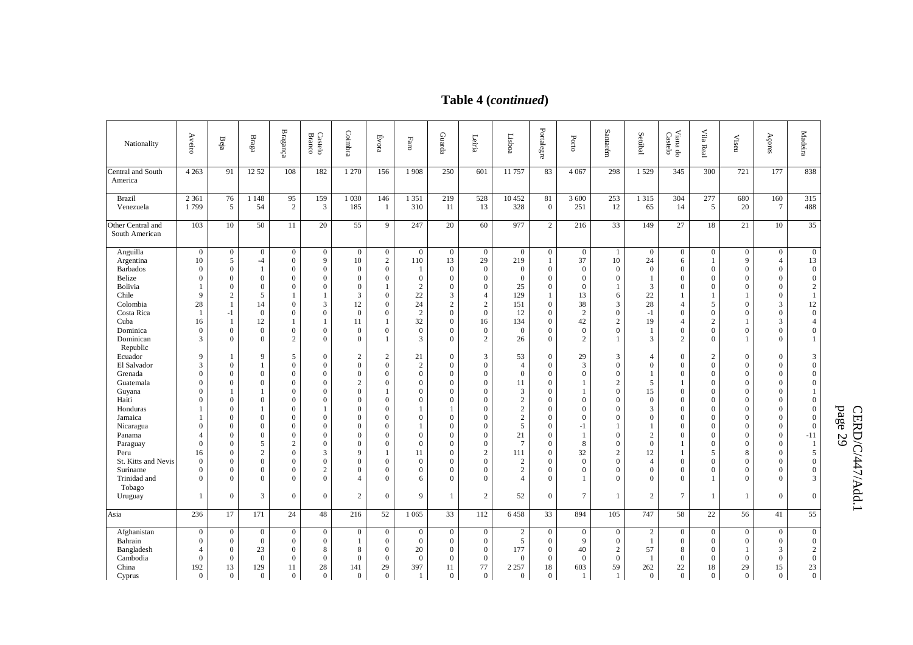# **Table 4 (***continued***)**

| Nationality                                                                                                                                                                                                 | Aveiro                                                                                                                                                                                      | Beja                                                                                                                                                                                                                                                   | Braga                                                                                                                                                                                                   | $\mathbf{Bragang}$                                                                                                                                                                                                              | <b>Castelo</b><br>Branco                                                                                                                                                                                                                | Coimbra                                                                                                                                                                                                                                          | $\acute{\rm{E}}$ vora                                                                                                                                                                      | $_{\rm F4IC}$                                                                                                                                                                                                      | Guarda                                                                                                                                                                                                                                                                            | Leiria                                                                                                                                                                                                                                      | Lisboa                                                                                                                                                                                           | Portale<br>ăre                                                                                                                                                                                                                                               | Porto                                                                                                                                                          | Santarém                                                                                                                                                                                      | Setúbal                                                                                                                                                                         | Viana do<br>Castelo                                                                                                                                                                                                                                               | Vila Real                                                                                                                                                                | $\ensuremath{\mathsf{Vised}}$                                                                                                                                                                               | Açores                                                                                                                                                                                                               | Madeira                                                                                                                                                                                 |
|-------------------------------------------------------------------------------------------------------------------------------------------------------------------------------------------------------------|---------------------------------------------------------------------------------------------------------------------------------------------------------------------------------------------|--------------------------------------------------------------------------------------------------------------------------------------------------------------------------------------------------------------------------------------------------------|---------------------------------------------------------------------------------------------------------------------------------------------------------------------------------------------------------|---------------------------------------------------------------------------------------------------------------------------------------------------------------------------------------------------------------------------------|-----------------------------------------------------------------------------------------------------------------------------------------------------------------------------------------------------------------------------------------|--------------------------------------------------------------------------------------------------------------------------------------------------------------------------------------------------------------------------------------------------|--------------------------------------------------------------------------------------------------------------------------------------------------------------------------------------------|--------------------------------------------------------------------------------------------------------------------------------------------------------------------------------------------------------------------|-----------------------------------------------------------------------------------------------------------------------------------------------------------------------------------------------------------------------------------------------------------------------------------|---------------------------------------------------------------------------------------------------------------------------------------------------------------------------------------------------------------------------------------------|--------------------------------------------------------------------------------------------------------------------------------------------------------------------------------------------------|--------------------------------------------------------------------------------------------------------------------------------------------------------------------------------------------------------------------------------------------------------------|----------------------------------------------------------------------------------------------------------------------------------------------------------------|-----------------------------------------------------------------------------------------------------------------------------------------------------------------------------------------------|---------------------------------------------------------------------------------------------------------------------------------------------------------------------------------|-------------------------------------------------------------------------------------------------------------------------------------------------------------------------------------------------------------------------------------------------------------------|--------------------------------------------------------------------------------------------------------------------------------------------------------------------------|-------------------------------------------------------------------------------------------------------------------------------------------------------------------------------------------------------------|----------------------------------------------------------------------------------------------------------------------------------------------------------------------------------------------------------------------|-----------------------------------------------------------------------------------------------------------------------------------------------------------------------------------------|
| Central and South<br>America                                                                                                                                                                                | $\overline{4}$ 263                                                                                                                                                                          | 91                                                                                                                                                                                                                                                     | 12 52                                                                                                                                                                                                   | 108                                                                                                                                                                                                                             | 182                                                                                                                                                                                                                                     | 1 2 7 0                                                                                                                                                                                                                                          | 156                                                                                                                                                                                        | 1908                                                                                                                                                                                                               | 250                                                                                                                                                                                                                                                                               | 601                                                                                                                                                                                                                                         | 11 757                                                                                                                                                                                           | 83                                                                                                                                                                                                                                                           | 4 0 6 7                                                                                                                                                        | 298                                                                                                                                                                                           | 1529                                                                                                                                                                            | 345                                                                                                                                                                                                                                                               | 300                                                                                                                                                                      | 721                                                                                                                                                                                                         | 177                                                                                                                                                                                                                  | 838                                                                                                                                                                                     |
| <b>Brazil</b><br>Venezuela                                                                                                                                                                                  | 2 3 6 1<br>1799                                                                                                                                                                             | 76<br>5                                                                                                                                                                                                                                                | 1 1 4 8<br>54                                                                                                                                                                                           | 95<br>2                                                                                                                                                                                                                         | 159<br>3                                                                                                                                                                                                                                | 1 0 3 0<br>185                                                                                                                                                                                                                                   | 146<br>1                                                                                                                                                                                   | 1 3 5 1<br>310                                                                                                                                                                                                     | 219<br>11                                                                                                                                                                                                                                                                         | 528<br>13                                                                                                                                                                                                                                   | 10452<br>328                                                                                                                                                                                     | 81<br>$\overline{0}$                                                                                                                                                                                                                                         | 3 600<br>251                                                                                                                                                   | 253<br>12                                                                                                                                                                                     | 1 3 1 5<br>65                                                                                                                                                                   | 304<br>14                                                                                                                                                                                                                                                         | 277<br>5                                                                                                                                                                 | 680<br>20                                                                                                                                                                                                   | 160<br>$7\phantom{.0}$                                                                                                                                                                                               | 315<br>488                                                                                                                                                                              |
| Other Central and<br>South American                                                                                                                                                                         | 103                                                                                                                                                                                         | 10                                                                                                                                                                                                                                                     | 50                                                                                                                                                                                                      | 11                                                                                                                                                                                                                              | 20                                                                                                                                                                                                                                      | 55                                                                                                                                                                                                                                               | $\overline{9}$                                                                                                                                                                             | 247                                                                                                                                                                                                                | 20                                                                                                                                                                                                                                                                                | 60                                                                                                                                                                                                                                          | 977                                                                                                                                                                                              | $\overline{2}$                                                                                                                                                                                                                                               | 216                                                                                                                                                            | 33                                                                                                                                                                                            | 149                                                                                                                                                                             | 27                                                                                                                                                                                                                                                                | 18                                                                                                                                                                       | 21                                                                                                                                                                                                          | 10                                                                                                                                                                                                                   | 35                                                                                                                                                                                      |
| Anguilla<br>Argentina<br><b>Barbados</b><br>Belize<br>Bolivia<br>Chile<br>Colombia<br>Costa Rica<br>Cuba<br>Dominica<br>Dominican<br>Republic                                                               | $\overline{0}$<br>10<br>$\mathbf{0}$<br>$\Omega$<br>9<br>28<br>16<br>$\mathbf{0}$<br>3                                                                                                      | $\boldsymbol{0}$<br>5<br>$\boldsymbol{0}$<br>$\mathbf{0}$<br>$\theta$<br>$\sqrt{2}$<br>$\mathbf{1}$<br>$-1$<br>1<br>$\mathbf{0}$<br>$\Omega$                                                                                                           | $\overline{0}$<br>$-4$<br>$\mathbf{1}$<br>$\Omega$<br>$\mathbf{0}$<br>5<br>14<br>$\overline{0}$<br>12<br>$\overline{0}$<br>$\Omega$                                                                     | $\mathbf{0}$<br>$\mathbf{0}$<br>$\mathbf{0}$<br>$\mathbf{0}$<br>$\mathbf{0}$<br>1<br>$\theta$<br>$\mathbf{0}$<br>1<br>$\mathbf{0}$<br>2                                                                                         | $\overline{0}$<br>9<br>$\overline{0}$<br>$\Omega$<br>$\mathbf{0}$<br>$\mathbf{1}$<br>3<br>$\overline{0}$<br>$\overline{1}$<br>$\mathbf{0}$<br>$\Omega$                                                                                  | $\overline{0}$<br>10<br>$\boldsymbol{0}$<br>$\overline{0}$<br>$\mathbf{0}$<br>3<br>12<br>$\overline{0}$<br>11<br>$\mathbf{0}$<br>$\mathbf{0}$                                                                                                    | $\overline{0}$<br>$\overline{2}$<br>$\overline{0}$<br>$\Omega$<br>1<br>$\overline{0}$<br>$\Omega$<br>$\Omega$<br>$\Omega$                                                                  | $\overline{0}$<br>110<br>-1<br>$\overline{0}$<br>2<br>22<br>24<br>$\overline{c}$<br>32<br>$\theta$<br>3                                                                                                            | $\overline{0}$<br>13<br>$\mathbf{0}$<br>$\overline{0}$<br>$\boldsymbol{0}$<br>3<br>$\mathbf{2}$<br>$\overline{0}$<br>$\boldsymbol{0}$<br>$\overline{0}$<br>$\overline{0}$                                                                                                         | $\overline{0}$<br>29<br>$\boldsymbol{0}$<br>$\mathbf{0}$<br>$\mathbf{0}$<br>4<br>$\mathbf{2}$<br>$\mathbf{0}$<br>16<br>$\mathbf{0}$<br>2                                                                                                    | $\overline{0}$<br>219<br>$\mathbf{0}$<br>$\Omega$<br>25<br>129<br>151<br>12<br>134<br>$\Omega$<br>26                                                                                             | $\overline{0}$<br>$\mathbf{1}$<br>$\overline{0}$<br>$\mathbf{0}$<br>$\overline{0}$<br>$\mathbf{1}$<br>$\Omega$<br>$\overline{0}$<br>$\overline{0}$<br>$\overline{0}$<br>$\Omega$                                                                             | $\overline{0}$<br>37<br>$\boldsymbol{0}$<br>$\Omega$<br>$\mathbf{0}$<br>13<br>38<br>2<br>42<br>$\mathbf{0}$<br>$\mathfrak{D}$                                  | -1<br>10<br>$\Omega$<br>$\Omega$<br>6<br>$\mathbf{3}$<br>$\Omega$<br>$\overline{c}$<br>$\Omega$                                                                                               | $\overline{0}$<br>24<br>$\mathbf{0}$<br>1<br>3<br>$22\,$<br>28<br>$-1$<br>19<br>1<br>3                                                                                          | $\mathbf{0}$<br>6<br>$\mathbf{0}$<br>$\overline{0}$<br>$\overline{0}$<br>1<br>$\overline{4}$<br>$\overline{0}$<br>$\overline{4}$<br>$\mathbf{0}$<br>$\mathfrak{2}$                                                                                                | $\overline{0}$<br>$\mathbf{1}$<br>$\Omega$<br>$\Omega$<br>$\Omega$<br>$\overline{a}$<br>$\Omega$<br>$\overline{2}$<br>$\Omega$<br>$\Omega$                               | $\overline{0}$<br>9<br>$\mathbf{0}$<br>$\Omega$<br>$\Omega$<br>$\mathbf{1}$<br>$\Omega$<br>$\mathbf{0}$<br>$\Omega$                                                                                         | $\overline{0}$<br>$\overline{4}$<br>$\overline{0}$<br>$\Omega$<br>$\overline{0}$<br>$\overline{0}$<br>3<br>$\overline{0}$<br>3<br>$\Omega$<br>$\Omega$                                                               | $\overline{0}$<br>13<br>$\overline{0}$<br>$\overline{0}$<br>2<br>$\overline{1}$<br>12<br>$\overline{0}$<br>$\overline{4}$<br>$\boldsymbol{0}$                                           |
| Ecuador<br>El Salvador<br>Grenada<br>Guatemala<br>Guyana<br>Haiti<br>Honduras<br>Jamaica<br>Nicaragua<br>Panama<br>Paraguay<br>Peru<br>St. Kitts and Nevis<br>Suriname<br>Trinidad and<br>Tobago<br>Uruguay | 9<br>3<br>$\mathbf{0}$<br>$\Omega$<br>$\mathbf{0}$<br>$\Omega$<br>1<br>$\mathbf{0}$<br>$\overline{4}$<br>$\Omega$<br>16<br>$\mathbf{0}$<br>$\overline{0}$<br>$\overline{0}$<br>$\mathbf{1}$ | $\mathbf{1}$<br>$\mathbf{0}$<br>$\boldsymbol{0}$<br>$\Omega$<br>$\mathbf{1}$<br>$\mathbf{0}$<br>$\theta$<br>$\boldsymbol{0}$<br>$\theta$<br>$\theta$<br>$\theta$<br>$\overline{0}$<br>$\overline{0}$<br>$\overline{0}$<br>$\mathbf{0}$<br>$\mathbf{0}$ | 9<br>$\mathbf{1}$<br>$\overline{0}$<br>$\Omega$<br>$\mathbf{1}$<br>$\mathbf{0}$<br>$\mathbf{1}$<br>$\Omega$<br>$\Omega$<br>$\Omega$<br>5<br>$\overline{c}$<br>$\Omega$<br>$\mathbf{0}$<br>$\Omega$<br>3 | 5<br>$\mathbf{0}$<br>$\mathbf{0}$<br>$\Omega$<br>$\mathbf{0}$<br>$\mathbf{0}$<br>$\theta$<br>$\mathbf{0}$<br>$\mathbf{0}$<br>$\mathbf{0}$<br>$\sqrt{2}$<br>$\boldsymbol{0}$<br>$\mathbf{0}$<br>$\theta$<br>$\theta$<br>$\theta$ | $\overline{0}$<br>$\overline{0}$<br>$\overline{0}$<br>$\Omega$<br>$\mathbf{0}$<br>$\mathbf{0}$<br>$\mathbf{1}$<br>$\Omega$<br>$\mathbf{0}$<br>$\overline{0}$<br>$\Omega$<br>3<br>$\mathbf{0}$<br>$\overline{c}$<br>$\Omega$<br>$\Omega$ | $\overline{2}$<br>$\overline{0}$<br>$\mathbf{0}$<br>2<br>$\mathbf{0}$<br>$\mathbf{0}$<br>$\theta$<br>$\mathbf{0}$<br>$\Omega$<br>$\mathbf{0}$<br>$\mathbf{0}$<br>9<br>$\mathbf{0}$<br>$\mathbf{0}$<br>$\overline{\mathcal{A}}$<br>$\overline{2}$ | $\overline{c}$<br>$\Omega$<br>$\overline{0}$<br>$\Omega$<br>1<br>$\Omega$<br>$\Omega$<br>$\Omega$<br>$\Omega$<br>$\Omega$<br>$\Omega$<br>1<br>$\Omega$<br>$\Omega$<br>$\Omega$<br>$\Omega$ | 21<br>$\overline{2}$<br>$\overline{0}$<br>$\Omega$<br>$\mathbf{0}$<br>$\mathbf{0}$<br>$\mathbf{1}$<br>$\overline{0}$<br>$\mathbf{1}$<br>$\overline{0}$<br>$\Omega$<br>11<br>$\mathbf{0}$<br>$\mathbf{0}$<br>6<br>9 | $\boldsymbol{0}$<br>$\overline{0}$<br>$\boldsymbol{0}$<br>$\overline{0}$<br>$\overline{0}$<br>$\mathbf{0}$<br>1<br>$\boldsymbol{0}$<br>$\overline{0}$<br>$\mathbf{0}$<br>$\overline{0}$<br>$\overline{0}$<br>$\overline{0}$<br>$\boldsymbol{0}$<br>$\overline{0}$<br>$\mathbf{1}$ | 3<br>$\mathbf{0}$<br>$\mathbf{0}$<br>$\Omega$<br>$\mathbf{0}$<br>$\mathbf{0}$<br>$\Omega$<br>$\mathbf{0}$<br>$\mathbf{0}$<br>$\mathbf{0}$<br>$\mathbf{0}$<br>$\boldsymbol{2}$<br>$\mathbf{0}$<br>$\mathbf{0}$<br>$\Omega$<br>$\overline{c}$ | 53<br>$\overline{4}$<br>$\overline{0}$<br>11<br>3<br>$\overline{c}$<br>$\sqrt{2}$<br>$\sqrt{2}$<br>5<br>21<br>$7\phantom{.0}$<br>111<br>$\overline{c}$<br>$\overline{c}$<br>$\overline{4}$<br>52 | $\overline{0}$<br>$\overline{0}$<br>$\overline{0}$<br>$\Omega$<br>$\Omega$<br>$\overline{0}$<br>$\Omega$<br>$\Omega$<br>$\overline{0}$<br>$\overline{0}$<br>$\Omega$<br>$\overline{0}$<br>$\overline{0}$<br>$\mathbf{0}$<br>$\overline{0}$<br>$\overline{0}$ | 29<br>3<br>$\overline{0}$<br>$\mathbf{1}$<br>$\mathbf{0}$<br>$\Omega$<br>$\Omega$<br>-1<br>$\mathbf{1}$<br>8<br>32<br>$\theta$<br>$\mathbf{0}$<br>-1<br>$\tau$ | 3<br>$\Omega$<br>$\mathbf{0}$<br>$\overline{c}$<br>$\Omega$<br>$\Omega$<br>$\Omega$<br>$\Omega$<br>$\Omega$<br>$\Omega$<br>$\overline{2}$<br>$\Omega$<br>$\Omega$<br>$\Omega$<br>$\mathbf{1}$ | $\overline{4}$<br>$\mathbf{0}$<br>1<br>5<br>15<br>$\mathbf{0}$<br>3<br>$\theta$<br>$\overline{c}$<br>$\theta$<br>12<br>$\overline{4}$<br>$\Omega$<br>$\theta$<br>$\overline{2}$ | $\mathbf{0}$<br>$\overline{0}$<br>$\overline{0}$<br>$\mathbf{1}$<br>$\overline{0}$<br>$\overline{0}$<br>$\mathbf{0}$<br>$\mathbf{0}$<br>$\mathbf{0}$<br>$\overline{0}$<br>1<br>$\mathbf{1}$<br>$\overline{0}$<br>$\mathbf{0}$<br>$\overline{0}$<br>$\overline{7}$ | 2<br>$\Omega$<br>$\Omega$<br>$\Omega$<br>$\Omega$<br>$\Omega$<br>$\Omega$<br>$\Omega$<br>$\Omega$<br>$\Omega$<br>$\Omega$<br>5<br>$\Omega$<br>$\Omega$<br>$\overline{1}$ | $\overline{0}$<br>$\Omega$<br>$\overline{0}$<br>$\Omega$<br>$\Omega$<br>$\Omega$<br>$\Omega$<br>$\Omega$<br>$\mathbf{0}$<br>$\Omega$<br>$\Omega$<br>8<br>$\theta$<br>$\Omega$<br>$\Omega$<br>$\overline{1}$ | $\Omega$<br>$\Omega$<br>$\overline{0}$<br>$\Omega$<br>$\Omega$<br>$\Omega$<br>$\Omega$<br>$\Omega$<br>$\overline{0}$<br>$\overline{0}$<br>$\Omega$<br>$\Omega$<br>$\Omega$<br>$\Omega$<br>$\Omega$<br>$\overline{0}$ | 3<br>$\overline{0}$<br>$\mathbf{0}$<br>$\theta$<br>$\mathbf{0}$<br>$\Omega$<br>$\theta$<br>$\overline{0}$<br>$-11$<br>- 1<br>5<br>$\overline{0}$<br>$\mathbf{0}$<br>3<br>$\overline{0}$ |
| Asia                                                                                                                                                                                                        | 236                                                                                                                                                                                         | 17                                                                                                                                                                                                                                                     | 171                                                                                                                                                                                                     | 24                                                                                                                                                                                                                              | 48                                                                                                                                                                                                                                      | 216                                                                                                                                                                                                                                              | 52                                                                                                                                                                                         | 1 0 6 5                                                                                                                                                                                                            | 33                                                                                                                                                                                                                                                                                | 112                                                                                                                                                                                                                                         | 6458                                                                                                                                                                                             | 33                                                                                                                                                                                                                                                           | 894                                                                                                                                                            | 105                                                                                                                                                                                           | 747                                                                                                                                                                             | 58                                                                                                                                                                                                                                                                | 22                                                                                                                                                                       | 56                                                                                                                                                                                                          | 41                                                                                                                                                                                                                   | 55                                                                                                                                                                                      |
| Afghanistan<br>Bahrain<br>Bangladesh<br>Cambodia<br>China<br>Cyprus                                                                                                                                         | $\mathbf{0}$<br>$\mathbf{0}$<br>$\overline{4}$<br>$\overline{0}$<br>192<br>$\mathbf{0}$                                                                                                     | $\boldsymbol{0}$<br>$\mathbf{0}$<br>$\boldsymbol{0}$<br>$\boldsymbol{0}$<br>13<br>$\mathbf{0}$                                                                                                                                                         | $\mathbf{0}$<br>$\overline{0}$<br>23<br>$\overline{0}$<br>129<br>$\overline{0}$                                                                                                                         | $\mathbf{0}$<br>$\overline{0}$<br>$\mathbf{0}$<br>$\boldsymbol{0}$<br>11<br>$\mathbf{0}$                                                                                                                                        | $\mathbf{0}$<br>$\mathbf{0}$<br>8<br>$\overline{0}$<br>28<br>$\overline{0}$                                                                                                                                                             | $\overline{0}$<br>-1<br>8<br>$\mathbf{0}$<br>141<br>$\overline{0}$                                                                                                                                                                               | $\mathbf{0}$<br>$\Omega$<br>$\overline{0}$<br>$\overline{0}$<br>29<br>$\overline{0}$                                                                                                       | $\mathbf{0}$<br>$\mathbf{0}$<br>20<br>$\overline{0}$<br>397<br>1                                                                                                                                                   | $\overline{0}$<br>$\overline{0}$<br>$\overline{0}$<br>$\mathbf{0}$<br>11<br>$\overline{0}$                                                                                                                                                                                        | $\mathbf{0}$<br>$\mathbf{0}$<br>$\overline{0}$<br>$\boldsymbol{0}$<br>77<br>$\overline{0}$                                                                                                                                                  | $\overline{2}$<br>5<br>177<br>$\overline{0}$<br>2 2 5 7<br>$\overline{0}$                                                                                                                        | $\mathbf{0}$<br>$\overline{0}$<br>$\overline{0}$<br>$\overline{0}$<br>18<br>$\overline{0}$                                                                                                                                                                   | $\mathbf{0}$<br>9<br>40<br>$\overline{0}$<br>603<br>-1                                                                                                         | $\mathbf{0}$<br>$\Omega$<br>2<br>$\mathbf{0}$<br>59<br>1                                                                                                                                      | $\mathbf{2}$<br>1<br>57<br>1<br>262<br>$\overline{0}$                                                                                                                           | $\mathbf{0}$<br>$\overline{0}$<br>8<br>$\overline{0}$<br>22<br>$\overline{0}$                                                                                                                                                                                     | $\theta$<br>$\Omega$<br>$\Omega$<br>$\mathbf{0}$<br>18<br>$\overline{0}$                                                                                                 | $\overline{0}$<br>$\Omega$<br>-1<br>$\overline{0}$<br>29<br>$\overline{0}$                                                                                                                                  | $\mathbf{0}$<br>$\overline{0}$<br>3<br>$\overline{0}$<br>15<br>$\overline{0}$                                                                                                                                        | $\boldsymbol{0}$<br>$\overline{0}$<br>2<br>$\mathbf{0}$<br>23<br>$\overline{0}$                                                                                                         |

p age 29

CERD/C/447/Add.1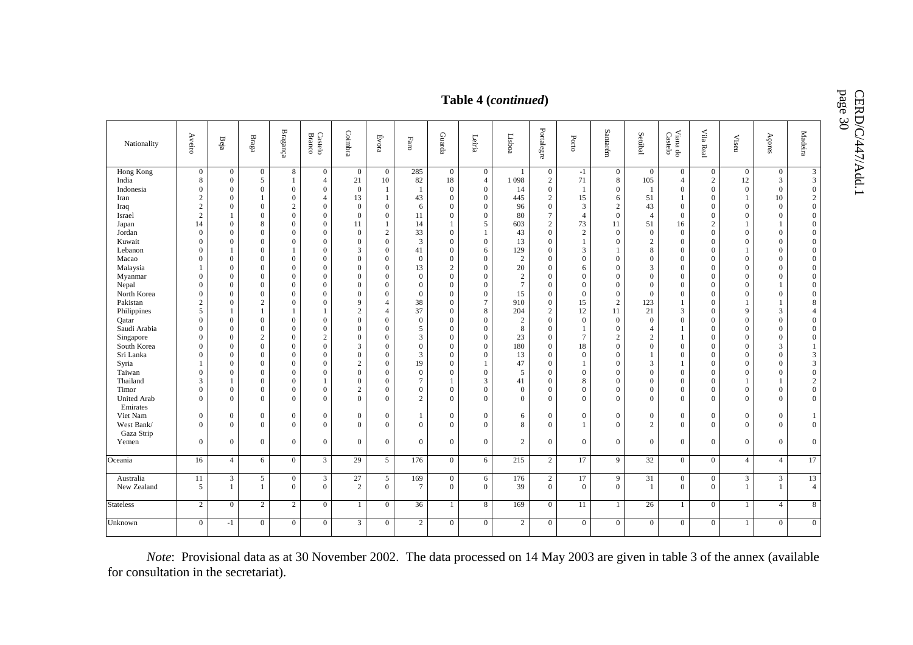CERD/C/447/Add.1<br>page 30

|                                                                                                                                                                                                                                                                                                                                                                                   | page 30<br>Table 4 (continued)                                                                                                                                                                                                                                                                                                                                                                                             |                                                                                                                                                                                                                                                                                                                                                                                                                                                                                                  |                                                                                                                                                                                                                                                                                                                                                                                                                                |                                                                                                                                                                                                                                                                                                                                                                                                                                                                                                              |                                                                                                                                                                                                                                                                                                                                                                                                                                                                                                                                        |                                                                                                                                                                                                                                                                                                                                                                                                                                             |                                                                                                                                                                                                                                                                                                                                                                                                                                                                                             |                                                                                                                                                                                                                                                                                                                                 |                                                                                                                                                                                                                                                                                                                                                                                                                                                                                                                                                |                                                                                                                                                                                                                                                                                                                                                     |                                                                                                                                                                                                                                                           |                                                                                                                                                                                                                                                                                                                                                                                                                                                     |                                                                                                                                                                                                                                                                                                                                                                              |                                                                                                                                                                                                                                                                                                                                                                                                                                                                                        |                                                                                                                                                                                                                                                                                                                                                              | <b>CERD/C</b>                                                                                                                                                                                                                                                                                                                                                                                                                                                                                   |                                                                                                                                                                                                                                                                                                                                                                                                                                                                                  |                                                                                                                                                                                                                                                                                                                                                                                                                            |                                                                                                                                                                                                                                                                                                                                                                                                                          |                                                                                                                                                                                                                                                                                                                                                                                                                     |           |
|-----------------------------------------------------------------------------------------------------------------------------------------------------------------------------------------------------------------------------------------------------------------------------------------------------------------------------------------------------------------------------------|----------------------------------------------------------------------------------------------------------------------------------------------------------------------------------------------------------------------------------------------------------------------------------------------------------------------------------------------------------------------------------------------------------------------------|--------------------------------------------------------------------------------------------------------------------------------------------------------------------------------------------------------------------------------------------------------------------------------------------------------------------------------------------------------------------------------------------------------------------------------------------------------------------------------------------------|--------------------------------------------------------------------------------------------------------------------------------------------------------------------------------------------------------------------------------------------------------------------------------------------------------------------------------------------------------------------------------------------------------------------------------|--------------------------------------------------------------------------------------------------------------------------------------------------------------------------------------------------------------------------------------------------------------------------------------------------------------------------------------------------------------------------------------------------------------------------------------------------------------------------------------------------------------|----------------------------------------------------------------------------------------------------------------------------------------------------------------------------------------------------------------------------------------------------------------------------------------------------------------------------------------------------------------------------------------------------------------------------------------------------------------------------------------------------------------------------------------|---------------------------------------------------------------------------------------------------------------------------------------------------------------------------------------------------------------------------------------------------------------------------------------------------------------------------------------------------------------------------------------------------------------------------------------------|---------------------------------------------------------------------------------------------------------------------------------------------------------------------------------------------------------------------------------------------------------------------------------------------------------------------------------------------------------------------------------------------------------------------------------------------------------------------------------------------|---------------------------------------------------------------------------------------------------------------------------------------------------------------------------------------------------------------------------------------------------------------------------------------------------------------------------------|------------------------------------------------------------------------------------------------------------------------------------------------------------------------------------------------------------------------------------------------------------------------------------------------------------------------------------------------------------------------------------------------------------------------------------------------------------------------------------------------------------------------------------------------|-----------------------------------------------------------------------------------------------------------------------------------------------------------------------------------------------------------------------------------------------------------------------------------------------------------------------------------------------------|-----------------------------------------------------------------------------------------------------------------------------------------------------------------------------------------------------------------------------------------------------------|-----------------------------------------------------------------------------------------------------------------------------------------------------------------------------------------------------------------------------------------------------------------------------------------------------------------------------------------------------------------------------------------------------------------------------------------------------|------------------------------------------------------------------------------------------------------------------------------------------------------------------------------------------------------------------------------------------------------------------------------------------------------------------------------------------------------------------------------|----------------------------------------------------------------------------------------------------------------------------------------------------------------------------------------------------------------------------------------------------------------------------------------------------------------------------------------------------------------------------------------------------------------------------------------------------------------------------------------|--------------------------------------------------------------------------------------------------------------------------------------------------------------------------------------------------------------------------------------------------------------------------------------------------------------------------------------------------------------|-------------------------------------------------------------------------------------------------------------------------------------------------------------------------------------------------------------------------------------------------------------------------------------------------------------------------------------------------------------------------------------------------------------------------------------------------------------------------------------------------|----------------------------------------------------------------------------------------------------------------------------------------------------------------------------------------------------------------------------------------------------------------------------------------------------------------------------------------------------------------------------------------------------------------------------------------------------------------------------------|----------------------------------------------------------------------------------------------------------------------------------------------------------------------------------------------------------------------------------------------------------------------------------------------------------------------------------------------------------------------------------------------------------------------------|--------------------------------------------------------------------------------------------------------------------------------------------------------------------------------------------------------------------------------------------------------------------------------------------------------------------------------------------------------------------------------------------------------------------------|---------------------------------------------------------------------------------------------------------------------------------------------------------------------------------------------------------------------------------------------------------------------------------------------------------------------------------------------------------------------------------------------------------------------|-----------|
| Nationality                                                                                                                                                                                                                                                                                                                                                                       | Aveiro                                                                                                                                                                                                                                                                                                                                                                                                                     | $\mathbf{Be}^{\mathrm{i}\mathrm{a}}$                                                                                                                                                                                                                                                                                                                                                                                                                                                             | $_{\rm Bragg}$                                                                                                                                                                                                                                                                                                                                                                                                                 | $\mathbf{Bragang}$                                                                                                                                                                                                                                                                                                                                                                                                                                                                                           | <b>Castelo</b><br>Branco                                                                                                                                                                                                                                                                                                                                                                                                                                                                                                               | Coimbra                                                                                                                                                                                                                                                                                                                                                                                                                                     | Évora                                                                                                                                                                                                                                                                                                                                                                                                                                                                                       | $_{\rm Faro}$                                                                                                                                                                                                                                                                                                                   | Guarda                                                                                                                                                                                                                                                                                                                                                                                                                                                                                                                                         | Leiria                                                                                                                                                                                                                                                                                                                                              | Lisboa                                                                                                                                                                                                                                                    | Portalegre                                                                                                                                                                                                                                                                                                                                                                                                                                          | Porto                                                                                                                                                                                                                                                                                                                                                                        | Santarém                                                                                                                                                                                                                                                                                                                                                                                                                                                                               | Setúbal                                                                                                                                                                                                                                                                                                                                                      | $\rm{Vian}$ do Castelo                                                                                                                                                                                                                                                                                                                                                                                                                                                                          | Vila Real                                                                                                                                                                                                                                                                                                                                                                                                                                                                        | $\ensuremath{\text{Viseu}}$                                                                                                                                                                                                                                                                                                                                                                                                | Açores                                                                                                                                                                                                                                                                                                                                                                                                                   | Madeira                                                                                                                                                                                                                                                                                                                                                                                                             |           |
| Hong Kong<br>India<br>Indonesia<br>Iran<br>Iraq<br>Israel<br>Japan<br>Jordan<br>Kuwait<br>Lebanon<br>Macao<br>Malaysia<br>Myanmar<br>Nepal<br>North Korea<br>Pakistan<br>Philippines<br>Oatar<br>Saudi Arabia<br>Singapore<br>South Korea<br>Sri Lanka<br>Syria<br>Taiwan<br>Thailand<br>Timor<br><b>United Arab</b><br>Emirates<br>Viet Nam<br>West Bank/<br>Gaza Strip<br>Yemen | $\overline{0}$<br>8<br>$\overline{0}$<br>$\overline{c}$<br>$\sqrt{2}$<br>$\overline{2}$<br>14<br>$\overline{0}$<br>$\mathbf{0}$<br>$\overline{0}$<br>$\Omega$<br>1<br>$\Omega$<br>$\overline{0}$<br>$\overline{0}$<br>2<br>5<br>$\overline{0}$<br>$\overline{0}$<br>$\Omega$<br>$\overline{0}$<br>$\overline{0}$<br>1<br>$\overline{0}$<br>3<br>$\overline{0}$<br>$\Omega$<br>$\overline{0}$<br>$\Omega$<br>$\overline{0}$ | $\overline{0}$<br>$\overline{0}$<br>$\overline{0}$<br>$\overline{0}$<br>$\overline{0}$<br>$\mathbf{1}$<br>$\overline{0}$<br>$\overline{0}$<br>$\overline{0}$<br>$\mathbf{1}$<br>$\theta$<br>$\overline{0}$<br>$\Omega$<br>$\Omega$<br>$\Omega$<br>$\overline{0}$<br>$\mathbf{1}$<br>$\Omega$<br>$\Omega$<br>$\theta$<br>$\overline{0}$<br>$\overline{0}$<br>$\overline{0}$<br>$\Omega$<br>$\mathbf{1}$<br>$\overline{0}$<br>$\overline{0}$<br>$\overline{0}$<br>$\overline{0}$<br>$\overline{0}$ | $\boldsymbol{0}$<br>5<br>$\boldsymbol{0}$<br>$\mathbf{1}$<br>$\mathbf{0}$<br>$\mathbf{0}$<br>8<br>$\mathbf{0}$<br>$\Omega$<br>$\Omega$<br>$\Omega$<br>$\Omega$<br>$\Omega$<br>$\Omega$<br>$\Omega$<br>$\overline{c}$<br>$\mathbf{1}$<br>$\mathbf{0}$<br>$\Omega$<br>$\sqrt{2}$<br>$\mathbf{0}$<br>$\Omega$<br>$\mathbf{0}$<br>$\Omega$<br>$\mathbf{0}$<br>$\Omega$<br>$\Omega$<br>$\boldsymbol{0}$<br>$\Omega$<br>$\mathbf{0}$ | 8<br>$\mathbf{1}$<br>$\overline{0}$<br>$\mathbf{0}$<br>$\sqrt{2}$<br>$\overline{0}$<br>$\overline{0}$<br>$\overline{0}$<br>$\mathbf{0}$<br>$\mathbf{1}$<br>$\overline{0}$<br>$\overline{0}$<br>$\overline{0}$<br>$\overline{0}$<br>$\overline{0}$<br>$\overline{0}$<br>1<br>$\mathbf{0}$<br>$\overline{0}$<br>$\overline{0}$<br>$\overline{0}$<br>$\overline{0}$<br>$\overline{0}$<br>$\mathbf{0}$<br>$\boldsymbol{0}$<br>$\mathbf{0}$<br>$\overline{0}$<br>$\mathbf{0}$<br>$\overline{0}$<br>$\overline{0}$ | $\boldsymbol{0}$<br>$\overline{4}$<br>$\overline{0}$<br>$\overline{4}$<br>$\mathbf{0}$<br>$\overline{0}$<br>$\overline{0}$<br>$\overline{0}$<br>$\overline{0}$<br>$\overline{0}$<br>$\Omega$<br>$\overline{0}$<br>$\overline{0}$<br>$\overline{0}$<br>$\overline{0}$<br>$\overline{0}$<br>$\mathbf{1}$<br>$\overline{0}$<br>$\overline{0}$<br>$\sqrt{2}$<br>$\overline{0}$<br>$\overline{0}$<br>$\overline{0}$<br>$\overline{0}$<br>$\mathbf{1}$<br>$\mathbf{0}$<br>$\overline{0}$<br>$\mathbf{0}$<br>$\overline{0}$<br>$\overline{0}$ | $\mathbf{0}$<br>21<br>$\mathbf{0}$<br>13<br>$\mathbf{0}$<br>$\mathbf{0}$<br>11<br>$\mathbf{0}$<br>$\mathbf{0}$<br>3<br>$\theta$<br>$\mathbf{0}$<br>$\overline{0}$<br>$\boldsymbol{0}$<br>$\boldsymbol{0}$<br>9<br>$\mathbf{2}$<br>$\boldsymbol{0}$<br>$\mathbf{0}$<br>$\boldsymbol{0}$<br>3<br>$\mathbf{0}$<br>$\overline{2}$<br>$\mathbf{0}$<br>$\mathbf{0}$<br>$\sqrt{2}$<br>$\overline{0}$<br>$\mathbf{0}$<br>$\overline{0}$<br>$\theta$ | $\overline{0}$<br>10<br>$\mathbf{1}$<br>1<br>$\mathbf{0}$<br>$\mathbf{0}$<br>$\mathbf{1}$<br>$\overline{c}$<br>$\mathbf{0}$<br>$\mathbf{0}$<br>$\mathbf{0}$<br>$\mathbf{0}$<br>$\theta$<br>$\mathbf{0}$<br>$\theta$<br>$\overline{4}$<br>$\overline{4}$<br>$\mathbf{0}$<br>$\boldsymbol{0}$<br>$\mathbf{0}$<br>$\boldsymbol{0}$<br>$\boldsymbol{0}$<br>$\boldsymbol{0}$<br>$\mathbf{0}$<br>$\boldsymbol{0}$<br>$\mathbf{0}$<br>$\mathbf{0}$<br>$\boldsymbol{0}$<br>$\mathbf{0}$<br>$\theta$ | 285<br>82<br>-1<br>43<br>6<br>11<br>14<br>33<br>3<br>41<br>$\overline{0}$<br>13<br>$\Omega$<br>$\overline{0}$<br>$\mathbf{0}$<br>38<br>37<br>$\mathbf{0}$<br>5<br>$\mathfrak{Z}$<br>$\mathbf{0}$<br>3<br>19<br>$\overline{0}$<br>$\overline{7}$<br>$\overline{0}$<br>$\sqrt{2}$<br>$\mathbf{1}$<br>$\mathbf{0}$<br>$\mathbf{0}$ | $\mathbf{0}$<br>18<br>$\overline{0}$<br>$\boldsymbol{0}$<br>$\boldsymbol{0}$<br>$\overline{0}$<br>$\mathbf{1}$<br>$\overline{0}$<br>$\mathbf{0}$<br>$\overline{0}$<br>$\mathbf{0}$<br>$\sqrt{2}$<br>$\boldsymbol{0}$<br>$\overline{0}$<br>$\overline{0}$<br>$\overline{0}$<br>$\overline{0}$<br>$\overline{0}$<br>$\overline{0}$<br>$\boldsymbol{0}$<br>$\overline{0}$<br>$\boldsymbol{0}$<br>$\overline{0}$<br>$\boldsymbol{0}$<br>$\mathbf{1}$<br>$\boldsymbol{0}$<br>$\overline{0}$<br>$\boldsymbol{0}$<br>$\overline{0}$<br>$\overline{0}$ | $\boldsymbol{0}$<br>$\overline{4}$<br>$\Omega$<br>$\mathbf{0}$<br>$\Omega$<br>$\mathbf{0}$<br>5<br>$\Omega$<br>6<br>$\Omega$<br>$\Omega$<br>$\Omega$<br>$\Omega$<br>$\theta$<br>$\tau$<br>$\mathbf{8}$<br>$\Omega$<br>$\Omega$<br>$\Omega$<br>$\Omega$<br>$\Omega$<br>$\Omega$<br>3<br>$\Omega$<br>$\Omega$<br>$\mathbf{0}$<br>$\Omega$<br>$\Omega$ | 1 0 9 8<br>14<br>445<br>96<br>80<br>603<br>43<br>13<br>129<br>$\overline{2}$<br>20<br>$\sqrt{2}$<br>$\tau$<br>15<br>910<br>204<br>$\overline{c}$<br>8<br>23<br>180<br>13<br>47<br>5<br>41<br>$\overline{0}$<br>$\overline{0}$<br>6<br>8<br>$\overline{c}$ | $\overline{0}$<br>$\overline{c}$<br>$\overline{0}$<br>$\overline{2}$<br>$\overline{0}$<br>$7\phantom{.0}$<br>$\overline{2}$<br>$\overline{0}$<br>$\Omega$<br>$\Omega$<br>$\Omega$<br>$\Omega$<br>$\Omega$<br>$\Omega$<br>$\overline{0}$<br>$\Omega$<br>$\overline{c}$<br>$\theta$<br>$\overline{0}$<br>$\theta$<br>$\overline{0}$<br>$\Omega$<br>$\Omega$<br>$\Omega$<br>$\Omega$<br>$\Omega$<br>$\Omega$<br>$\overline{0}$<br>$\Omega$<br>$\Omega$ | $-1$<br>71<br>$\mathbf{1}$<br>15<br>3<br>$\overline{4}$<br>73<br>$\overline{2}$<br>$\mathbf{1}$<br>3<br>$\overline{0}$<br>6<br>$\mathbf{0}$<br>$\mathbf{0}$<br>$\mathbf{0}$<br>15<br>12<br>$\mathbf{0}$<br>$\mathbf{1}$<br>$\tau$<br>18<br>$\mathbf{0}$<br>$\mathbf{1}$<br>$\theta$<br>8<br>$\overline{0}$<br>$\overline{0}$<br>$\mathbf{0}$<br>$\mathbf{1}$<br>$\mathbf{0}$ | $\overline{0}$<br>8<br>$\overline{0}$<br>6<br>$\overline{c}$<br>$\overline{0}$<br>11<br>$\overline{0}$<br>$\mathbf{0}$<br>$\mathbf{1}$<br>$\overline{0}$<br>$\overline{0}$<br>$\mathbf{0}$<br>$\mathbf{0}$<br>$\overline{0}$<br>$\overline{2}$<br>11<br>$\mathbf{0}$<br>$\overline{0}$<br>$\overline{2}$<br>$\overline{0}$<br>$\mathbf{0}$<br>$\overline{0}$<br>$\mathbf{0}$<br>$\overline{0}$<br>$\overline{0}$<br>$\overline{0}$<br>$\mathbf{0}$<br>$\overline{0}$<br>$\overline{0}$ | $\overline{0}$<br>105<br>-1<br>51<br>43<br>$\overline{4}$<br>51<br>$\overline{0}$<br>$\overline{2}$<br>8<br>$\Omega$<br>3<br>$\Omega$<br>$\bigcap$<br>$\Omega$<br>123<br>21<br>$\sqrt{ }$<br>$\overline{4}$<br>$\overline{2}$<br>$\overline{0}$<br>$\overline{3}$<br>$\Omega$<br>$\theta$<br>$\sqrt{ }$<br>$\Omega$<br>$\Omega$<br>$\mathcal{D}$<br>$\theta$ | $\overline{0}$<br>$\overline{4}$<br>$\overline{0}$<br>$\mathbf{1}$<br>$\overline{0}$<br>$\overline{0}$<br>16<br>$\overline{0}$<br>$\overline{0}$<br>$\overline{0}$<br>$\theta$<br>$\overline{0}$<br>$\Omega$<br>$\overline{0}$<br>$\theta$<br>$\mathbf{1}$<br>3<br>$\overline{0}$<br>$\mathbf{1}$<br>$\overline{1}$<br>$\overline{0}$<br>$\overline{0}$<br>$\mathbf{1}$<br>$\overline{0}$<br>$\overline{0}$<br>$\overline{0}$<br>$\overline{0}$<br>$\overline{0}$<br>$\theta$<br>$\overline{0}$ | $\overline{0}$<br>$\overline{c}$<br>$\overline{0}$<br>$\overline{0}$<br>$\overline{0}$<br>$\overline{0}$<br>$\overline{c}$<br>$\overline{0}$<br>$\overline{0}$<br>$\Omega$<br>$\theta$<br>$\overline{0}$<br>$\Omega$<br>$\Omega$<br>$\Omega$<br>$\Omega$<br>$\Omega$<br>$\theta$<br>$\overline{0}$<br>$\Omega$<br>$\overline{0}$<br>$\overline{0}$<br>$\overline{0}$<br>$\Omega$<br>$\overline{0}$<br>$\overline{0}$<br>$\overline{0}$<br>$\overline{0}$<br>$\Omega$<br>$\Omega$ | $\overline{0}$<br>12<br>$\mathbf{0}$<br>1<br>$\mathbf{0}$<br>$\boldsymbol{0}$<br>$\mathbf{0}$<br>$\mathbf{0}$<br>$\Omega$<br>$\mathbf{0}$<br>$\Omega$<br>$\mathbf{0}$<br>$\mathbf{0}$<br>$\overline{1}$<br>9<br>$\mathbf{0}$<br>$\mathbf{0}$<br>$\mathbf{0}$<br>$\mathbf{0}$<br>$\mathbf{0}$<br>$\mathbf{0}$<br>$\Omega$<br>$\overline{1}$<br>$\mathbf{0}$<br>$\mathbf{0}$<br>$\mathbf{0}$<br>$\mathbf{0}$<br>$\mathbf{0}$ | $\overline{0}$<br>$\mathbf{3}$<br>$\mathbf{0}$<br>10<br>$\boldsymbol{0}$<br>$\boldsymbol{0}$<br>1<br>$\overline{0}$<br>$\Omega$<br>$\theta$<br>$\Omega$<br>$\Omega$<br>$\Omega$<br>$\mathbf{1}$<br>$\overline{0}$<br>$\mathbf{1}$<br>3<br>$\mathbf{0}$<br>$\overline{0}$<br>$\mathbf{0}$<br>3<br>$\overline{0}$<br>$\overline{0}$<br>$\theta$<br>1<br>$\theta$<br>$\Omega$<br>$\overline{0}$<br>$\Omega$<br>$\mathbf{0}$ | 3<br>3<br>$\mathbf{0}$<br>$\overline{c}$<br>$\overline{0}$<br>$\overline{0}$<br>$\overline{0}$<br>$\overline{0}$<br>$\overline{0}$<br>$\theta$<br>$\theta$<br>$\theta$<br>$\theta$<br>$\Omega$<br>$\theta$<br>8<br>$\overline{4}$<br>$\theta$<br>$\overline{0}$<br>$\theta$<br>$\overline{1}$<br>3<br>3<br>$\overline{0}$<br>$\overline{c}$<br>$\overline{0}$<br>$\theta$<br>$\overline{1}$<br>$\theta$<br>$\theta$ | ////Add.1 |
| Oceania                                                                                                                                                                                                                                                                                                                                                                           | 16                                                                                                                                                                                                                                                                                                                                                                                                                         | $\overline{4}$                                                                                                                                                                                                                                                                                                                                                                                                                                                                                   | 6                                                                                                                                                                                                                                                                                                                                                                                                                              | $\overline{0}$                                                                                                                                                                                                                                                                                                                                                                                                                                                                                               | 3                                                                                                                                                                                                                                                                                                                                                                                                                                                                                                                                      | 29                                                                                                                                                                                                                                                                                                                                                                                                                                          | 5                                                                                                                                                                                                                                                                                                                                                                                                                                                                                           | 176                                                                                                                                                                                                                                                                                                                             | $\overline{0}$                                                                                                                                                                                                                                                                                                                                                                                                                                                                                                                                 | 6                                                                                                                                                                                                                                                                                                                                                   | 215                                                                                                                                                                                                                                                       | 2                                                                                                                                                                                                                                                                                                                                                                                                                                                   | 17                                                                                                                                                                                                                                                                                                                                                                           | $\overline{9}$                                                                                                                                                                                                                                                                                                                                                                                                                                                                         | 32                                                                                                                                                                                                                                                                                                                                                           | $\Omega$                                                                                                                                                                                                                                                                                                                                                                                                                                                                                        | $\Omega$                                                                                                                                                                                                                                                                                                                                                                                                                                                                         | $\overline{4}$                                                                                                                                                                                                                                                                                                                                                                                                             | $\overline{4}$                                                                                                                                                                                                                                                                                                                                                                                                           | 17                                                                                                                                                                                                                                                                                                                                                                                                                  |           |
| Australia<br>New Zealand                                                                                                                                                                                                                                                                                                                                                          | 11<br>5                                                                                                                                                                                                                                                                                                                                                                                                                    | 3<br>$\mathbf{1}$                                                                                                                                                                                                                                                                                                                                                                                                                                                                                | 5<br>$\mathbf{1}$                                                                                                                                                                                                                                                                                                                                                                                                              | $\overline{0}$<br>$\overline{0}$                                                                                                                                                                                                                                                                                                                                                                                                                                                                             | 3<br>$\overline{0}$                                                                                                                                                                                                                                                                                                                                                                                                                                                                                                                    | 27<br>2                                                                                                                                                                                                                                                                                                                                                                                                                                     | 5<br>$\mathbf{0}$                                                                                                                                                                                                                                                                                                                                                                                                                                                                           | 169<br>$7\phantom{.0}$                                                                                                                                                                                                                                                                                                          | $\mathbf{0}$<br>$\overline{0}$                                                                                                                                                                                                                                                                                                                                                                                                                                                                                                                 | 6<br>$\Omega$                                                                                                                                                                                                                                                                                                                                       | 176<br>39                                                                                                                                                                                                                                                 | $\overline{2}$<br>$\overline{0}$                                                                                                                                                                                                                                                                                                                                                                                                                    | 17<br>$\overline{0}$                                                                                                                                                                                                                                                                                                                                                         | 9<br>$\overline{0}$                                                                                                                                                                                                                                                                                                                                                                                                                                                                    | 31<br>$\overline{1}$                                                                                                                                                                                                                                                                                                                                         | $\mathbf{0}$<br>$\overline{0}$                                                                                                                                                                                                                                                                                                                                                                                                                                                                  | $\overline{0}$<br>$\theta$                                                                                                                                                                                                                                                                                                                                                                                                                                                       | 3<br>$\mathbf{1}$                                                                                                                                                                                                                                                                                                                                                                                                          | 3<br>$\mathbf{1}$                                                                                                                                                                                                                                                                                                                                                                                                        | 13<br>$\overline{4}$                                                                                                                                                                                                                                                                                                                                                                                                |           |
| <b>Stateless</b>                                                                                                                                                                                                                                                                                                                                                                  | $\overline{2}$                                                                                                                                                                                                                                                                                                                                                                                                             | $\overline{0}$                                                                                                                                                                                                                                                                                                                                                                                                                                                                                   | $\overline{2}$                                                                                                                                                                                                                                                                                                                                                                                                                 | $\overline{2}$                                                                                                                                                                                                                                                                                                                                                                                                                                                                                               | $\overline{0}$                                                                                                                                                                                                                                                                                                                                                                                                                                                                                                                         | 1                                                                                                                                                                                                                                                                                                                                                                                                                                           | $\mathbf{0}$                                                                                                                                                                                                                                                                                                                                                                                                                                                                                | 36                                                                                                                                                                                                                                                                                                                              | 1                                                                                                                                                                                                                                                                                                                                                                                                                                                                                                                                              | 8                                                                                                                                                                                                                                                                                                                                                   | 169                                                                                                                                                                                                                                                       | $\theta$                                                                                                                                                                                                                                                                                                                                                                                                                                            | 11                                                                                                                                                                                                                                                                                                                                                                           | $\mathbf{1}$                                                                                                                                                                                                                                                                                                                                                                                                                                                                           | 26                                                                                                                                                                                                                                                                                                                                                           | $\overline{1}$                                                                                                                                                                                                                                                                                                                                                                                                                                                                                  | $\overline{0}$                                                                                                                                                                                                                                                                                                                                                                                                                                                                   | $\mathbf{1}$                                                                                                                                                                                                                                                                                                                                                                                                               | $\overline{4}$                                                                                                                                                                                                                                                                                                                                                                                                           | 8                                                                                                                                                                                                                                                                                                                                                                                                                   |           |
| Unknown                                                                                                                                                                                                                                                                                                                                                                           | $\overline{0}$                                                                                                                                                                                                                                                                                                                                                                                                             | $-1$                                                                                                                                                                                                                                                                                                                                                                                                                                                                                             | $\overline{0}$                                                                                                                                                                                                                                                                                                                                                                                                                 | $\overline{0}$                                                                                                                                                                                                                                                                                                                                                                                                                                                                                               | $\mathbf{0}$                                                                                                                                                                                                                                                                                                                                                                                                                                                                                                                           | $\mathfrak{Z}$                                                                                                                                                                                                                                                                                                                                                                                                                              | $\mathbf{0}$                                                                                                                                                                                                                                                                                                                                                                                                                                                                                | $\mathbf{2}$                                                                                                                                                                                                                                                                                                                    | $\overline{0}$                                                                                                                                                                                                                                                                                                                                                                                                                                                                                                                                 | $\overline{0}$                                                                                                                                                                                                                                                                                                                                      | $\overline{c}$                                                                                                                                                                                                                                            | $\overline{0}$                                                                                                                                                                                                                                                                                                                                                                                                                                      | $\overline{0}$                                                                                                                                                                                                                                                                                                                                                               | $\overline{0}$                                                                                                                                                                                                                                                                                                                                                                                                                                                                         | $\overline{0}$                                                                                                                                                                                                                                                                                                                                               | $\overline{0}$                                                                                                                                                                                                                                                                                                                                                                                                                                                                                  | $\overline{0}$                                                                                                                                                                                                                                                                                                                                                                                                                                                                   | $\mathbf{1}$                                                                                                                                                                                                                                                                                                                                                                                                               | $\overline{0}$                                                                                                                                                                                                                                                                                                                                                                                                           | $\overline{0}$                                                                                                                                                                                                                                                                                                                                                                                                      |           |

*Note*: Provisional data as at 30 November 2002. The data processed on 14 May 2003 are given in table 3 of the annex (available for consultation in the secretariat).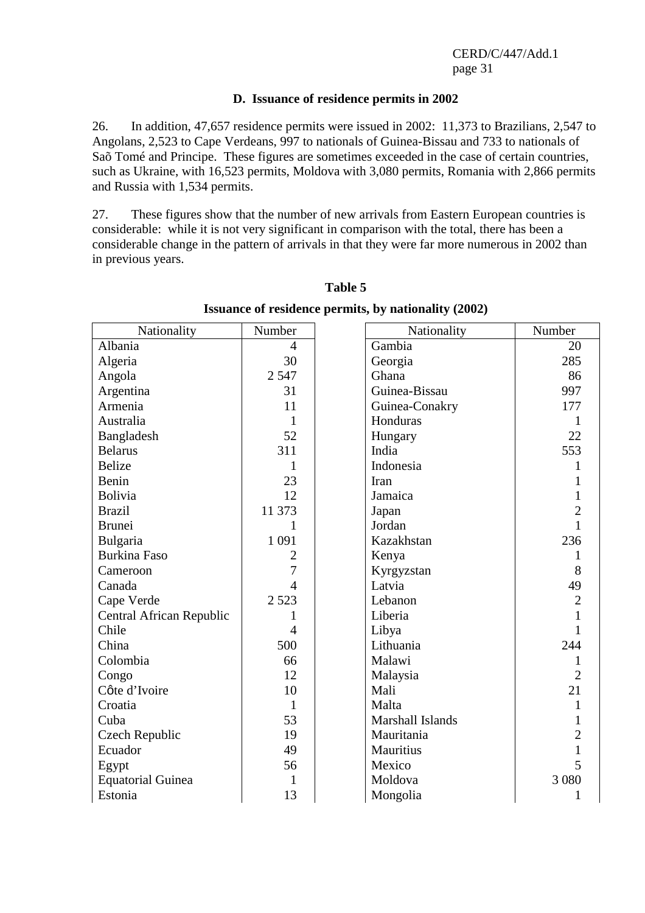#### **D. Issuance of residence permits in 2002**

26. In addition, 47,657 residence permits were issued in 2002: 11,373 to Brazilians, 2,547 to Angolans, 2,523 to Cape Verdeans, 997 to nationals of Guinea-Bissau and 733 to nationals of Saõ Tomé and Principe. These figures are sometimes exceeded in the case of certain countries, such as Ukraine, with 16,523 permits, Moldova with 3,080 permits, Romania with 2,866 permits and Russia with 1,534 permits.

27. These figures show that the number of new arrivals from Eastern European countries is considerable: while it is not very significant in comparison with the total, there has been a considerable change in the pattern of arrivals in that they were far more numerous in 2002 than in previous years.

| Nationality              | Number         | Nationality      | Number         |
|--------------------------|----------------|------------------|----------------|
| Albania                  | $\overline{4}$ | Gambia           | 20             |
| Algeria                  | 30             | Georgia          | 285            |
| Angola                   | 2 5 4 7        | Ghana            | 86             |
| Argentina                | 31             | Guinea-Bissau    | 997            |
| Armenia                  | 11             | Guinea-Conakry   | 177            |
| Australia                | $\mathbf{1}$   | Honduras         |                |
| Bangladesh               | 52             | Hungary          | 22             |
| <b>Belarus</b>           | 311            | India            | 553            |
| <b>Belize</b>            | 1              | Indonesia        | 1              |
| Benin                    | 23             | Iran             |                |
| <b>Bolivia</b>           | 12             | Jamaica          | 1              |
| <b>Brazil</b>            | 11 373         | Japan            | $\overline{2}$ |
| <b>Brunei</b>            | 1              | Jordan           | 1              |
| Bulgaria                 | 1 0 9 1        | Kazakhstan       | 236            |
| <b>Burkina Faso</b>      | $\overline{2}$ | Kenya            | 1              |
| Cameroon                 | 7              | Kyrgyzstan       | 8              |
| Canada                   | 4              | Latvia           | 49             |
| Cape Verde               | 2 5 2 3        | Lebanon          | $\overline{2}$ |
| Central African Republic |                | Liberia          |                |
| Chile                    | $\overline{4}$ | Libya            | $\mathbf{1}$   |
| China                    | 500            | Lithuania        | 244            |
| Colombia                 | 66             | Malawi           | 1              |
| Congo                    | 12             | Malaysia         | $\overline{2}$ |
| Côte d'Ivoire            | 10             | Mali             | 21             |
| Croatia                  | $\mathbf{1}$   | Malta            | 1              |
| Cuba                     | 53             | Marshall Islands | 1              |
| Czech Republic           | 19             | Mauritania       | $\overline{c}$ |
| Ecuador                  | 49             | Mauritius        | $\mathbf{1}$   |
| Egypt                    | 56             | Mexico           | 5              |
| <b>Equatorial Guinea</b> | 1              | Moldova          | 3 0 8 0        |
| Estonia                  | 13             | Mongolia         | 1              |

**Table 5 Issuance of residence permits, by nationality (2002)**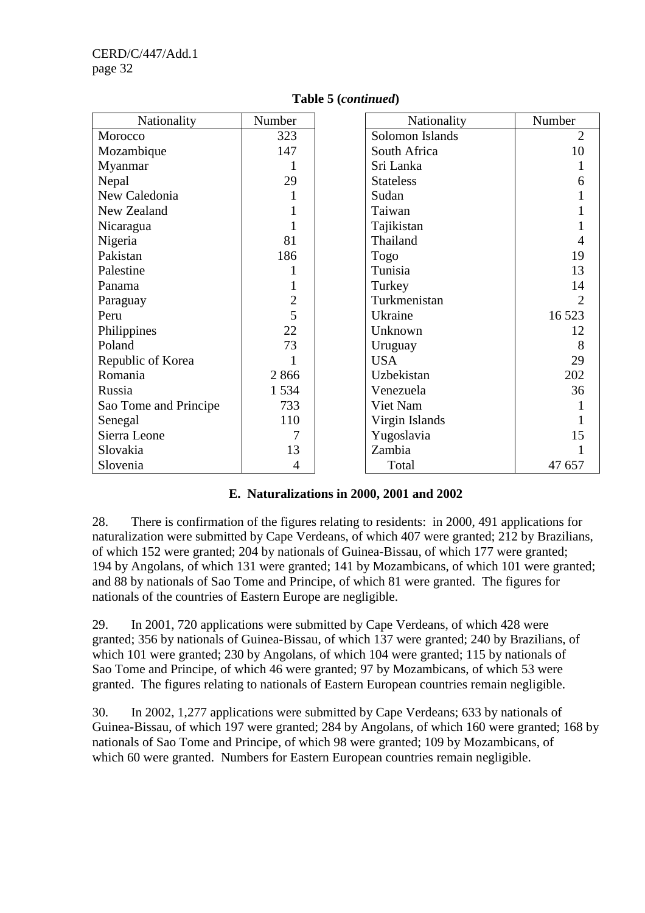| Nationality           | Number         | Nationality      | Number                      |
|-----------------------|----------------|------------------|-----------------------------|
| Morocco               | 323            | Solomon Islands  | $\overline{2}$              |
| Mozambique            | 147            | South Africa     | 10                          |
| Myanmar               |                | Sri Lanka        |                             |
| Nepal                 | 29             | <b>Stateless</b> | 6                           |
| New Caledonia         |                | Sudan            |                             |
| New Zealand           |                | Taiwan           |                             |
| Nicaragua             |                | Tajikistan       |                             |
| Nigeria               | 81             | Thailand         |                             |
| Pakistan              | 186            | Togo             | 19                          |
| Palestine             |                | Tunisia          | 13                          |
| Panama                |                | Turkey           | 14                          |
| Paraguay              | $\overline{2}$ | Turkmenistan     | $\mathcal{D}_{\mathcal{L}}$ |
| Peru                  | 5              | Ukraine          | 16 5 23                     |
| Philippines           | 22             | Unknown          | 12                          |
| Poland                | 73             | Uruguay          | 8                           |
| Republic of Korea     |                | <b>USA</b>       | 29                          |
| Romania               | 2866           | Uzbekistan       | 202                         |
| Russia                | 1534           | Venezuela        | 36                          |
| Sao Tome and Principe | 733            | Viet Nam         |                             |
| Senegal               | 110            | Virgin Islands   |                             |
| Sierra Leone          |                | Yugoslavia       | 15                          |
| Slovakia              | 13             | Zambia           |                             |
| Slovenia              | 4              | Total            | 47 657                      |

#### **Table 5 (***continued***)**

#### **E. Naturalizations in 2000, 2001 and 2002**

28. There is confirmation of the figures relating to residents: in 2000, 491 applications for naturalization were submitted by Cape Verdeans, of which 407 were granted; 212 by Brazilians, of which 152 were granted; 204 by nationals of Guinea-Bissau, of which 177 were granted; 194 by Angolans, of which 131 were granted; 141 by Mozambicans, of which 101 were granted; and 88 by nationals of Sao Tome and Principe, of which 81 were granted. The figures for nationals of the countries of Eastern Europe are negligible.

29. In 2001, 720 applications were submitted by Cape Verdeans, of which 428 were granted; 356 by nationals of Guinea-Bissau, of which 137 were granted; 240 by Brazilians, of which 101 were granted; 230 by Angolans, of which 104 were granted; 115 by nationals of Sao Tome and Principe, of which 46 were granted; 97 by Mozambicans, of which 53 were granted. The figures relating to nationals of Eastern European countries remain negligible.

30. In 2002, 1,277 applications were submitted by Cape Verdeans; 633 by nationals of Guinea-Bissau, of which 197 were granted; 284 by Angolans, of which 160 were granted; 168 by nationals of Sao Tome and Principe, of which 98 were granted; 109 by Mozambicans, of which 60 were granted. Numbers for Eastern European countries remain negligible.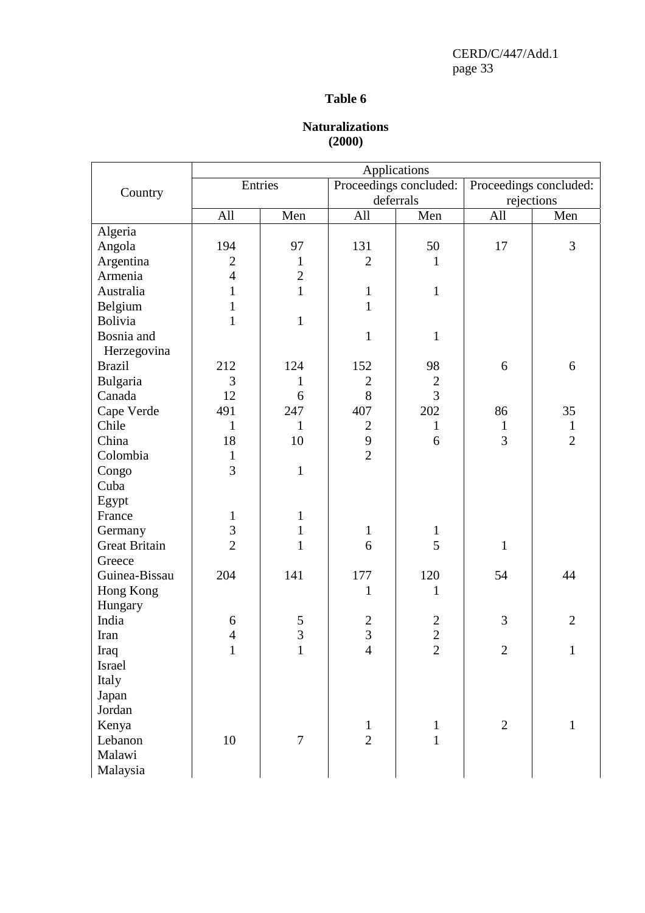#### **Table 6**

## **Naturalizations (2000)**

|                                                                                                                                                                                                              |                                                                               |                                                                                               |                                                                        | Applications                                                    |                                   |                        |
|--------------------------------------------------------------------------------------------------------------------------------------------------------------------------------------------------------------|-------------------------------------------------------------------------------|-----------------------------------------------------------------------------------------------|------------------------------------------------------------------------|-----------------------------------------------------------------|-----------------------------------|------------------------|
|                                                                                                                                                                                                              |                                                                               | Entries                                                                                       |                                                                        | Proceedings concluded:                                          |                                   | Proceedings concluded: |
| Country                                                                                                                                                                                                      |                                                                               |                                                                                               |                                                                        | deferrals                                                       | rejections                        |                        |
|                                                                                                                                                                                                              | All                                                                           | Men                                                                                           | All                                                                    | Men                                                             | All                               | Men                    |
| Algeria                                                                                                                                                                                                      |                                                                               |                                                                                               |                                                                        |                                                                 |                                   |                        |
| Angola                                                                                                                                                                                                       | 194                                                                           | 97                                                                                            | 131                                                                    | 50                                                              | 17                                | 3                      |
| Argentina                                                                                                                                                                                                    | $\mathbf{2}$                                                                  | $\mathbf{1}$                                                                                  | $\mathfrak{2}$                                                         | $\mathbf{1}$                                                    |                                   |                        |
| Armenia                                                                                                                                                                                                      | $\overline{4}$                                                                | $\overline{2}$                                                                                |                                                                        |                                                                 |                                   |                        |
| Australia                                                                                                                                                                                                    | $\mathbf{1}$                                                                  | $\mathbf{1}$                                                                                  | $\mathbf{1}$                                                           | $\mathbf{1}$                                                    |                                   |                        |
| Belgium                                                                                                                                                                                                      | $\mathbf{1}$                                                                  |                                                                                               | $\mathbf{1}$                                                           |                                                                 |                                   |                        |
| <b>Bolivia</b>                                                                                                                                                                                               | $\mathbf{1}$                                                                  | $\mathbf{1}$                                                                                  |                                                                        |                                                                 |                                   |                        |
| Bosnia and                                                                                                                                                                                                   |                                                                               |                                                                                               | $\mathbf{1}$                                                           | $\mathbf{1}$                                                    |                                   |                        |
| Herzegovina                                                                                                                                                                                                  |                                                                               |                                                                                               |                                                                        |                                                                 |                                   |                        |
| <b>Brazil</b>                                                                                                                                                                                                | 212                                                                           | 124                                                                                           | 152                                                                    | 98                                                              | 6                                 | 6                      |
| Bulgaria                                                                                                                                                                                                     | 3                                                                             | 1                                                                                             | $\mathbf{2}$                                                           | $\mathbf{2}$                                                    |                                   |                        |
| Canada                                                                                                                                                                                                       | 12                                                                            | 6                                                                                             | 8                                                                      | $\overline{3}$                                                  |                                   |                        |
| Cape Verde                                                                                                                                                                                                   | 491                                                                           | 247                                                                                           | 407                                                                    | 202                                                             | 86                                | 35                     |
| Chile                                                                                                                                                                                                        | $\mathbf{1}$                                                                  | $\mathbf{1}$                                                                                  | $\mathbf{2}$                                                           | $\mathbf{1}$                                                    | $\mathbf{1}$                      | $\mathbf{1}$           |
| China                                                                                                                                                                                                        | 18                                                                            | 10                                                                                            |                                                                        | 6                                                               | $\overline{3}$                    | $\overline{2}$         |
| Colombia                                                                                                                                                                                                     | $\mathbf{1}$                                                                  |                                                                                               | $\overline{2}$                                                         |                                                                 |                                   |                        |
|                                                                                                                                                                                                              | $\overline{3}$                                                                |                                                                                               |                                                                        |                                                                 |                                   |                        |
|                                                                                                                                                                                                              |                                                                               |                                                                                               |                                                                        |                                                                 |                                   |                        |
|                                                                                                                                                                                                              |                                                                               |                                                                                               |                                                                        |                                                                 |                                   |                        |
|                                                                                                                                                                                                              |                                                                               |                                                                                               |                                                                        |                                                                 |                                   |                        |
|                                                                                                                                                                                                              |                                                                               |                                                                                               | $\mathbf{1}$                                                           | $\mathbf{1}$                                                    |                                   |                        |
|                                                                                                                                                                                                              | $\overline{2}$                                                                | $\mathbf{1}$                                                                                  | 6                                                                      | 5                                                               | $\mathbf{1}$                      |                        |
|                                                                                                                                                                                                              |                                                                               |                                                                                               |                                                                        |                                                                 |                                   |                        |
|                                                                                                                                                                                                              | 204                                                                           | 141                                                                                           | 177                                                                    | 120                                                             | 54                                | 44                     |
|                                                                                                                                                                                                              |                                                                               |                                                                                               | $\mathbf{1}$                                                           | $\mathbf{1}$                                                    |                                   |                        |
|                                                                                                                                                                                                              |                                                                               |                                                                                               |                                                                        |                                                                 |                                   |                        |
|                                                                                                                                                                                                              |                                                                               |                                                                                               |                                                                        |                                                                 |                                   | $\overline{2}$         |
|                                                                                                                                                                                                              |                                                                               |                                                                                               |                                                                        |                                                                 |                                   |                        |
|                                                                                                                                                                                                              |                                                                               |                                                                                               |                                                                        |                                                                 |                                   |                        |
|                                                                                                                                                                                                              |                                                                               |                                                                                               |                                                                        |                                                                 |                                   |                        |
|                                                                                                                                                                                                              |                                                                               |                                                                                               |                                                                        |                                                                 |                                   |                        |
|                                                                                                                                                                                                              |                                                                               |                                                                                               |                                                                        |                                                                 |                                   |                        |
|                                                                                                                                                                                                              |                                                                               |                                                                                               |                                                                        |                                                                 |                                   |                        |
|                                                                                                                                                                                                              |                                                                               |                                                                                               |                                                                        |                                                                 |                                   | 1                      |
|                                                                                                                                                                                                              |                                                                               |                                                                                               |                                                                        |                                                                 |                                   |                        |
|                                                                                                                                                                                                              |                                                                               |                                                                                               |                                                                        |                                                                 |                                   |                        |
| Malaysia                                                                                                                                                                                                     |                                                                               |                                                                                               |                                                                        |                                                                 |                                   |                        |
| Congo<br>Cuba<br>Egypt<br>France<br>Germany<br>Great Britain<br>Greece<br>Guinea-Bissau<br>Hong Kong<br>Hungary<br>India<br>Iran<br>Iraq<br>Israel<br>Italy<br>Japan<br>Jordan<br>Kenya<br>Lebanon<br>Malawi | $\mathbf{1}$<br>$\overline{\mathbf{3}}$<br>6<br>$\overline{4}$<br>$\,1$<br>10 | $\mathbf{1}$<br>$\mathbf{1}$<br>$\mathbf{1}$<br>$rac{5}{3}$<br>$\mathbf{1}$<br>$\overline{7}$ | 9<br>$\frac{2}{3}$<br>$\overline{4}$<br>$\mathbf{1}$<br>$\overline{2}$ | $\frac{2}{2}$<br>$\overline{2}$<br>$\mathbf{1}$<br>$\mathbf{1}$ | 3<br>$\mathbf{2}$<br>$\mathbf{2}$ | $\mathbf{1}$           |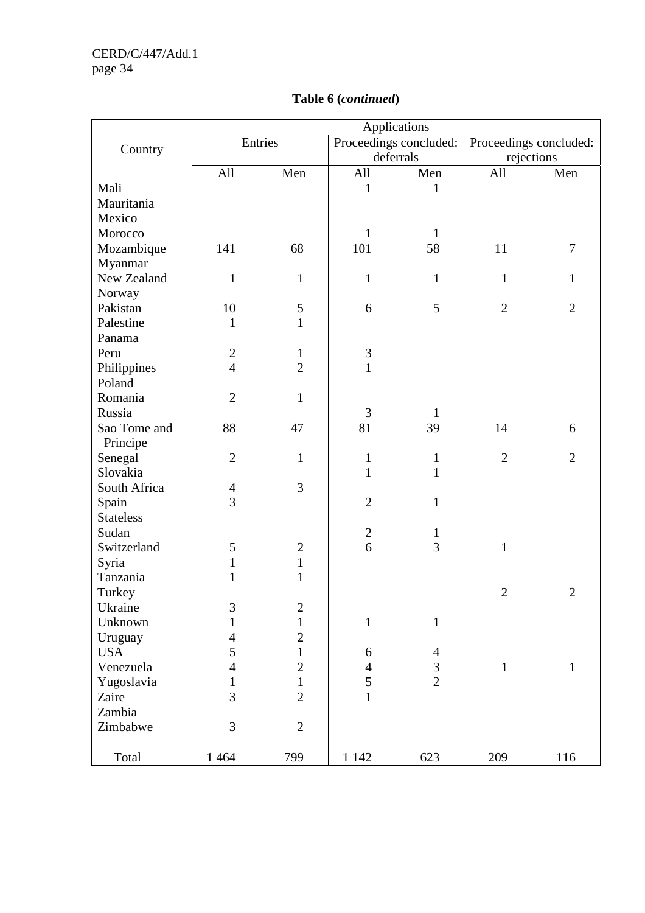|                  | Applications   |                  |                |                        |                |                        |  |  |  |  |  |  |  |
|------------------|----------------|------------------|----------------|------------------------|----------------|------------------------|--|--|--|--|--|--|--|
|                  |                | Entries          |                | Proceedings concluded: |                | Proceedings concluded: |  |  |  |  |  |  |  |
| Country          |                |                  |                | deferrals              | rejections     |                        |  |  |  |  |  |  |  |
|                  | All            | Men              | All            | Men                    | All            | Men                    |  |  |  |  |  |  |  |
| Mali             |                |                  | $\mathbf{1}$   | 1                      |                |                        |  |  |  |  |  |  |  |
| Mauritania       |                |                  |                |                        |                |                        |  |  |  |  |  |  |  |
| Mexico           |                |                  |                |                        |                |                        |  |  |  |  |  |  |  |
| Morocco          |                |                  | $\mathbf{1}$   | $\mathbf{1}$           |                |                        |  |  |  |  |  |  |  |
| Mozambique       | 141            | 68               | 101            | 58                     | 11             | $\boldsymbol{7}$       |  |  |  |  |  |  |  |
| Myanmar          |                |                  |                |                        |                |                        |  |  |  |  |  |  |  |
| New Zealand      | $\mathbf{1}$   | $\mathbf{1}$     | $\mathbf{1}$   | $\mathbf{1}$           | $\mathbf{1}$   | $\mathbf{1}$           |  |  |  |  |  |  |  |
| Norway           |                |                  |                |                        |                |                        |  |  |  |  |  |  |  |
| Pakistan         | 10             | 5                | 6              | 5                      | $\overline{2}$ | $\overline{2}$         |  |  |  |  |  |  |  |
| Palestine        | $\mathbf{1}$   | $\mathbf{1}$     |                |                        |                |                        |  |  |  |  |  |  |  |
| Panama           |                |                  |                |                        |                |                        |  |  |  |  |  |  |  |
| Peru             | $\overline{2}$ | $\mathbf{1}$     | $\mathfrak{Z}$ |                        |                |                        |  |  |  |  |  |  |  |
| Philippines      | $\overline{4}$ | $\overline{2}$   | $\mathbf{1}$   |                        |                |                        |  |  |  |  |  |  |  |
| Poland           |                |                  |                |                        |                |                        |  |  |  |  |  |  |  |
| Romania          | $\overline{2}$ | $\mathbf{1}$     |                |                        |                |                        |  |  |  |  |  |  |  |
| Russia           |                |                  | 3              | $\mathbf{1}$           |                |                        |  |  |  |  |  |  |  |
| Sao Tome and     | 88             | 47               | 81             | 39                     | 14             | 6                      |  |  |  |  |  |  |  |
| Principe         |                |                  |                |                        |                |                        |  |  |  |  |  |  |  |
| Senegal          | $\overline{2}$ | $\mathbf{1}$     | $\mathbf{1}$   | $\mathbf{1}$           | $\overline{2}$ | $\overline{2}$         |  |  |  |  |  |  |  |
| Slovakia         |                |                  | $\mathbf{1}$   | $\mathbf{1}$           |                |                        |  |  |  |  |  |  |  |
| South Africa     | $\overline{4}$ | 3                |                |                        |                |                        |  |  |  |  |  |  |  |
| Spain            | $\overline{3}$ |                  | $\mathfrak{2}$ | $\mathbf{1}$           |                |                        |  |  |  |  |  |  |  |
| <b>Stateless</b> |                |                  |                |                        |                |                        |  |  |  |  |  |  |  |
| Sudan            |                |                  | $\sqrt{2}$     | $\mathbf{1}$           |                |                        |  |  |  |  |  |  |  |
| Switzerland      | 5              | $\mathbf{2}$     | 6              | 3                      | $\mathbf{1}$   |                        |  |  |  |  |  |  |  |
| Syria            | $\mathbf 1$    | $\mathbf{1}$     |                |                        |                |                        |  |  |  |  |  |  |  |
| Tanzania         | $\mathbf{1}$   | $\mathbf{1}$     |                |                        |                |                        |  |  |  |  |  |  |  |
| Turkey           |                |                  |                |                        | $\overline{2}$ | $\overline{2}$         |  |  |  |  |  |  |  |
| Ukraine          | $\mathfrak{Z}$ | $\boldsymbol{2}$ |                |                        |                |                        |  |  |  |  |  |  |  |
| Unknown          | $\mathbf{1}$   | $\mathbf{1}$     | $\mathbf{1}$   | $\mathbf{1}$           |                |                        |  |  |  |  |  |  |  |
| Uruguay          | $\overline{4}$ | $\overline{c}$   |                |                        |                |                        |  |  |  |  |  |  |  |
| <b>USA</b>       | 5              | $\mathbf{1}$     | 6              | $\overline{4}$         |                |                        |  |  |  |  |  |  |  |
| Venezuela        | $\overline{4}$ | $\overline{2}$   | $\overline{4}$ | $\mathfrak{Z}$         | $\mathbf{1}$   | $\mathbf{1}$           |  |  |  |  |  |  |  |
| Yugoslavia       | $\mathbf{1}$   | $\mathbf{1}$     | 5              | $\overline{2}$         |                |                        |  |  |  |  |  |  |  |
| Zaire            | 3              | $\overline{2}$   | $\mathbf{1}$   |                        |                |                        |  |  |  |  |  |  |  |
| Zambia           |                |                  |                |                        |                |                        |  |  |  |  |  |  |  |
| Zimbabwe         | 3              | $\mathbf{2}$     |                |                        |                |                        |  |  |  |  |  |  |  |
|                  |                |                  |                |                        |                |                        |  |  |  |  |  |  |  |
| Total            | 1 4 6 4        | 799              | 1 1 4 2        | 623                    | 209            | 116                    |  |  |  |  |  |  |  |

# **Table 6 (***continued***)**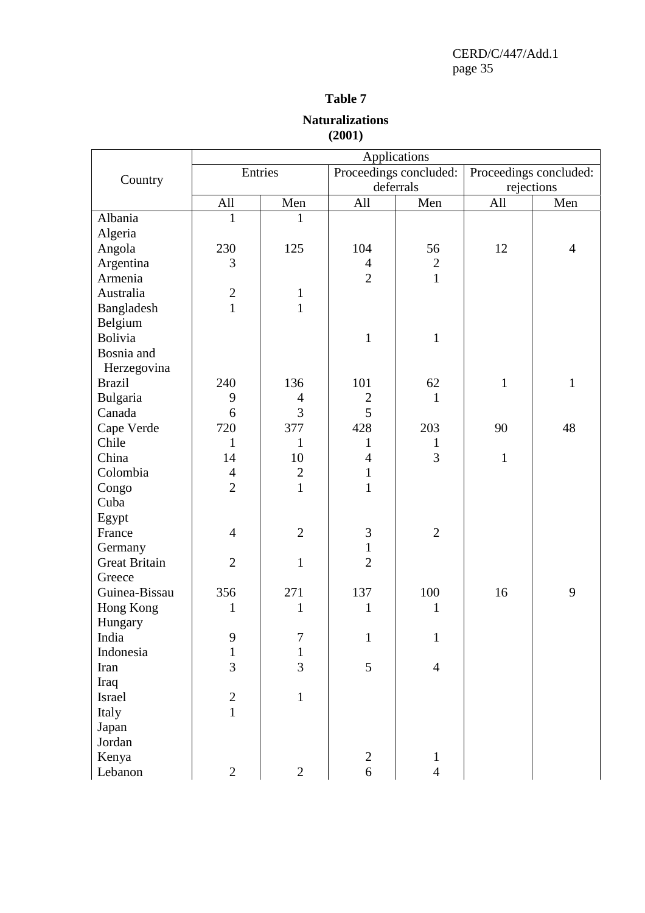## **Table 7**

## **Naturalizations (2001)**

|                |                |                |                  | Applications           |              |                        |
|----------------|----------------|----------------|------------------|------------------------|--------------|------------------------|
|                |                | Entries        |                  | Proceedings concluded: |              | Proceedings concluded: |
| Country        |                |                | deferrals        |                        | rejections   |                        |
|                | All            | Men            | All              | Men                    | All          | Men                    |
| Albania        | 1              | 1              |                  |                        |              |                        |
| Algeria        |                |                |                  |                        |              |                        |
| Angola         | 230            | 125            | 104              | 56                     | 12           | $\overline{4}$         |
| Argentina      | 3              |                | $\overline{4}$   | $\mathbf{2}$           |              |                        |
| Armenia        |                |                | $\overline{2}$   | $\mathbf{1}$           |              |                        |
| Australia      | $\mathbf{2}$   | $\mathbf{1}$   |                  |                        |              |                        |
| Bangladesh     | $\mathbf{1}$   | $\mathbf{1}$   |                  |                        |              |                        |
| Belgium        |                |                |                  |                        |              |                        |
| <b>Bolivia</b> |                |                | $\mathbf{1}$     | $\mathbf{1}$           |              |                        |
| Bosnia and     |                |                |                  |                        |              |                        |
| Herzegovina    |                |                |                  |                        |              |                        |
| <b>Brazil</b>  | 240            | 136            | 101              | 62                     | $\mathbf{1}$ | $\mathbf{1}$           |
| Bulgaria       | 9              | $\overline{4}$ | $\boldsymbol{2}$ | 1                      |              |                        |
| Canada         | 6              | 3              | 5                |                        |              |                        |
| Cape Verde     | 720            | 377            | 428              | 203                    | 90           | 48                     |
| Chile          | $\mathbf{1}$   | $\mathbf{1}$   | $\mathbf{1}$     | $\mathbf{1}$           |              |                        |
| China          | 14             | 10             | $\overline{4}$   | 3                      | $\mathbf{1}$ |                        |
| Colombia       | $\overline{4}$ | $\overline{2}$ | $\mathbf{1}$     |                        |              |                        |
| Congo          | $\overline{2}$ | $\mathbf{1}$   | $\mathbf{1}$     |                        |              |                        |
| Cuba           |                |                |                  |                        |              |                        |
| Egypt          |                |                |                  |                        |              |                        |
| France         | $\overline{4}$ | $\overline{2}$ | $\mathfrak{Z}$   | $\overline{2}$         |              |                        |
| Germany        |                |                | $\mathbf{1}$     |                        |              |                        |
| Great Britain  | $\overline{2}$ | $\mathbf{1}$   | $\overline{2}$   |                        |              |                        |
| Greece         |                |                |                  |                        |              |                        |
| Guinea-Bissau  | 356            | 271            | 137              | 100                    | 16           | 9                      |
| Hong Kong      | 1              | $\mathbf{1}$   | $\mathbf{1}$     | 1                      |              |                        |
| Hungary        |                |                |                  |                        |              |                        |
| India          | 9              | 7              | 1                | 1                      |              |                        |
| Indonesia      | $\mathbf{1}$   | $\mathbf{1}$   |                  |                        |              |                        |
| Iran           | 3              | 3              | 5                | $\overline{4}$         |              |                        |
| Iraq           |                |                |                  |                        |              |                        |
| Israel         | $\sqrt{2}$     | $\mathbf{1}$   |                  |                        |              |                        |
| Italy          | $\mathbf{1}$   |                |                  |                        |              |                        |
| Japan          |                |                |                  |                        |              |                        |
| Jordan         |                |                |                  |                        |              |                        |
| Kenya          |                |                | $\mathbf{2}$     | $\mathbf{1}$           |              |                        |
| Lebanon        | $\mathbf{2}$   | $\mathbf{2}$   | 6                | $\overline{4}$         |              |                        |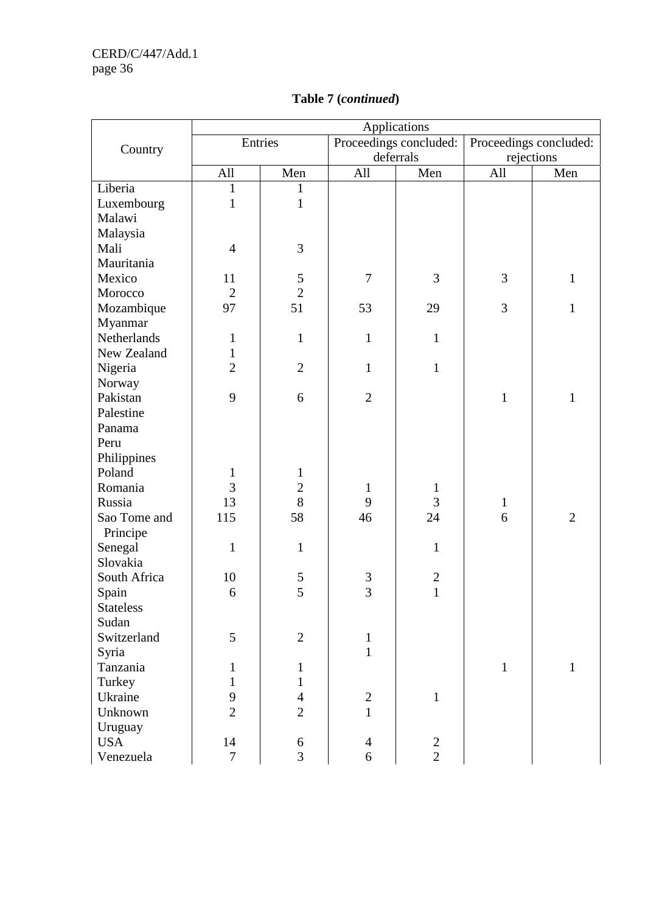|                  |                |                |                  | Applications           |              |                        |
|------------------|----------------|----------------|------------------|------------------------|--------------|------------------------|
|                  |                | Entries        |                  | Proceedings concluded: |              | Proceedings concluded: |
| Country          |                |                |                  | deferrals              | rejections   |                        |
|                  | All            | Men            | All              | Men                    | All          | Men                    |
| Liberia          | $\mathbf{1}$   | $\mathbf{1}$   |                  |                        |              |                        |
| Luxembourg       | $\mathbf{1}$   | $\mathbf{1}$   |                  |                        |              |                        |
| Malawi           |                |                |                  |                        |              |                        |
| Malaysia         |                |                |                  |                        |              |                        |
| Mali             | $\overline{4}$ | $\mathfrak{Z}$ |                  |                        |              |                        |
| Mauritania       |                |                |                  |                        |              |                        |
| Mexico           | 11             |                | $\boldsymbol{7}$ | 3                      | 3            | $\mathbf{1}$           |
| Morocco          | $\mathbf{2}$   | $\frac{5}{2}$  |                  |                        |              |                        |
| Mozambique       | 97             | 51             | 53               | 29                     | 3            | $\mathbf{1}$           |
| Myanmar          |                |                |                  |                        |              |                        |
| Netherlands      | $\mathbf{1}$   | $\mathbf{1}$   | $\mathbf{1}$     | $\mathbf 1$            |              |                        |
| New Zealand      | $\mathbf{1}$   |                |                  |                        |              |                        |
| Nigeria          | $\overline{2}$ | $\overline{2}$ | $\mathbf{1}$     | $\mathbf{1}$           |              |                        |
| Norway           |                |                |                  |                        |              |                        |
| Pakistan         | 9              | 6              | $\overline{2}$   |                        | $\mathbf{1}$ | $\mathbf{1}$           |
| Palestine        |                |                |                  |                        |              |                        |
| Panama           |                |                |                  |                        |              |                        |
| Peru             |                |                |                  |                        |              |                        |
| Philippines      |                |                |                  |                        |              |                        |
| Poland           | $\mathbf{1}$   | $\mathbf{1}$   |                  |                        |              |                        |
| Romania          | 3              | $\overline{c}$ | $\mathbf{1}$     | $\mathbf{1}$           |              |                        |
| Russia           | 13             | $8\,$          | 9                | 3                      | $\mathbf{1}$ |                        |
| Sao Tome and     | 115            | 58             | 46               | 24                     | 6            | $\overline{2}$         |
| Principe         |                |                |                  |                        |              |                        |
| Senegal          | $\mathbf{1}$   | $\mathbf{1}$   |                  | $\mathbf{1}$           |              |                        |
| Slovakia         |                |                |                  |                        |              |                        |
| South Africa     | 10             | $rac{5}{5}$    | $\frac{3}{3}$    | $\boldsymbol{2}$       |              |                        |
| Spain            | 6              |                |                  | $\mathbf{1}$           |              |                        |
| <b>Stateless</b> |                |                |                  |                        |              |                        |
| Sudan            |                |                |                  |                        |              |                        |
| Switzerland      | 5              | $\overline{2}$ | $\mathbf{1}$     |                        |              |                        |
| Syria            |                |                | $\mathbf{1}$     |                        |              |                        |
| Tanzania         | $\mathbf{1}$   | $\mathbf{1}$   |                  |                        | $\mathbf{1}$ | $\mathbf{1}$           |
| Turkey           | $\mathbf{1}$   | $\mathbf{1}$   |                  |                        |              |                        |
| Ukraine          | 9              | $\overline{4}$ | $\mathbf{2}$     | $\mathbf{1}$           |              |                        |
| Unknown          | $\overline{2}$ | $\overline{2}$ | $\mathbf{1}$     |                        |              |                        |
| Uruguay          |                |                |                  |                        |              |                        |
| <b>USA</b>       | 14             | 6              | $\overline{4}$   | $\sqrt{2}$             |              |                        |
| Venezuela        | $\tau$         | 3              | 6                | $\overline{2}$         |              |                        |

# **Table 7 (***continued***)**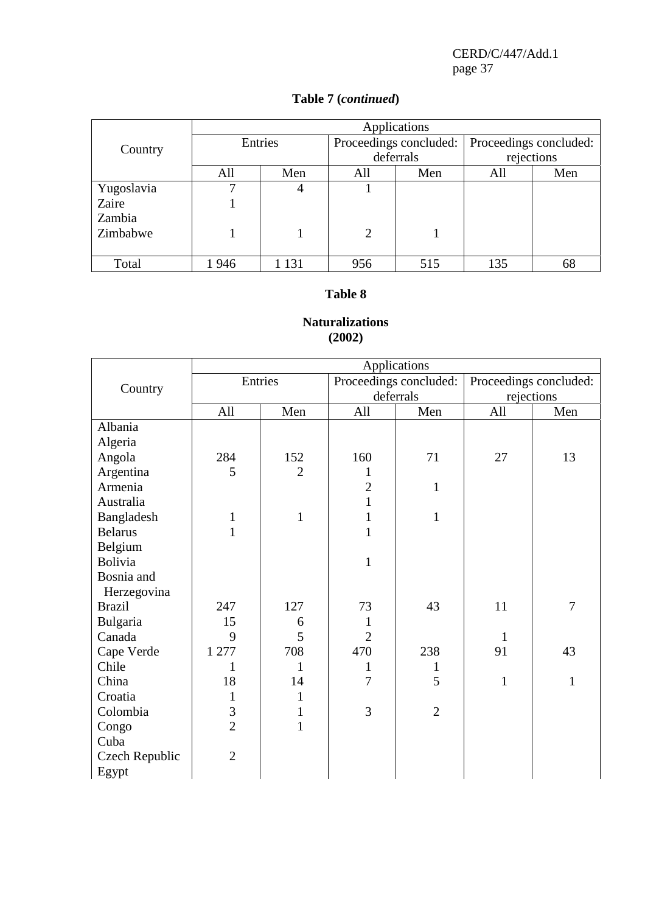# **Table 7 (***continued***)**

|            | Applications |       |                        |     |                        |     |  |
|------------|--------------|-------|------------------------|-----|------------------------|-----|--|
| Country    | Entries      |       | Proceedings concluded: |     | Proceedings concluded: |     |  |
|            |              |       | deferrals              |     | rejections             |     |  |
|            | All          | Men   | All                    | Men | All                    | Men |  |
| Yugoslavia |              | 4     |                        |     |                        |     |  |
| Zaire      |              |       |                        |     |                        |     |  |
| Zambia     |              |       |                        |     |                        |     |  |
| Zimbabwe   |              |       | $\overline{2}$         |     |                        |     |  |
|            |              |       |                        |     |                        |     |  |
| Total      | 1946         | 1 131 | 956                    | 515 | 135                    | 68  |  |

#### **Table 8**

## **Naturalizations (2002)**

|                |                |                |                | Applications           |              |                        |
|----------------|----------------|----------------|----------------|------------------------|--------------|------------------------|
|                |                | Entries        |                | Proceedings concluded: |              | Proceedings concluded: |
| Country        |                |                |                | deferrals              | rejections   |                        |
|                | All            | Men            | All            | Men                    | All          | Men                    |
| Albania        |                |                |                |                        |              |                        |
| Algeria        |                |                |                |                        |              |                        |
| Angola         | 284            | 152            | 160            | 71                     | 27           | 13                     |
| Argentina      | 5              | $\overline{2}$ | 1              |                        |              |                        |
| Armenia        |                |                | $\overline{2}$ | $\mathbf{1}$           |              |                        |
| Australia      |                |                | $\mathbf{1}$   |                        |              |                        |
| Bangladesh     | $\mathbf{1}$   | $\mathbf{1}$   | $\mathbf{1}$   | $\mathbf{1}$           |              |                        |
| <b>Belarus</b> | $\mathbf{1}$   |                | $\mathbf{1}$   |                        |              |                        |
| Belgium        |                |                |                |                        |              |                        |
| Bolivia        |                |                | $\mathbf{1}$   |                        |              |                        |
| Bosnia and     |                |                |                |                        |              |                        |
| Herzegovina    |                |                |                |                        |              |                        |
| <b>Brazil</b>  | 247            | 127            | 73             | 43                     | 11           | $\overline{7}$         |
| Bulgaria       | 15             | 6              |                |                        |              |                        |
| Canada         | 9              | 5              | $\overline{2}$ |                        | 1            |                        |
| Cape Verde     | 1 277          | 708            | 470            | 238                    | 91           | 43                     |
| Chile          | 1              | $\mathbf{1}$   | $\mathbf{1}$   | 1                      |              |                        |
| China          | 18             | 14             | 7              | 5                      | $\mathbf{1}$ | $\mathbf{1}$           |
| Croatia        | 1              | $\mathbf{1}$   |                |                        |              |                        |
| Colombia       | 3              | $\mathbf{1}$   | 3              | $\overline{2}$         |              |                        |
| Congo          | $\overline{2}$ | $\mathbf{1}$   |                |                        |              |                        |
| Cuba           |                |                |                |                        |              |                        |
| Czech Republic | $\overline{2}$ |                |                |                        |              |                        |
| Egypt          |                |                |                |                        |              |                        |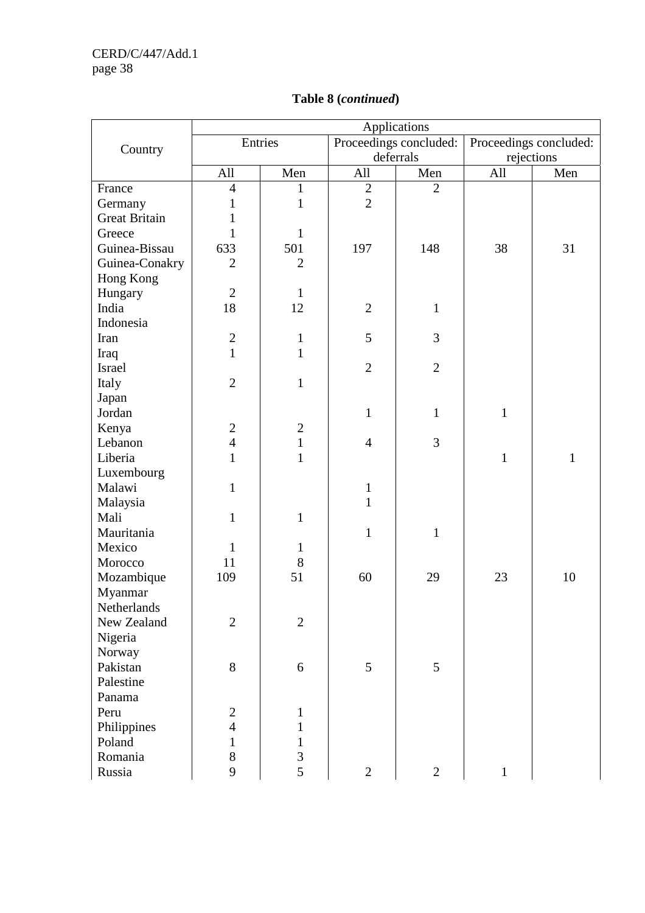|                      |                  |                |                        | Applications   |                        |              |
|----------------------|------------------|----------------|------------------------|----------------|------------------------|--------------|
| Country              | Entries          |                | Proceedings concluded: |                | Proceedings concluded: |              |
|                      |                  |                | deferrals              |                | rejections             |              |
|                      | All              | Men            | All                    | Men            | All                    | Men          |
| France               | $\overline{4}$   | $\mathbf{1}$   | $\mathbf{2}$           | $\overline{2}$ |                        |              |
| Germany              | 1                | $\mathbf{1}$   | $\overline{2}$         |                |                        |              |
| <b>Great Britain</b> | $\mathbf{1}$     |                |                        |                |                        |              |
| Greece               | $\mathbf{1}$     | $\mathbf{1}$   |                        |                |                        |              |
| Guinea-Bissau        | 633              | 501            | 197                    | 148            | 38                     | 31           |
| Guinea-Conakry       | $\overline{2}$   | $\overline{2}$ |                        |                |                        |              |
| Hong Kong            |                  |                |                        |                |                        |              |
| Hungary              | $\overline{2}$   | $\mathbf{1}$   |                        |                |                        |              |
| India                | 18               | 12             | $\mathfrak{2}$         | $\mathbf{1}$   |                        |              |
| Indonesia            |                  |                |                        |                |                        |              |
| Iran                 | $\overline{2}$   | $\mathbf{1}$   | 5                      | 3              |                        |              |
| Iraq                 | $\overline{1}$   | $\mathbf{1}$   |                        |                |                        |              |
| Israel               |                  |                | $\overline{2}$         | $\overline{2}$ |                        |              |
| Italy                | $\overline{2}$   | $\mathbf{1}$   |                        |                |                        |              |
| Japan                |                  |                |                        |                |                        |              |
| Jordan               |                  |                | $\mathbf{1}$           | $\mathbf{1}$   | $\mathbf{1}$           |              |
| Kenya                | $\boldsymbol{2}$ | $\mathbf{2}$   |                        |                |                        |              |
| Lebanon              | $\overline{4}$   | $\mathbf{1}$   | $\overline{4}$         | 3              |                        |              |
| Liberia              | $\mathbf{1}$     | $\mathbf{1}$   |                        |                | $\mathbf{1}$           | $\mathbf{1}$ |
| Luxembourg           |                  |                |                        |                |                        |              |
| Malawi               | $\mathbf{1}$     |                | $\mathbf{1}$           |                |                        |              |
| Malaysia             |                  |                | $\mathbf{1}$           |                |                        |              |
| Mali                 | $\mathbf{1}$     | $\mathbf{1}$   |                        |                |                        |              |
| Mauritania           |                  |                | $\mathbf{1}$           | $\mathbf{1}$   |                        |              |
| Mexico               | $\mathbf{1}$     | $\mathbf{1}$   |                        |                |                        |              |
| Morocco              | 11               | 8              |                        |                |                        |              |
| Mozambique           | 109              | 51             | 60                     | 29             | 23                     | 10           |
| Myanmar              |                  |                |                        |                |                        |              |
| Netherlands          |                  |                |                        |                |                        |              |
| New Zealand          | $\overline{2}$   | $\overline{2}$ |                        |                |                        |              |
| Nigeria              |                  |                |                        |                |                        |              |
| Norway               |                  |                |                        |                |                        |              |
| Pakistan             | 8                | 6              | 5                      | 5              |                        |              |
| Palestine            |                  |                |                        |                |                        |              |
| Panama               |                  |                |                        |                |                        |              |
| Peru                 | $\mathbf{2}$     | $\mathbf{1}$   |                        |                |                        |              |
| Philippines          | $\overline{4}$   | $\mathbf{1}$   |                        |                |                        |              |
| Poland               | $\mathbf{1}$     | $\mathbf{1}$   |                        |                |                        |              |
| Romania              | 8                | 3              |                        |                |                        |              |
| Russia               | 9                | 5              | $\overline{2}$         | $\overline{2}$ | $\mathbf{1}$           |              |

# **Table 8 (***continued***)**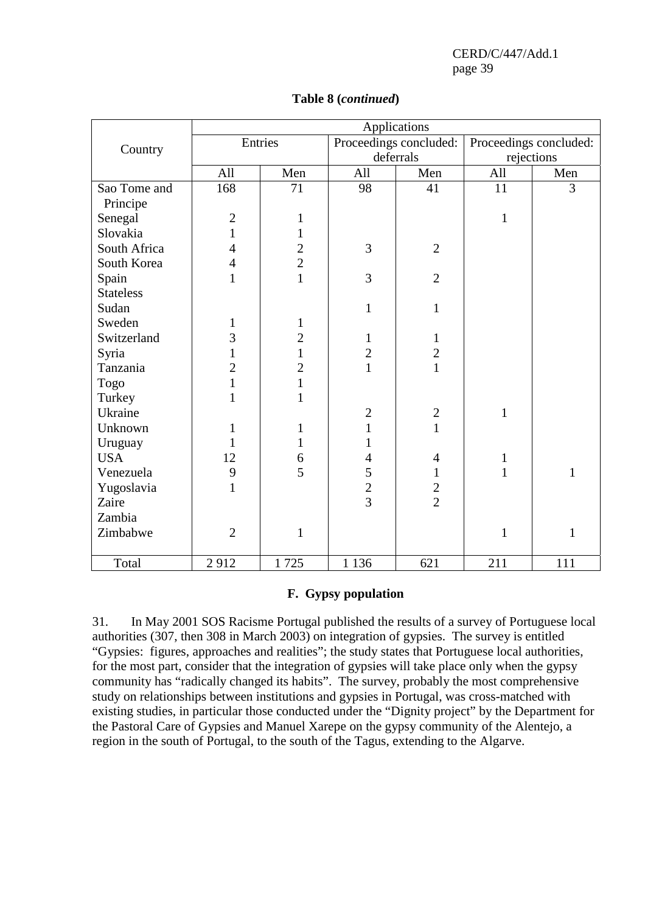|                  |                |                |                | Applications           |              |                        |
|------------------|----------------|----------------|----------------|------------------------|--------------|------------------------|
|                  |                | Entries        |                | Proceedings concluded: |              | Proceedings concluded: |
| Country          |                |                |                | deferrals              | rejections   |                        |
|                  | All            | Men            | All            | Men                    | All          | Men                    |
| Sao Tome and     | 168            | 71             | 98             | 41                     | 11           | $\overline{3}$         |
| Principe         |                |                |                |                        |              |                        |
| Senegal          | $\overline{c}$ | $\mathbf{1}$   |                |                        | $\mathbf{1}$ |                        |
| Slovakia         | $\mathbf{1}$   | $\mathbf{1}$   |                |                        |              |                        |
| South Africa     | $\overline{4}$ | $\overline{c}$ | 3              | $\overline{2}$         |              |                        |
| South Korea      | $\overline{4}$ | $\overline{2}$ |                |                        |              |                        |
| Spain            | $\mathbf{1}$   | $\mathbf{1}$   | 3              | $\overline{2}$         |              |                        |
| <b>Stateless</b> |                |                |                |                        |              |                        |
| Sudan            |                |                | $\mathbf{1}$   | $\mathbf{1}$           |              |                        |
| Sweden           | $\mathbf{1}$   | $\mathbf{1}$   |                |                        |              |                        |
| Switzerland      | 3              | $\overline{c}$ | $\mathbf{1}$   | $\mathbf{1}$           |              |                        |
| Syria            | $\mathbf{1}$   | $\mathbf{1}$   | $\overline{c}$ | $\overline{c}$         |              |                        |
| Tanzania         | $\overline{2}$ | $\overline{2}$ | $\mathbf{1}$   | $\mathbf{1}$           |              |                        |
| Togo             | $\mathbf{1}$   | $\mathbf{1}$   |                |                        |              |                        |
| Turkey           | $\mathbf{1}$   | $\mathbf{1}$   |                |                        |              |                        |
| Ukraine          |                |                | $\sqrt{2}$     | $\mathbf{2}$           | $\mathbf{1}$ |                        |
| Unknown          | $\mathbf{1}$   | $\mathbf{1}$   | $\mathbf{1}$   | $\mathbf{1}$           |              |                        |
| Uruguay          | $\mathbf{1}$   | $\mathbf{1}$   | $\mathbf{1}$   |                        |              |                        |
| <b>USA</b>       | 12             | 6              | $\overline{4}$ | $\overline{4}$         | $\mathbf{1}$ |                        |
| Venezuela        | 9              | $\overline{5}$ | 5              | $\mathbf{1}$           | $\mathbf{1}$ | $\mathbf{1}$           |
| Yugoslavia       | $\mathbf{1}$   |                | $\overline{2}$ | $\frac{2}{2}$          |              |                        |
| Zaire            |                |                | $\overline{3}$ |                        |              |                        |
| Zambia           |                |                |                |                        |              |                        |
| Zimbabwe         | $\overline{2}$ | $\mathbf{1}$   |                |                        | $\mathbf{1}$ | $\mathbf{1}$           |
|                  |                |                |                |                        |              |                        |
| Total            | 2912           | 1725           | 1 1 3 6        | 621                    | 211          | 111                    |

## **Table 8 (***continued***)**

#### **F. Gypsy population**

31. In May 2001 SOS Racisme Portugal published the results of a survey of Portuguese local authorities (307, then 308 in March 2003) on integration of gypsies. The survey is entitled "Gypsies: figures, approaches and realities"; the study states that Portuguese local authorities, for the most part, consider that the integration of gypsies will take place only when the gypsy community has "radically changed its habits". The survey, probably the most comprehensive study on relationships between institutions and gypsies in Portugal, was cross-matched with existing studies, in particular those conducted under the "Dignity project" by the Department for the Pastoral Care of Gypsies and Manuel Xarepe on the gypsy community of the Alentejo, a region in the south of Portugal, to the south of the Tagus, extending to the Algarve.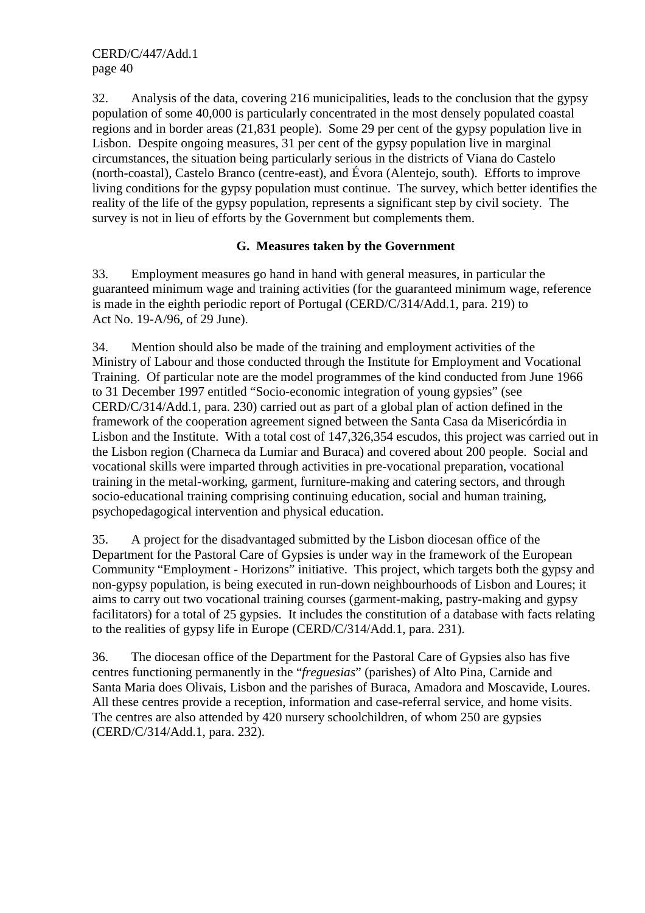32. Analysis of the data, covering 216 municipalities, leads to the conclusion that the gypsy population of some 40,000 is particularly concentrated in the most densely populated coastal regions and in border areas (21,831 people). Some 29 per cent of the gypsy population live in Lisbon. Despite ongoing measures, 31 per cent of the gypsy population live in marginal circumstances, the situation being particularly serious in the districts of Viana do Castelo (north-coastal), Castelo Branco (centre-east), and Évora (Alentejo, south). Efforts to improve living conditions for the gypsy population must continue. The survey, which better identifies the reality of the life of the gypsy population, represents a significant step by civil society. The survey is not in lieu of efforts by the Government but complements them.

## **G. Measures taken by the Government**

33. Employment measures go hand in hand with general measures, in particular the guaranteed minimum wage and training activities (for the guaranteed minimum wage, reference is made in the eighth periodic report of Portugal (CERD/C/314/Add.1, para. 219) to Act No. 19-A/96, of 29 June).

34. Mention should also be made of the training and employment activities of the Ministry of Labour and those conducted through the Institute for Employment and Vocational Training. Of particular note are the model programmes of the kind conducted from June 1966 to 31 December 1997 entitled "Socio-economic integration of young gypsies" (see CERD/C/314/Add.1, para. 230) carried out as part of a global plan of action defined in the framework of the cooperation agreement signed between the Santa Casa da Misericórdia in Lisbon and the Institute. With a total cost of 147,326,354 escudos, this project was carried out in the Lisbon region (Charneca da Lumiar and Buraca) and covered about 200 people. Social and vocational skills were imparted through activities in pre-vocational preparation, vocational training in the metal-working, garment, furniture-making and catering sectors, and through socio-educational training comprising continuing education, social and human training, psychopedagogical intervention and physical education.

35. A project for the disadvantaged submitted by the Lisbon diocesan office of the Department for the Pastoral Care of Gypsies is under way in the framework of the European Community "Employment - Horizons" initiative. This project, which targets both the gypsy and non-gypsy population, is being executed in run-down neighbourhoods of Lisbon and Loures; it aims to carry out two vocational training courses (garment-making, pastry-making and gypsy facilitators) for a total of 25 gypsies. It includes the constitution of a database with facts relating to the realities of gypsy life in Europe (CERD/C/314/Add.1, para. 231).

36. The diocesan office of the Department for the Pastoral Care of Gypsies also has five centres functioning permanently in the "*freguesias*" (parishes) of Alto Pina, Carnide and Santa Maria does Olivais, Lisbon and the parishes of Buraca, Amadora and Moscavide, Loures. All these centres provide a reception, information and case-referral service, and home visits. The centres are also attended by 420 nursery schoolchildren, of whom 250 are gypsies (CERD/C/314/Add.1, para. 232).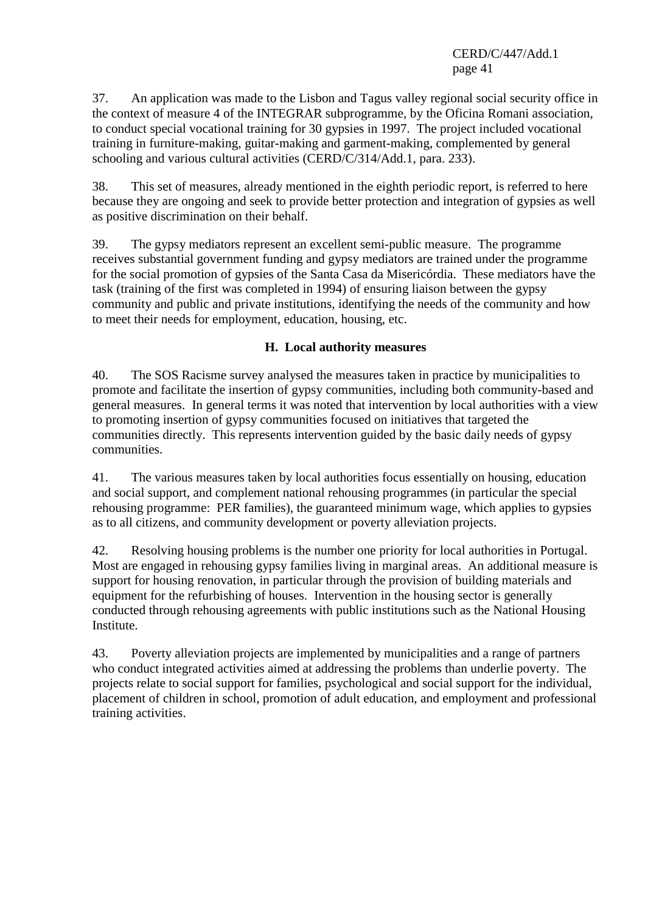37. An application was made to the Lisbon and Tagus valley regional social security office in the context of measure 4 of the INTEGRAR subprogramme, by the Oficina Romani association, to conduct special vocational training for 30 gypsies in 1997. The project included vocational training in furniture-making, guitar-making and garment-making, complemented by general schooling and various cultural activities (CERD/C/314/Add.1, para. 233).

38. This set of measures, already mentioned in the eighth periodic report, is referred to here because they are ongoing and seek to provide better protection and integration of gypsies as well as positive discrimination on their behalf.

39. The gypsy mediators represent an excellent semi-public measure. The programme receives substantial government funding and gypsy mediators are trained under the programme for the social promotion of gypsies of the Santa Casa da Misericórdia. These mediators have the task (training of the first was completed in 1994) of ensuring liaison between the gypsy community and public and private institutions, identifying the needs of the community and how to meet their needs for employment, education, housing, etc.

## **H. Local authority measures**

40. The SOS Racisme survey analysed the measures taken in practice by municipalities to promote and facilitate the insertion of gypsy communities, including both community-based and general measures. In general terms it was noted that intervention by local authorities with a view to promoting insertion of gypsy communities focused on initiatives that targeted the communities directly. This represents intervention guided by the basic daily needs of gypsy communities.

41. The various measures taken by local authorities focus essentially on housing, education and social support, and complement national rehousing programmes (in particular the special rehousing programme: PER families), the guaranteed minimum wage, which applies to gypsies as to all citizens, and community development or poverty alleviation projects.

42. Resolving housing problems is the number one priority for local authorities in Portugal. Most are engaged in rehousing gypsy families living in marginal areas. An additional measure is support for housing renovation, in particular through the provision of building materials and equipment for the refurbishing of houses. Intervention in the housing sector is generally conducted through rehousing agreements with public institutions such as the National Housing Institute.

43. Poverty alleviation projects are implemented by municipalities and a range of partners who conduct integrated activities aimed at addressing the problems than underlie poverty. The projects relate to social support for families, psychological and social support for the individual, placement of children in school, promotion of adult education, and employment and professional training activities.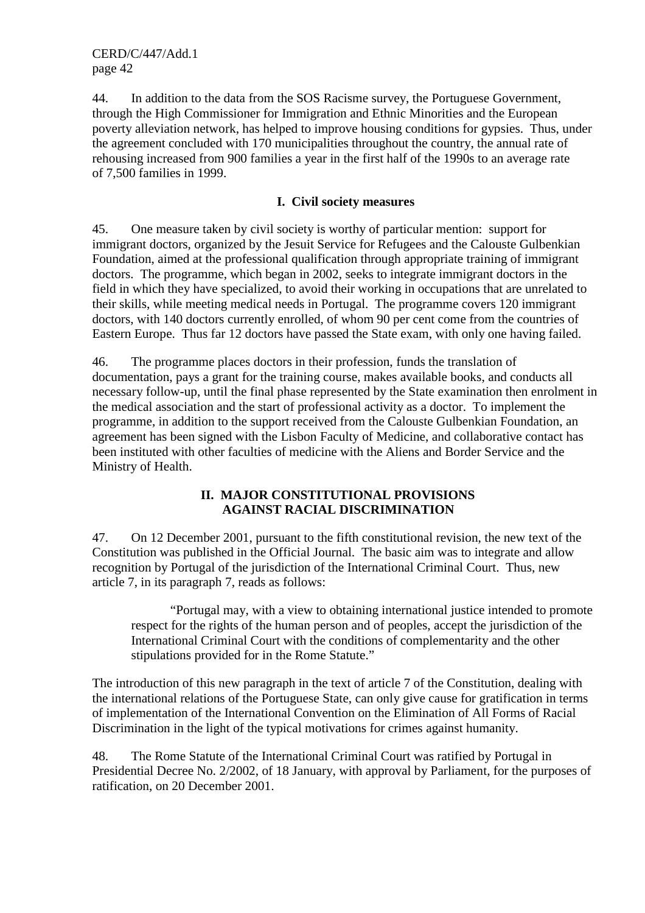44. In addition to the data from the SOS Racisme survey, the Portuguese Government, through the High Commissioner for Immigration and Ethnic Minorities and the European poverty alleviation network, has helped to improve housing conditions for gypsies. Thus, under the agreement concluded with 170 municipalities throughout the country, the annual rate of rehousing increased from 900 families a year in the first half of the 1990s to an average rate of 7,500 families in 1999.

## **I. Civil society measures**

45. One measure taken by civil society is worthy of particular mention: support for immigrant doctors, organized by the Jesuit Service for Refugees and the Calouste Gulbenkian Foundation, aimed at the professional qualification through appropriate training of immigrant doctors. The programme, which began in 2002, seeks to integrate immigrant doctors in the field in which they have specialized, to avoid their working in occupations that are unrelated to their skills, while meeting medical needs in Portugal. The programme covers 120 immigrant doctors, with 140 doctors currently enrolled, of whom 90 per cent come from the countries of Eastern Europe. Thus far 12 doctors have passed the State exam, with only one having failed.

46. The programme places doctors in their profession, funds the translation of documentation, pays a grant for the training course, makes available books, and conducts all necessary follow-up, until the final phase represented by the State examination then enrolment in the medical association and the start of professional activity as a doctor. To implement the programme, in addition to the support received from the Calouste Gulbenkian Foundation, an agreement has been signed with the Lisbon Faculty of Medicine, and collaborative contact has been instituted with other faculties of medicine with the Aliens and Border Service and the Ministry of Health.

## **II. MAJOR CONSTITUTIONAL PROVISIONS AGAINST RACIAL DISCRIMINATION**

47. On 12 December 2001, pursuant to the fifth constitutional revision, the new text of the Constitution was published in the Official Journal. The basic aim was to integrate and allow recognition by Portugal of the jurisdiction of the International Criminal Court. Thus, new article 7, in its paragraph 7, reads as follows:

 "Portugal may, with a view to obtaining international justice intended to promote respect for the rights of the human person and of peoples, accept the jurisdiction of the International Criminal Court with the conditions of complementarity and the other stipulations provided for in the Rome Statute."

The introduction of this new paragraph in the text of article 7 of the Constitution, dealing with the international relations of the Portuguese State, can only give cause for gratification in terms of implementation of the International Convention on the Elimination of All Forms of Racial Discrimination in the light of the typical motivations for crimes against humanity.

48. The Rome Statute of the International Criminal Court was ratified by Portugal in Presidential Decree No. 2/2002, of 18 January, with approval by Parliament, for the purposes of ratification, on 20 December 2001.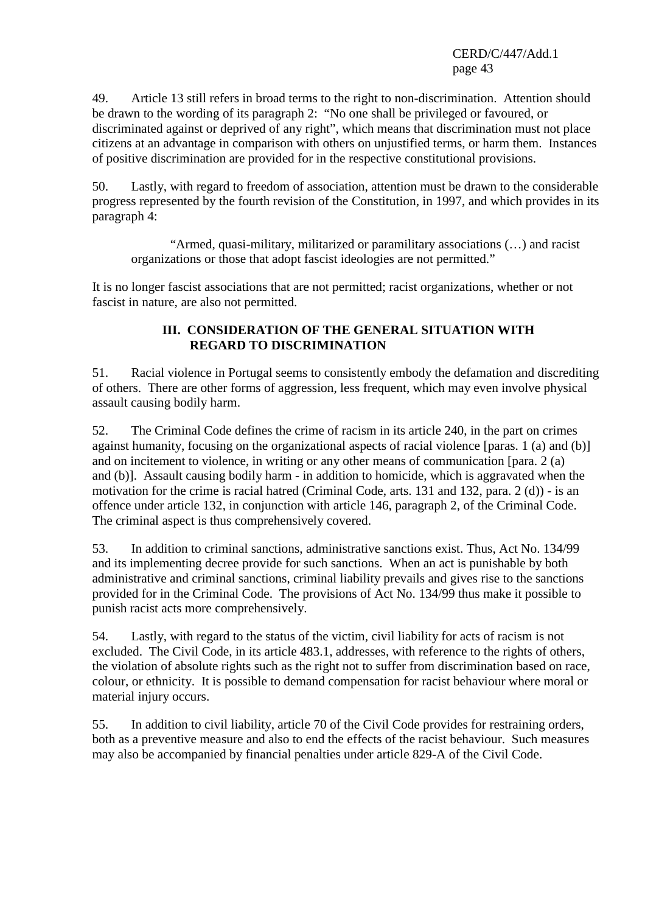49. Article 13 still refers in broad terms to the right to non-discrimination. Attention should be drawn to the wording of its paragraph 2: "No one shall be privileged or favoured, or discriminated against or deprived of any right", which means that discrimination must not place citizens at an advantage in comparison with others on unjustified terms, or harm them. Instances of positive discrimination are provided for in the respective constitutional provisions.

50. Lastly, with regard to freedom of association, attention must be drawn to the considerable progress represented by the fourth revision of the Constitution, in 1997, and which provides in its paragraph 4:

 "Armed, quasi-military, militarized or paramilitary associations (…) and racist organizations or those that adopt fascist ideologies are not permitted."

It is no longer fascist associations that are not permitted; racist organizations, whether or not fascist in nature, are also not permitted.

#### **III. CONSIDERATION OF THE GENERAL SITUATION WITH REGARD TO DISCRIMINATION**

51. Racial violence in Portugal seems to consistently embody the defamation and discrediting of others. There are other forms of aggression, less frequent, which may even involve physical assault causing bodily harm.

52. The Criminal Code defines the crime of racism in its article 240, in the part on crimes against humanity, focusing on the organizational aspects of racial violence [paras. 1 (a) and (b)] and on incitement to violence, in writing or any other means of communication [para. 2 (a) and (b)]. Assault causing bodily harm - in addition to homicide, which is aggravated when the motivation for the crime is racial hatred (Criminal Code, arts. 131 and 132, para. 2 (d)) - is an offence under article 132, in conjunction with article 146, paragraph 2, of the Criminal Code. The criminal aspect is thus comprehensively covered.

53. In addition to criminal sanctions, administrative sanctions exist. Thus, Act No. 134/99 and its implementing decree provide for such sanctions. When an act is punishable by both administrative and criminal sanctions, criminal liability prevails and gives rise to the sanctions provided for in the Criminal Code. The provisions of Act No. 134/99 thus make it possible to punish racist acts more comprehensively.

54. Lastly, with regard to the status of the victim, civil liability for acts of racism is not excluded. The Civil Code, in its article 483.1, addresses, with reference to the rights of others, the violation of absolute rights such as the right not to suffer from discrimination based on race, colour, or ethnicity. It is possible to demand compensation for racist behaviour where moral or material injury occurs.

55. In addition to civil liability, article 70 of the Civil Code provides for restraining orders, both as a preventive measure and also to end the effects of the racist behaviour. Such measures may also be accompanied by financial penalties under article 829-A of the Civil Code.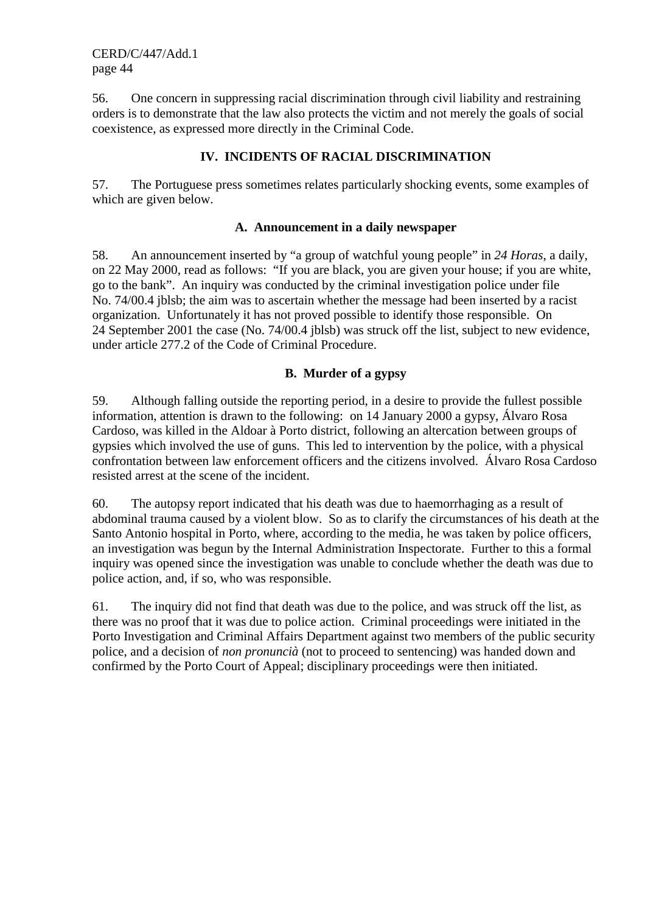56. One concern in suppressing racial discrimination through civil liability and restraining orders is to demonstrate that the law also protects the victim and not merely the goals of social coexistence, as expressed more directly in the Criminal Code.

## **IV. INCIDENTS OF RACIAL DISCRIMINATION**

57. The Portuguese press sometimes relates particularly shocking events, some examples of which are given below.

#### **A. Announcement in a daily newspaper**

58. An announcement inserted by "a group of watchful young people" in *24 Horas*, a daily, on 22 May 2000, read as follows: "If you are black, you are given your house; if you are white, go to the bank". An inquiry was conducted by the criminal investigation police under file No. 74/00.4 jblsb; the aim was to ascertain whether the message had been inserted by a racist organization. Unfortunately it has not proved possible to identify those responsible. On 24 September 2001 the case (No. 74/00.4 jblsb) was struck off the list, subject to new evidence, under article 277.2 of the Code of Criminal Procedure.

## **B. Murder of a gypsy**

59. Although falling outside the reporting period, in a desire to provide the fullest possible information, attention is drawn to the following: on 14 January 2000 a gypsy, Álvaro Rosa Cardoso, was killed in the Aldoar à Porto district, following an altercation between groups of gypsies which involved the use of guns. This led to intervention by the police, with a physical confrontation between law enforcement officers and the citizens involved. Álvaro Rosa Cardoso resisted arrest at the scene of the incident.

60. The autopsy report indicated that his death was due to haemorrhaging as a result of abdominal trauma caused by a violent blow. So as to clarify the circumstances of his death at the Santo Antonio hospital in Porto, where, according to the media, he was taken by police officers, an investigation was begun by the Internal Administration Inspectorate. Further to this a formal inquiry was opened since the investigation was unable to conclude whether the death was due to police action, and, if so, who was responsible.

61. The inquiry did not find that death was due to the police, and was struck off the list, as there was no proof that it was due to police action. Criminal proceedings were initiated in the Porto Investigation and Criminal Affairs Department against two members of the public security police, and a decision of *non pronuncià* (not to proceed to sentencing) was handed down and confirmed by the Porto Court of Appeal; disciplinary proceedings were then initiated.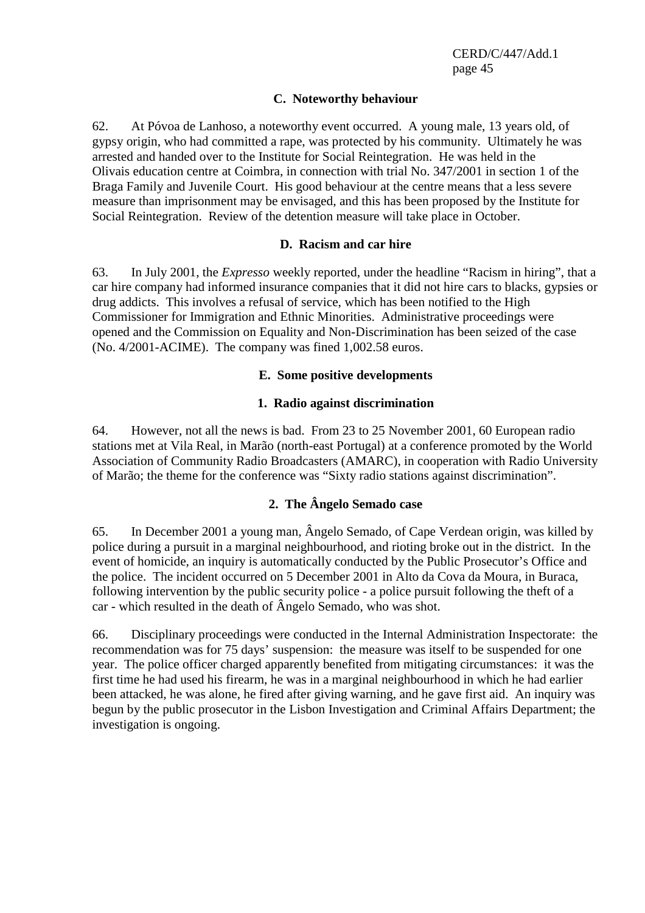#### **C. Noteworthy behaviour**

62. At Póvoa de Lanhoso, a noteworthy event occurred. A young male, 13 years old, of gypsy origin, who had committed a rape, was protected by his community. Ultimately he was arrested and handed over to the Institute for Social Reintegration. He was held in the Olivais education centre at Coimbra, in connection with trial No. 347/2001 in section 1 of the Braga Family and Juvenile Court. His good behaviour at the centre means that a less severe measure than imprisonment may be envisaged, and this has been proposed by the Institute for Social Reintegration. Review of the detention measure will take place in October.

#### **D. Racism and car hire**

63. In July 2001, the *Expresso* weekly reported, under the headline "Racism in hiring", that a car hire company had informed insurance companies that it did not hire cars to blacks, gypsies or drug addicts. This involves a refusal of service, which has been notified to the High Commissioner for Immigration and Ethnic Minorities. Administrative proceedings were opened and the Commission on Equality and Non-Discrimination has been seized of the case (No. 4/2001-ACIME). The company was fined 1,002.58 euros.

#### **E. Some positive developments**

#### **1. Radio against discrimination**

64. However, not all the news is bad. From 23 to 25 November 2001, 60 European radio stations met at Vila Real, in Marão (north-east Portugal) at a conference promoted by the World Association of Community Radio Broadcasters (AMARC), in cooperation with Radio University of Marão; the theme for the conference was "Sixty radio stations against discrimination".

#### **2. The Ângelo Semado case**

65. In December 2001 a young man, Ângelo Semado, of Cape Verdean origin, was killed by police during a pursuit in a marginal neighbourhood, and rioting broke out in the district. In the event of homicide, an inquiry is automatically conducted by the Public Prosecutor's Office and the police. The incident occurred on 5 December 2001 in Alto da Cova da Moura, in Buraca, following intervention by the public security police - a police pursuit following the theft of a car - which resulted in the death of Ângelo Semado, who was shot.

66. Disciplinary proceedings were conducted in the Internal Administration Inspectorate: the recommendation was for 75 days' suspension: the measure was itself to be suspended for one year. The police officer charged apparently benefited from mitigating circumstances: it was the first time he had used his firearm, he was in a marginal neighbourhood in which he had earlier been attacked, he was alone, he fired after giving warning, and he gave first aid. An inquiry was begun by the public prosecutor in the Lisbon Investigation and Criminal Affairs Department; the investigation is ongoing.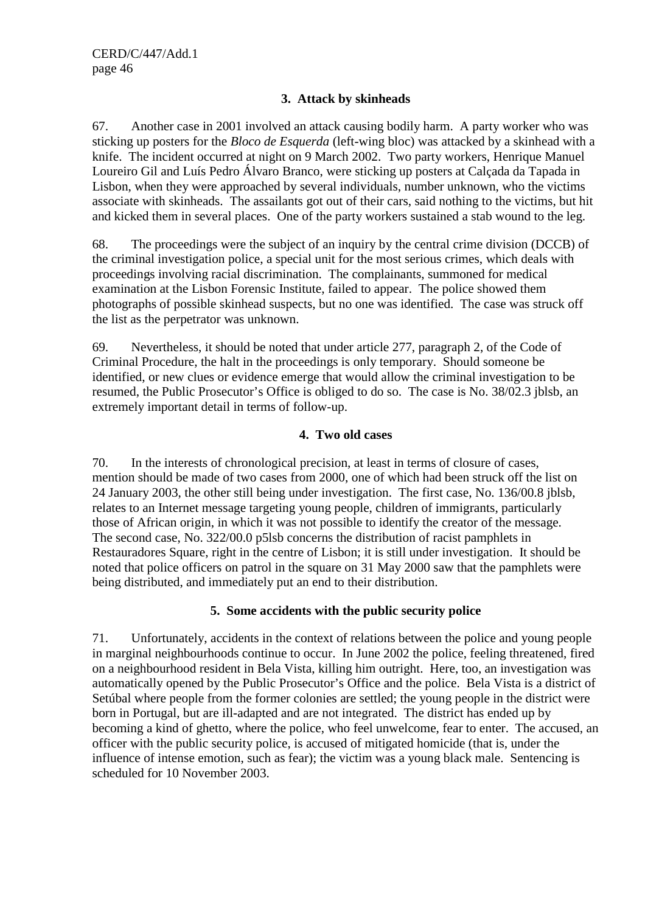## **3. Attack by skinheads**

67. Another case in 2001 involved an attack causing bodily harm. A party worker who was sticking up posters for the *Bloco de Esquerda* (left-wing bloc) was attacked by a skinhead with a knife. The incident occurred at night on 9 March 2002. Two party workers, Henrique Manuel Loureiro Gil and Luís Pedro Álvaro Branco, were sticking up posters at Calçada da Tapada in Lisbon, when they were approached by several individuals, number unknown, who the victims associate with skinheads. The assailants got out of their cars, said nothing to the victims, but hit and kicked them in several places. One of the party workers sustained a stab wound to the leg.

68. The proceedings were the subject of an inquiry by the central crime division (DCCB) of the criminal investigation police, a special unit for the most serious crimes, which deals with proceedings involving racial discrimination. The complainants, summoned for medical examination at the Lisbon Forensic Institute, failed to appear. The police showed them photographs of possible skinhead suspects, but no one was identified. The case was struck off the list as the perpetrator was unknown.

69. Nevertheless, it should be noted that under article 277, paragraph 2, of the Code of Criminal Procedure, the halt in the proceedings is only temporary. Should someone be identified, or new clues or evidence emerge that would allow the criminal investigation to be resumed, the Public Prosecutor's Office is obliged to do so. The case is No. 38/02.3 jblsb, an extremely important detail in terms of follow-up.

#### **4. Two old cases**

70. In the interests of chronological precision, at least in terms of closure of cases, mention should be made of two cases from 2000, one of which had been struck off the list on 24 January 2003, the other still being under investigation. The first case, No. 136/00.8 jblsb, relates to an Internet message targeting young people, children of immigrants, particularly those of African origin, in which it was not possible to identify the creator of the message. The second case, No. 322/00.0 p5lsb concerns the distribution of racist pamphlets in Restauradores Square, right in the centre of Lisbon; it is still under investigation. It should be noted that police officers on patrol in the square on 31 May 2000 saw that the pamphlets were being distributed, and immediately put an end to their distribution.

#### **5. Some accidents with the public security police**

71. Unfortunately, accidents in the context of relations between the police and young people in marginal neighbourhoods continue to occur. In June 2002 the police, feeling threatened, fired on a neighbourhood resident in Bela Vista, killing him outright. Here, too, an investigation was automatically opened by the Public Prosecutor's Office and the police. Bela Vista is a district of Setúbal where people from the former colonies are settled; the young people in the district were born in Portugal, but are ill-adapted and are not integrated. The district has ended up by becoming a kind of ghetto, where the police, who feel unwelcome, fear to enter. The accused, an officer with the public security police, is accused of mitigated homicide (that is, under the influence of intense emotion, such as fear); the victim was a young black male. Sentencing is scheduled for 10 November 2003.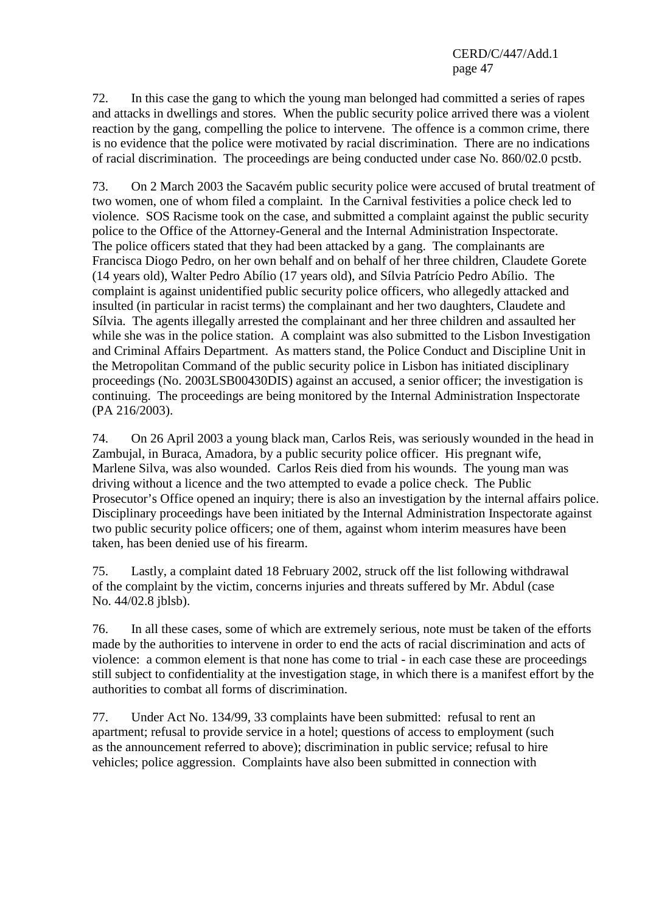72. In this case the gang to which the young man belonged had committed a series of rapes and attacks in dwellings and stores. When the public security police arrived there was a violent reaction by the gang, compelling the police to intervene. The offence is a common crime, there is no evidence that the police were motivated by racial discrimination. There are no indications of racial discrimination. The proceedings are being conducted under case No. 860/02.0 pcstb.

73. On 2 March 2003 the Sacavém public security police were accused of brutal treatment of two women, one of whom filed a complaint. In the Carnival festivities a police check led to violence. SOS Racisme took on the case, and submitted a complaint against the public security police to the Office of the Attorney-General and the Internal Administration Inspectorate. The police officers stated that they had been attacked by a gang. The complainants are Francisca Diogo Pedro, on her own behalf and on behalf of her three children, Claudete Gorete (14 years old), Walter Pedro Abílio (17 years old), and Sílvia Patrício Pedro Abílio. The complaint is against unidentified public security police officers, who allegedly attacked and insulted (in particular in racist terms) the complainant and her two daughters, Claudete and Sílvia. The agents illegally arrested the complainant and her three children and assaulted her while she was in the police station. A complaint was also submitted to the Lisbon Investigation and Criminal Affairs Department. As matters stand, the Police Conduct and Discipline Unit in the Metropolitan Command of the public security police in Lisbon has initiated disciplinary proceedings (No. 2003LSB00430DIS) against an accused, a senior officer; the investigation is continuing. The proceedings are being monitored by the Internal Administration Inspectorate (PA 216/2003).

74. On 26 April 2003 a young black man, Carlos Reis, was seriously wounded in the head in Zambujal, in Buraca, Amadora, by a public security police officer. His pregnant wife, Marlene Silva, was also wounded. Carlos Reis died from his wounds. The young man was driving without a licence and the two attempted to evade a police check. The Public Prosecutor's Office opened an inquiry; there is also an investigation by the internal affairs police. Disciplinary proceedings have been initiated by the Internal Administration Inspectorate against two public security police officers; one of them, against whom interim measures have been taken, has been denied use of his firearm.

75. Lastly, a complaint dated 18 February 2002, struck off the list following withdrawal of the complaint by the victim, concerns injuries and threats suffered by Mr. Abdul (case No. 44/02.8 jblsb).

76. In all these cases, some of which are extremely serious, note must be taken of the efforts made by the authorities to intervene in order to end the acts of racial discrimination and acts of violence: a common element is that none has come to trial - in each case these are proceedings still subject to confidentiality at the investigation stage, in which there is a manifest effort by the authorities to combat all forms of discrimination.

77. Under Act No. 134/99, 33 complaints have been submitted: refusal to rent an apartment; refusal to provide service in a hotel; questions of access to employment (such as the announcement referred to above); discrimination in public service; refusal to hire vehicles; police aggression. Complaints have also been submitted in connection with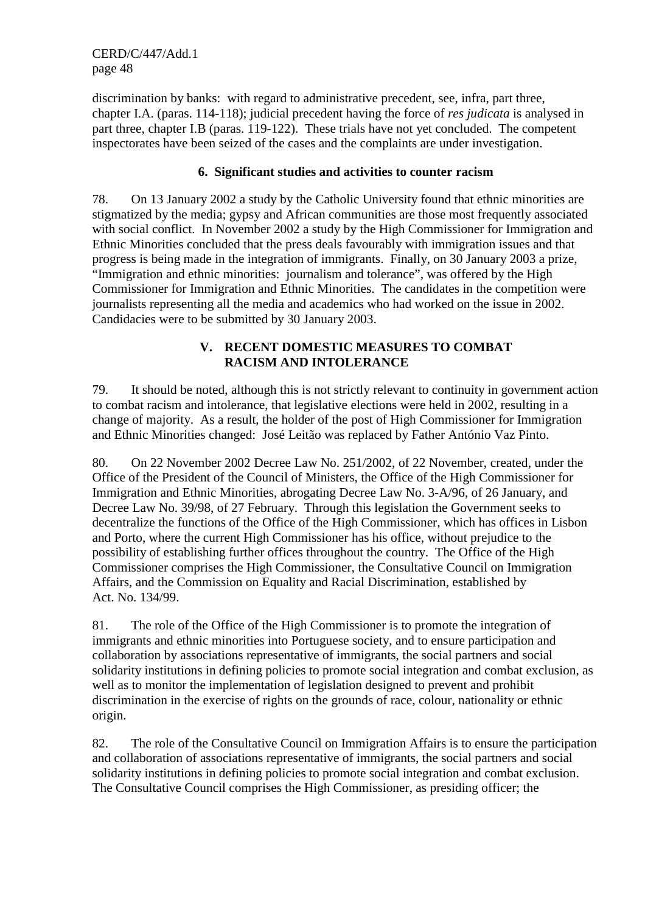discrimination by banks: with regard to administrative precedent, see, infra, part three, chapter I.A. (paras. 114-118); judicial precedent having the force of *res judicata* is analysed in part three, chapter I.B (paras. 119-122). These trials have not yet concluded. The competent inspectorates have been seized of the cases and the complaints are under investigation.

#### **6. Significant studies and activities to counter racism**

78. On 13 January 2002 a study by the Catholic University found that ethnic minorities are stigmatized by the media; gypsy and African communities are those most frequently associated with social conflict. In November 2002 a study by the High Commissioner for Immigration and Ethnic Minorities concluded that the press deals favourably with immigration issues and that progress is being made in the integration of immigrants. Finally, on 30 January 2003 a prize, "Immigration and ethnic minorities: journalism and tolerance", was offered by the High Commissioner for Immigration and Ethnic Minorities. The candidates in the competition were journalists representing all the media and academics who had worked on the issue in 2002. Candidacies were to be submitted by 30 January 2003.

#### **V. RECENT DOMESTIC MEASURES TO COMBAT RACISM AND INTOLERANCE**

79. It should be noted, although this is not strictly relevant to continuity in government action to combat racism and intolerance, that legislative elections were held in 2002, resulting in a change of majority. As a result, the holder of the post of High Commissioner for Immigration and Ethnic Minorities changed: José Leitão was replaced by Father António Vaz Pinto.

80. On 22 November 2002 Decree Law No. 251/2002, of 22 November, created, under the Office of the President of the Council of Ministers, the Office of the High Commissioner for Immigration and Ethnic Minorities, abrogating Decree Law No. 3-A/96, of 26 January, and Decree Law No. 39/98, of 27 February. Through this legislation the Government seeks to decentralize the functions of the Office of the High Commissioner, which has offices in Lisbon and Porto, where the current High Commissioner has his office, without prejudice to the possibility of establishing further offices throughout the country. The Office of the High Commissioner comprises the High Commissioner, the Consultative Council on Immigration Affairs, and the Commission on Equality and Racial Discrimination, established by Act. No. 134/99.

81. The role of the Office of the High Commissioner is to promote the integration of immigrants and ethnic minorities into Portuguese society, and to ensure participation and collaboration by associations representative of immigrants, the social partners and social solidarity institutions in defining policies to promote social integration and combat exclusion, as well as to monitor the implementation of legislation designed to prevent and prohibit discrimination in the exercise of rights on the grounds of race, colour, nationality or ethnic origin.

82. The role of the Consultative Council on Immigration Affairs is to ensure the participation and collaboration of associations representative of immigrants, the social partners and social solidarity institutions in defining policies to promote social integration and combat exclusion. The Consultative Council comprises the High Commissioner, as presiding officer; the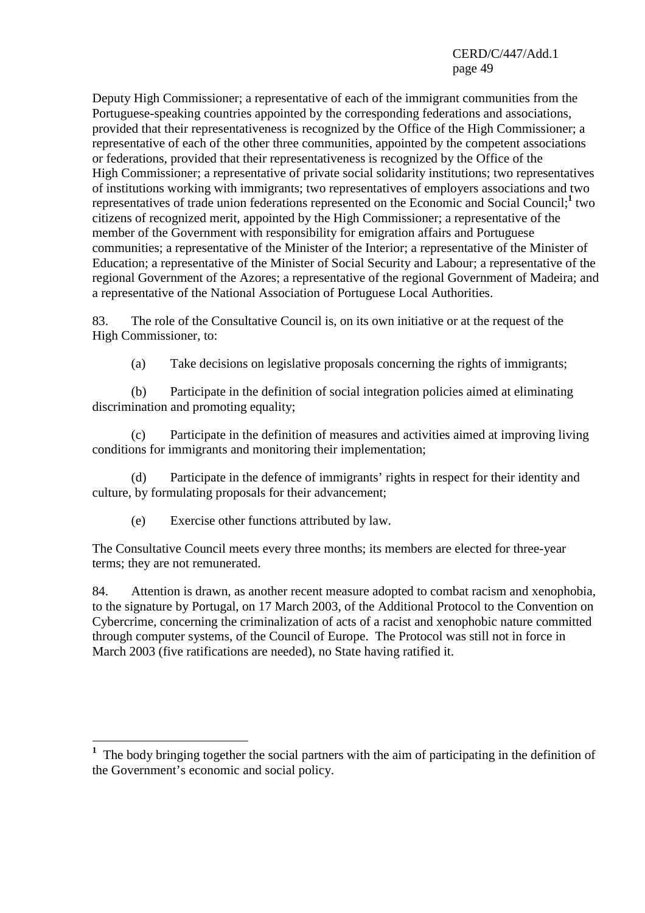Deputy High Commissioner; a representative of each of the immigrant communities from the Portuguese-speaking countries appointed by the corresponding federations and associations, provided that their representativeness is recognized by the Office of the High Commissioner; a representative of each of the other three communities, appointed by the competent associations or federations, provided that their representativeness is recognized by the Office of the High Commissioner; a representative of private social solidarity institutions; two representatives of institutions working with immigrants; two representatives of employers associations and two representatives of trade union federations represented on the Economic and Social Council;**<sup>1</sup>** two citizens of recognized merit, appointed by the High Commissioner; a representative of the member of the Government with responsibility for emigration affairs and Portuguese communities; a representative of the Minister of the Interior; a representative of the Minister of Education; a representative of the Minister of Social Security and Labour; a representative of the regional Government of the Azores; a representative of the regional Government of Madeira; and a representative of the National Association of Portuguese Local Authorities.

83. The role of the Consultative Council is, on its own initiative or at the request of the High Commissioner, to:

(a) Take decisions on legislative proposals concerning the rights of immigrants;

 (b) Participate in the definition of social integration policies aimed at eliminating discrimination and promoting equality;

 (c) Participate in the definition of measures and activities aimed at improving living conditions for immigrants and monitoring their implementation;

 (d) Participate in the defence of immigrants' rights in respect for their identity and culture, by formulating proposals for their advancement;

(e) Exercise other functions attributed by law.

The Consultative Council meets every three months; its members are elected for three-year terms; they are not remunerated.

84. Attention is drawn, as another recent measure adopted to combat racism and xenophobia, to the signature by Portugal, on 17 March 2003, of the Additional Protocol to the Convention on Cybercrime, concerning the criminalization of acts of a racist and xenophobic nature committed through computer systems, of the Council of Europe. The Protocol was still not in force in March 2003 (five ratifications are needed), no State having ratified it.

 $\overline{a}$ <sup>1</sup> The body bringing together the social partners with the aim of participating in the definition of the Government's economic and social policy.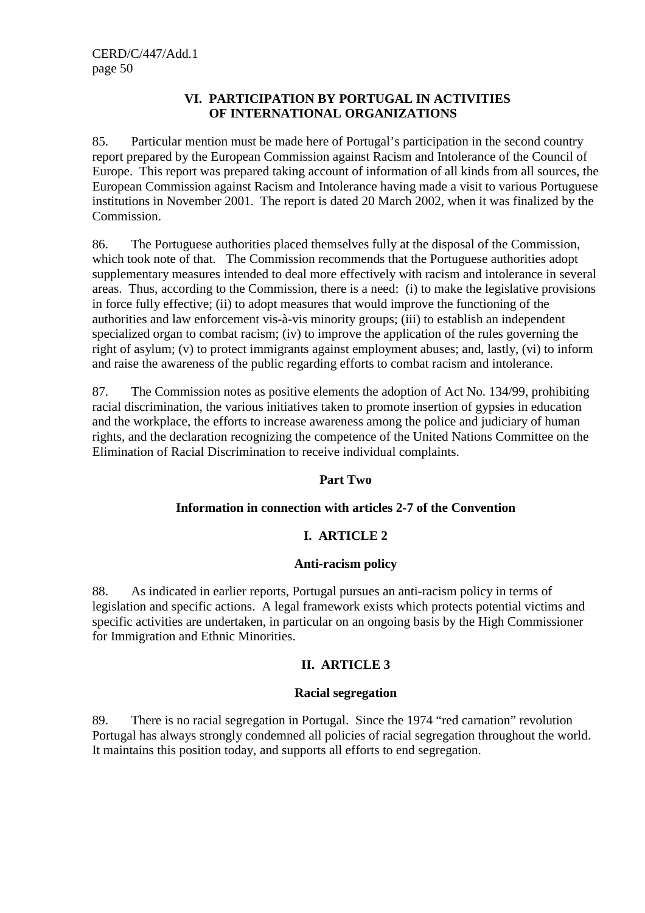#### **VI. PARTICIPATION BY PORTUGAL IN ACTIVITIES OF INTERNATIONAL ORGANIZATIONS**

85. Particular mention must be made here of Portugal's participation in the second country report prepared by the European Commission against Racism and Intolerance of the Council of Europe. This report was prepared taking account of information of all kinds from all sources, the European Commission against Racism and Intolerance having made a visit to various Portuguese institutions in November 2001. The report is dated 20 March 2002, when it was finalized by the Commission.

86. The Portuguese authorities placed themselves fully at the disposal of the Commission, which took note of that. The Commission recommends that the Portuguese authorities adopt supplementary measures intended to deal more effectively with racism and intolerance in several areas. Thus, according to the Commission, there is a need: (i) to make the legislative provisions in force fully effective; (ii) to adopt measures that would improve the functioning of the authorities and law enforcement vis-à-vis minority groups; (iii) to establish an independent specialized organ to combat racism; (iv) to improve the application of the rules governing the right of asylum; (v) to protect immigrants against employment abuses; and, lastly, (vi) to inform and raise the awareness of the public regarding efforts to combat racism and intolerance.

87. The Commission notes as positive elements the adoption of Act No. 134/99, prohibiting racial discrimination, the various initiatives taken to promote insertion of gypsies in education and the workplace, the efforts to increase awareness among the police and judiciary of human rights, and the declaration recognizing the competence of the United Nations Committee on the Elimination of Racial Discrimination to receive individual complaints.

#### **Part Two**

#### **Information in connection with articles 2-7 of the Convention**

#### **I. ARTICLE 2**

#### **Anti-racism policy**

88. As indicated in earlier reports, Portugal pursues an anti-racism policy in terms of legislation and specific actions. A legal framework exists which protects potential victims and specific activities are undertaken, in particular on an ongoing basis by the High Commissioner for Immigration and Ethnic Minorities.

#### **II. ARTICLE 3**

#### **Racial segregation**

89. There is no racial segregation in Portugal. Since the 1974 "red carnation" revolution Portugal has always strongly condemned all policies of racial segregation throughout the world. It maintains this position today, and supports all efforts to end segregation.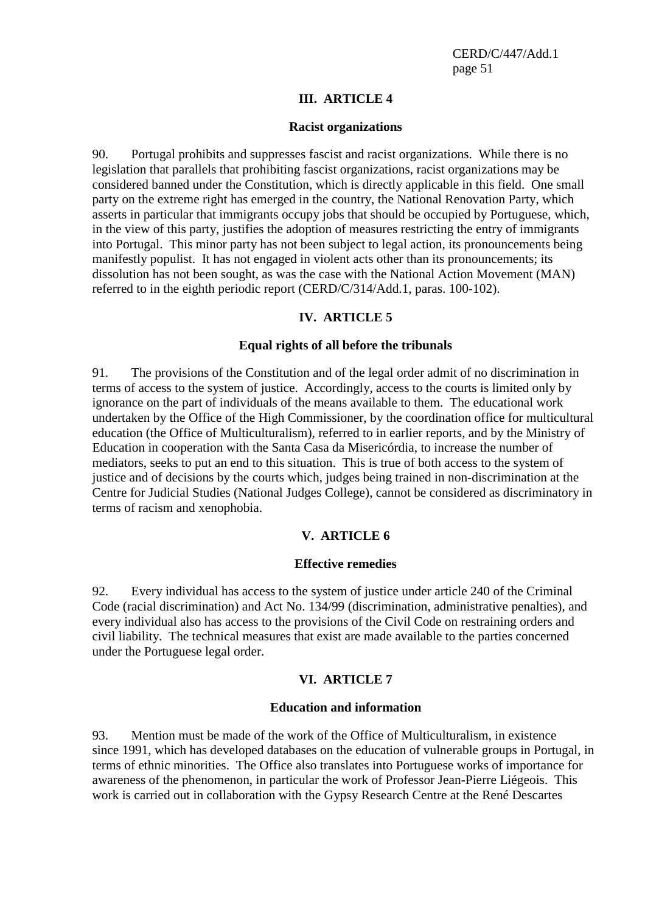#### **III. ARTICLE 4**

#### **Racist organizations**

90. Portugal prohibits and suppresses fascist and racist organizations. While there is no legislation that parallels that prohibiting fascist organizations, racist organizations may be considered banned under the Constitution, which is directly applicable in this field. One small party on the extreme right has emerged in the country, the National Renovation Party, which asserts in particular that immigrants occupy jobs that should be occupied by Portuguese, which, in the view of this party, justifies the adoption of measures restricting the entry of immigrants into Portugal. This minor party has not been subject to legal action, its pronouncements being manifestly populist. It has not engaged in violent acts other than its pronouncements; its dissolution has not been sought, as was the case with the National Action Movement (MAN) referred to in the eighth periodic report (CERD/C/314/Add.1, paras. 100-102).

#### **IV. ARTICLE 5**

#### **Equal rights of all before the tribunals**

91. The provisions of the Constitution and of the legal order admit of no discrimination in terms of access to the system of justice. Accordingly, access to the courts is limited only by ignorance on the part of individuals of the means available to them. The educational work undertaken by the Office of the High Commissioner, by the coordination office for multicultural education (the Office of Multiculturalism), referred to in earlier reports, and by the Ministry of Education in cooperation with the Santa Casa da Misericórdia, to increase the number of mediators, seeks to put an end to this situation. This is true of both access to the system of justice and of decisions by the courts which, judges being trained in non-discrimination at the Centre for Judicial Studies (National Judges College), cannot be considered as discriminatory in terms of racism and xenophobia.

#### **V. ARTICLE 6**

#### **Effective remedies**

92. Every individual has access to the system of justice under article 240 of the Criminal Code (racial discrimination) and Act No. 134/99 (discrimination, administrative penalties), and every individual also has access to the provisions of the Civil Code on restraining orders and civil liability. The technical measures that exist are made available to the parties concerned under the Portuguese legal order.

#### **VI. ARTICLE 7**

#### **Education and information**

93. Mention must be made of the work of the Office of Multiculturalism, in existence since 1991, which has developed databases on the education of vulnerable groups in Portugal, in terms of ethnic minorities. The Office also translates into Portuguese works of importance for awareness of the phenomenon, in particular the work of Professor Jean-Pierre Liégeois. This work is carried out in collaboration with the Gypsy Research Centre at the René Descartes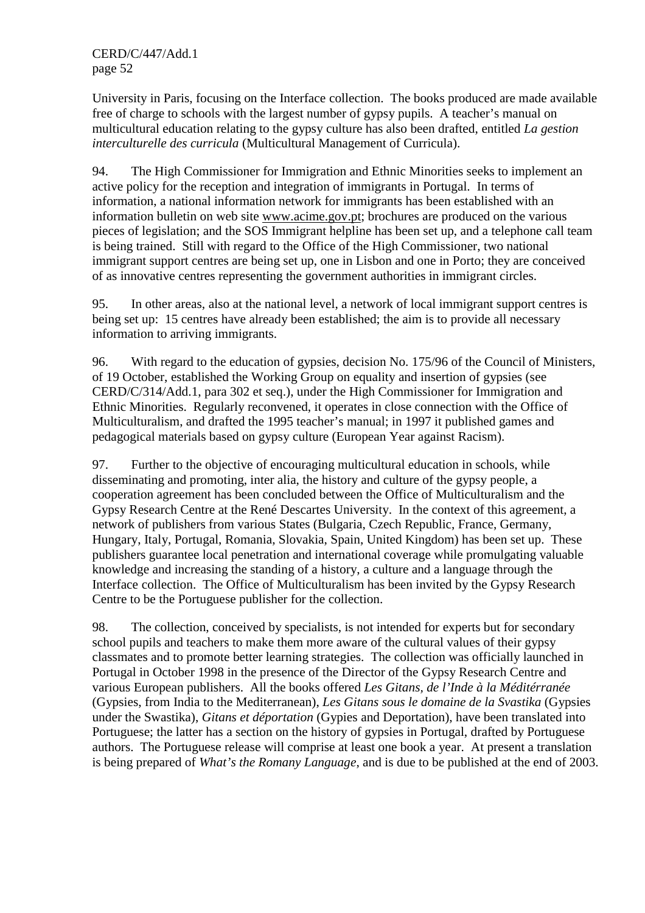University in Paris, focusing on the Interface collection. The books produced are made available free of charge to schools with the largest number of gypsy pupils. A teacher's manual on multicultural education relating to the gypsy culture has also been drafted, entitled *La gestion interculturelle des curricula* (Multicultural Management of Curricula).

94. The High Commissioner for Immigration and Ethnic Minorities seeks to implement an active policy for the reception and integration of immigrants in Portugal. In terms of information, a national information network for immigrants has been established with an information bulletin on web site www.acime.gov.pt; brochures are produced on the various pieces of legislation; and the SOS Immigrant helpline has been set up, and a telephone call team is being trained. Still with regard to the Office of the High Commissioner, two national immigrant support centres are being set up, one in Lisbon and one in Porto; they are conceived of as innovative centres representing the government authorities in immigrant circles.

95. In other areas, also at the national level, a network of local immigrant support centres is being set up: 15 centres have already been established; the aim is to provide all necessary information to arriving immigrants.

96. With regard to the education of gypsies, decision No. 175/96 of the Council of Ministers, of 19 October, established the Working Group on equality and insertion of gypsies (see CERD/C/314/Add.1, para 302 et seq.), under the High Commissioner for Immigration and Ethnic Minorities. Regularly reconvened, it operates in close connection with the Office of Multiculturalism, and drafted the 1995 teacher's manual; in 1997 it published games and pedagogical materials based on gypsy culture (European Year against Racism).

97. Further to the objective of encouraging multicultural education in schools, while disseminating and promoting, inter alia, the history and culture of the gypsy people, a cooperation agreement has been concluded between the Office of Multiculturalism and the Gypsy Research Centre at the René Descartes University. In the context of this agreement, a network of publishers from various States (Bulgaria, Czech Republic, France, Germany, Hungary, Italy, Portugal, Romania, Slovakia, Spain, United Kingdom) has been set up. These publishers guarantee local penetration and international coverage while promulgating valuable knowledge and increasing the standing of a history, a culture and a language through the Interface collection. The Office of Multiculturalism has been invited by the Gypsy Research Centre to be the Portuguese publisher for the collection.

98. The collection, conceived by specialists, is not intended for experts but for secondary school pupils and teachers to make them more aware of the cultural values of their gypsy classmates and to promote better learning strategies. The collection was officially launched in Portugal in October 1998 in the presence of the Director of the Gypsy Research Centre and various European publishers. All the books offered *Les Gitans, de l'Inde à la Méditérranée*  (Gypsies, from India to the Mediterranean), *Les Gitans sous le domaine de la Svastika* (Gypsies under the Swastika), *Gitans et déportation* (Gypies and Deportation), have been translated into Portuguese; the latter has a section on the history of gypsies in Portugal, drafted by Portuguese authors. The Portuguese release will comprise at least one book a year. At present a translation is being prepared of *What's the Romany Language*, and is due to be published at the end of 2003.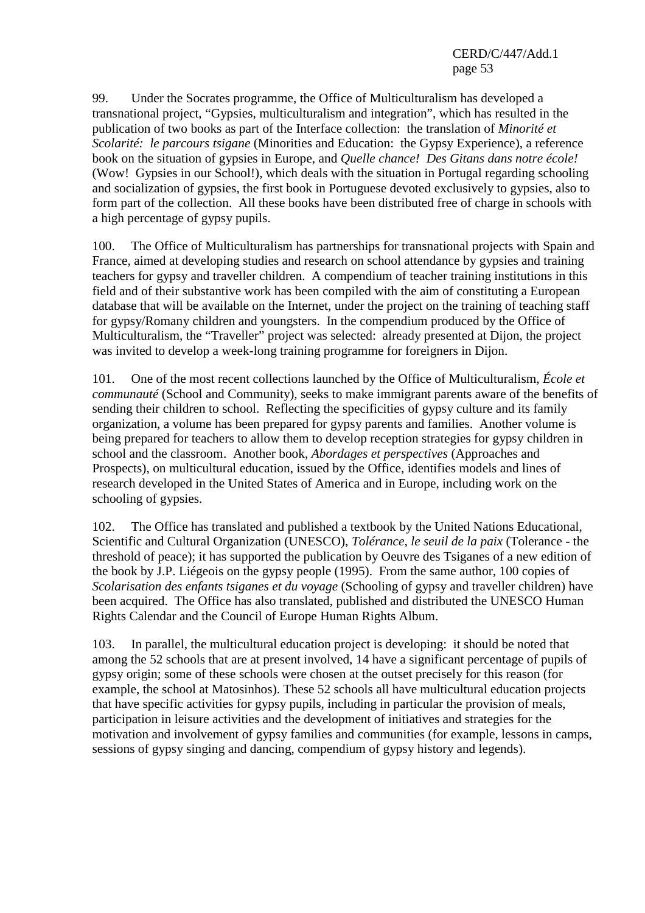99. Under the Socrates programme, the Office of Multiculturalism has developed a transnational project, "Gypsies, multiculturalism and integration", which has resulted in the publication of two books as part of the Interface collection: the translation of *Minorité et Scolarité: le parcours tsigane* (Minorities and Education: the Gypsy Experience), a reference book on the situation of gypsies in Europe, and *Quelle chance! Des Gitans dans notre école!* (Wow! Gypsies in our School!), which deals with the situation in Portugal regarding schooling and socialization of gypsies, the first book in Portuguese devoted exclusively to gypsies, also to form part of the collection. All these books have been distributed free of charge in schools with a high percentage of gypsy pupils.

100. The Office of Multiculturalism has partnerships for transnational projects with Spain and France, aimed at developing studies and research on school attendance by gypsies and training teachers for gypsy and traveller children. A compendium of teacher training institutions in this field and of their substantive work has been compiled with the aim of constituting a European database that will be available on the Internet, under the project on the training of teaching staff for gypsy/Romany children and youngsters. In the compendium produced by the Office of Multiculturalism, the "Traveller" project was selected: already presented at Dijon, the project was invited to develop a week-long training programme for foreigners in Dijon.

101. One of the most recent collections launched by the Office of Multiculturalism, *École et communauté* (School and Community), seeks to make immigrant parents aware of the benefits of sending their children to school. Reflecting the specificities of gypsy culture and its family organization, a volume has been prepared for gypsy parents and families. Another volume is being prepared for teachers to allow them to develop reception strategies for gypsy children in school and the classroom. Another book, *Abordages et perspectives* (Approaches and Prospects), on multicultural education, issued by the Office, identifies models and lines of research developed in the United States of America and in Europe, including work on the schooling of gypsies.

102. The Office has translated and published a textbook by the United Nations Educational, Scientific and Cultural Organization (UNESCO), *Tolérance, le seuil de la paix* (Tolerance - the threshold of peace); it has supported the publication by Oeuvre des Tsiganes of a new edition of the book by J.P. Liégeois on the gypsy people (1995). From the same author, 100 copies of *Scolarisation des enfants tsiganes et du voyage* (Schooling of gypsy and traveller children) have been acquired. The Office has also translated, published and distributed the UNESCO Human Rights Calendar and the Council of Europe Human Rights Album.

103. In parallel, the multicultural education project is developing: it should be noted that among the 52 schools that are at present involved, 14 have a significant percentage of pupils of gypsy origin; some of these schools were chosen at the outset precisely for this reason (for example, the school at Matosinhos). These 52 schools all have multicultural education projects that have specific activities for gypsy pupils, including in particular the provision of meals, participation in leisure activities and the development of initiatives and strategies for the motivation and involvement of gypsy families and communities (for example, lessons in camps, sessions of gypsy singing and dancing, compendium of gypsy history and legends).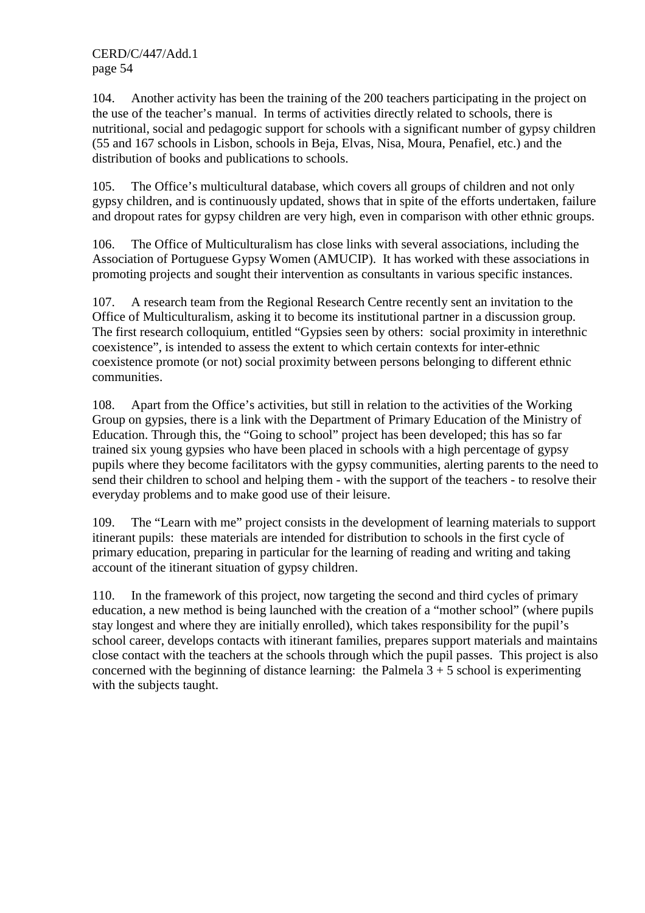104. Another activity has been the training of the 200 teachers participating in the project on the use of the teacher's manual. In terms of activities directly related to schools, there is nutritional, social and pedagogic support for schools with a significant number of gypsy children (55 and 167 schools in Lisbon, schools in Beja, Elvas, Nisa, Moura, Penafiel, etc.) and the distribution of books and publications to schools.

105. The Office's multicultural database, which covers all groups of children and not only gypsy children, and is continuously updated, shows that in spite of the efforts undertaken, failure and dropout rates for gypsy children are very high, even in comparison with other ethnic groups.

106. The Office of Multiculturalism has close links with several associations, including the Association of Portuguese Gypsy Women (AMUCIP). It has worked with these associations in promoting projects and sought their intervention as consultants in various specific instances.

107. A research team from the Regional Research Centre recently sent an invitation to the Office of Multiculturalism, asking it to become its institutional partner in a discussion group. The first research colloquium, entitled "Gypsies seen by others: social proximity in interethnic coexistence", is intended to assess the extent to which certain contexts for inter-ethnic coexistence promote (or not) social proximity between persons belonging to different ethnic communities.

108. Apart from the Office's activities, but still in relation to the activities of the Working Group on gypsies, there is a link with the Department of Primary Education of the Ministry of Education. Through this, the "Going to school" project has been developed; this has so far trained six young gypsies who have been placed in schools with a high percentage of gypsy pupils where they become facilitators with the gypsy communities, alerting parents to the need to send their children to school and helping them - with the support of the teachers - to resolve their everyday problems and to make good use of their leisure.

109. The "Learn with me" project consists in the development of learning materials to support itinerant pupils: these materials are intended for distribution to schools in the first cycle of primary education, preparing in particular for the learning of reading and writing and taking account of the itinerant situation of gypsy children.

110. In the framework of this project, now targeting the second and third cycles of primary education, a new method is being launched with the creation of a "mother school" (where pupils stay longest and where they are initially enrolled), which takes responsibility for the pupil's school career, develops contacts with itinerant families, prepares support materials and maintains close contact with the teachers at the schools through which the pupil passes. This project is also concerned with the beginning of distance learning: the Palmela  $3 + 5$  school is experimenting with the subjects taught.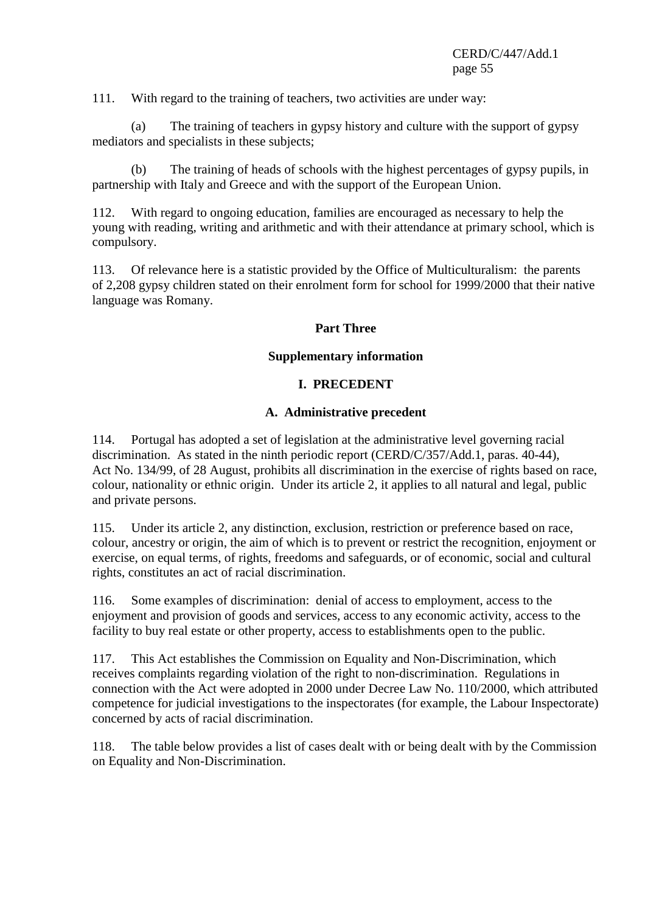111. With regard to the training of teachers, two activities are under way:

 (a) The training of teachers in gypsy history and culture with the support of gypsy mediators and specialists in these subjects;

 (b) The training of heads of schools with the highest percentages of gypsy pupils, in partnership with Italy and Greece and with the support of the European Union.

112. With regard to ongoing education, families are encouraged as necessary to help the young with reading, writing and arithmetic and with their attendance at primary school, which is compulsory.

113. Of relevance here is a statistic provided by the Office of Multiculturalism: the parents of 2,208 gypsy children stated on their enrolment form for school for 1999/2000 that their native language was Romany.

#### **Part Three**

#### **Supplementary information**

#### **I. PRECEDENT**

#### **A. Administrative precedent**

114. Portugal has adopted a set of legislation at the administrative level governing racial discrimination. As stated in the ninth periodic report (CERD/C/357/Add.1, paras. 40-44), Act No. 134/99, of 28 August, prohibits all discrimination in the exercise of rights based on race, colour, nationality or ethnic origin. Under its article 2, it applies to all natural and legal, public and private persons.

115. Under its article 2, any distinction, exclusion, restriction or preference based on race, colour, ancestry or origin, the aim of which is to prevent or restrict the recognition, enjoyment or exercise, on equal terms, of rights, freedoms and safeguards, or of economic, social and cultural rights, constitutes an act of racial discrimination.

116. Some examples of discrimination: denial of access to employment, access to the enjoyment and provision of goods and services, access to any economic activity, access to the facility to buy real estate or other property, access to establishments open to the public.

117. This Act establishes the Commission on Equality and Non-Discrimination, which receives complaints regarding violation of the right to non-discrimination. Regulations in connection with the Act were adopted in 2000 under Decree Law No. 110/2000, which attributed competence for judicial investigations to the inspectorates (for example, the Labour Inspectorate) concerned by acts of racial discrimination.

118. The table below provides a list of cases dealt with or being dealt with by the Commission on Equality and Non-Discrimination.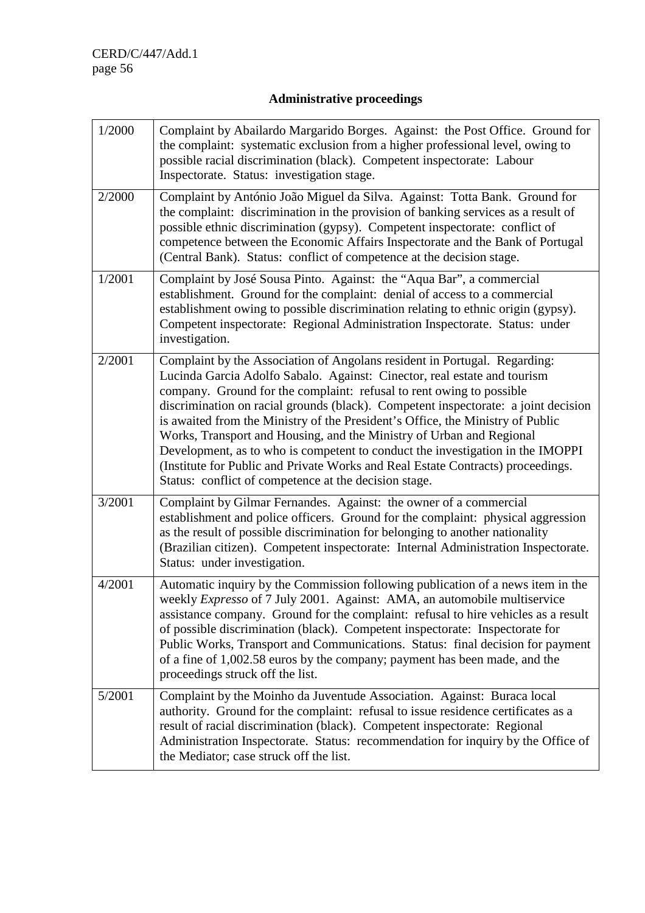# **Administrative proceedings**

| 1/2000 | Complaint by Abailardo Margarido Borges. Against: the Post Office. Ground for<br>the complaint: systematic exclusion from a higher professional level, owing to<br>possible racial discrimination (black). Competent inspectorate: Labour<br>Inspectorate. Status: investigation stage.                                                                                                                                                                                                                                                                                                                                                                                                                     |
|--------|-------------------------------------------------------------------------------------------------------------------------------------------------------------------------------------------------------------------------------------------------------------------------------------------------------------------------------------------------------------------------------------------------------------------------------------------------------------------------------------------------------------------------------------------------------------------------------------------------------------------------------------------------------------------------------------------------------------|
| 2/2000 | Complaint by António João Miguel da Silva. Against: Totta Bank. Ground for<br>the complaint: discrimination in the provision of banking services as a result of<br>possible ethnic discrimination (gypsy). Competent inspectorate: conflict of<br>competence between the Economic Affairs Inspectorate and the Bank of Portugal<br>(Central Bank). Status: conflict of competence at the decision stage.                                                                                                                                                                                                                                                                                                    |
| 1/2001 | Complaint by José Sousa Pinto. Against: the "Aqua Bar", a commercial<br>establishment. Ground for the complaint: denial of access to a commercial<br>establishment owing to possible discrimination relating to ethnic origin (gypsy).<br>Competent inspectorate: Regional Administration Inspectorate. Status: under<br>investigation.                                                                                                                                                                                                                                                                                                                                                                     |
| 2/2001 | Complaint by the Association of Angolans resident in Portugal. Regarding:<br>Lucinda Garcia Adolfo Sabalo. Against: Cinector, real estate and tourism<br>company. Ground for the complaint: refusal to rent owing to possible<br>discrimination on racial grounds (black). Competent inspectorate: a joint decision<br>is awaited from the Ministry of the President's Office, the Ministry of Public<br>Works, Transport and Housing, and the Ministry of Urban and Regional<br>Development, as to who is competent to conduct the investigation in the IMOPPI<br>(Institute for Public and Private Works and Real Estate Contracts) proceedings.<br>Status: conflict of competence at the decision stage. |
| 3/2001 | Complaint by Gilmar Fernandes. Against: the owner of a commercial<br>establishment and police officers. Ground for the complaint: physical aggression<br>as the result of possible discrimination for belonging to another nationality<br>(Brazilian citizen). Competent inspectorate: Internal Administration Inspectorate.<br>Status: under investigation.                                                                                                                                                                                                                                                                                                                                                |
| 4/2001 | Automatic inquiry by the Commission following publication of a news item in the<br>weekly Expresso of 7 July 2001. Against: AMA, an automobile multiservice<br>assistance company. Ground for the complaint: refusal to hire vehicles as a result<br>of possible discrimination (black). Competent inspectorate: Inspectorate for<br>Public Works, Transport and Communications. Status: final decision for payment<br>of a fine of 1,002.58 euros by the company; payment has been made, and the<br>proceedings struck off the list.                                                                                                                                                                       |
| 5/2001 | Complaint by the Moinho da Juventude Association. Against: Buraca local<br>authority. Ground for the complaint: refusal to issue residence certificates as a<br>result of racial discrimination (black). Competent inspectorate: Regional<br>Administration Inspectorate. Status: recommendation for inquiry by the Office of<br>the Mediator; case struck off the list.                                                                                                                                                                                                                                                                                                                                    |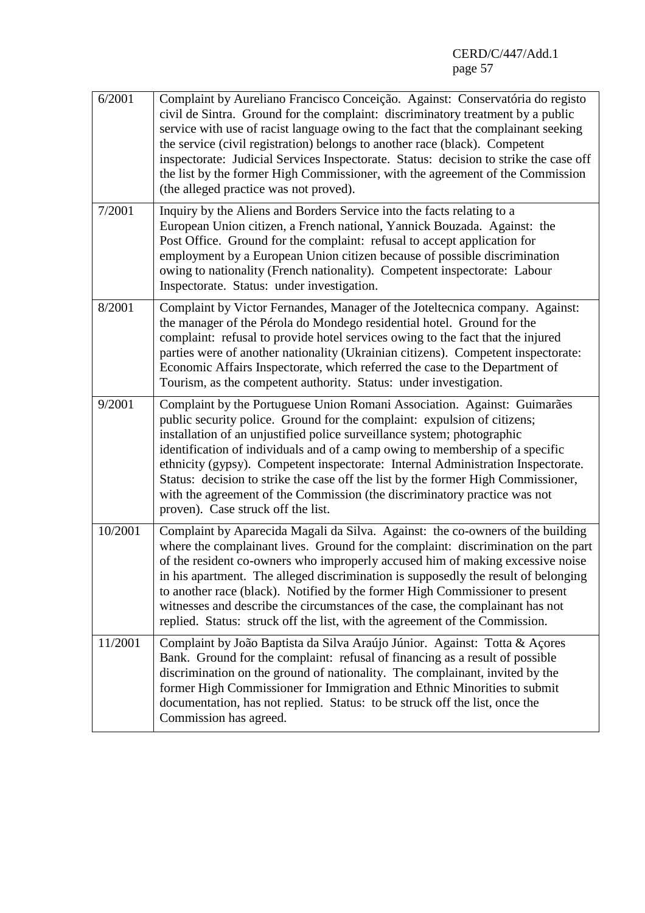| 6/2001  | Complaint by Aureliano Francisco Conceição. Against: Conservatória do registo<br>civil de Sintra. Ground for the complaint: discriminatory treatment by a public<br>service with use of racist language owing to the fact that the complainant seeking<br>the service (civil registration) belongs to another race (black). Competent<br>inspectorate: Judicial Services Inspectorate. Status: decision to strike the case off<br>the list by the former High Commissioner, with the agreement of the Commission<br>(the alleged practice was not proved).                                                   |
|---------|--------------------------------------------------------------------------------------------------------------------------------------------------------------------------------------------------------------------------------------------------------------------------------------------------------------------------------------------------------------------------------------------------------------------------------------------------------------------------------------------------------------------------------------------------------------------------------------------------------------|
| 7/2001  | Inquiry by the Aliens and Borders Service into the facts relating to a<br>European Union citizen, a French national, Yannick Bouzada. Against: the<br>Post Office. Ground for the complaint: refusal to accept application for<br>employment by a European Union citizen because of possible discrimination<br>owing to nationality (French nationality). Competent inspectorate: Labour<br>Inspectorate. Status: under investigation.                                                                                                                                                                       |
| 8/2001  | Complaint by Victor Fernandes, Manager of the Joteltecnica company. Against:<br>the manager of the Pérola do Mondego residential hotel. Ground for the<br>complaint: refusal to provide hotel services owing to the fact that the injured<br>parties were of another nationality (Ukrainian citizens). Competent inspectorate:<br>Economic Affairs Inspectorate, which referred the case to the Department of<br>Tourism, as the competent authority. Status: under investigation.                                                                                                                           |
| 9/2001  | Complaint by the Portuguese Union Romani Association. Against: Guimarães<br>public security police. Ground for the complaint: expulsion of citizens;<br>installation of an unjustified police surveillance system; photographic<br>identification of individuals and of a camp owing to membership of a specific<br>ethnicity (gypsy). Competent inspectorate: Internal Administration Inspectorate.<br>Status: decision to strike the case off the list by the former High Commissioner,<br>with the agreement of the Commission (the discriminatory practice was not<br>proven). Case struck off the list. |
| 10/2001 | Complaint by Aparecida Magali da Silva. Against: the co-owners of the building<br>where the complainant lives. Ground for the complaint: discrimination on the part<br>of the resident co-owners who improperly accused him of making excessive noise<br>in his apartment. The alleged discrimination is supposedly the result of belonging<br>to another race (black). Notified by the former High Commissioner to present<br>witnesses and describe the circumstances of the case, the complainant has not<br>replied. Status: struck off the list, with the agreement of the Commission.                  |
| 11/2001 | Complaint by João Baptista da Silva Araújo Júnior. Against: Totta & Açores<br>Bank. Ground for the complaint: refusal of financing as a result of possible<br>discrimination on the ground of nationality. The complainant, invited by the<br>former High Commissioner for Immigration and Ethnic Minorities to submit<br>documentation, has not replied. Status: to be struck off the list, once the<br>Commission has agreed.                                                                                                                                                                              |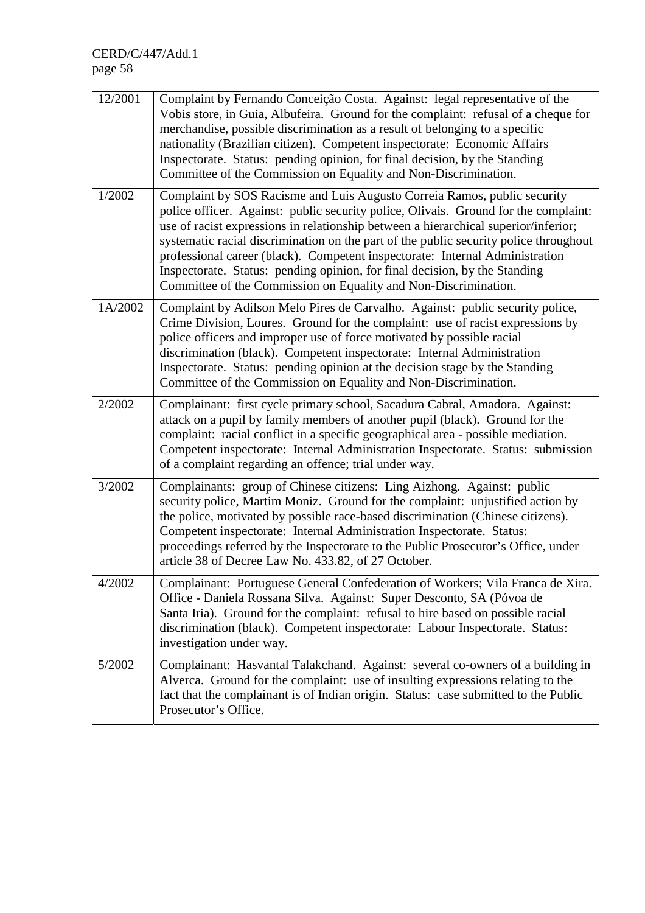| 12/2001 | Complaint by Fernando Conceição Costa. Against: legal representative of the<br>Vobis store, in Guia, Albufeira. Ground for the complaint: refusal of a cheque for<br>merchandise, possible discrimination as a result of belonging to a specific<br>nationality (Brazilian citizen). Competent inspectorate: Economic Affairs<br>Inspectorate. Status: pending opinion, for final decision, by the Standing<br>Committee of the Commission on Equality and Non-Discrimination.                                                                                                   |
|---------|----------------------------------------------------------------------------------------------------------------------------------------------------------------------------------------------------------------------------------------------------------------------------------------------------------------------------------------------------------------------------------------------------------------------------------------------------------------------------------------------------------------------------------------------------------------------------------|
| 1/2002  | Complaint by SOS Racisme and Luis Augusto Correia Ramos, public security<br>police officer. Against: public security police, Olivais. Ground for the complaint:<br>use of racist expressions in relationship between a hierarchical superior/inferior;<br>systematic racial discrimination on the part of the public security police throughout<br>professional career (black). Competent inspectorate: Internal Administration<br>Inspectorate. Status: pending opinion, for final decision, by the Standing<br>Committee of the Commission on Equality and Non-Discrimination. |
| 1A/2002 | Complaint by Adilson Melo Pires de Carvalho. Against: public security police,<br>Crime Division, Loures. Ground for the complaint: use of racist expressions by<br>police officers and improper use of force motivated by possible racial<br>discrimination (black). Competent inspectorate: Internal Administration<br>Inspectorate. Status: pending opinion at the decision stage by the Standing<br>Committee of the Commission on Equality and Non-Discrimination.                                                                                                           |
| 2/2002  | Complainant: first cycle primary school, Sacadura Cabral, Amadora. Against:<br>attack on a pupil by family members of another pupil (black). Ground for the<br>complaint: racial conflict in a specific geographical area - possible mediation.<br>Competent inspectorate: Internal Administration Inspectorate. Status: submission<br>of a complaint regarding an offence; trial under way.                                                                                                                                                                                     |
| 3/2002  | Complainants: group of Chinese citizens: Ling Aizhong. Against: public<br>security police, Martim Moniz. Ground for the complaint: unjustified action by<br>the police, motivated by possible race-based discrimination (Chinese citizens).<br>Competent inspectorate: Internal Administration Inspectorate. Status:<br>proceedings referred by the Inspectorate to the Public Prosecutor's Office, under<br>article 38 of Decree Law No. 433.82, of 27 October.                                                                                                                 |
| 4/2002  | Complainant: Portuguese General Confederation of Workers; Vila Franca de Xira.<br>Office - Daniela Rossana Silva. Against: Super Desconto, SA (Póvoa de<br>Santa Iria). Ground for the complaint: refusal to hire based on possible racial<br>discrimination (black). Competent inspectorate: Labour Inspectorate. Status:<br>investigation under way.                                                                                                                                                                                                                           |
| 5/2002  | Complainant: Hasvantal Talakchand. Against: several co-owners of a building in<br>Alverca. Ground for the complaint: use of insulting expressions relating to the<br>fact that the complainant is of Indian origin. Status: case submitted to the Public<br>Prosecutor's Office.                                                                                                                                                                                                                                                                                                 |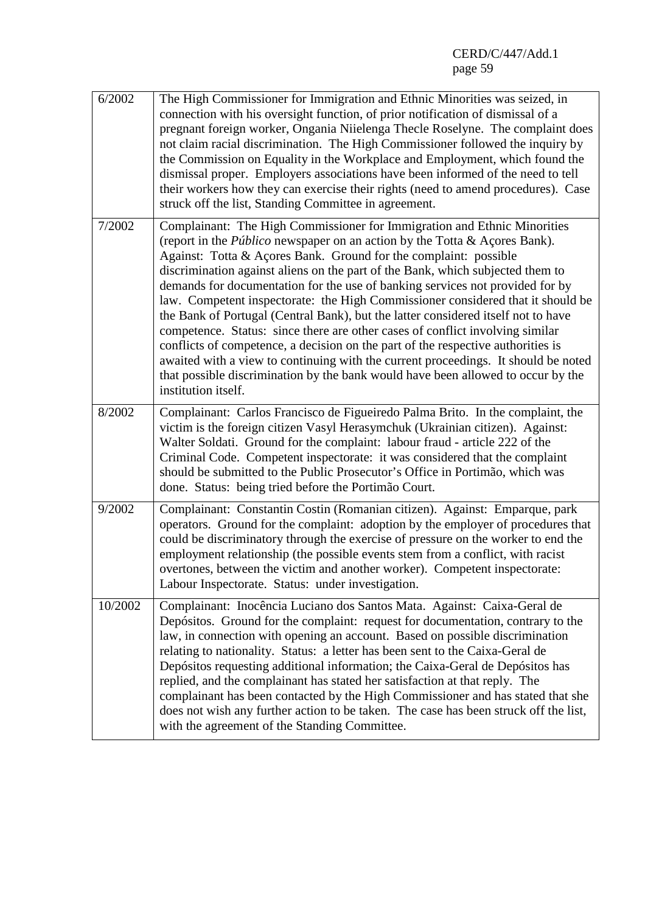| 6/2002          | The High Commissioner for Immigration and Ethnic Minorities was seized, in<br>connection with his oversight function, of prior notification of dismissal of a<br>pregnant foreign worker, Ongania Niielenga Thecle Roselyne. The complaint does<br>not claim racial discrimination. The High Commissioner followed the inquiry by<br>the Commission on Equality in the Workplace and Employment, which found the<br>dismissal proper. Employers associations have been informed of the need to tell<br>their workers how they can exercise their rights (need to amend procedures). Case<br>struck off the list, Standing Committee in agreement.                                                                                                                                                                                                                                                                                                  |
|-----------------|----------------------------------------------------------------------------------------------------------------------------------------------------------------------------------------------------------------------------------------------------------------------------------------------------------------------------------------------------------------------------------------------------------------------------------------------------------------------------------------------------------------------------------------------------------------------------------------------------------------------------------------------------------------------------------------------------------------------------------------------------------------------------------------------------------------------------------------------------------------------------------------------------------------------------------------------------|
| 7/2002          | Complainant: The High Commissioner for Immigration and Ethnic Minorities<br>(report in the <i>Público</i> newspaper on an action by the Totta & Açores Bank).<br>Against: Totta & Açores Bank. Ground for the complaint: possible<br>discrimination against aliens on the part of the Bank, which subjected them to<br>demands for documentation for the use of banking services not provided for by<br>law. Competent inspectorate: the High Commissioner considered that it should be<br>the Bank of Portugal (Central Bank), but the latter considered itself not to have<br>competence. Status: since there are other cases of conflict involving similar<br>conflicts of competence, a decision on the part of the respective authorities is<br>awaited with a view to continuing with the current proceedings. It should be noted<br>that possible discrimination by the bank would have been allowed to occur by the<br>institution itself. |
| $\sqrt{8}/2002$ | Complainant: Carlos Francisco de Figueiredo Palma Brito. In the complaint, the<br>victim is the foreign citizen Vasyl Herasymchuk (Ukrainian citizen). Against:<br>Walter Soldati. Ground for the complaint: labour fraud - article 222 of the<br>Criminal Code. Competent inspectorate: it was considered that the complaint<br>should be submitted to the Public Prosecutor's Office in Portimão, which was<br>done. Status: being tried before the Portimão Court.                                                                                                                                                                                                                                                                                                                                                                                                                                                                              |
| 9/2002          | Complainant: Constantin Costin (Romanian citizen). Against: Emparque, park<br>operators. Ground for the complaint: adoption by the employer of procedures that<br>could be discriminatory through the exercise of pressure on the worker to end the<br>employment relationship (the possible events stem from a conflict, with racist<br>overtones, between the victim and another worker). Competent inspectorate:<br>Labour Inspectorate. Status: under investigation.                                                                                                                                                                                                                                                                                                                                                                                                                                                                           |
| 10/2002         | Complainant: Inocência Luciano dos Santos Mata. Against: Caixa-Geral de<br>Depósitos. Ground for the complaint: request for documentation, contrary to the<br>law, in connection with opening an account. Based on possible discrimination<br>relating to nationality. Status: a letter has been sent to the Caixa-Geral de<br>Depósitos requesting additional information; the Caixa-Geral de Depósitos has<br>replied, and the complainant has stated her satisfaction at that reply. The<br>complainant has been contacted by the High Commissioner and has stated that she<br>does not wish any further action to be taken. The case has been struck off the list,<br>with the agreement of the Standing Committee.                                                                                                                                                                                                                            |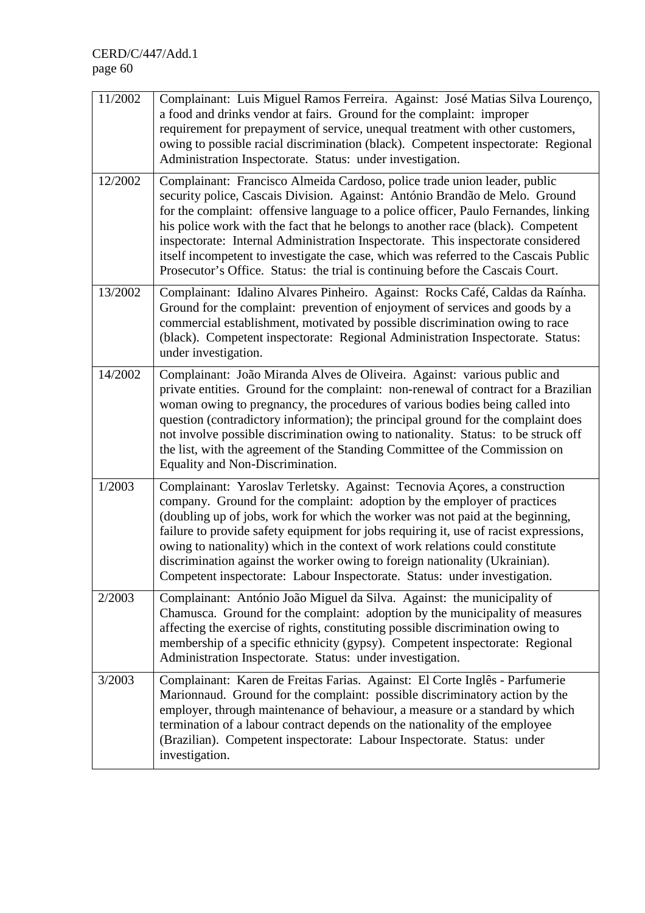| 11/2002 | Complainant: Luis Miguel Ramos Ferreira. Against: José Matias Silva Lourenço,<br>a food and drinks vendor at fairs. Ground for the complaint: improper<br>requirement for prepayment of service, unequal treatment with other customers,<br>owing to possible racial discrimination (black). Competent inspectorate: Regional<br>Administration Inspectorate. Status: under investigation.                                                                                                                                                                                                        |
|---------|---------------------------------------------------------------------------------------------------------------------------------------------------------------------------------------------------------------------------------------------------------------------------------------------------------------------------------------------------------------------------------------------------------------------------------------------------------------------------------------------------------------------------------------------------------------------------------------------------|
| 12/2002 | Complainant: Francisco Almeida Cardoso, police trade union leader, public<br>security police, Cascais Division. Against: António Brandão de Melo. Ground<br>for the complaint: offensive language to a police officer, Paulo Fernandes, linking<br>his police work with the fact that he belongs to another race (black). Competent<br>inspectorate: Internal Administration Inspectorate. This inspectorate considered<br>itself incompetent to investigate the case, which was referred to the Cascais Public<br>Prosecutor's Office. Status: the trial is continuing before the Cascais Court. |
| 13/2002 | Complainant: Idalino Alvares Pinheiro. Against: Rocks Café, Caldas da Raínha.<br>Ground for the complaint: prevention of enjoyment of services and goods by a<br>commercial establishment, motivated by possible discrimination owing to race<br>(black). Competent inspectorate: Regional Administration Inspectorate. Status:<br>under investigation.                                                                                                                                                                                                                                           |
| 14/2002 | Complainant: João Miranda Alves de Oliveira. Against: various public and<br>private entities. Ground for the complaint: non-renewal of contract for a Brazilian<br>woman owing to pregnancy, the procedures of various bodies being called into<br>question (contradictory information); the principal ground for the complaint does<br>not involve possible discrimination owing to nationality. Status: to be struck off<br>the list, with the agreement of the Standing Committee of the Commission on<br>Equality and Non-Discrimination.                                                     |
| 1/2003  | Complainant: Yaroslav Terletsky. Against: Tecnovia Açores, a construction<br>company. Ground for the complaint: adoption by the employer of practices<br>(doubling up of jobs, work for which the worker was not paid at the beginning,<br>failure to provide safety equipment for jobs requiring it, use of racist expressions,<br>owing to nationality) which in the context of work relations could constitute<br>discrimination against the worker owing to foreign nationality (Ukrainian).<br>Competent inspectorate: Labour Inspectorate. Status: under investigation.                     |
| 2/2003  | Complainant: António João Miguel da Silva. Against: the municipality of<br>Chamusca. Ground for the complaint: adoption by the municipality of measures<br>affecting the exercise of rights, constituting possible discrimination owing to<br>membership of a specific ethnicity (gypsy). Competent inspectorate: Regional<br>Administration Inspectorate. Status: under investigation.                                                                                                                                                                                                           |
| 3/2003  | Complainant: Karen de Freitas Farias. Against: El Corte Inglês - Parfumerie<br>Marionnaud. Ground for the complaint: possible discriminatory action by the<br>employer, through maintenance of behaviour, a measure or a standard by which<br>termination of a labour contract depends on the nationality of the employee<br>(Brazilian). Competent inspectorate: Labour Inspectorate. Status: under<br>investigation.                                                                                                                                                                            |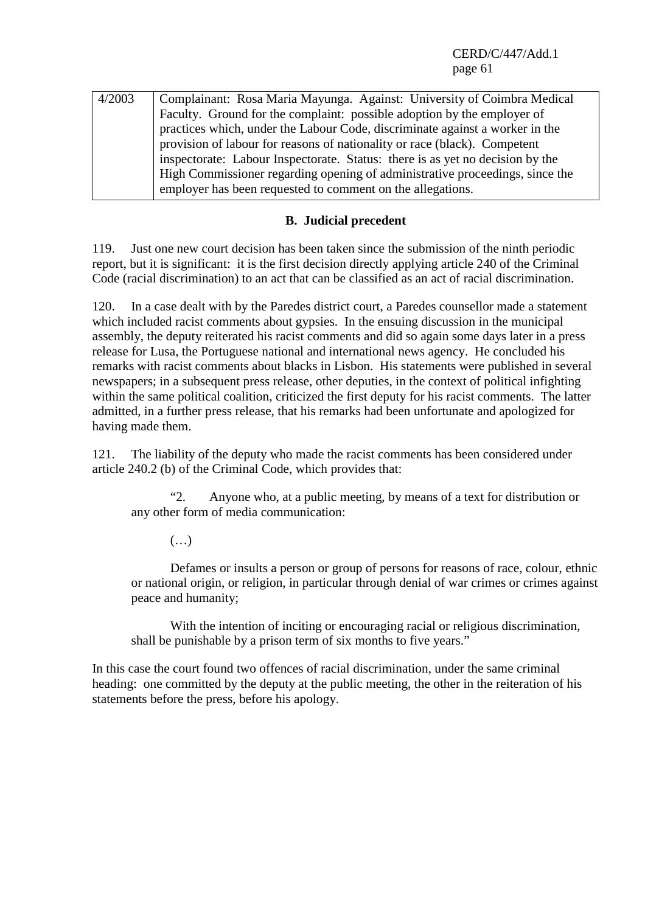| 4/2003 | Complainant: Rosa Maria Mayunga. Against: University of Coimbra Medical       |
|--------|-------------------------------------------------------------------------------|
|        | Faculty. Ground for the complaint: possible adoption by the employer of       |
|        | practices which, under the Labour Code, discriminate against a worker in the  |
|        | provision of labour for reasons of nationality or race (black). Competent     |
|        | inspectorate: Labour Inspectorate. Status: there is as yet no decision by the |
|        | High Commissioner regarding opening of administrative proceedings, since the  |
|        | employer has been requested to comment on the allegations.                    |

#### **B. Judicial precedent**

119. Just one new court decision has been taken since the submission of the ninth periodic report, but it is significant: it is the first decision directly applying article 240 of the Criminal Code (racial discrimination) to an act that can be classified as an act of racial discrimination.

120. In a case dealt with by the Paredes district court, a Paredes counsellor made a statement which included racist comments about gypsies. In the ensuing discussion in the municipal assembly, the deputy reiterated his racist comments and did so again some days later in a press release for Lusa, the Portuguese national and international news agency. He concluded his remarks with racist comments about blacks in Lisbon. His statements were published in several newspapers; in a subsequent press release, other deputies, in the context of political infighting within the same political coalition, criticized the first deputy for his racist comments. The latter admitted, in a further press release, that his remarks had been unfortunate and apologized for having made them.

121. The liability of the deputy who made the racist comments has been considered under article 240.2 (b) of the Criminal Code, which provides that:

 "2. Anyone who, at a public meeting, by means of a text for distribution or any other form of media communication:

(…)

 Defames or insults a person or group of persons for reasons of race, colour, ethnic or national origin, or religion, in particular through denial of war crimes or crimes against peace and humanity;

 With the intention of inciting or encouraging racial or religious discrimination, shall be punishable by a prison term of six months to five years."

In this case the court found two offences of racial discrimination, under the same criminal heading: one committed by the deputy at the public meeting, the other in the reiteration of his statements before the press, before his apology.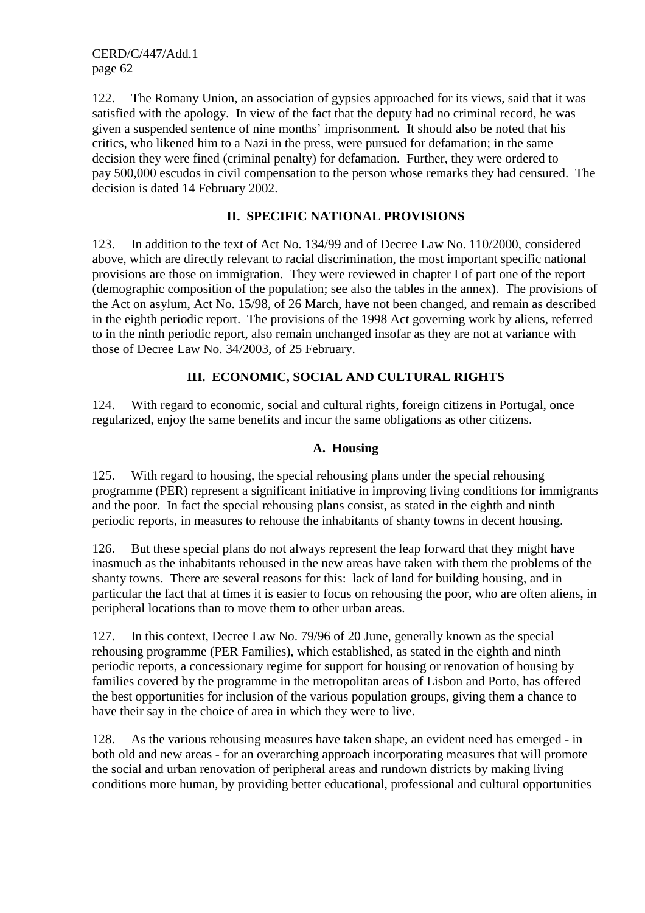122. The Romany Union, an association of gypsies approached for its views, said that it was satisfied with the apology. In view of the fact that the deputy had no criminal record, he was given a suspended sentence of nine months' imprisonment. It should also be noted that his critics, who likened him to a Nazi in the press, were pursued for defamation; in the same decision they were fined (criminal penalty) for defamation. Further, they were ordered to pay 500,000 escudos in civil compensation to the person whose remarks they had censured. The decision is dated 14 February 2002.

#### **II. SPECIFIC NATIONAL PROVISIONS**

123. In addition to the text of Act No. 134/99 and of Decree Law No. 110/2000, considered above, which are directly relevant to racial discrimination, the most important specific national provisions are those on immigration. They were reviewed in chapter I of part one of the report (demographic composition of the population; see also the tables in the annex). The provisions of the Act on asylum, Act No. 15/98, of 26 March, have not been changed, and remain as described in the eighth periodic report. The provisions of the 1998 Act governing work by aliens, referred to in the ninth periodic report, also remain unchanged insofar as they are not at variance with those of Decree Law No. 34/2003, of 25 February.

#### **III. ECONOMIC, SOCIAL AND CULTURAL RIGHTS**

124. With regard to economic, social and cultural rights, foreign citizens in Portugal, once regularized, enjoy the same benefits and incur the same obligations as other citizens.

#### **A. Housing**

125. With regard to housing, the special rehousing plans under the special rehousing programme (PER) represent a significant initiative in improving living conditions for immigrants and the poor. In fact the special rehousing plans consist, as stated in the eighth and ninth periodic reports, in measures to rehouse the inhabitants of shanty towns in decent housing.

126. But these special plans do not always represent the leap forward that they might have inasmuch as the inhabitants rehoused in the new areas have taken with them the problems of the shanty towns. There are several reasons for this: lack of land for building housing, and in particular the fact that at times it is easier to focus on rehousing the poor, who are often aliens, in peripheral locations than to move them to other urban areas.

127. In this context, Decree Law No. 79/96 of 20 June, generally known as the special rehousing programme (PER Families), which established, as stated in the eighth and ninth periodic reports, a concessionary regime for support for housing or renovation of housing by families covered by the programme in the metropolitan areas of Lisbon and Porto, has offered the best opportunities for inclusion of the various population groups, giving them a chance to have their say in the choice of area in which they were to live.

128. As the various rehousing measures have taken shape, an evident need has emerged - in both old and new areas - for an overarching approach incorporating measures that will promote the social and urban renovation of peripheral areas and rundown districts by making living conditions more human, by providing better educational, professional and cultural opportunities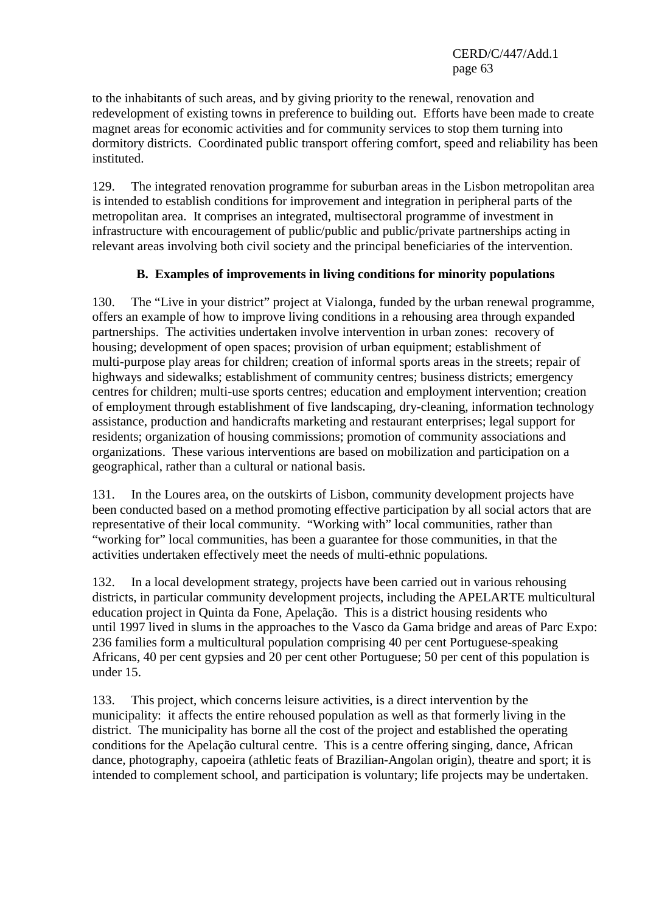to the inhabitants of such areas, and by giving priority to the renewal, renovation and redevelopment of existing towns in preference to building out. Efforts have been made to create magnet areas for economic activities and for community services to stop them turning into dormitory districts. Coordinated public transport offering comfort, speed and reliability has been instituted.

129. The integrated renovation programme for suburban areas in the Lisbon metropolitan area is intended to establish conditions for improvement and integration in peripheral parts of the metropolitan area. It comprises an integrated, multisectoral programme of investment in infrastructure with encouragement of public/public and public/private partnerships acting in relevant areas involving both civil society and the principal beneficiaries of the intervention.

## **B. Examples of improvements in living conditions for minority populations**

130. The "Live in your district" project at Vialonga, funded by the urban renewal programme, offers an example of how to improve living conditions in a rehousing area through expanded partnerships. The activities undertaken involve intervention in urban zones: recovery of housing; development of open spaces; provision of urban equipment; establishment of multi-purpose play areas for children; creation of informal sports areas in the streets; repair of highways and sidewalks; establishment of community centres; business districts; emergency centres for children; multi-use sports centres; education and employment intervention; creation of employment through establishment of five landscaping, dry-cleaning, information technology assistance, production and handicrafts marketing and restaurant enterprises; legal support for residents; organization of housing commissions; promotion of community associations and organizations. These various interventions are based on mobilization and participation on a geographical, rather than a cultural or national basis.

131. In the Loures area, on the outskirts of Lisbon, community development projects have been conducted based on a method promoting effective participation by all social actors that are representative of their local community. "Working with" local communities, rather than "working for" local communities, has been a guarantee for those communities, in that the activities undertaken effectively meet the needs of multi-ethnic populations.

132. In a local development strategy, projects have been carried out in various rehousing districts, in particular community development projects, including the APELARTE multicultural education project in Quinta da Fone, Apelação. This is a district housing residents who until 1997 lived in slums in the approaches to the Vasco da Gama bridge and areas of Parc Expo: 236 families form a multicultural population comprising 40 per cent Portuguese-speaking Africans, 40 per cent gypsies and 20 per cent other Portuguese; 50 per cent of this population is under 15.

133. This project, which concerns leisure activities, is a direct intervention by the municipality: it affects the entire rehoused population as well as that formerly living in the district. The municipality has borne all the cost of the project and established the operating conditions for the Apelação cultural centre. This is a centre offering singing, dance, African dance, photography, capoeira (athletic feats of Brazilian-Angolan origin), theatre and sport; it is intended to complement school, and participation is voluntary; life projects may be undertaken.